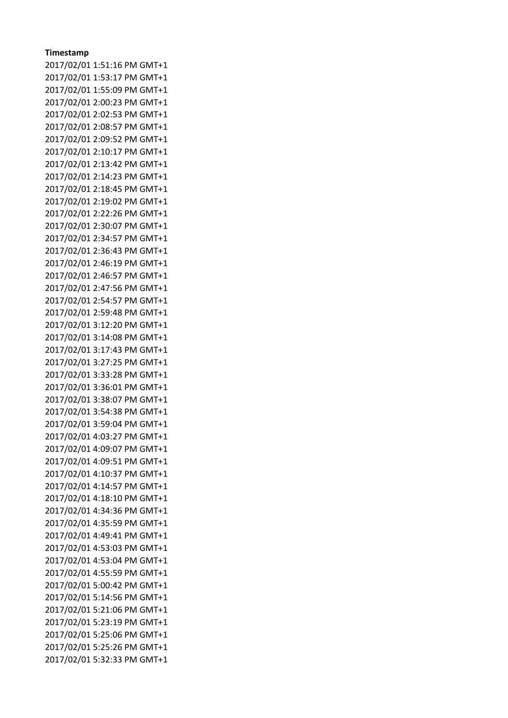## **Timestamp**

2017/02/01 1:51:16 PM GMT+1 2017/02/01 1:53:17 PM GMT+1 2017/02/01 1:55:09 PM GMT+1 2017/02/01 2:00:23 PM GMT+1 2017/02/01 2:02:53 PM GMT+1 2017/02/01 2:08:57 PM GMT+1 2017/02/01 2:09:52 PM GMT+1 2017/02/01 2:10:17 PM GMT+1 2017/02/01 2:13:42 PM GMT+1 2017/02/01 2:14:23 PM GMT+1 2017/02/01 2:18:45 PM GMT+1 2017/02/01 2:19:02 PM GMT+1 2017/02/01 2:22:26 PM GMT+1 2017/02/01 2:30:07 PM GMT+1 2017/02/01 2:34:57 PM GMT+1 2017/02/01 2:36:43 PM GMT+1 2017/02/01 2:46:19 PM GMT+1 2017/02/01 2:46:57 PM GMT+1 2017/02/01 2:47:56 PM GMT+1 2017/02/01 2:54:57 PM GMT+1 2017/02/01 2:59:48 PM GMT+1 2017/02/01 3:12:20 PM GMT+1 2017/02/01 3:14:08 PM GMT+1 2017/02/01 3:17:43 PM GMT+1 2017/02/01 3:27:25 PM GMT+1 2017/02/01 3:33:28 PM GMT+1 2017/02/01 3:36:01 PM GMT+1 2017/02/01 3:38:07 PM GMT+1 2017/02/01 3:54:38 PM GMT+1 2017/02/01 3:59:04 PM GMT+1 2017/02/01 4:03:27 PM GMT+1 2017/02/01 4:09:07 PM GMT+1 2017/02/01 4:09:51 PM GMT+1 2017/02/01 4:10:37 PM GMT+1 2017/02/01 4:14:57 PM GMT+1 2017/02/01 4:18:10 PM GMT+1 2017/02/01 4:34:36 PM GMT+1 2017/02/01 4:35:59 PM GMT+1 2017/02/01 4:49:41 PM GMT+1 2017/02/01 4:53:03 PM GMT+1 2017/02/01 4:53:04 PM GMT+1 2017/02/01 4:55:59 PM GMT+1 2017/02/01 5:00:42 PM GMT+1 2017/02/01 5:14:56 PM GMT+1 2017/02/01 5:21:06 PM GMT+1 2017/02/01 5:23:19 PM GMT+1 2017/02/01 5:25:06 PM GMT+1 2017/02/01 5:25:26 PM GMT+1 2017/02/01 5:32:33 PM GMT+1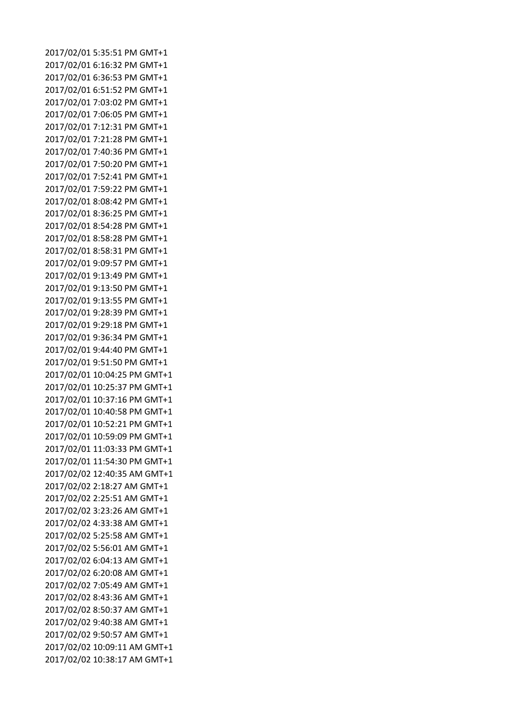2017/02/01 5:35:51 PM GMT+1 2017/02/01 6:16:32 PM GMT+1 2017/02/01 6:36:53 PM GMT+1 2017/02/01 6:51:52 PM GMT+1 2017/02/01 7:03:02 PM GMT+1 2017/02/01 7:06:05 PM GMT+1 2017/02/01 7:12:31 PM GMT+1 2017/02/01 7:21:28 PM GMT+1 2017/02/01 7:40:36 PM GMT+1 2017/02/01 7:50:20 PM GMT+1 2017/02/01 7:52:41 PM GMT+1 2017/02/01 7:59:22 PM GMT+1 2017/02/01 8:08:42 PM GMT+1 2017/02/01 8:36:25 PM GMT+1 2017/02/01 8:54:28 PM GMT+1 2017/02/01 8:58:28 PM GMT+1 2017/02/01 8:58:31 PM GMT+1 2017/02/01 9:09:57 PM GMT+1 2017/02/01 9:13:49 PM GMT+1 2017/02/01 9:13:50 PM GMT+1 2017/02/01 9:13:55 PM GMT+1 2017/02/01 9:28:39 PM GMT+1 2017/02/01 9:29:18 PM GMT+1 2017/02/01 9:36:34 PM GMT+1 2017/02/01 9:44:40 PM GMT+1 2017/02/01 9:51:50 PM GMT+1 2017/02/01 10:04:25 PM GMT+1 2017/02/01 10:25:37 PM GMT+1 2017/02/01 10:37:16 PM GMT+1 2017/02/01 10:40:58 PM GMT+1 2017/02/01 10:52:21 PM GMT+1 2017/02/01 10:59:09 PM GMT+1 2017/02/01 11:03:33 PM GMT+1 2017/02/01 11:54:30 PM GMT+1 2017/02/02 12:40:35 AM GMT+1 2017/02/02 2:18:27 AM GMT+1 2017/02/02 2:25:51 AM GMT+1 2017/02/02 3:23:26 AM GMT+1 2017/02/02 4:33:38 AM GMT+1 2017/02/02 5:25:58 AM GMT+1 2017/02/02 5:56:01 AM GMT+1 2017/02/02 6:04:13 AM GMT+1 2017/02/02 6:20:08 AM GMT+1 2017/02/02 7:05:49 AM GMT+1 2017/02/02 8:43:36 AM GMT+1 2017/02/02 8:50:37 AM GMT+1 2017/02/02 9:40:38 AM GMT+1 2017/02/02 9:50:57 AM GMT+1 2017/02/02 10:09:11 AM GMT+1 2017/02/02 10:38:17 AM GMT+1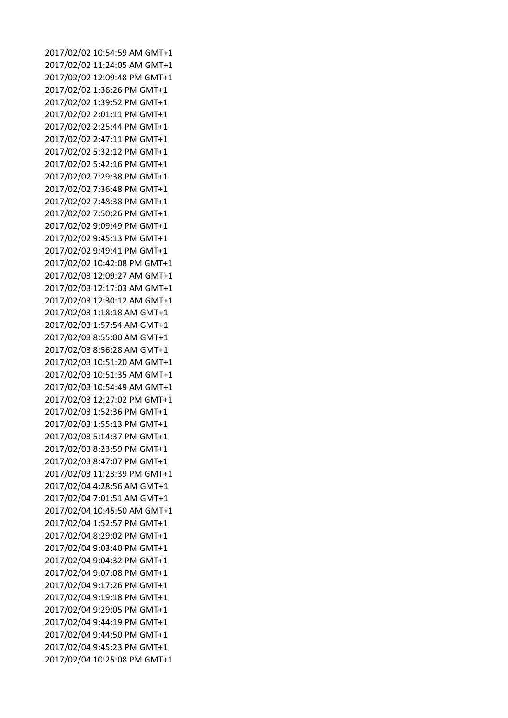2017/02/02 10:54:59 AM GMT+1 2017/02/02 11:24:05 AM GMT+1 2017/02/02 12:09:48 PM GMT+1 2017/02/02 1:36:26 PM GMT+1 2017/02/02 1:39:52 PM GMT+1 2017/02/02 2:01:11 PM GMT+1 2017/02/02 2:25:44 PM GMT+1 2017/02/02 2:47:11 PM GMT+1 2017/02/02 5:32:12 PM GMT+1 2017/02/02 5:42:16 PM GMT+1 2017/02/02 7:29:38 PM GMT+1 2017/02/02 7:36:48 PM GMT+1 2017/02/02 7:48:38 PM GMT+1 2017/02/02 7:50:26 PM GMT+1 2017/02/02 9:09:49 PM GMT+1 2017/02/02 9:45:13 PM GMT+1 2017/02/02 9:49:41 PM GMT+1 2017/02/02 10:42:08 PM GMT+1 2017/02/03 12:09:27 AM GMT+1 2017/02/03 12:17:03 AM GMT+1 2017/02/03 12:30:12 AM GMT+1 2017/02/03 1:18:18 AM GMT+1 2017/02/03 1:57:54 AM GMT+1 2017/02/03 8:55:00 AM GMT+1 2017/02/03 8:56:28 AM GMT+1 2017/02/03 10:51:20 AM GMT+1 2017/02/03 10:51:35 AM GMT+1 2017/02/03 10:54:49 AM GMT+1 2017/02/03 12:27:02 PM GMT+1 2017/02/03 1:52:36 PM GMT+1 2017/02/03 1:55:13 PM GMT+1 2017/02/03 5:14:37 PM GMT+1 2017/02/03 8:23:59 PM GMT+1 2017/02/03 8:47:07 PM GMT+1 2017/02/03 11:23:39 PM GMT+1 2017/02/04 4:28:56 AM GMT+1 2017/02/04 7:01:51 AM GMT+1 2017/02/04 10:45:50 AM GMT+1 2017/02/04 1:52:57 PM GMT+1 2017/02/04 8:29:02 PM GMT+1 2017/02/04 9:03:40 PM GMT+1 2017/02/04 9:04:32 PM GMT+1 2017/02/04 9:07:08 PM GMT+1 2017/02/04 9:17:26 PM GMT+1 2017/02/04 9:19:18 PM GMT+1 2017/02/04 9:29:05 PM GMT+1 2017/02/04 9:44:19 PM GMT+1 2017/02/04 9:44:50 PM GMT+1 2017/02/04 9:45:23 PM GMT+1 2017/02/04 10:25:08 PM GMT+1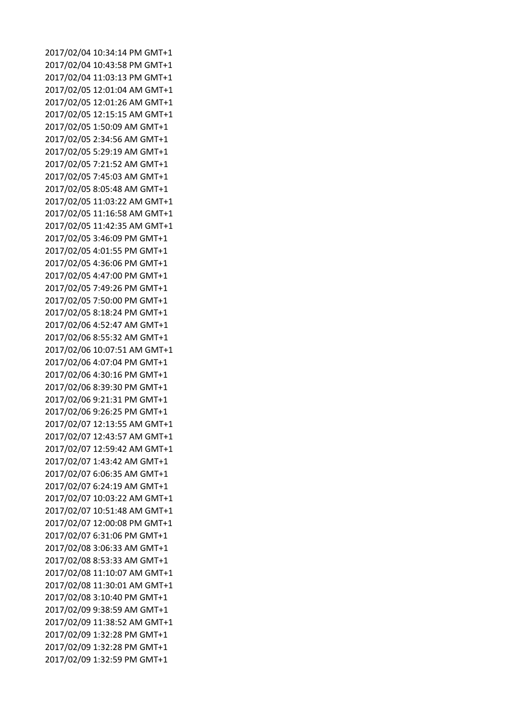2017/02/04 10:34:14 PM GMT+1 2017/02/04 10:43:58 PM GMT+1 2017/02/04 11:03:13 PM GMT+1 2017/02/05 12:01:04 AM GMT+1 2017/02/05 12:01:26 AM GMT+1 2017/02/05 12:15:15 AM GMT+1 2017/02/05 1:50:09 AM GMT+1 2017/02/05 2:34:56 AM GMT+1 2017/02/05 5:29:19 AM GMT+1 2017/02/05 7:21:52 AM GMT+1 2017/02/05 7:45:03 AM GMT+1 2017/02/05 8:05:48 AM GMT+1 2017/02/05 11:03:22 AM GMT+1 2017/02/05 11:16:58 AM GMT+1 2017/02/05 11:42:35 AM GMT+1 2017/02/05 3:46:09 PM GMT+1 2017/02/05 4:01:55 PM GMT+1 2017/02/05 4:36:06 PM GMT+1 2017/02/05 4:47:00 PM GMT+1 2017/02/05 7:49:26 PM GMT+1 2017/02/05 7:50:00 PM GMT+1 2017/02/05 8:18:24 PM GMT+1 2017/02/06 4:52:47 AM GMT+1 2017/02/06 8:55:32 AM GMT+1 2017/02/06 10:07:51 AM GMT+1 2017/02/06 4:07:04 PM GMT+1 2017/02/06 4:30:16 PM GMT+1 2017/02/06 8:39:30 PM GMT+1 2017/02/06 9:21:31 PM GMT+1 2017/02/06 9:26:25 PM GMT+1 2017/02/07 12:13:55 AM GMT+1 2017/02/07 12:43:57 AM GMT+1 2017/02/07 12:59:42 AM GMT+1 2017/02/07 1:43:42 AM GMT+1 2017/02/07 6:06:35 AM GMT+1 2017/02/07 6:24:19 AM GMT+1 2017/02/07 10:03:22 AM GMT+1 2017/02/07 10:51:48 AM GMT+1 2017/02/07 12:00:08 PM GMT+1 2017/02/07 6:31:06 PM GMT+1 2017/02/08 3:06:33 AM GMT+1 2017/02/08 8:53:33 AM GMT+1 2017/02/08 11:10:07 AM GMT+1 2017/02/08 11:30:01 AM GMT+1 2017/02/08 3:10:40 PM GMT+1 2017/02/09 9:38:59 AM GMT+1 2017/02/09 11:38:52 AM GMT+1 2017/02/09 1:32:28 PM GMT+1 2017/02/09 1:32:28 PM GMT+1 2017/02/09 1:32:59 PM GMT+1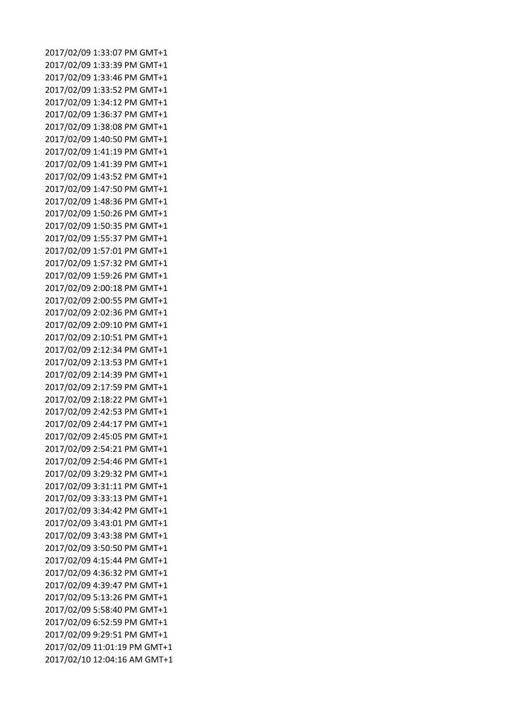2017/02/09 1:33:07 PM GMT+1 2017/02/09 1:33:39 PM GMT+1 2017/02/09 1:33:46 PM GMT+1 2017/02/09 1:33:52 PM GMT+1 2017/02/09 1:34:12 PM GMT+1 2017/02/09 1:36:37 PM GMT+1 2017/02/09 1:38:08 PM GMT+1 2017/02/09 1:40:50 PM GMT+1 2017/02/09 1:41:19 PM GMT+1 2017/02/09 1:41:39 PM GMT+1 2017/02/09 1:43:52 PM GMT+1 2017/02/09 1:47:50 PM GMT+1 2017/02/09 1:48:36 PM GMT+1 2017/02/09 1:50:26 PM GMT+1 2017/02/09 1:50:35 PM GMT+1 2017/02/09 1:55:37 PM GMT+1 2017/02/09 1:57:01 PM GMT+1 2017/02/09 1:57:32 PM GMT+1 2017/02/09 1:59:26 PM GMT+1 2017/02/09 2:00:18 PM GMT+1 2017/02/09 2:00:55 PM GMT+1 2017/02/09 2:02:36 PM GMT+1 2017/02/09 2:09:10 PM GMT+1 2017/02/09 2:10:51 PM GMT+1 2017/02/09 2:12:34 PM GMT+1 2017/02/09 2:13:53 PM GMT+1 2017/02/09 2:14:39 PM GMT+1 2017/02/09 2:17:59 PM GMT+1 2017/02/09 2:18:22 PM GMT+1 2017/02/09 2:42:53 PM GMT+1 2017/02/09 2:44:17 PM GMT+1 2017/02/09 2:45:05 PM GMT+1 2017/02/09 2:54:21 PM GMT+1 2017/02/09 2:54:46 PM GMT+1 2017/02/09 3:29:32 PM GMT+1 2017/02/09 3:31:11 PM GMT+1 2017/02/09 3:33:13 PM GMT+1 2017/02/09 3:34:42 PM GMT+1 2017/02/09 3:43:01 PM GMT+1 2017/02/09 3:43:38 PM GMT+1 2017/02/09 3:50:50 PM GMT+1 2017/02/09 4:15:44 PM GMT+1 2017/02/09 4:36:32 PM GMT+1 2017/02/09 4:39:47 PM GMT+1 2017/02/09 5:13:26 PM GMT+1 2017/02/09 5:58:40 PM GMT+1 2017/02/09 6:52:59 PM GMT+1 2017/02/09 9:29:51 PM GMT+1 2017/02/09 11:01:19 PM GMT+1 2017/02/10 12:04:16 AM GMT+1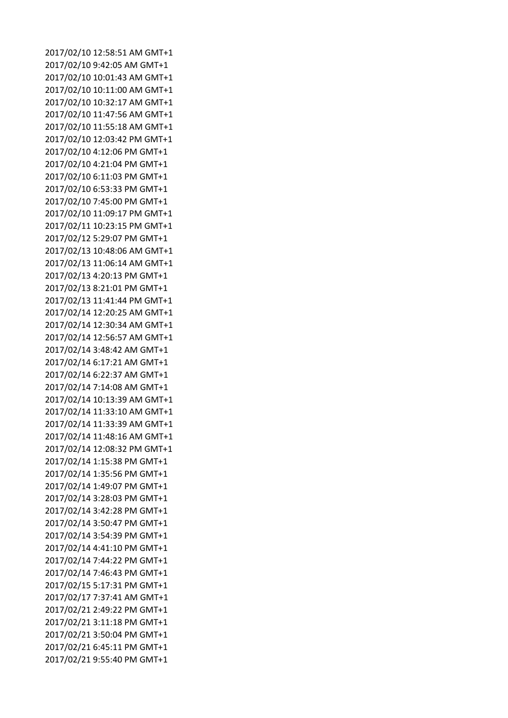2017/02/10 12:58:51 AM GMT+1 2017/02/10 9:42:05 AM GMT+1 2017/02/10 10:01:43 AM GMT+1 2017/02/10 10:11:00 AM GMT+1 2017/02/10 10:32:17 AM GMT+1 2017/02/10 11:47:56 AM GMT+1 2017/02/10 11:55:18 AM GMT+1 2017/02/10 12:03:42 PM GMT+1 2017/02/10 4:12:06 PM GMT+1 2017/02/10 4:21:04 PM GMT+1 2017/02/10 6:11:03 PM GMT+1 2017/02/10 6:53:33 PM GMT+1 2017/02/10 7:45:00 PM GMT+1 2017/02/10 11:09:17 PM GMT+1 2017/02/11 10:23:15 PM GMT+1 2017/02/12 5:29:07 PM GMT+1 2017/02/13 10:48:06 AM GMT+1 2017/02/13 11:06:14 AM GMT+1 2017/02/13 4:20:13 PM GMT+1 2017/02/13 8:21:01 PM GMT+1 2017/02/13 11:41:44 PM GMT+1 2017/02/14 12:20:25 AM GMT+1 2017/02/14 12:30:34 AM GMT+1 2017/02/14 12:56:57 AM GMT+1 2017/02/14 3:48:42 AM GMT+1 2017/02/14 6:17:21 AM GMT+1 2017/02/14 6:22:37 AM GMT+1 2017/02/14 7:14:08 AM GMT+1 2017/02/14 10:13:39 AM GMT+1 2017/02/14 11:33:10 AM GMT+1 2017/02/14 11:33:39 AM GMT+1 2017/02/14 11:48:16 AM GMT+1 2017/02/14 12:08:32 PM GMT+1 2017/02/14 1:15:38 PM GMT+1 2017/02/14 1:35:56 PM GMT+1 2017/02/14 1:49:07 PM GMT+1 2017/02/14 3:28:03 PM GMT+1 2017/02/14 3:42:28 PM GMT+1 2017/02/14 3:50:47 PM GMT+1 2017/02/14 3:54:39 PM GMT+1 2017/02/14 4:41:10 PM GMT+1 2017/02/14 7:44:22 PM GMT+1 2017/02/14 7:46:43 PM GMT+1 2017/02/15 5:17:31 PM GMT+1 2017/02/17 7:37:41 AM GMT+1 2017/02/21 2:49:22 PM GMT+1 2017/02/21 3:11:18 PM GMT+1 2017/02/21 3:50:04 PM GMT+1 2017/02/21 6:45:11 PM GMT+1 2017/02/21 9:55:40 PM GMT+1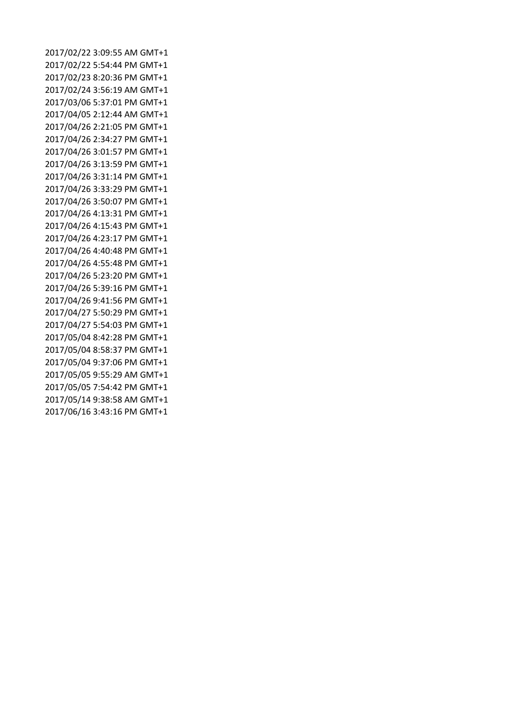2017/02/22 3:09:55 AM GMT+1 2017/02/22 5:54:44 PM GMT+1 2017/02/23 8:20:36 PM GMT+1 2017/02/24 3:56:19 AM GMT+1 2017/03/06 5:37:01 PM GMT+1 2017/04/05 2:12:44 AM GMT+1 2017/04/26 2:21:05 PM GMT+1 2017/04/26 2:34:27 PM GMT+1 2017/04/26 3:01:57 PM GMT+1 2017/04/26 3:13:59 PM GMT+1 2017/04/26 3:31:14 PM GMT+1 2017/04/26 3:33:29 PM GMT+1 2017/04/26 3:50:07 PM GMT+1 2017/04/26 4:13:31 PM GMT+1 2017/04/26 4:15:43 PM GMT+1 2017/04/26 4:23:17 PM GMT+1 2017/04/26 4:40:48 PM GMT+1 2017/04/26 4:55:48 PM GMT+1 2017/04/26 5:23:20 PM GMT+1 2017/04/26 5:39:16 PM GMT+1 2017/04/26 9:41:56 PM GMT+1 2017/04/27 5:50:29 PM GMT+1 2017/04/27 5:54:03 PM GMT+1 2017/05/04 8:42:28 PM GMT+1 2017/05/04 8:58:37 PM GMT+1 2017/05/04 9:37:06 PM GMT+1 2017/05/05 9:55:29 AM GMT+1 2017/05/05 7:54:42 PM GMT+1 2017/05/14 9:38:58 AM GMT+1 2017/06/16 3:43:16 PM GMT+1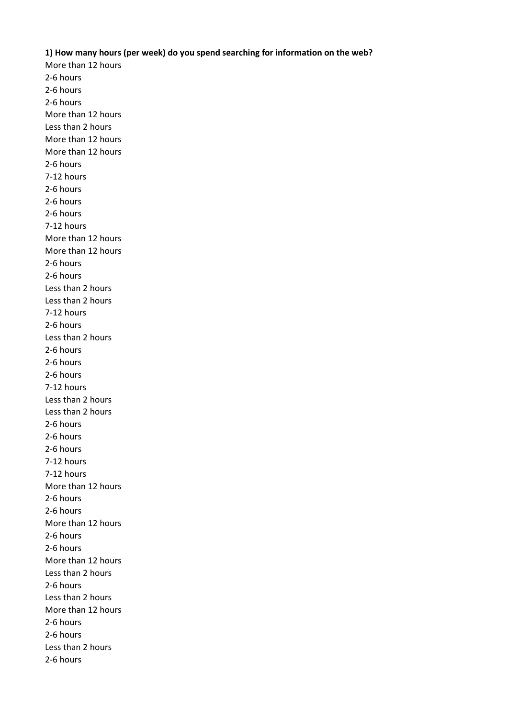## **1) How many hours (per week) do you spend searching for information on the web?**

More than 12 hours 2-6 hours 2-6 hours 2-6 hours More than 12 hours Less than 2 hours More than 12 hours More than 12 hours 2-6 hours 7-12 hours 2-6 hours 2-6 hours 2-6 hours 7-12 hours More than 12 hours More than 12 hours 2-6 hours 2-6 hours Less than 2 hours Less than 2 hours 7-12 hours 2-6 hours Less than 2 hours 2-6 hours 2-6 hours 2-6 hours 7-12 hours Less than 2 hours Less than 2 hours 2-6 hours 2-6 hours 2-6 hours 7-12 hours 7-12 hours More than 12 hours 2-6 hours 2-6 hours More than 12 hours 2-6 hours 2-6 hours More than 12 hours Less than 2 hours 2-6 hours Less than 2 hours More than 12 hours 2-6 hours 2-6 hours Less than 2 hours 2-6 hours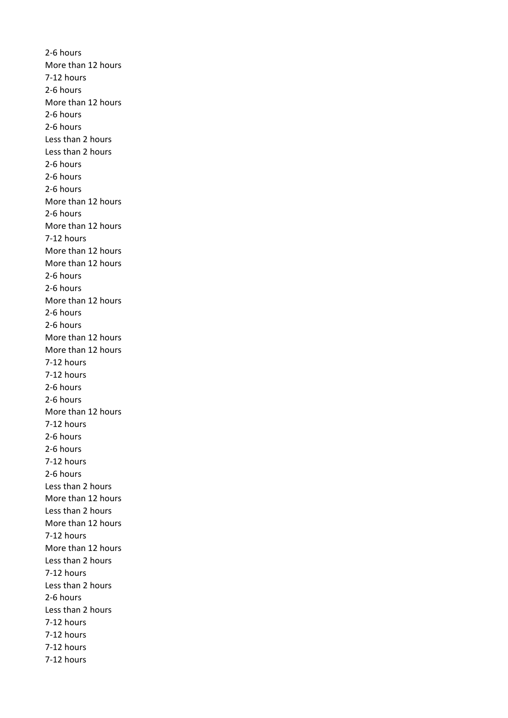2-6 hours More than 12 hours 7-12 hours 2-6 hours More than 12 hours 2-6 hours 2-6 hours Less than 2 hours Less than 2 hours 2-6 hours 2-6 hours 2-6 hours More than 12 hours 2-6 hours More than 12 hours 7-12 hours More than 12 hours More than 12 hours 2-6 hours 2-6 hours More than 12 hours 2-6 hours 2-6 hours More than 12 hours More than 12 hours 7-12 hours 7-12 hours 2-6 hours 2-6 hours More than 12 hours 7-12 hours 2-6 hours 2-6 hours 7-12 hours 2-6 hours Less than 2 hours More than 12 hours Less than 2 hours More than 12 hours 7-12 hours More than 12 hours Less than 2 hours 7-12 hours Less than 2 hours 2-6 hours Less than 2 hours 7-12 hours 7-12 hours 7-12 hours 7-12 hours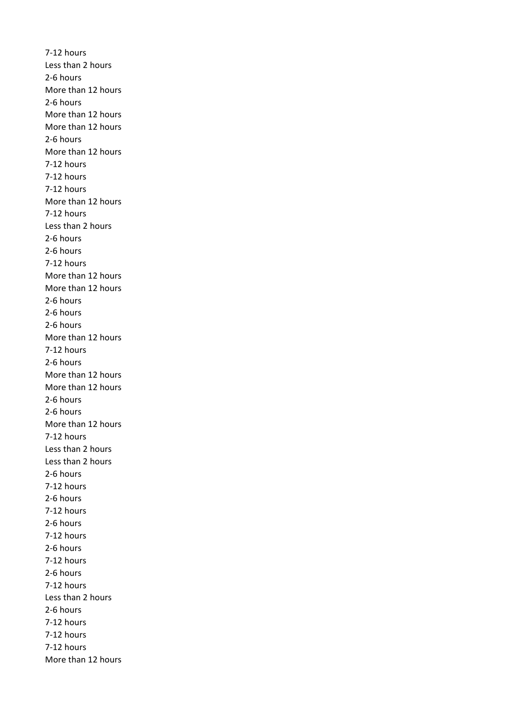7-12 hours Less than 2 hours 2-6 hours More than 12 hours 2-6 hours More than 12 hours More than 12 hours 2-6 hours More than 12 hours 7-12 hours 7-12 hours 7-12 hours More than 12 hours 7-12 hours Less than 2 hours 2-6 hours 2-6 hours 7-12 hours More than 12 hours More than 12 hours 2-6 hours 2-6 hours 2-6 hours More than 12 hours 7-12 hours 2-6 hours More than 12 hours More than 12 hours 2-6 hours 2-6 hours More than 12 hours 7-12 hours Less than 2 hours Less than 2 hours 2-6 hours 7-12 hours 2-6 hours 7-12 hours 2-6 hours 7-12 hours 2-6 hours 7-12 hours 2-6 hours 7-12 hours Less than 2 hours 2-6 hours 7-12 hours 7-12 hours 7-12 hours More than 12 hours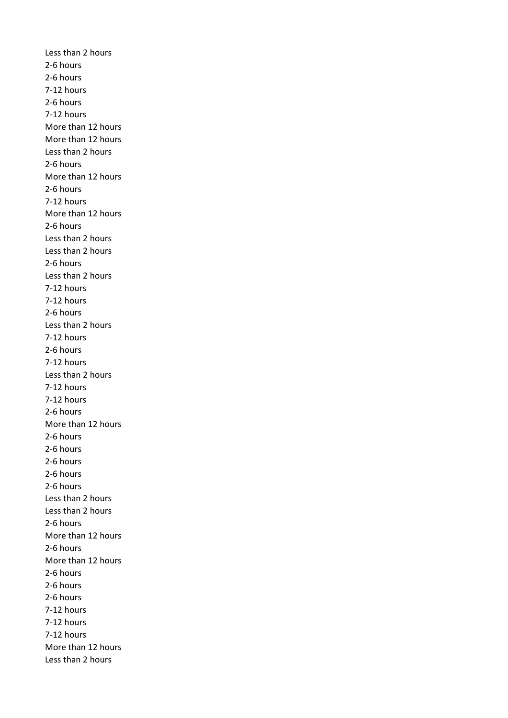Less than 2 hours 2-6 hours 2-6 hours 7-12 hours 2-6 hours 7-12 hours More than 12 hours More than 12 hours Less than 2 hours 2-6 hours More than 12 hours 2-6 hours 7-12 hours More than 12 hours 2-6 hours Less than 2 hours Less than 2 hours 2-6 hours Less than 2 hours 7-12 hours 7-12 hours 2-6 hours Less than 2 hours 7-12 hours 2-6 hours 7-12 hours Less than 2 hours 7-12 hours 7-12 hours 2-6 hours More than 12 hours 2-6 hours 2-6 hours 2-6 hours 2-6 hours 2-6 hours Less than 2 hours Less than 2 hours 2-6 hours More than 12 hours 2-6 hours More than 12 hours 2-6 hours 2-6 hours 2-6 hours 7-12 hours 7-12 hours 7-12 hours More than 12 hours Less than 2 hours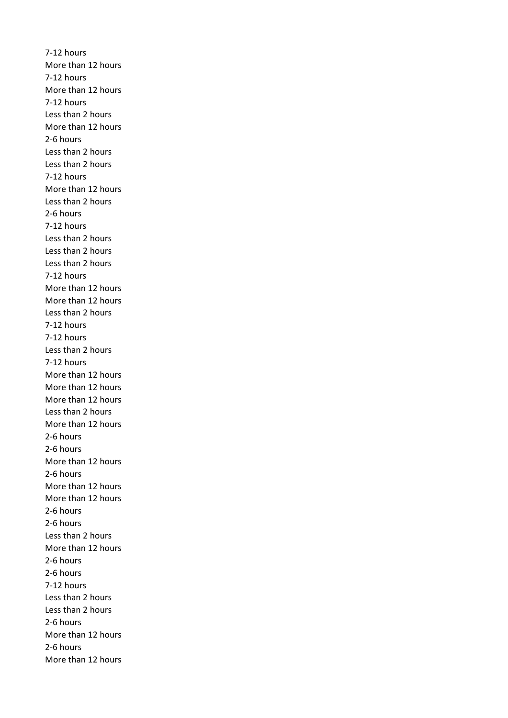7-12 hours More than 12 hours 7-12 hours More than 12 hours 7-12 hours Less than 2 hours More than 12 hours 2-6 hours Less than 2 hours Less than 2 hours 7-12 hours More than 12 hours Less than 2 hours 2-6 hours 7-12 hours Less than 2 hours Less than 2 hours Less than 2 hours 7-12 hours More than 12 hours More than 12 hours Less than 2 hours 7-12 hours 7-12 hours Less than 2 hours 7-12 hours More than 12 hours More than 12 hours More than 12 hours Less than 2 hours More than 12 hours 2-6 hours 2-6 hours More than 12 hours 2-6 hours More than 12 hours More than 12 hours 2-6 hours 2-6 hours Less than 2 hours More than 12 hours 2-6 hours 2-6 hours 7-12 hours Less than 2 hours Less than 2 hours 2-6 hours More than 12 hours 2-6 hours More than 12 hours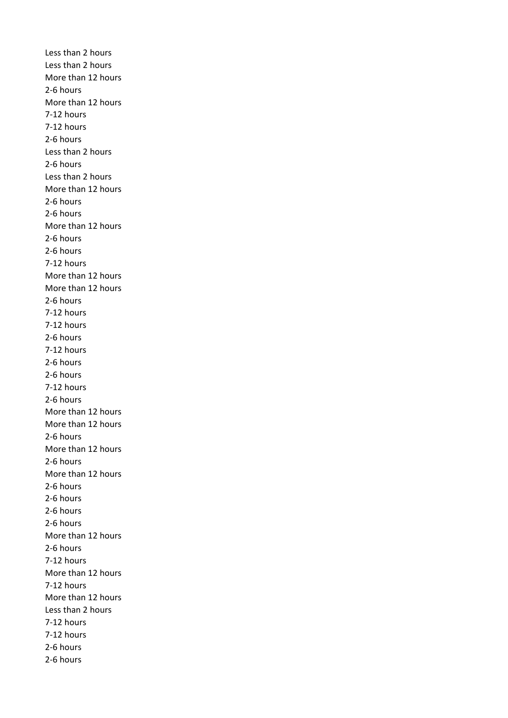Less than 2 hours Less than 2 hours More than 12 hours 2-6 hours More than 12 hours 7-12 hours 7-12 hours 2-6 hours Less than 2 hours 2-6 hours Less than 2 hours More than 12 hours 2-6 hours 2-6 hours More than 12 hours 2-6 hours 2-6 hours 7-12 hours More than 12 hours More than 12 hours 2-6 hours 7-12 hours 7-12 hours 2-6 hours 7-12 hours 2-6 hours 2-6 hours 7-12 hours 2-6 hours More than 12 hours More than 12 hours 2-6 hours More than 12 hours 2-6 hours More than 12 hours 2-6 hours 2-6 hours 2-6 hours 2-6 hours More than 12 hours 2-6 hours 7-12 hours More than 12 hours 7-12 hours More than 12 hours Less than 2 hours 7-12 hours 7-12 hours 2-6 hours 2-6 hours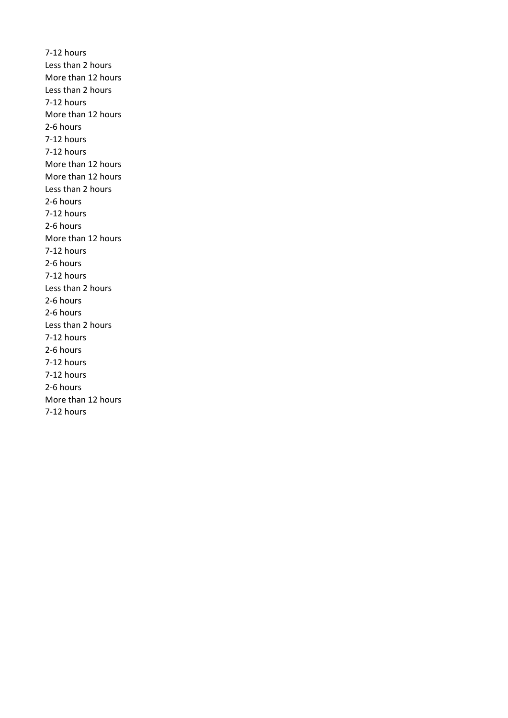7-12 hours Less than 2 hours More than 12 hours Less than 2 hours 7-12 hours More than 12 hours 2-6 hours 7-12 hours 7-12 hours More than 12 hours More than 12 hours Less than 2 hours 2-6 hours 7-12 hours 2-6 hours More than 12 hours 7-12 hours 2-6 hours 7-12 hours Less than 2 hours 2-6 hours 2-6 hours Less than 2 hours 7-12 hours 2-6 hours 7-12 hours 7-12 hours 2-6 hours More than 12 hours 7-12 hours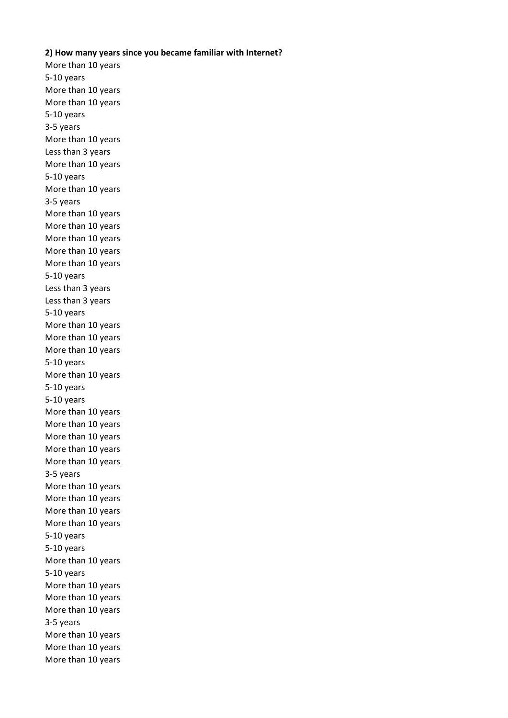## **2) How many years since you became familiar with Internet?**

More than 10 years 5-10 years More than 10 years More than 10 years 5-10 years 3-5 years More than 10 years Less than 3 years More than 10 years 5-10 years More than 10 years 3-5 years More than 10 years More than 10 years More than 10 years More than 10 years More than 10 years 5-10 years Less than 3 years Less than 3 years 5-10 years More than 10 years More than 10 years More than 10 years 5-10 years More than 10 years 5-10 years 5-10 years More than 10 years More than 10 years More than 10 years More than 10 years More than 10 years 3-5 years More than 10 years More than 10 years More than 10 years More than 10 years 5-10 years 5-10 years More than 10 years 5-10 years More than 10 years More than 10 years More than 10 years 3-5 years More than 10 years More than 10 years More than 10 years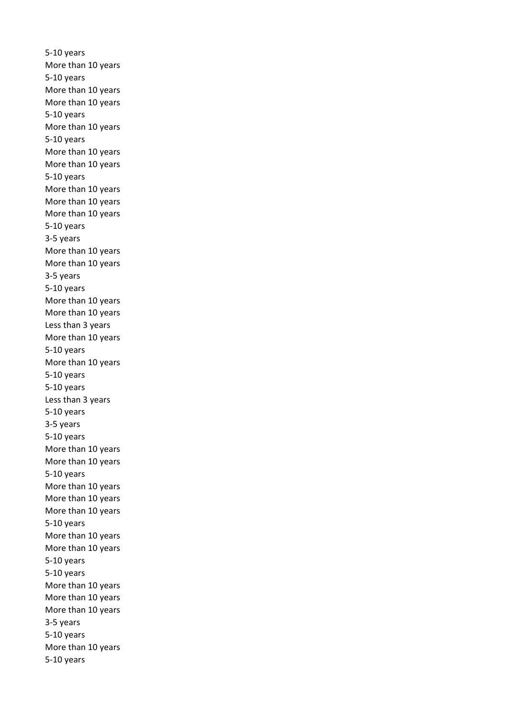5-10 years More than 10 years 5-10 years More than 10 years More than 10 years 5-10 years More than 10 years 5-10 years More than 10 years More than 10 years 5-10 years More than 10 years More than 10 years More than 10 years 5-10 years 3-5 years More than 10 years More than 10 years 3-5 years 5-10 years More than 10 years More than 10 years Less than 3 years More than 10 years 5-10 years More than 10 years 5-10 years 5-10 years Less than 3 years 5-10 years 3-5 years 5-10 years More than 10 years More than 10 years 5-10 years More than 10 years More than 10 years More than 10 years 5-10 years More than 10 years More than 10 years 5-10 years 5-10 years More than 10 years More than 10 years More than 10 years 3-5 years 5-10 years More than 10 years 5-10 years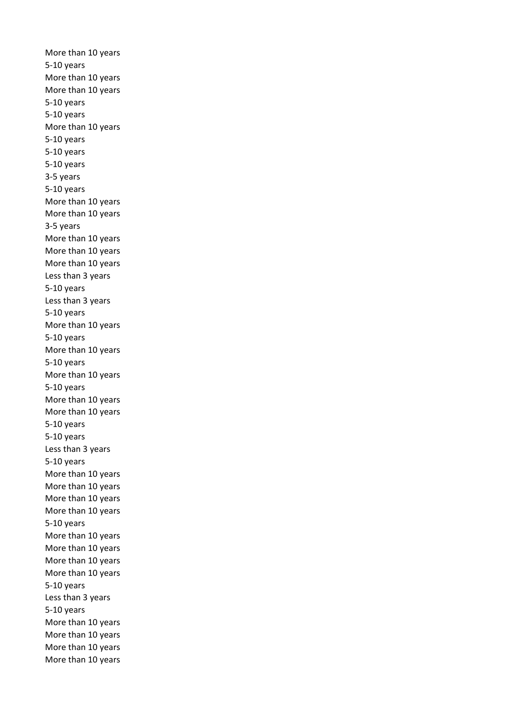More than 10 years 5-10 years More than 10 years More than 10 years 5-10 years 5-10 years More than 10 years 5-10 years 5-10 years 5-10 years 3-5 years 5-10 years More than 10 years More than 10 years 3-5 years More than 10 years More than 10 years More than 10 years Less than 3 years 5-10 years Less than 3 years 5-10 years More than 10 years 5-10 years More than 10 years 5-10 years More than 10 years 5-10 years More than 10 years More than 10 years 5-10 years 5-10 years Less than 3 years 5-10 years More than 10 years More than 10 years More than 10 years More than 10 years 5-10 years More than 10 years More than 10 years More than 10 years More than 10 years 5-10 years Less than 3 years 5-10 years More than 10 years More than 10 years More than 10 years More than 10 years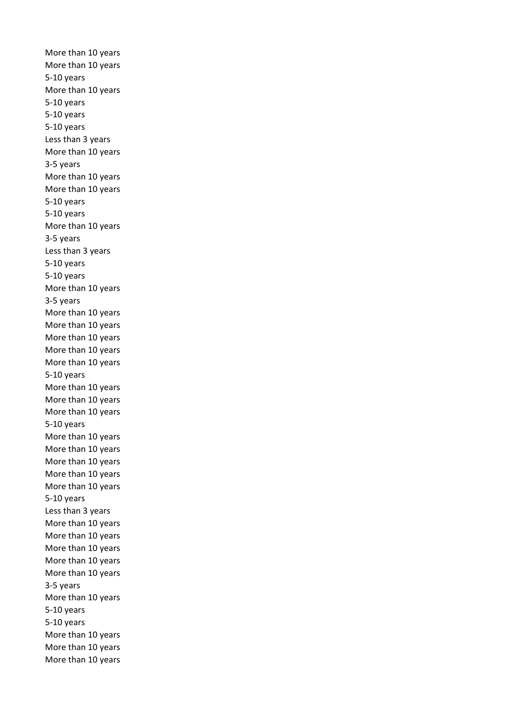More than 10 years More than 10 years 5-10 years More than 10 years 5-10 years 5-10 years 5-10 years Less than 3 years More than 10 years 3-5 years More than 10 years More than 10 years 5-10 years 5-10 years More than 10 years 3-5 years Less than 3 years 5-10 years 5-10 years More than 10 years 3-5 years More than 10 years More than 10 years More than 10 years More than 10 years More than 10 years 5-10 years More than 10 years More than 10 years More than 10 years 5-10 years More than 10 years More than 10 years More than 10 years More than 10 years More than 10 years 5-10 years Less than 3 years More than 10 years More than 10 years More than 10 years More than 10 years More than 10 years 3-5 years More than 10 years 5-10 years 5-10 years More than 10 years More than 10 years More than 10 years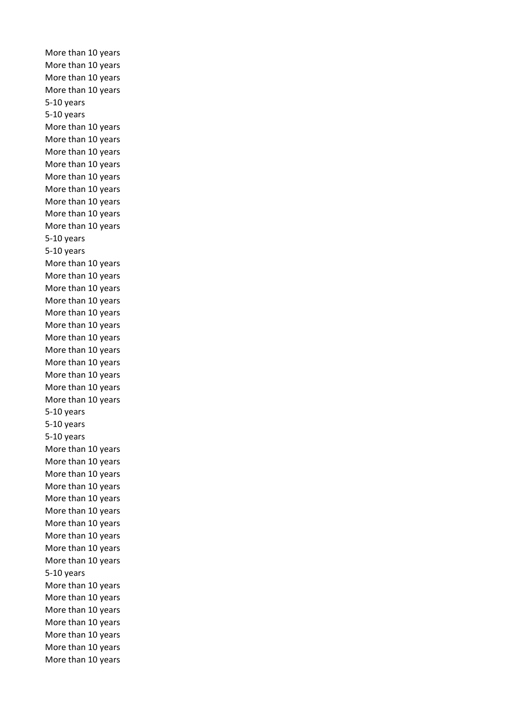More than 10 years More than 10 years More than 10 years More than 10 years 5-10 years 5-10 years More than 10 years More than 10 years More than 10 years More than 10 years More than 10 years More than 10 years More than 10 years More than 10 years More than 10 years 5-10 years 5-10 years More than 10 years More than 10 years More than 10 years More than 10 years More than 10 years More than 10 years More than 10 years More than 10 years More than 10 years More than 10 years More than 10 years More than 10 years 5-10 years 5-10 years 5-10 years More than 10 years More than 10 years More than 10 years More than 10 years More than 10 years More than 10 years More than 10 years More than 10 years More than 10 years More than 10 years 5-10 years More than 10 years More than 10 years More than 10 years More than 10 years More than 10 years More than 10 years More than 10 years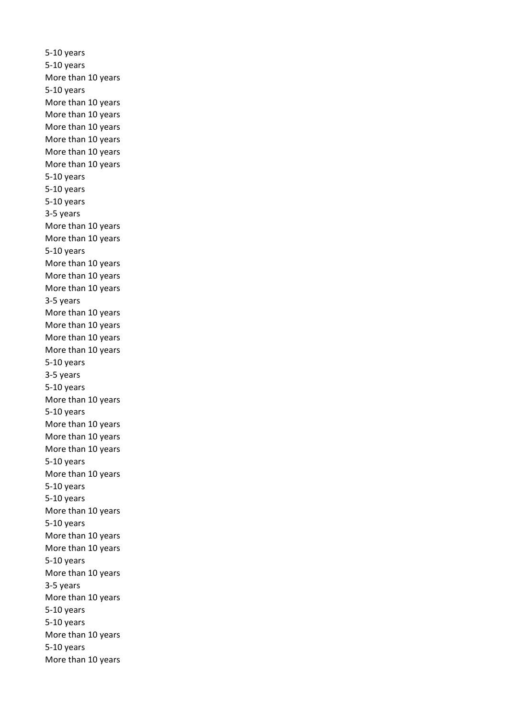5-10 years 5-10 years More than 10 years 5-10 years More than 10 years More than 10 years More than 10 years More than 10 years More than 10 years More than 10 years 5-10 years 5-10 years 5-10 years 3-5 years More than 10 years More than 10 years 5-10 years More than 10 years More than 10 years More than 10 years 3-5 years More than 10 years More than 10 years More than 10 years More than 10 years 5-10 years 3-5 years 5-10 years More than 10 years 5-10 years More than 10 years More than 10 years More than 10 years 5-10 years More than 10 years 5-10 years 5-10 years More than 10 years 5-10 years More than 10 years More than 10 years 5-10 years More than 10 years 3-5 years More than 10 years 5-10 years 5-10 years More than 10 years 5-10 years More than 10 years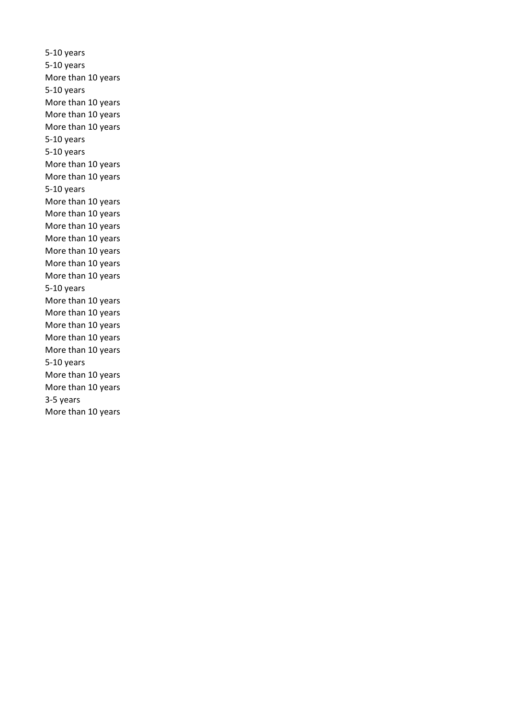5-10 years 5-10 years More than 10 years 5-10 years More than 10 years More than 10 years More than 10 years 5-10 years 5-10 years More than 10 years More than 10 years 5-10 years More than 10 years More than 10 years More than 10 years More than 10 years More than 10 years More than 10 years More than 10 years 5-10 years More than 10 years More than 10 years More than 10 years More than 10 years More than 10 years 5-10 years More than 10 years More than 10 years 3-5 years More than 10 years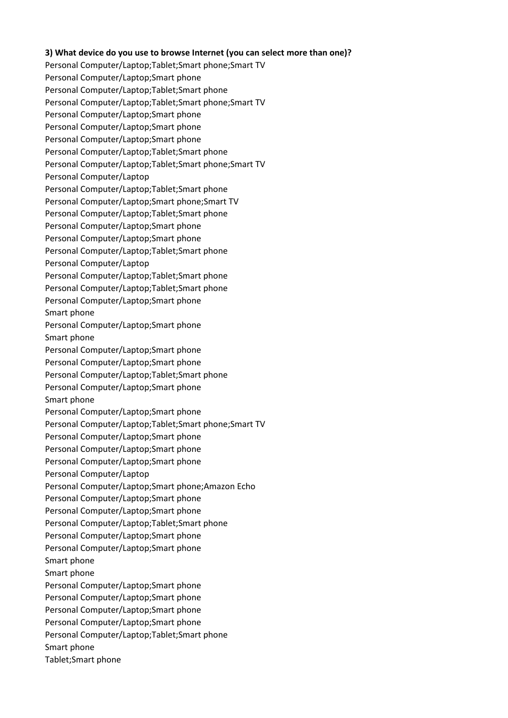## **3) What device do you use to browse Internet (you can select more than one)?**

Personal Computer/Laptop;Tablet;Smart phone;Smart TV Personal Computer/Laptop;Smart phone Personal Computer/Laptop;Tablet;Smart phone Personal Computer/Laptop;Tablet;Smart phone;Smart TV Personal Computer/Laptop;Smart phone Personal Computer/Laptop;Smart phone Personal Computer/Laptop;Smart phone Personal Computer/Laptop;Tablet;Smart phone Personal Computer/Laptop;Tablet;Smart phone;Smart TV Personal Computer/Laptop Personal Computer/Laptop;Tablet;Smart phone Personal Computer/Laptop;Smart phone;Smart TV Personal Computer/Laptop;Tablet;Smart phone Personal Computer/Laptop;Smart phone Personal Computer/Laptop;Smart phone Personal Computer/Laptop;Tablet;Smart phone Personal Computer/Laptop Personal Computer/Laptop;Tablet;Smart phone Personal Computer/Laptop;Tablet;Smart phone Personal Computer/Laptop;Smart phone Smart phone Personal Computer/Laptop;Smart phone Smart phone Personal Computer/Laptop;Smart phone Personal Computer/Laptop;Smart phone Personal Computer/Laptop;Tablet;Smart phone Personal Computer/Laptop;Smart phone Smart phone Personal Computer/Laptop;Smart phone Personal Computer/Laptop;Tablet;Smart phone;Smart TV Personal Computer/Laptop;Smart phone Personal Computer/Laptop;Smart phone Personal Computer/Laptop;Smart phone Personal Computer/Laptop Personal Computer/Laptop;Smart phone;Amazon Echo Personal Computer/Laptop;Smart phone Personal Computer/Laptop;Smart phone Personal Computer/Laptop;Tablet;Smart phone Personal Computer/Laptop;Smart phone Personal Computer/Laptop;Smart phone Smart phone Smart phone Personal Computer/Laptop;Smart phone Personal Computer/Laptop;Smart phone Personal Computer/Laptop;Smart phone Personal Computer/Laptop;Smart phone Personal Computer/Laptop;Tablet;Smart phone Smart phone Tablet;Smart phone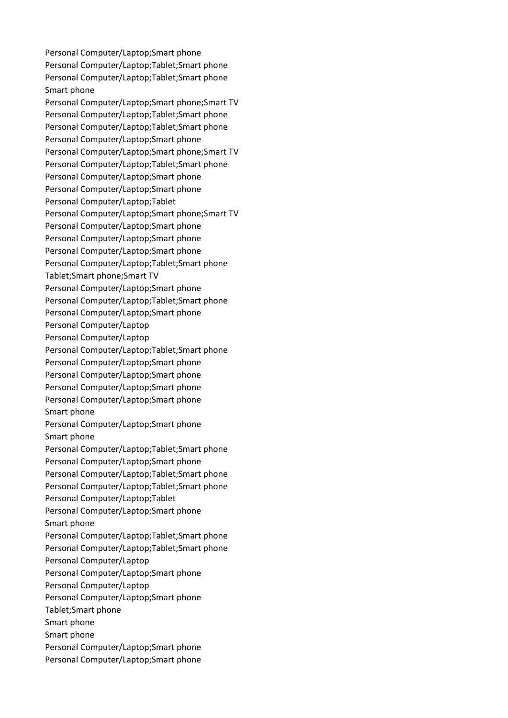Personal Computer/Laptop;Smart phone Personal Computer/Laptop;Tablet;Smart phone Personal Computer/Laptop;Tablet;Smart phone Smart phone Personal Computer/Laptop;Smart phone;Smart TV Personal Computer/Laptop;Tablet;Smart phone Personal Computer/Laptop;Tablet;Smart phone Personal Computer/Laptop;Smart phone Personal Computer/Laptop;Smart phone;Smart TV Personal Computer/Laptop;Tablet;Smart phone Personal Computer/Laptop;Smart phone Personal Computer/Laptop;Smart phone Personal Computer/Laptop;Tablet Personal Computer/Laptop;Smart phone;Smart TV Personal Computer/Laptop;Smart phone Personal Computer/Laptop;Smart phone Personal Computer/Laptop;Smart phone Personal Computer/Laptop;Tablet;Smart phone Tablet;Smart phone;Smart TV Personal Computer/Laptop;Smart phone Personal Computer/Laptop;Tablet;Smart phone Personal Computer/Laptop;Smart phone Personal Computer/Laptop Personal Computer/Laptop Personal Computer/Laptop;Tablet;Smart phone Personal Computer/Laptop;Smart phone Personal Computer/Laptop;Smart phone Personal Computer/Laptop;Smart phone Personal Computer/Laptop;Smart phone Smart phone Personal Computer/Laptop;Smart phone Smart phone Personal Computer/Laptop;Tablet;Smart phone Personal Computer/Laptop;Smart phone Personal Computer/Laptop;Tablet;Smart phone Personal Computer/Laptop;Tablet;Smart phone Personal Computer/Laptop;Tablet Personal Computer/Laptop;Smart phone Smart phone Personal Computer/Laptop;Tablet;Smart phone Personal Computer/Laptop;Tablet;Smart phone Personal Computer/Laptop Personal Computer/Laptop;Smart phone Personal Computer/Laptop Personal Computer/Laptop;Smart phone Tablet;Smart phone Smart phone Smart phone Personal Computer/Laptop;Smart phone Personal Computer/Laptop;Smart phone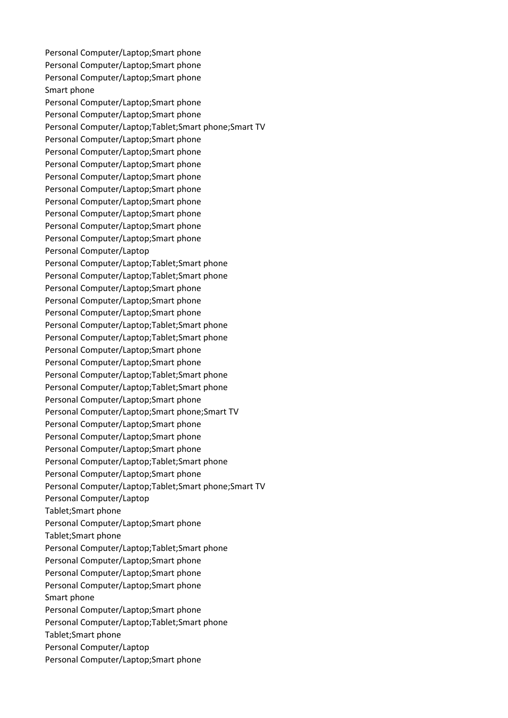Personal Computer/Laptop;Smart phone Personal Computer/Laptop;Smart phone Personal Computer/Laptop;Smart phone Smart phone Personal Computer/Laptop;Smart phone Personal Computer/Laptop;Smart phone Personal Computer/Laptop;Tablet;Smart phone;Smart TV Personal Computer/Laptop;Smart phone Personal Computer/Laptop;Smart phone Personal Computer/Laptop;Smart phone Personal Computer/Laptop;Smart phone Personal Computer/Laptop;Smart phone Personal Computer/Laptop;Smart phone Personal Computer/Laptop;Smart phone Personal Computer/Laptop;Smart phone Personal Computer/Laptop;Smart phone Personal Computer/Laptop Personal Computer/Laptop;Tablet;Smart phone Personal Computer/Laptop;Tablet;Smart phone Personal Computer/Laptop;Smart phone Personal Computer/Laptop;Smart phone Personal Computer/Laptop;Smart phone Personal Computer/Laptop;Tablet;Smart phone Personal Computer/Laptop;Tablet;Smart phone Personal Computer/Laptop;Smart phone Personal Computer/Laptop;Smart phone Personal Computer/Laptop;Tablet;Smart phone Personal Computer/Laptop;Tablet;Smart phone Personal Computer/Laptop;Smart phone Personal Computer/Laptop;Smart phone;Smart TV Personal Computer/Laptop;Smart phone Personal Computer/Laptop;Smart phone Personal Computer/Laptop;Smart phone Personal Computer/Laptop;Tablet;Smart phone Personal Computer/Laptop;Smart phone Personal Computer/Laptop;Tablet;Smart phone;Smart TV Personal Computer/Laptop Tablet;Smart phone Personal Computer/Laptop;Smart phone Tablet;Smart phone Personal Computer/Laptop;Tablet;Smart phone Personal Computer/Laptop;Smart phone Personal Computer/Laptop;Smart phone Personal Computer/Laptop;Smart phone Smart phone Personal Computer/Laptop;Smart phone Personal Computer/Laptop;Tablet;Smart phone Tablet;Smart phone Personal Computer/Laptop Personal Computer/Laptop;Smart phone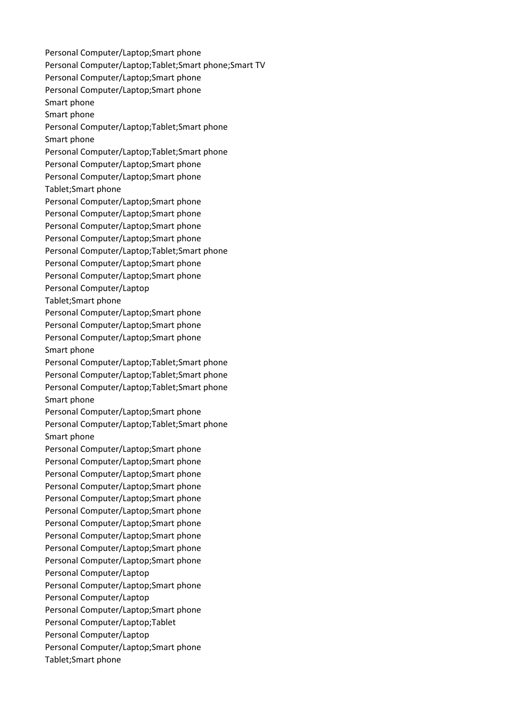Personal Computer/Laptop;Smart phone Personal Computer/Laptop;Tablet;Smart phone;Smart TV Personal Computer/Laptop;Smart phone Personal Computer/Laptop;Smart phone Smart phone Smart phone Personal Computer/Laptop;Tablet;Smart phone Smart phone Personal Computer/Laptop;Tablet;Smart phone Personal Computer/Laptop;Smart phone Personal Computer/Laptop;Smart phone Tablet;Smart phone Personal Computer/Laptop;Smart phone Personal Computer/Laptop;Smart phone Personal Computer/Laptop;Smart phone Personal Computer/Laptop;Smart phone Personal Computer/Laptop;Tablet;Smart phone Personal Computer/Laptop;Smart phone Personal Computer/Laptop;Smart phone Personal Computer/Laptop Tablet;Smart phone Personal Computer/Laptop;Smart phone Personal Computer/Laptop;Smart phone Personal Computer/Laptop;Smart phone Smart phone Personal Computer/Laptop;Tablet;Smart phone Personal Computer/Laptop;Tablet;Smart phone Personal Computer/Laptop;Tablet;Smart phone Smart phone Personal Computer/Laptop;Smart phone Personal Computer/Laptop;Tablet;Smart phone Smart phone Personal Computer/Laptop;Smart phone Personal Computer/Laptop;Smart phone Personal Computer/Laptop;Smart phone Personal Computer/Laptop;Smart phone Personal Computer/Laptop;Smart phone Personal Computer/Laptop;Smart phone Personal Computer/Laptop;Smart phone Personal Computer/Laptop;Smart phone Personal Computer/Laptop;Smart phone Personal Computer/Laptop;Smart phone Personal Computer/Laptop Personal Computer/Laptop;Smart phone Personal Computer/Laptop Personal Computer/Laptop;Smart phone Personal Computer/Laptop;Tablet Personal Computer/Laptop Personal Computer/Laptop;Smart phone Tablet;Smart phone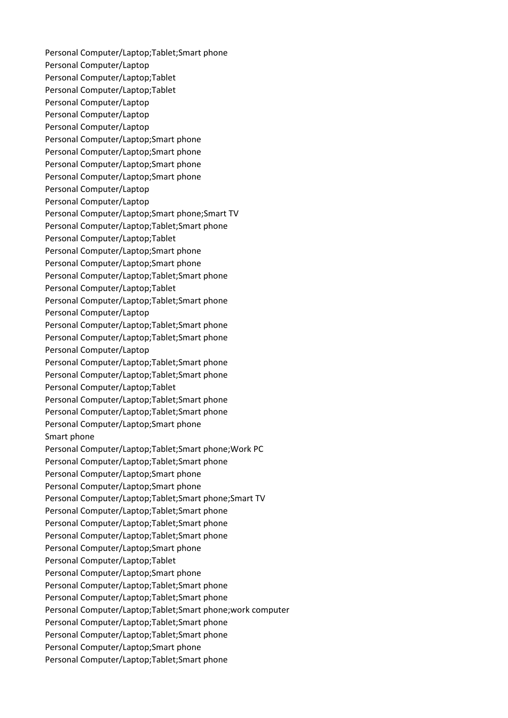Personal Computer/Laptop;Tablet;Smart phone Personal Computer/Laptop Personal Computer/Laptop;Tablet Personal Computer/Laptop;Tablet Personal Computer/Laptop Personal Computer/Laptop Personal Computer/Laptop Personal Computer/Laptop;Smart phone Personal Computer/Laptop;Smart phone Personal Computer/Laptop;Smart phone Personal Computer/Laptop;Smart phone Personal Computer/Laptop Personal Computer/Laptop Personal Computer/Laptop;Smart phone;Smart TV Personal Computer/Laptop;Tablet;Smart phone Personal Computer/Laptop;Tablet Personal Computer/Laptop;Smart phone Personal Computer/Laptop;Smart phone Personal Computer/Laptop;Tablet;Smart phone Personal Computer/Laptop;Tablet Personal Computer/Laptop;Tablet;Smart phone Personal Computer/Laptop Personal Computer/Laptop;Tablet;Smart phone Personal Computer/Laptop;Tablet;Smart phone Personal Computer/Laptop Personal Computer/Laptop;Tablet;Smart phone Personal Computer/Laptop;Tablet;Smart phone Personal Computer/Laptop;Tablet Personal Computer/Laptop;Tablet;Smart phone Personal Computer/Laptop;Tablet;Smart phone Personal Computer/Laptop;Smart phone Smart phone Personal Computer/Laptop;Tablet;Smart phone;Work PC Personal Computer/Laptop;Tablet;Smart phone Personal Computer/Laptop;Smart phone Personal Computer/Laptop;Smart phone Personal Computer/Laptop;Tablet;Smart phone;Smart TV Personal Computer/Laptop;Tablet;Smart phone Personal Computer/Laptop;Tablet;Smart phone Personal Computer/Laptop;Tablet;Smart phone Personal Computer/Laptop;Smart phone Personal Computer/Laptop;Tablet Personal Computer/Laptop;Smart phone Personal Computer/Laptop;Tablet;Smart phone Personal Computer/Laptop;Tablet;Smart phone Personal Computer/Laptop;Tablet;Smart phone;work computer Personal Computer/Laptop;Tablet;Smart phone Personal Computer/Laptop;Tablet;Smart phone Personal Computer/Laptop;Smart phone Personal Computer/Laptop;Tablet;Smart phone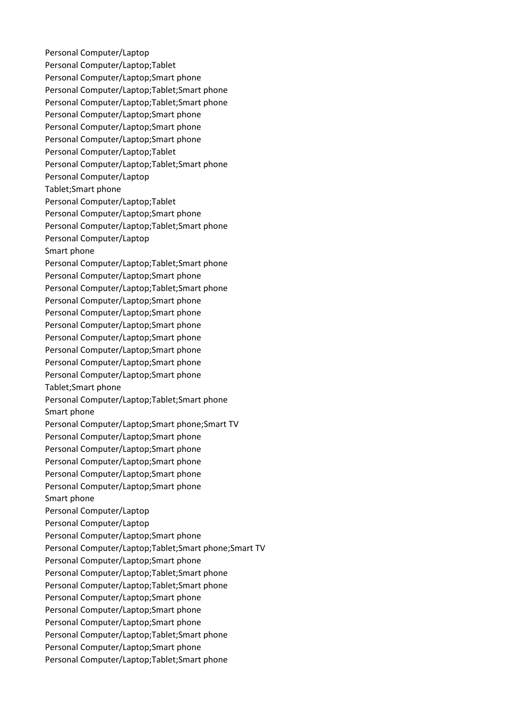Personal Computer/Laptop Personal Computer/Laptop;Tablet Personal Computer/Laptop;Smart phone Personal Computer/Laptop;Tablet;Smart phone Personal Computer/Laptop;Tablet;Smart phone Personal Computer/Laptop;Smart phone Personal Computer/Laptop;Smart phone Personal Computer/Laptop;Smart phone Personal Computer/Laptop;Tablet Personal Computer/Laptop;Tablet;Smart phone Personal Computer/Laptop Tablet;Smart phone Personal Computer/Laptop;Tablet Personal Computer/Laptop;Smart phone Personal Computer/Laptop;Tablet;Smart phone Personal Computer/Laptop Smart phone Personal Computer/Laptop;Tablet;Smart phone Personal Computer/Laptop;Smart phone Personal Computer/Laptop;Tablet;Smart phone Personal Computer/Laptop;Smart phone Personal Computer/Laptop;Smart phone Personal Computer/Laptop;Smart phone Personal Computer/Laptop;Smart phone Personal Computer/Laptop;Smart phone Personal Computer/Laptop;Smart phone Personal Computer/Laptop;Smart phone Tablet;Smart phone Personal Computer/Laptop;Tablet;Smart phone Smart phone Personal Computer/Laptop;Smart phone;Smart TV Personal Computer/Laptop;Smart phone Personal Computer/Laptop;Smart phone Personal Computer/Laptop;Smart phone Personal Computer/Laptop;Smart phone Personal Computer/Laptop;Smart phone Smart phone Personal Computer/Laptop Personal Computer/Laptop Personal Computer/Laptop;Smart phone Personal Computer/Laptop;Tablet;Smart phone;Smart TV Personal Computer/Laptop;Smart phone Personal Computer/Laptop;Tablet;Smart phone Personal Computer/Laptop;Tablet;Smart phone Personal Computer/Laptop;Smart phone Personal Computer/Laptop;Smart phone Personal Computer/Laptop;Smart phone Personal Computer/Laptop;Tablet;Smart phone Personal Computer/Laptop;Smart phone Personal Computer/Laptop;Tablet;Smart phone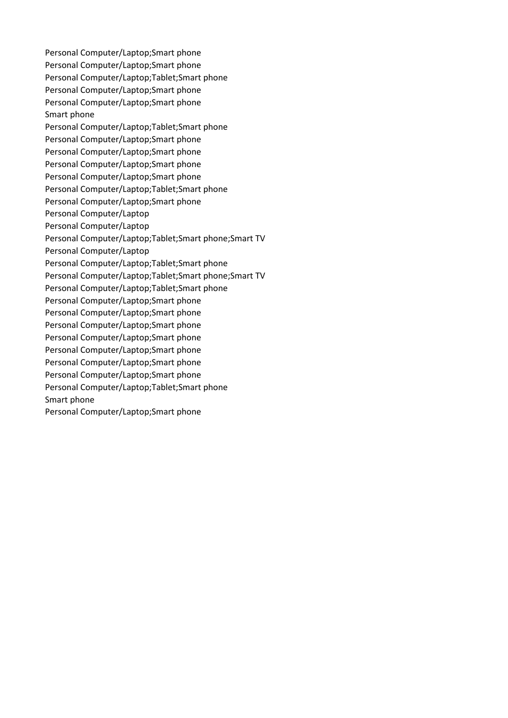Personal Computer/Laptop;Smart phone Personal Computer/Laptop;Smart phone Personal Computer/Laptop;Tablet;Smart phone Personal Computer/Laptop;Smart phone Personal Computer/Laptop;Smart phone Smart phone Personal Computer/Laptop;Tablet;Smart phone Personal Computer/Laptop;Smart phone Personal Computer/Laptop;Smart phone Personal Computer/Laptop;Smart phone Personal Computer/Laptop;Smart phone Personal Computer/Laptop;Tablet;Smart phone Personal Computer/Laptop;Smart phone Personal Computer/Laptop Personal Computer/Laptop Personal Computer/Laptop;Tablet;Smart phone;Smart TV Personal Computer/Laptop Personal Computer/Laptop;Tablet;Smart phone Personal Computer/Laptop;Tablet;Smart phone;Smart TV Personal Computer/Laptop;Tablet;Smart phone Personal Computer/Laptop;Smart phone Personal Computer/Laptop;Smart phone Personal Computer/Laptop;Smart phone Personal Computer/Laptop;Smart phone Personal Computer/Laptop;Smart phone Personal Computer/Laptop;Smart phone Personal Computer/Laptop;Smart phone Personal Computer/Laptop;Tablet;Smart phone Smart phone Personal Computer/Laptop;Smart phone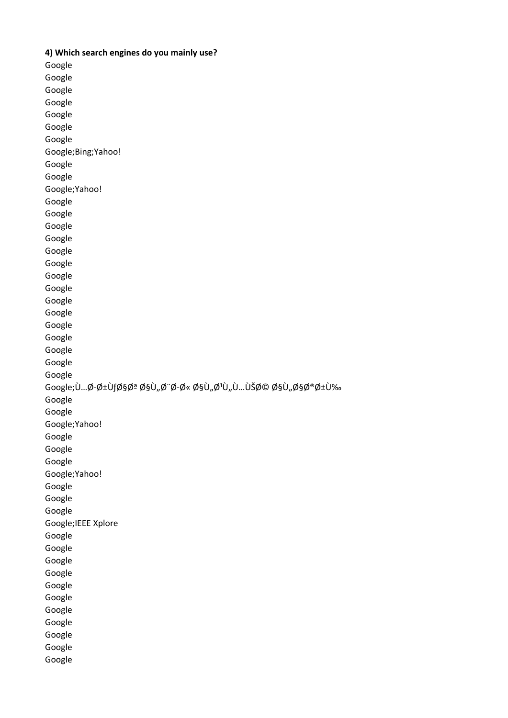**4) Which search engines do you mainly use?**  Google Google Google Google Google Google Google Google;Bing;Yahoo! Google Google Google;Yahoo! Google Google Google Google Google Google Google Google Google Google Google Google Google Google Google Google;U...Ø-رUfات اU"Ø"Ø-Ø« اU"Ø1U"U...UŠØ© اU"اخرU‰ Google Google Google;Yahoo! Google Google Google Google;Yahoo! Google Google Google Google;IEEE Xplore Google Google Google Google Google Google Google Google Google Google Google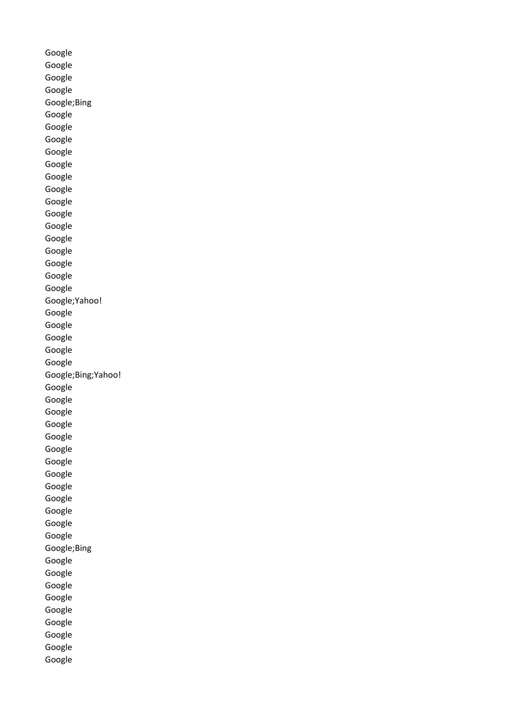Google Google Google Google Google;Bing Google Google Google Google Google Google Google Google Google Google Google Google Google Google Google Google;Yahoo! Google Google Google Google Google Google;Bing;Yahoo! Google Google Google Google Google Google Google Google Google Google Google Google Google Google;Bing Google Google Google Google Google Google Google Google Google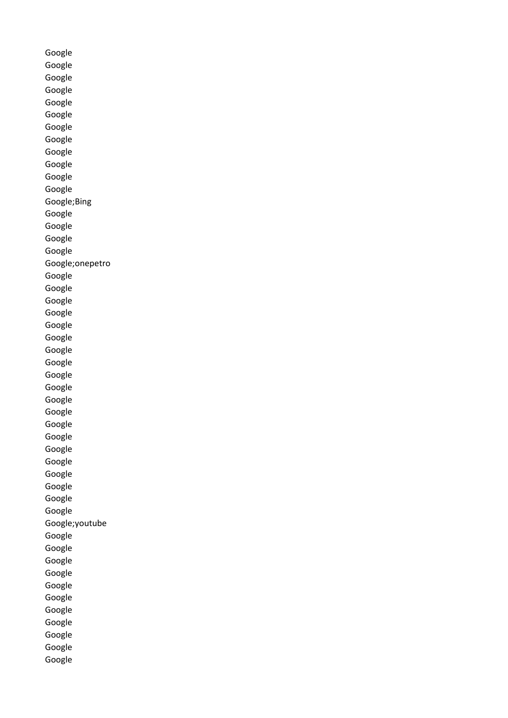Google Google Google Google Google Google Google Google Google Google Google Google Google;Bing Google Google Google Google Google;onepetro Google Google Google Google Google Google Google Google Google Google Google Google Google Google Google Google Google Google Google Google Google;youtube Google Google Google Google Google Google Google Google Google Google Google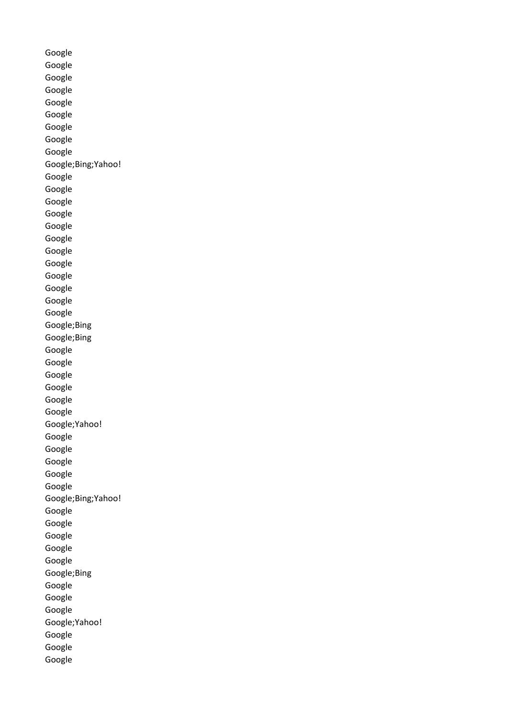Google Google Google Google Google Google Google Google Google Google;Bing;Yahoo! Google Google Google Google Google Google Google Google Google Google Google Google Google;Bing Google;Bing Google Google Google Google Google Google Google;Yahoo! Google Google Google Google Google Google;Bing;Yahoo! Google Google Google Google Google Google;Bing Google Google Google Google;Yahoo! Google Google Google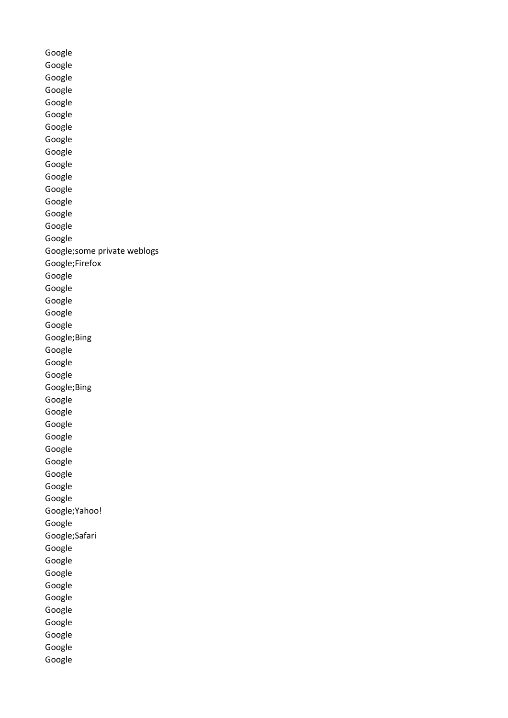Google Google Google Google Google Google Google Google Google Google Google Google Google Google Google Google Google;some private weblogs Google;Firefox Google Google Google Google Google Google;Bing Google Google Google Google;Bing Google Google Google Google Google Google Google Google Google Google;Yahoo! Google Google;Safari Google Google Google Google Google Google Google Google Google Google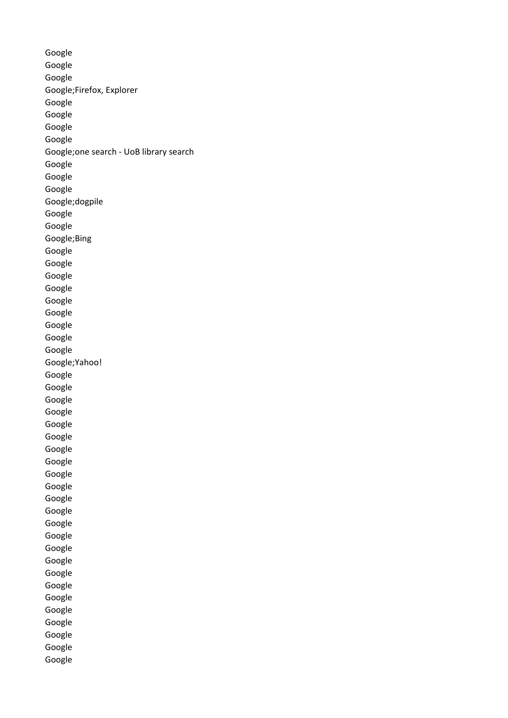Google Google Google Google;Firefox, Explorer Google Google Google Google Google;one search - UoB library search Google Google Google Google;dogpile Google Google Google;Bing Google Google Google Google Google Google Google Google Google Google;Yahoo! Google Google Google Google Google Google Google Google Google Google Google Google Google Google Google Google Google Google Google Google Google Google Google Google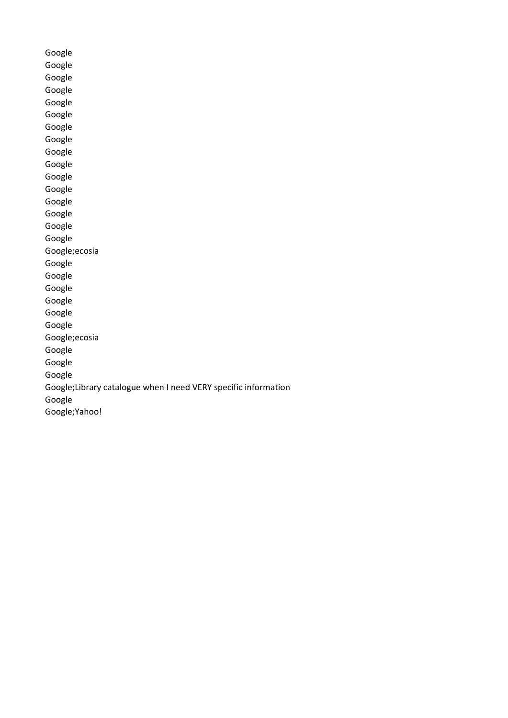Google Google Google Google Google Google Google Google Google Google Google Google Google Google Google Google Google;ecosia Google Google Google Google Google Google Google;ecosia Google Google Google Google;Library catalogue when I need VERY specific information Google Google;Yahoo!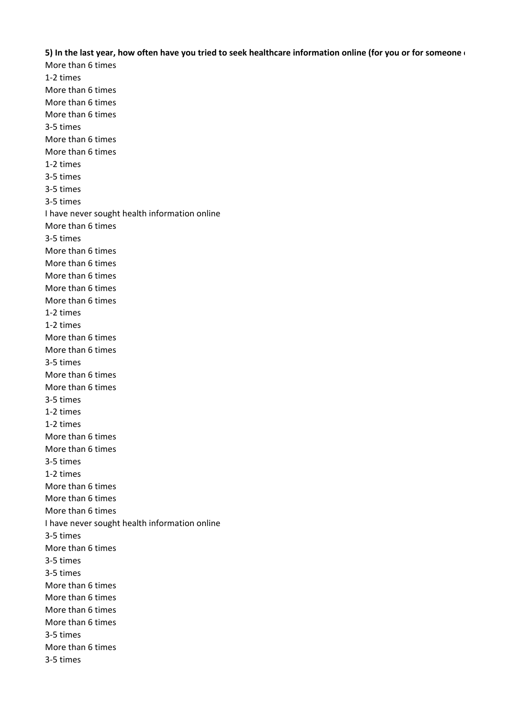**5) In the last year, how often have you tried to seek healthcare information online (for you or for someone e**

More than 6 times 1-2 times More than 6 times More than 6 times More than 6 times 3-5 times More than 6 times More than 6 times 1-2 times 3-5 times 3-5 times 3-5 times I have never sought health information online More than 6 times 3-5 times More than 6 times More than 6 times More than 6 times More than 6 times More than 6 times 1-2 times 1-2 times More than 6 times More than 6 times 3-5 times More than 6 times More than 6 times 3-5 times 1-2 times 1-2 times More than 6 times More than 6 times 3-5 times 1-2 times More than 6 times More than 6 times More than 6 times I have never sought health information online 3-5 times More than 6 times 3-5 times 3-5 times More than 6 times More than 6 times More than 6 times More than 6 times 3-5 times More than 6 times 3-5 times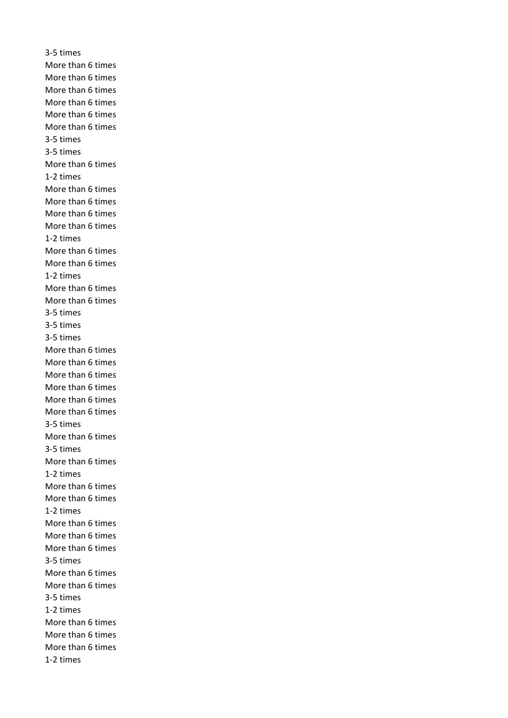3-5 times More than 6 times More than 6 times More than 6 times More than 6 times More than 6 times More than 6 times 3-5 times 3-5 times More than 6 times 1-2 times More than 6 times More than 6 times More than 6 times More than 6 times 1-2 times More than 6 times More than 6 times 1-2 times More than 6 times More than 6 times 3-5 times 3-5 times 3-5 times More than 6 times More than 6 times More than 6 times More than 6 times More than 6 times More than 6 times 3-5 times More than 6 times 3-5 times More than 6 times 1-2 times More than 6 times More than 6 times 1-2 times More than 6 times More than 6 times More than 6 times 3-5 times More than 6 times More than 6 times 3-5 times 1-2 times More than 6 times More than 6 times More than 6 times 1-2 times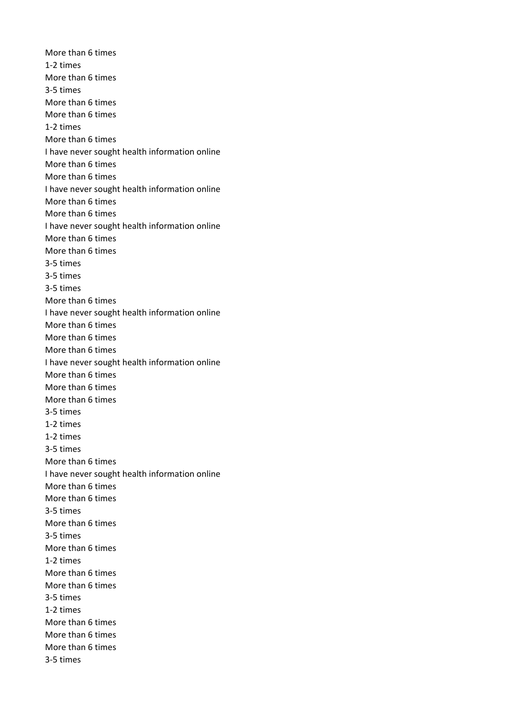More than 6 times 1-2 times More than 6 times 3-5 times More than 6 times More than 6 times 1-2 times More than 6 times I have never sought health information online More than 6 times More than 6 times I have never sought health information online More than 6 times More than 6 times I have never sought health information online More than 6 times More than 6 times 3-5 times 3-5 times 3-5 times More than 6 times I have never sought health information online More than 6 times More than 6 times More than 6 times I have never sought health information online More than 6 times More than 6 times More than 6 times 3-5 times 1-2 times 1-2 times 3-5 times More than 6 times I have never sought health information online More than 6 times More than 6 times 3-5 times More than 6 times 3-5 times More than 6 times 1-2 times More than 6 times More than 6 times 3-5 times 1-2 times More than 6 times More than 6 times More than 6 times 3-5 times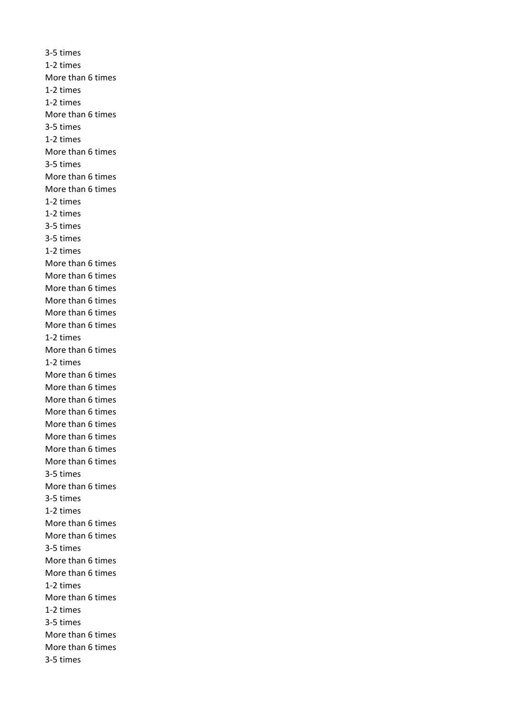3-5 times 1-2 times More than 6 times 1-2 times 1-2 times More than 6 times 3-5 times 1-2 times More than 6 times 3-5 times More than 6 times More than 6 times 1-2 times 1-2 times 3-5 times 3-5 times 1-2 times More than 6 times More than 6 times More than 6 times More than 6 times More than 6 times More than 6 times 1-2 times More than 6 times 1-2 times More than 6 times More than 6 times More than 6 times More than 6 times More than 6 times More than 6 times More than 6 times More than 6 times 3-5 times More than 6 times 3-5 times 1-2 times More than 6 times More than 6 times 3-5 times More than 6 times More than 6 times 1-2 times More than 6 times 1-2 times 3-5 times More than 6 times More than 6 times 3-5 times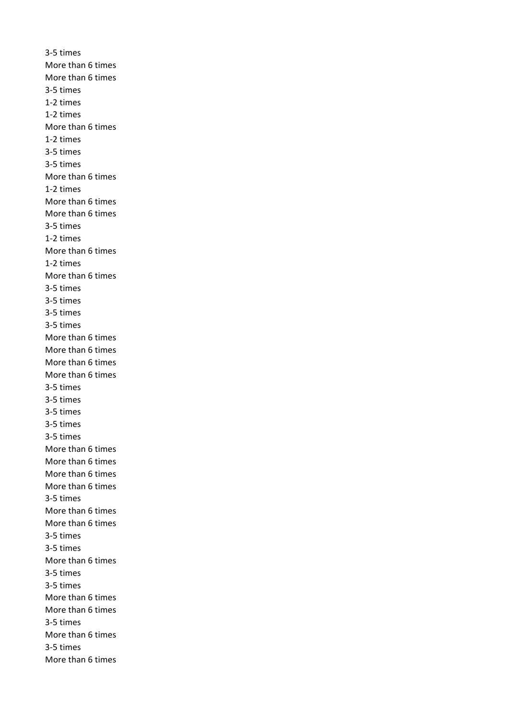3-5 times More than 6 times More than 6 times 3-5 times 1-2 times 1-2 times More than 6 times 1-2 times 3-5 times 3-5 times More than 6 times 1-2 times More than 6 times More than 6 times 3-5 times 1-2 times More than 6 times 1-2 times More than 6 times 3-5 times 3-5 times 3-5 times 3-5 times More than 6 times More than 6 times More than 6 times More than 6 times 3-5 times 3-5 times 3-5 times 3-5 times 3-5 times More than 6 times More than 6 times More than 6 times More than 6 times 3-5 times More than 6 times More than 6 times 3-5 times 3-5 times More than 6 times 3-5 times 3-5 times More than 6 times More than 6 times 3-5 times More than 6 times 3-5 times More than 6 times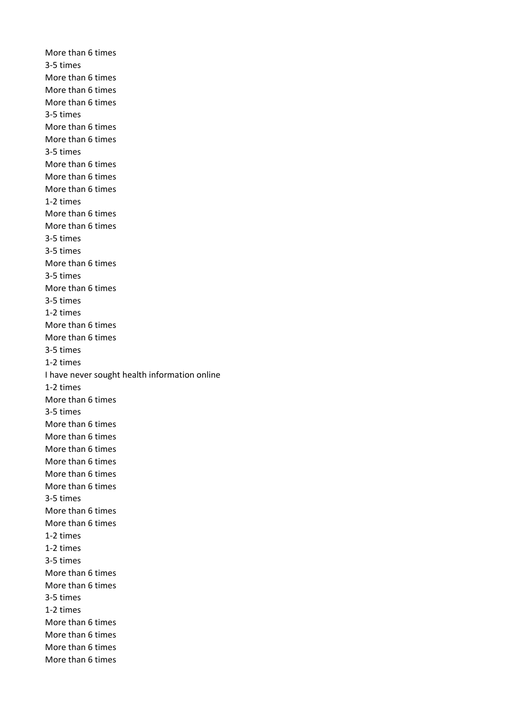More than 6 times 3-5 times More than 6 times More than 6 times More than 6 times 3-5 times More than 6 times More than 6 times 3-5 times More than 6 times More than 6 times More than 6 times 1-2 times More than 6 times More than 6 times 3-5 times 3-5 times More than 6 times 3-5 times More than 6 times 3-5 times 1-2 times More than 6 times More than 6 times 3-5 times 1-2 times I have never sought health information online 1-2 times More than 6 times 3-5 times More than 6 times More than 6 times More than 6 times More than 6 times More than 6 times More than 6 times 3-5 times More than 6 times More than 6 times 1-2 times 1-2 times 3-5 times More than 6 times More than 6 times 3-5 times 1-2 times More than 6 times More than 6 times More than 6 times More than 6 times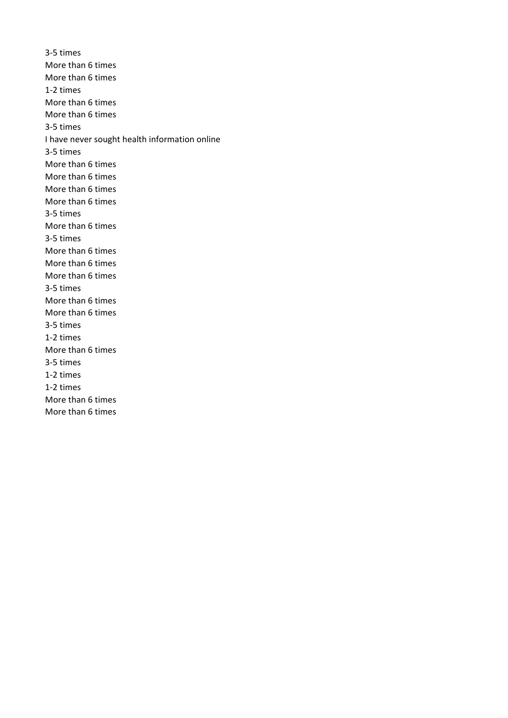3-5 times More than 6 times More than 6 times 1-2 times More than 6 times More than 6 times 3-5 times I have never sought health information online 3-5 times More than 6 times More than 6 times More than 6 times More than 6 times 3-5 times More than 6 times 3-5 times More than 6 times More than 6 times More than 6 times 3-5 times More than 6 times More than 6 times 3-5 times 1-2 times More than 6 times 3-5 times 1-2 times 1-2 times More than 6 times More than 6 times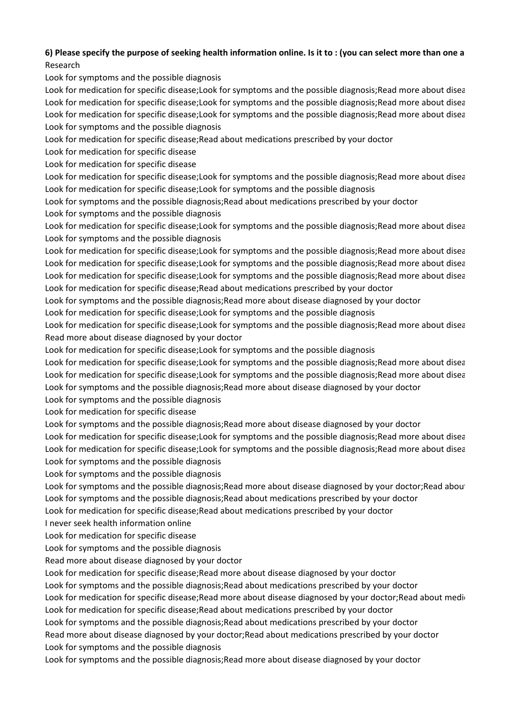## **6) Please specify the purpose of seeking health information online. Is it to : (you can select more than one a** Research

Look for symptoms and the possible diagnosis

Look for medication for specific disease;Look for symptoms and the possible diagnosis;Read more about disea Look for medication for specific disease;Look for symptoms and the possible diagnosis;Read more about disea Look for medication for specific disease;Look for symptoms and the possible diagnosis;Read more about disea Look for symptoms and the possible diagnosis

Look for medication for specific disease;Read about medications prescribed by your doctor

Look for medication for specific disease

Look for medication for specific disease

Look for medication for specific disease;Look for symptoms and the possible diagnosis;Read more about disea Look for medication for specific disease;Look for symptoms and the possible diagnosis

Look for symptoms and the possible diagnosis;Read about medications prescribed by your doctor

Look for symptoms and the possible diagnosis

Look for medication for specific disease;Look for symptoms and the possible diagnosis;Read more about disea Look for symptoms and the possible diagnosis

Look for medication for specific disease;Look for symptoms and the possible diagnosis;Read more about disea Look for medication for specific disease;Look for symptoms and the possible diagnosis;Read more about disea Look for medication for specific disease;Look for symptoms and the possible diagnosis;Read more about disea Look for medication for specific disease;Read about medications prescribed by your doctor

Look for symptoms and the possible diagnosis;Read more about disease diagnosed by your doctor

Look for medication for specific disease;Look for symptoms and the possible diagnosis

Look for medication for specific disease;Look for symptoms and the possible diagnosis;Read more about disea Read more about disease diagnosed by your doctor

Look for medication for specific disease;Look for symptoms and the possible diagnosis

Look for medication for specific disease;Look for symptoms and the possible diagnosis;Read more about disea Look for medication for specific disease;Look for symptoms and the possible diagnosis;Read more about disea Look for symptoms and the possible diagnosis;Read more about disease diagnosed by your doctor

Look for symptoms and the possible diagnosis

Look for medication for specific disease

Look for symptoms and the possible diagnosis;Read more about disease diagnosed by your doctor

Look for medication for specific disease;Look for symptoms and the possible diagnosis;Read more about disea Look for medication for specific disease;Look for symptoms and the possible diagnosis;Read more about disea Look for symptoms and the possible diagnosis

Look for symptoms and the possible diagnosis

Look for symptoms and the possible diagnosis; Read more about disease diagnosed by your doctor; Read about

Look for symptoms and the possible diagnosis;Read about medications prescribed by your doctor

Look for medication for specific disease;Read about medications prescribed by your doctor

I never seek health information online

Look for medication for specific disease

Look for symptoms and the possible diagnosis

Read more about disease diagnosed by your doctor

Look for medication for specific disease;Read more about disease diagnosed by your doctor

Look for symptoms and the possible diagnosis;Read about medications prescribed by your doctor

Look for medication for specific disease;Read more about disease diagnosed by your doctor;Read about medig Look for medication for specific disease;Read about medications prescribed by your doctor

Look for symptoms and the possible diagnosis;Read about medications prescribed by your doctor

Read more about disease diagnosed by your doctor;Read about medications prescribed by your doctor Look for symptoms and the possible diagnosis

Look for symptoms and the possible diagnosis;Read more about disease diagnosed by your doctor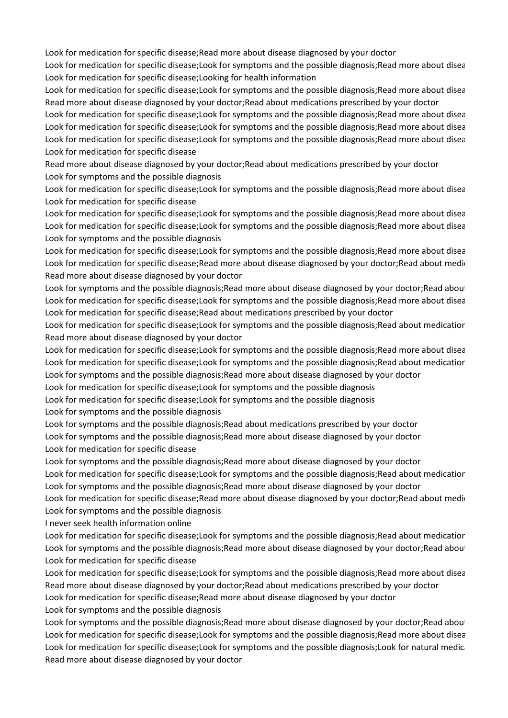Look for medication for specific disease;Read more about disease diagnosed by your doctor

Look for medication for specific disease;Look for symptoms and the possible diagnosis;Read more about disea Look for medication for specific disease;Looking for health information

Look for medication for specific disease;Look for symptoms and the possible diagnosis;Read more about disea Read more about disease diagnosed by your doctor;Read about medications prescribed by your doctor

Look for medication for specific disease;Look for symptoms and the possible diagnosis;Read more about disea Look for medication for specific disease;Look for symptoms and the possible diagnosis;Read more about disea Look for medication for specific disease;Look for symptoms and the possible diagnosis;Read more about disea Look for medication for specific disease

Read more about disease diagnosed by your doctor;Read about medications prescribed by your doctor Look for symptoms and the possible diagnosis

Look for medication for specific disease;Look for symptoms and the possible diagnosis;Read more about disea Look for medication for specific disease

Look for medication for specific disease;Look for symptoms and the possible diagnosis;Read more about disea Look for medication for specific disease;Look for symptoms and the possible diagnosis;Read more about disea Look for symptoms and the possible diagnosis

Look for medication for specific disease;Look for symptoms and the possible diagnosis;Read more about disea Look for medication for specific disease;Read more about disease diagnosed by your doctor;Read about medion Read more about disease diagnosed by your doctor

Look for symptoms and the possible diagnosis; Read more about disease diagnosed by your doctor; Read about Look for medication for specific disease;Look for symptoms and the possible diagnosis;Read more about disea Look for medication for specific disease; Read about medications prescribed by your doctor

Look for medication for specific disease;Look for symptoms and the possible diagnosis;Read about medication Read more about disease diagnosed by your doctor

Look for medication for specific disease;Look for symptoms and the possible diagnosis;Read more about disea Look for medication for specific disease;Look for symptoms and the possible diagnosis;Read about medication Look for symptoms and the possible diagnosis;Read more about disease diagnosed by your doctor

Look for medication for specific disease;Look for symptoms and the possible diagnosis

Look for medication for specific disease;Look for symptoms and the possible diagnosis

Look for symptoms and the possible diagnosis

Look for symptoms and the possible diagnosis;Read about medications prescribed by your doctor Look for symptoms and the possible diagnosis;Read more about disease diagnosed by your doctor Look for medication for specific disease

Look for symptoms and the possible diagnosis;Read more about disease diagnosed by your doctor

Look for medication for specific disease;Look for symptoms and the possible diagnosis;Read about medicatior Look for symptoms and the possible diagnosis;Read more about disease diagnosed by your doctor

Look for medication for specific disease;Read more about disease diagnosed by your doctor;Read about medio Look for symptoms and the possible diagnosis

I never seek health information online

Look for medication for specific disease;Look for symptoms and the possible diagnosis;Read about medicatior Look for symptoms and the possible diagnosis; Read more about disease diagnosed by your doctor; Read about Look for medication for specific disease

Look for medication for specific disease;Look for symptoms and the possible diagnosis;Read more about disea Read more about disease diagnosed by your doctor;Read about medications prescribed by your doctor Look for medication for specific disease;Read more about disease diagnosed by your doctor Look for symptoms and the possible diagnosis

Look for symptoms and the possible diagnosis; Read more about disease diagnosed by your doctor; Read about Look for medication for specific disease;Look for symptoms and the possible diagnosis;Read more about disea Look for medication for specific disease;Look for symptoms and the possible diagnosis;Look for natural medici Read more about disease diagnosed by your doctor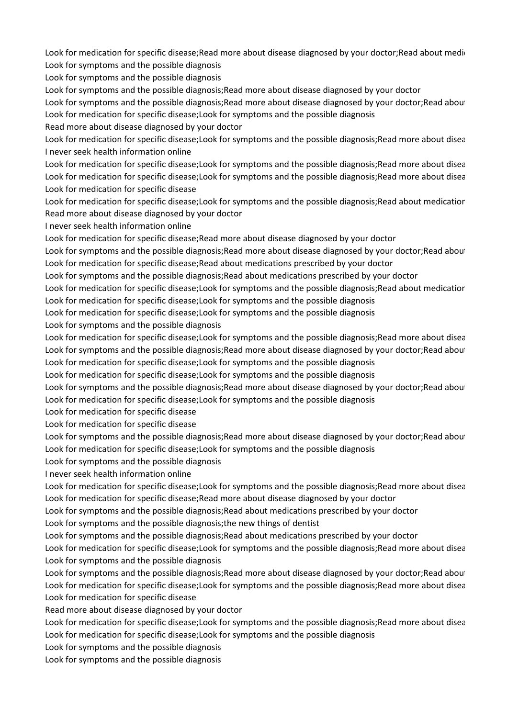Look for medication for specific disease;Read more about disease diagnosed by your doctor;Read about medi-Look for symptoms and the possible diagnosis

Look for symptoms and the possible diagnosis

Look for symptoms and the possible diagnosis;Read more about disease diagnosed by your doctor

Look for symptoms and the possible diagnosis; Read more about disease diagnosed by your doctor; Read about Look for medication for specific disease;Look for symptoms and the possible diagnosis

Read more about disease diagnosed by your doctor

Look for medication for specific disease;Look for symptoms and the possible diagnosis;Read more about disea I never seek health information online

Look for medication for specific disease;Look for symptoms and the possible diagnosis;Read more about disea Look for medication for specific disease;Look for symptoms and the possible diagnosis;Read more about disea Look for medication for specific disease

Look for medication for specific disease;Look for symptoms and the possible diagnosis;Read about medicatior Read more about disease diagnosed by your doctor

I never seek health information online

Look for medication for specific disease;Read more about disease diagnosed by your doctor

Look for symptoms and the possible diagnosis; Read more about disease diagnosed by your doctor; Read about Look for medication for specific disease;Read about medications prescribed by your doctor

Look for symptoms and the possible diagnosis;Read about medications prescribed by your doctor

Look for medication for specific disease;Look for symptoms and the possible diagnosis;Read about medicatior Look for medication for specific disease;Look for symptoms and the possible diagnosis

Look for medication for specific disease;Look for symptoms and the possible diagnosis

Look for symptoms and the possible diagnosis

Look for medication for specific disease;Look for symptoms and the possible diagnosis;Read more about disea Look for symptoms and the possible diagnosis; Read more about disease diagnosed by your doctor; Read about Look for medication for specific disease;Look for symptoms and the possible diagnosis

Look for medication for specific disease;Look for symptoms and the possible diagnosis

Look for symptoms and the possible diagnosis; Read more about disease diagnosed by your doctor; Read about

Look for medication for specific disease;Look for symptoms and the possible diagnosis

Look for medication for specific disease

Look for medication for specific disease

Look for symptoms and the possible diagnosis; Read more about disease diagnosed by your doctor; Read about Look for medication for specific disease;Look for symptoms and the possible diagnosis

Look for symptoms and the possible diagnosis

I never seek health information online

Look for medication for specific disease;Look for symptoms and the possible diagnosis;Read more about disea Look for medication for specific disease;Read more about disease diagnosed by your doctor

Look for symptoms and the possible diagnosis;Read about medications prescribed by your doctor

Look for symptoms and the possible diagnosis;the new things of dentist

Look for symptoms and the possible diagnosis;Read about medications prescribed by your doctor

Look for medication for specific disease;Look for symptoms and the possible diagnosis;Read more about disea Look for symptoms and the possible diagnosis

Look for symptoms and the possible diagnosis;Read more about disease diagnosed by your doctor;Read about Look for medication for specific disease;Look for symptoms and the possible diagnosis;Read more about disea Look for medication for specific disease

Read more about disease diagnosed by your doctor

Look for medication for specific disease;Look for symptoms and the possible diagnosis;Read more about disea Look for medication for specific disease;Look for symptoms and the possible diagnosis

Look for symptoms and the possible diagnosis

Look for symptoms and the possible diagnosis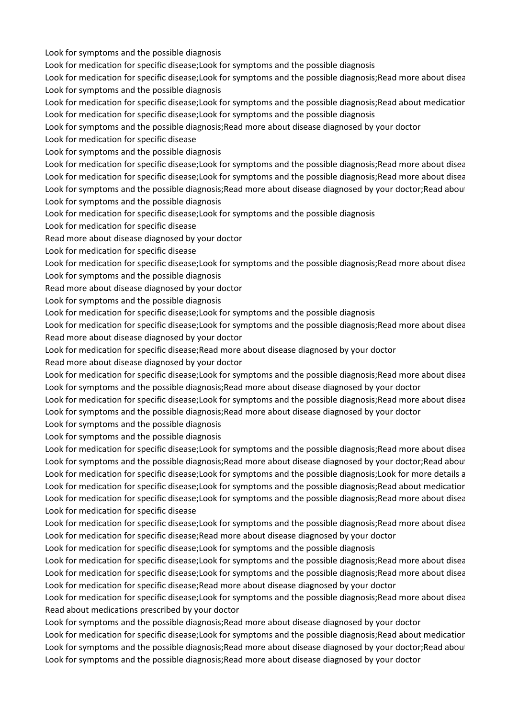Look for symptoms and the possible diagnosis

Look for medication for specific disease;Look for symptoms and the possible diagnosis

Look for medication for specific disease;Look for symptoms and the possible diagnosis;Read more about disea Look for symptoms and the possible diagnosis

Look for medication for specific disease;Look for symptoms and the possible diagnosis;Read about medicatior Look for medication for specific disease;Look for symptoms and the possible diagnosis

Look for symptoms and the possible diagnosis;Read more about disease diagnosed by your doctor

Look for medication for specific disease

Look for symptoms and the possible diagnosis

Look for medication for specific disease;Look for symptoms and the possible diagnosis;Read more about disea Look for medication for specific disease;Look for symptoms and the possible diagnosis;Read more about disea Look for symptoms and the possible diagnosis; Read more about disease diagnosed by your doctor; Read about Look for symptoms and the possible diagnosis

Look for medication for specific disease;Look for symptoms and the possible diagnosis

Look for medication for specific disease

Read more about disease diagnosed by your doctor

Look for medication for specific disease

Look for medication for specific disease;Look for symptoms and the possible diagnosis;Read more about disea Look for symptoms and the possible diagnosis

Read more about disease diagnosed by your doctor

Look for symptoms and the possible diagnosis

Look for medication for specific disease;Look for symptoms and the possible diagnosis

Look for medication for specific disease;Look for symptoms and the possible diagnosis;Read more about disea Read more about disease diagnosed by your doctor

Look for medication for specific disease;Read more about disease diagnosed by your doctor

Read more about disease diagnosed by your doctor

Look for medication for specific disease;Look for symptoms and the possible diagnosis;Read more about disea Look for symptoms and the possible diagnosis;Read more about disease diagnosed by your doctor

Look for medication for specific disease;Look for symptoms and the possible diagnosis;Read more about disea Look for symptoms and the possible diagnosis;Read more about disease diagnosed by your doctor

Look for symptoms and the possible diagnosis

Look for symptoms and the possible diagnosis

Look for medication for specific disease;Look for symptoms and the possible diagnosis;Read more about disea Look for symptoms and the possible diagnosis; Read more about disease diagnosed by your doctor; Read about Look for medication for specific disease;Look for symptoms and the possible diagnosis;Look for more details a Look for medication for specific disease;Look for symptoms and the possible diagnosis;Read about medicatior Look for medication for specific disease;Look for symptoms and the possible diagnosis;Read more about disea Look for medication for specific disease

Look for medication for specific disease;Look for symptoms and the possible diagnosis;Read more about disea Look for medication for specific disease;Read more about disease diagnosed by your doctor

Look for medication for specific disease;Look for symptoms and the possible diagnosis

Look for medication for specific disease;Look for symptoms and the possible diagnosis;Read more about disea Look for medication for specific disease;Look for symptoms and the possible diagnosis;Read more about disea Look for medication for specific disease;Read more about disease diagnosed by your doctor

Look for medication for specific disease;Look for symptoms and the possible diagnosis;Read more about disea Read about medications prescribed by your doctor

Look for symptoms and the possible diagnosis;Read more about disease diagnosed by your doctor

Look for medication for specific disease;Look for symptoms and the possible diagnosis;Read about medicatior Look for symptoms and the possible diagnosis;Read more about disease diagnosed by your doctor;Read about Look for symptoms and the possible diagnosis;Read more about disease diagnosed by your doctor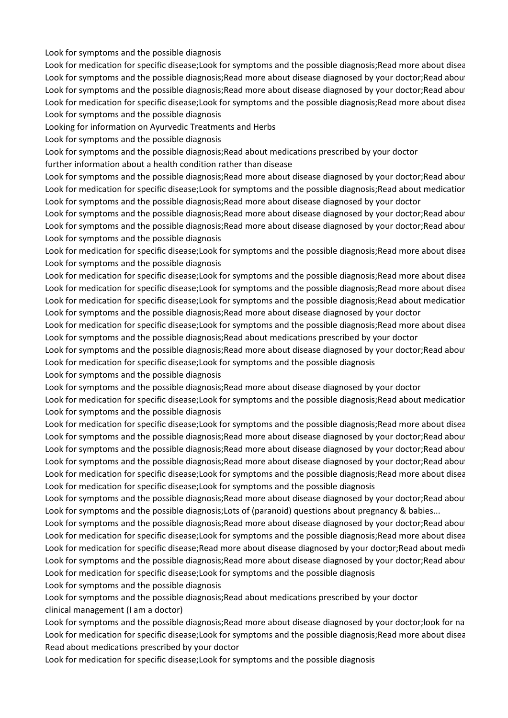Look for symptoms and the possible diagnosis

Look for medication for specific disease;Look for symptoms and the possible diagnosis;Read more about disea Look for symptoms and the possible diagnosis; Read more about disease diagnosed by your doctor; Read about Look for symptoms and the possible diagnosis; Read more about disease diagnosed by your doctor; Read about Look for medication for specific disease;Look for symptoms and the possible diagnosis;Read more about disea Look for symptoms and the possible diagnosis

Looking for information on Ayurvedic Treatments and Herbs

Look for symptoms and the possible diagnosis

Look for symptoms and the possible diagnosis;Read about medications prescribed by your doctor

further information about a health condition rather than disease

Look for symptoms and the possible diagnosis;Read more about disease diagnosed by your doctor;Read about Look for medication for specific disease;Look for symptoms and the possible diagnosis;Read about medication Look for symptoms and the possible diagnosis;Read more about disease diagnosed by your doctor

Look for symptoms and the possible diagnosis; Read more about disease diagnosed by your doctor; Read about Look for symptoms and the possible diagnosis; Read more about disease diagnosed by your doctor; Read about Look for symptoms and the possible diagnosis

Look for medication for specific disease;Look for symptoms and the possible diagnosis;Read more about disea Look for symptoms and the possible diagnosis

Look for medication for specific disease;Look for symptoms and the possible diagnosis;Read more about disea Look for medication for specific disease;Look for symptoms and the possible diagnosis;Read more about disea Look for medication for specific disease;Look for symptoms and the possible diagnosis;Read about medicatior Look for symptoms and the possible diagnosis;Read more about disease diagnosed by your doctor

Look for medication for specific disease;Look for symptoms and the possible diagnosis;Read more about disea Look for symptoms and the possible diagnosis;Read about medications prescribed by your doctor

Look for symptoms and the possible diagnosis; Read more about disease diagnosed by your doctor; Read about Look for medication for specific disease;Look for symptoms and the possible diagnosis

Look for symptoms and the possible diagnosis

Look for symptoms and the possible diagnosis;Read more about disease diagnosed by your doctor

Look for medication for specific disease;Look for symptoms and the possible diagnosis;Read about medicatior Look for symptoms and the possible diagnosis

Look for medication for specific disease;Look for symptoms and the possible diagnosis;Read more about disea Look for symptoms and the possible diagnosis; Read more about disease diagnosed by your doctor; Read about Look for symptoms and the possible diagnosis; Read more about disease diagnosed by your doctor; Read about Look for symptoms and the possible diagnosis; Read more about disease diagnosed by your doctor; Read about Look for medication for specific disease;Look for symptoms and the possible diagnosis;Read more about disea Look for medication for specific disease;Look for symptoms and the possible diagnosis

Look for symptoms and the possible diagnosis; Read more about disease diagnosed by your doctor; Read about Look for symptoms and the possible diagnosis; Lots of (paranoid) questions about pregnancy & babies...

Look for symptoms and the possible diagnosis;Read more about disease diagnosed by your doctor;Read about Look for medication for specific disease;Look for symptoms and the possible diagnosis;Read more about disea Look for medication for specific disease;Read more about disease diagnosed by your doctor;Read about medic Look for symptoms and the possible diagnosis; Read more about disease diagnosed by your doctor; Read about Look for medication for specific disease;Look for symptoms and the possible diagnosis

Look for symptoms and the possible diagnosis

Look for symptoms and the possible diagnosis;Read about medications prescribed by your doctor clinical management (I am a doctor)

Look for symptoms and the possible diagnosis;Read more about disease diagnosed by your doctor;look for na Look for medication for specific disease;Look for symptoms and the possible diagnosis;Read more about disea Read about medications prescribed by your doctor

Look for medication for specific disease;Look for symptoms and the possible diagnosis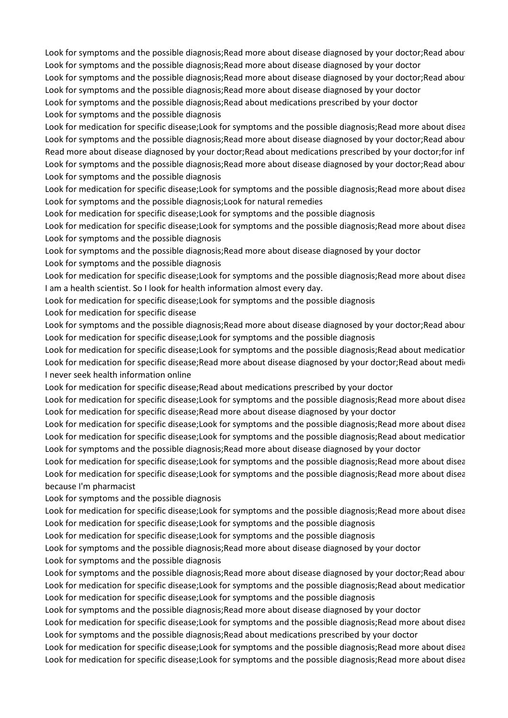Look for symptoms and the possible diagnosis;Read more about disease diagnosed by your doctor;Read about Look for symptoms and the possible diagnosis;Read more about disease diagnosed by your doctor Look for symptoms and the possible diagnosis; Read more about disease diagnosed by your doctor; Read about Look for symptoms and the possible diagnosis;Read more about disease diagnosed by your doctor Look for symptoms and the possible diagnosis;Read about medications prescribed by your doctor Look for symptoms and the possible diagnosis

Look for medication for specific disease;Look for symptoms and the possible diagnosis;Read more about disea Look for symptoms and the possible diagnosis; Read more about disease diagnosed by your doctor; Read about Read more about disease diagnosed by your doctor;Read about medications prescribed by your doctor;for inf Look for symptoms and the possible diagnosis; Read more about disease diagnosed by your doctor; Read about Look for symptoms and the possible diagnosis

Look for medication for specific disease;Look for symptoms and the possible diagnosis;Read more about disea Look for symptoms and the possible diagnosis;Look for natural remedies

Look for medication for specific disease;Look for symptoms and the possible diagnosis

Look for medication for specific disease;Look for symptoms and the possible diagnosis;Read more about disea Look for symptoms and the possible diagnosis

Look for symptoms and the possible diagnosis;Read more about disease diagnosed by your doctor Look for symptoms and the possible diagnosis

Look for medication for specific disease;Look for symptoms and the possible diagnosis;Read more about disea I am a health scientist. So I look for health information almost every day.

Look for medication for specific disease;Look for symptoms and the possible diagnosis

Look for medication for specific disease

Look for symptoms and the possible diagnosis; Read more about disease diagnosed by your doctor; Read about Look for medication for specific disease;Look for symptoms and the possible diagnosis

Look for medication for specific disease;Look for symptoms and the possible diagnosis;Read about medicatior Look for medication for specific disease;Read more about disease diagnosed by your doctor;Read about medic I never seek health information online

Look for medication for specific disease;Read about medications prescribed by your doctor

Look for medication for specific disease;Look for symptoms and the possible diagnosis;Read more about disea Look for medication for specific disease; Read more about disease diagnosed by your doctor

Look for medication for specific disease;Look for symptoms and the possible diagnosis;Read more about disea Look for medication for specific disease;Look for symptoms and the possible diagnosis;Read about medicatior Look for symptoms and the possible diagnosis;Read more about disease diagnosed by your doctor

Look for medication for specific disease;Look for symptoms and the possible diagnosis;Read more about disea Look for medication for specific disease;Look for symptoms and the possible diagnosis;Read more about disea because I'm pharmacist

Look for symptoms and the possible diagnosis

Look for medication for specific disease;Look for symptoms and the possible diagnosis;Read more about disea Look for medication for specific disease;Look for symptoms and the possible diagnosis

Look for medication for specific disease;Look for symptoms and the possible diagnosis

Look for symptoms and the possible diagnosis;Read more about disease diagnosed by your doctor Look for symptoms and the possible diagnosis

Look for symptoms and the possible diagnosis;Read more about disease diagnosed by your doctor;Read about Look for medication for specific disease;Look for symptoms and the possible diagnosis;Read about medicatior Look for medication for specific disease;Look for symptoms and the possible diagnosis

Look for symptoms and the possible diagnosis;Read more about disease diagnosed by your doctor

Look for medication for specific disease;Look for symptoms and the possible diagnosis;Read more about disea Look for symptoms and the possible diagnosis;Read about medications prescribed by your doctor

Look for medication for specific disease;Look for symptoms and the possible diagnosis;Read more about disea Look for medication for specific disease;Look for symptoms and the possible diagnosis;Read more about disea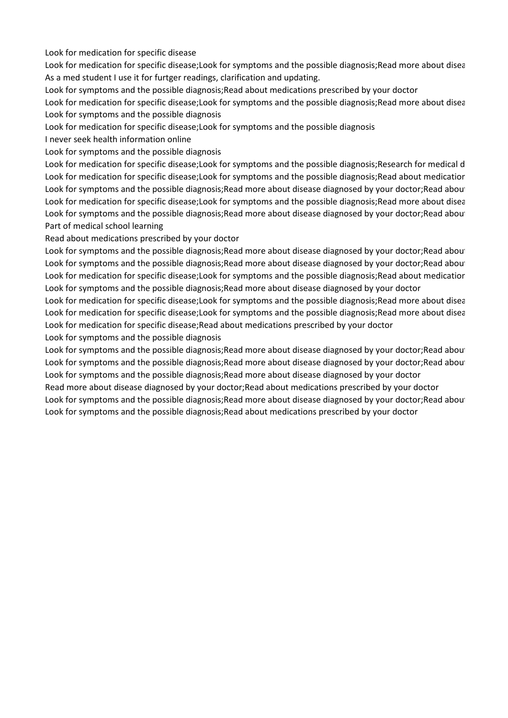Look for medication for specific disease

Look for medication for specific disease;Look for symptoms and the possible diagnosis;Read more about disea As a med student I use it for furtger readings, clarification and updating.

Look for symptoms and the possible diagnosis;Read about medications prescribed by your doctor

Look for medication for specific disease;Look for symptoms and the possible diagnosis;Read more about disea Look for symptoms and the possible diagnosis

Look for medication for specific disease;Look for symptoms and the possible diagnosis

I never seek health information online

Look for symptoms and the possible diagnosis

Look for medication for specific disease;Look for symptoms and the possible diagnosis;Research for medical d Look for medication for specific disease;Look for symptoms and the possible diagnosis;Read about medicatior Look for symptoms and the possible diagnosis;Read more about disease diagnosed by your doctor;Read about Look for medication for specific disease;Look for symptoms and the possible diagnosis;Read more about disea Look for symptoms and the possible diagnosis; Read more about disease diagnosed by your doctor; Read about Part of medical school learning

Read about medications prescribed by your doctor

Look for symptoms and the possible diagnosis; Read more about disease diagnosed by your doctor; Read about Look for symptoms and the possible diagnosis;Read more about disease diagnosed by your doctor;Read about Look for medication for specific disease;Look for symptoms and the possible diagnosis;Read about medicatior Look for symptoms and the possible diagnosis;Read more about disease diagnosed by your doctor

Look for medication for specific disease;Look for symptoms and the possible diagnosis;Read more about disea Look for medication for specific disease;Look for symptoms and the possible diagnosis;Read more about disea Look for medication for specific disease;Read about medications prescribed by your doctor

Look for symptoms and the possible diagnosis

Look for symptoms and the possible diagnosis; Read more about disease diagnosed by your doctor; Read about Look for symptoms and the possible diagnosis; Read more about disease diagnosed by your doctor; Read about Look for symptoms and the possible diagnosis;Read more about disease diagnosed by your doctor Read more about disease diagnosed by your doctor;Read about medications prescribed by your doctor Look for symptoms and the possible diagnosis; Read more about disease diagnosed by your doctor; Read about Look for symptoms and the possible diagnosis;Read about medications prescribed by your doctor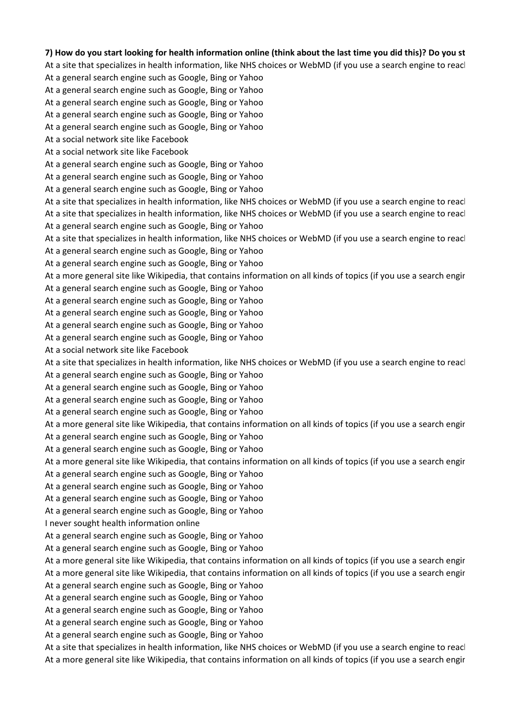## **7) How do you start looking for health information online (think about the last time you did this)? Do you st**

At a site that specializes in health information, like NHS choices or WebMD (if you use a search engine to reacl

- At a general search engine such as Google, Bing or Yahoo
- At a general search engine such as Google, Bing or Yahoo
- At a general search engine such as Google, Bing or Yahoo
- At a general search engine such as Google, Bing or Yahoo
- At a general search engine such as Google, Bing or Yahoo
- At a social network site like Facebook
- At a social network site like Facebook
- At a general search engine such as Google, Bing or Yahoo
- At a general search engine such as Google, Bing or Yahoo
- At a general search engine such as Google, Bing or Yahoo
- At a site that specializes in health information, like NHS choices or WebMD (if you use a search engine to reach At a site that specializes in health information, like NHS choices or WebMD (if you use a search engine to reacl At a general search engine such as Google, Bing or Yahoo
- At a site that specializes in health information, like NHS choices or WebMD (if you use a search engine to reach
- At a general search engine such as Google, Bing or Yahoo
- At a general search engine such as Google, Bing or Yahoo
- At a more general site like Wikipedia, that contains information on all kinds of topics (if you use a search engin
- At a general search engine such as Google, Bing or Yahoo
- At a general search engine such as Google, Bing or Yahoo
- At a general search engine such as Google, Bing or Yahoo
- At a general search engine such as Google, Bing or Yahoo
- At a general search engine such as Google, Bing or Yahoo
- At a social network site like Facebook
- At a site that specializes in health information, like NHS choices or WebMD (if you use a search engine to reacl
- At a general search engine such as Google, Bing or Yahoo
- At a general search engine such as Google, Bing or Yahoo
- At a general search engine such as Google, Bing or Yahoo
- At a general search engine such as Google, Bing or Yahoo
- At a more general site like Wikipedia, that contains information on all kinds of topics (if you use a search engin
- At a general search engine such as Google, Bing or Yahoo
- At a general search engine such as Google, Bing or Yahoo
- At a more general site like Wikipedia, that contains information on all kinds of topics (if you use a search engin
- At a general search engine such as Google, Bing or Yahoo
- At a general search engine such as Google, Bing or Yahoo
- At a general search engine such as Google, Bing or Yahoo
- At a general search engine such as Google, Bing or Yahoo
- I never sought health information online
- At a general search engine such as Google, Bing or Yahoo
- At a general search engine such as Google, Bing or Yahoo
- At a more general site like Wikipedia, that contains information on all kinds of topics (if you use a search engin At a more general site like Wikipedia, that contains information on all kinds of topics (if you use a search engin
- At a general search engine such as Google, Bing or Yahoo
- At a general search engine such as Google, Bing or Yahoo
- At a general search engine such as Google, Bing or Yahoo
- At a general search engine such as Google, Bing or Yahoo
- At a general search engine such as Google, Bing or Yahoo
- At a site that specializes in health information, like NHS choices or WebMD (if you use a search engine to reacl At a more general site like Wikipedia, that contains information on all kinds of topics (if you use a search engin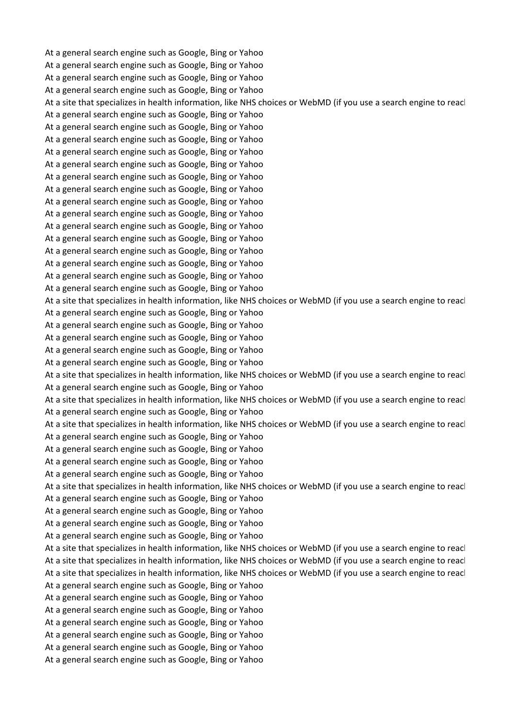At a general search engine such as Google, Bing or Yahoo At a general search engine such as Google, Bing or Yahoo At a general search engine such as Google, Bing or Yahoo At a general search engine such as Google, Bing or Yahoo At a site that specializes in health information, like NHS choices or WebMD (if you use a search engine to reach At a general search engine such as Google, Bing or Yahoo At a general search engine such as Google, Bing or Yahoo At a general search engine such as Google, Bing or Yahoo At a general search engine such as Google, Bing or Yahoo At a general search engine such as Google, Bing or Yahoo At a general search engine such as Google, Bing or Yahoo At a general search engine such as Google, Bing or Yahoo At a general search engine such as Google, Bing or Yahoo At a general search engine such as Google, Bing or Yahoo At a general search engine such as Google, Bing or Yahoo At a general search engine such as Google, Bing or Yahoo At a general search engine such as Google, Bing or Yahoo At a general search engine such as Google, Bing or Yahoo At a general search engine such as Google, Bing or Yahoo At a general search engine such as Google, Bing or Yahoo At a site that specializes in health information, like NHS choices or WebMD (if you use a search engine to reacl At a general search engine such as Google, Bing or Yahoo At a general search engine such as Google, Bing or Yahoo At a general search engine such as Google, Bing or Yahoo At a general search engine such as Google, Bing or Yahoo At a general search engine such as Google, Bing or Yahoo At a site that specializes in health information, like NHS choices or WebMD (if you use a search engine to reacl At a general search engine such as Google, Bing or Yahoo At a site that specializes in health information, like NHS choices or WebMD (if you use a search engine to reacl At a general search engine such as Google, Bing or Yahoo At a site that specializes in health information, like NHS choices or WebMD (if you use a search engine to reacl At a general search engine such as Google, Bing or Yahoo At a general search engine such as Google, Bing or Yahoo At a general search engine such as Google, Bing or Yahoo At a general search engine such as Google, Bing or Yahoo At a site that specializes in health information, like NHS choices or WebMD (if you use a search engine to reacl At a general search engine such as Google, Bing or Yahoo At a general search engine such as Google, Bing or Yahoo At a general search engine such as Google, Bing or Yahoo At a general search engine such as Google, Bing or Yahoo At a site that specializes in health information, like NHS choices or WebMD (if you use a search engine to reacl At a site that specializes in health information, like NHS choices or WebMD (if you use a search engine to reacl At a site that specializes in health information, like NHS choices or WebMD (if you use a search engine to reacl At a general search engine such as Google, Bing or Yahoo At a general search engine such as Google, Bing or Yahoo At a general search engine such as Google, Bing or Yahoo At a general search engine such as Google, Bing or Yahoo At a general search engine such as Google, Bing or Yahoo At a general search engine such as Google, Bing or Yahoo At a general search engine such as Google, Bing or Yahoo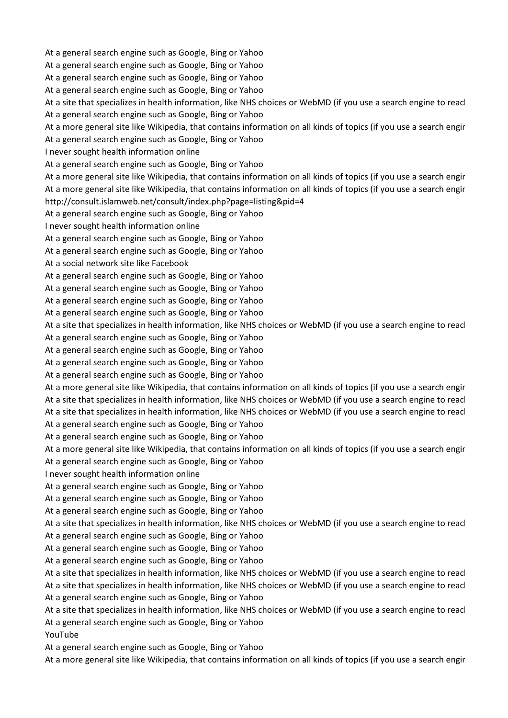At a general search engine such as Google, Bing or Yahoo

At a general search engine such as Google, Bing or Yahoo

At a general search engine such as Google, Bing or Yahoo

At a general search engine such as Google, Bing or Yahoo

At a site that specializes in health information, like NHS choices or WebMD (if you use a search engine to reacl At a general search engine such as Google, Bing or Yahoo

At a more general site like Wikipedia, that contains information on all kinds of topics (if you use a search engin

At a general search engine such as Google, Bing or Yahoo

I never sought health information online

At a general search engine such as Google, Bing or Yahoo

At a more general site like Wikipedia, that contains information on all kinds of topics (if you use a search engin At a more general site like Wikipedia, that contains information on all kinds of topics (if you use a search engin http://consult.islamweb.net/consult/index.php?page=listing&pid=4

At a general search engine such as Google, Bing or Yahoo

I never sought health information online

At a general search engine such as Google, Bing or Yahoo

At a general search engine such as Google, Bing or Yahoo

At a social network site like Facebook

At a general search engine such as Google, Bing or Yahoo

At a general search engine such as Google, Bing or Yahoo

At a general search engine such as Google, Bing or Yahoo

At a general search engine such as Google, Bing or Yahoo

At a site that specializes in health information, like NHS choices or WebMD (if you use a search engine to reacl

At a general search engine such as Google, Bing or Yahoo

At a general search engine such as Google, Bing or Yahoo

At a general search engine such as Google, Bing or Yahoo

At a general search engine such as Google, Bing or Yahoo

At a more general site like Wikipedia, that contains information on all kinds of topics (if you use a search engin At a site that specializes in health information, like NHS choices or WebMD (if you use a search engine to reacl

At a site that specializes in health information, like NHS choices or WebMD (if you use a search engine to reacl

At a general search engine such as Google, Bing or Yahoo

At a general search engine such as Google, Bing or Yahoo

At a more general site like Wikipedia, that contains information on all kinds of topics (if you use a search engin

At a general search engine such as Google, Bing or Yahoo

I never sought health information online

At a general search engine such as Google, Bing or Yahoo

At a general search engine such as Google, Bing or Yahoo

At a general search engine such as Google, Bing or Yahoo

At a site that specializes in health information, like NHS choices or WebMD (if you use a search engine to reacl

At a general search engine such as Google, Bing or Yahoo

At a general search engine such as Google, Bing or Yahoo

At a general search engine such as Google, Bing or Yahoo

At a site that specializes in health information, like NHS choices or WebMD (if you use a search engine to reacl At a site that specializes in health information, like NHS choices or WebMD (if you use a search engine to reacl

At a general search engine such as Google, Bing or Yahoo

At a site that specializes in health information, like NHS choices or WebMD (if you use a search engine to reacl At a general search engine such as Google, Bing or Yahoo

YouTube

At a general search engine such as Google, Bing or Yahoo

At a more general site like Wikipedia, that contains information on all kinds of topics (if you use a search engin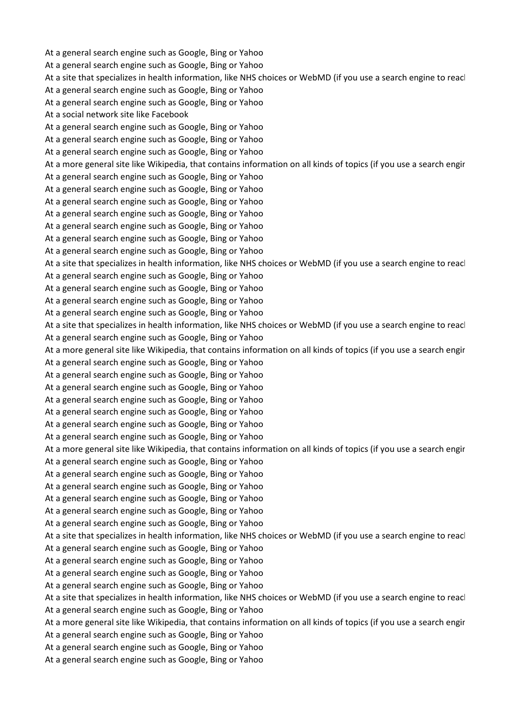At a general search engine such as Google, Bing or Yahoo At a general search engine such as Google, Bing or Yahoo At a site that specializes in health information, like NHS choices or WebMD (if you use a search engine to reacl At a general search engine such as Google, Bing or Yahoo At a general search engine such as Google, Bing or Yahoo At a social network site like Facebook At a general search engine such as Google, Bing or Yahoo At a general search engine such as Google, Bing or Yahoo At a general search engine such as Google, Bing or Yahoo At a more general site like Wikipedia, that contains information on all kinds of topics (if you use a search engin At a general search engine such as Google, Bing or Yahoo At a general search engine such as Google, Bing or Yahoo At a general search engine such as Google, Bing or Yahoo At a general search engine such as Google, Bing or Yahoo At a general search engine such as Google, Bing or Yahoo At a general search engine such as Google, Bing or Yahoo At a general search engine such as Google, Bing or Yahoo At a site that specializes in health information, like NHS choices or WebMD (if you use a search engine to reacl At a general search engine such as Google, Bing or Yahoo At a general search engine such as Google, Bing or Yahoo At a general search engine such as Google, Bing or Yahoo At a general search engine such as Google, Bing or Yahoo At a site that specializes in health information, like NHS choices or WebMD (if you use a search engine to reacl At a general search engine such as Google, Bing or Yahoo At a more general site like Wikipedia, that contains information on all kinds of topics (if you use a search engin At a general search engine such as Google, Bing or Yahoo At a general search engine such as Google, Bing or Yahoo At a general search engine such as Google, Bing or Yahoo At a general search engine such as Google, Bing or Yahoo At a general search engine such as Google, Bing or Yahoo At a general search engine such as Google, Bing or Yahoo At a general search engine such as Google, Bing or Yahoo At a more general site like Wikipedia, that contains information on all kinds of topics (if you use a search engin At a general search engine such as Google, Bing or Yahoo At a general search engine such as Google, Bing or Yahoo At a general search engine such as Google, Bing or Yahoo At a general search engine such as Google, Bing or Yahoo At a general search engine such as Google, Bing or Yahoo At a general search engine such as Google, Bing or Yahoo At a site that specializes in health information, like NHS choices or WebMD (if you use a search engine to reacl At a general search engine such as Google, Bing or Yahoo At a general search engine such as Google, Bing or Yahoo At a general search engine such as Google, Bing or Yahoo At a general search engine such as Google, Bing or Yahoo At a site that specializes in health information, like NHS choices or WebMD (if you use a search engine to reacl At a general search engine such as Google, Bing or Yahoo At a more general site like Wikipedia, that contains information on all kinds of topics (if you use a search engin At a general search engine such as Google, Bing or Yahoo At a general search engine such as Google, Bing or Yahoo At a general search engine such as Google, Bing or Yahoo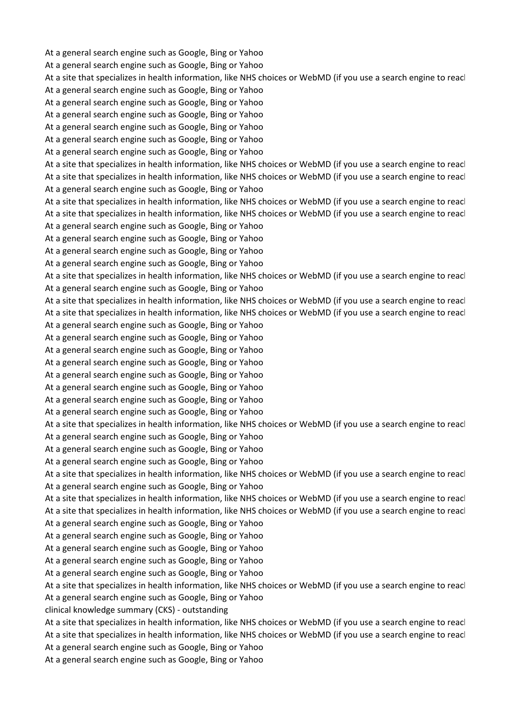At a general search engine such as Google, Bing or Yahoo At a general search engine such as Google, Bing or Yahoo At a site that specializes in health information, like NHS choices or WebMD (if you use a search engine to reacl At a general search engine such as Google, Bing or Yahoo At a general search engine such as Google, Bing or Yahoo At a general search engine such as Google, Bing or Yahoo At a general search engine such as Google, Bing or Yahoo At a general search engine such as Google, Bing or Yahoo At a general search engine such as Google, Bing or Yahoo At a site that specializes in health information, like NHS choices or WebMD (if you use a search engine to reach At a site that specializes in health information, like NHS choices or WebMD (if you use a search engine to reacl At a general search engine such as Google, Bing or Yahoo At a site that specializes in health information, like NHS choices or WebMD (if you use a search engine to reacl At a site that specializes in health information, like NHS choices or WebMD (if you use a search engine to reacl At a general search engine such as Google, Bing or Yahoo At a general search engine such as Google, Bing or Yahoo At a general search engine such as Google, Bing or Yahoo At a general search engine such as Google, Bing or Yahoo At a site that specializes in health information, like NHS choices or WebMD (if you use a search engine to reacl At a general search engine such as Google, Bing or Yahoo At a site that specializes in health information, like NHS choices or WebMD (if you use a search engine to reacl At a site that specializes in health information, like NHS choices or WebMD (if you use a search engine to reacl At a general search engine such as Google, Bing or Yahoo At a general search engine such as Google, Bing or Yahoo At a general search engine such as Google, Bing or Yahoo At a general search engine such as Google, Bing or Yahoo At a general search engine such as Google, Bing or Yahoo At a general search engine such as Google, Bing or Yahoo At a general search engine such as Google, Bing or Yahoo At a general search engine such as Google, Bing or Yahoo At a site that specializes in health information, like NHS choices or WebMD (if you use a search engine to reacl At a general search engine such as Google, Bing or Yahoo At a general search engine such as Google, Bing or Yahoo At a general search engine such as Google, Bing or Yahoo At a site that specializes in health information, like NHS choices or WebMD (if you use a search engine to reacl At a general search engine such as Google, Bing or Yahoo At a site that specializes in health information, like NHS choices or WebMD (if you use a search engine to reacl At a site that specializes in health information, like NHS choices or WebMD (if you use a search engine to reacl At a general search engine such as Google, Bing or Yahoo At a general search engine such as Google, Bing or Yahoo At a general search engine such as Google, Bing or Yahoo At a general search engine such as Google, Bing or Yahoo At a general search engine such as Google, Bing or Yahoo At a site that specializes in health information, like NHS choices or WebMD (if you use a search engine to reacl At a general search engine such as Google, Bing or Yahoo clinical knowledge summary (CKS) - outstanding At a site that specializes in health information, like NHS choices or WebMD (if you use a search engine to reacl At a site that specializes in health information, like NHS choices or WebMD (if you use a search engine to reacl At a general search engine such as Google, Bing or Yahoo At a general search engine such as Google, Bing or Yahoo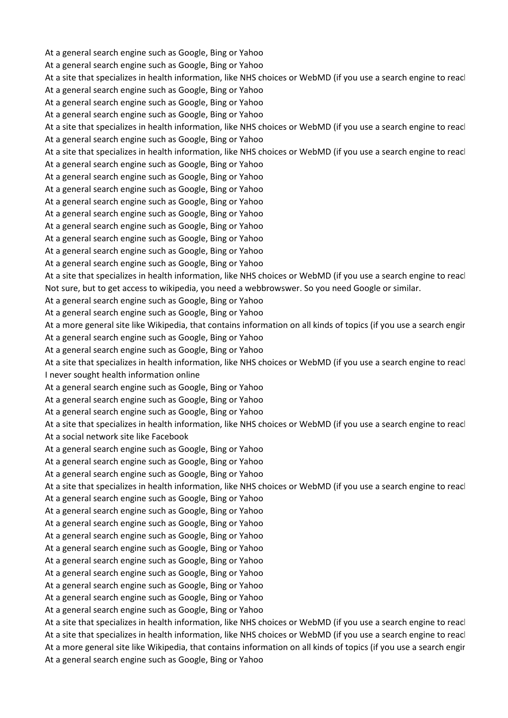At a general search engine such as Google, Bing or Yahoo At a general search engine such as Google, Bing or Yahoo At a site that specializes in health information, like NHS choices or WebMD (if you use a search engine to reacl At a general search engine such as Google, Bing or Yahoo At a general search engine such as Google, Bing or Yahoo At a general search engine such as Google, Bing or Yahoo At a site that specializes in health information, like NHS choices or WebMD (if you use a search engine to reach At a general search engine such as Google, Bing or Yahoo At a site that specializes in health information, like NHS choices or WebMD (if you use a search engine to reacl At a general search engine such as Google, Bing or Yahoo At a general search engine such as Google, Bing or Yahoo At a general search engine such as Google, Bing or Yahoo At a general search engine such as Google, Bing or Yahoo At a general search engine such as Google, Bing or Yahoo At a general search engine such as Google, Bing or Yahoo At a general search engine such as Google, Bing or Yahoo At a general search engine such as Google, Bing or Yahoo At a general search engine such as Google, Bing or Yahoo At a site that specializes in health information, like NHS choices or WebMD (if you use a search engine to reacl Not sure, but to get access to wikipedia, you need a webbrowswer. So you need Google or similar. At a general search engine such as Google, Bing or Yahoo At a general search engine such as Google, Bing or Yahoo At a more general site like Wikipedia, that contains information on all kinds of topics (if you use a search engir At a general search engine such as Google, Bing or Yahoo At a general search engine such as Google, Bing or Yahoo At a site that specializes in health information, like NHS choices or WebMD (if you use a search engine to reacl I never sought health information online At a general search engine such as Google, Bing or Yahoo At a general search engine such as Google, Bing or Yahoo At a general search engine such as Google, Bing or Yahoo At a site that specializes in health information, like NHS choices or WebMD (if you use a search engine to reacl At a social network site like Facebook At a general search engine such as Google, Bing or Yahoo At a general search engine such as Google, Bing or Yahoo At a general search engine such as Google, Bing or Yahoo At a site that specializes in health information, like NHS choices or WebMD (if you use a search engine to reacl At a general search engine such as Google, Bing or Yahoo At a general search engine such as Google, Bing or Yahoo At a general search engine such as Google, Bing or Yahoo At a general search engine such as Google, Bing or Yahoo At a general search engine such as Google, Bing or Yahoo At a general search engine such as Google, Bing or Yahoo At a general search engine such as Google, Bing or Yahoo At a general search engine such as Google, Bing or Yahoo At a general search engine such as Google, Bing or Yahoo At a general search engine such as Google, Bing or Yahoo At a site that specializes in health information, like NHS choices or WebMD (if you use a search engine to reacl At a site that specializes in health information, like NHS choices or WebMD (if you use a search engine to reacl At a more general site like Wikipedia, that contains information on all kinds of topics (if you use a search engin At a general search engine such as Google, Bing or Yahoo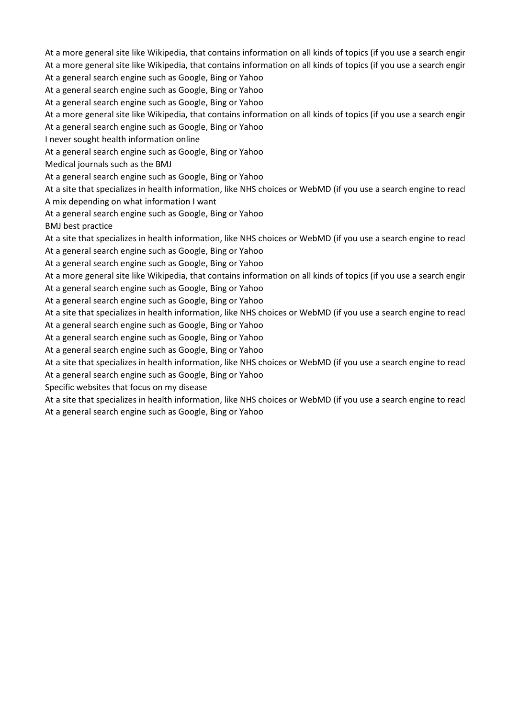At a more general site like Wikipedia, that contains information on all kinds of topics (if you use a search engin

At a more general site like Wikipedia, that contains information on all kinds of topics (if you use a search engin

At a general search engine such as Google, Bing or Yahoo

At a general search engine such as Google, Bing or Yahoo

At a general search engine such as Google, Bing or Yahoo

At a more general site like Wikipedia, that contains information on all kinds of topics (if you use a search engin

At a general search engine such as Google, Bing or Yahoo

I never sought health information online

At a general search engine such as Google, Bing or Yahoo

Medical journals such as the BMJ

At a general search engine such as Google, Bing or Yahoo

At a site that specializes in health information, like NHS choices or WebMD (if you use a search engine to reacl A mix depending on what information I want

At a general search engine such as Google, Bing or Yahoo

BMJ best practice

At a site that specializes in health information, like NHS choices or WebMD (if you use a search engine to reach

At a general search engine such as Google, Bing or Yahoo

At a general search engine such as Google, Bing or Yahoo

At a more general site like Wikipedia, that contains information on all kinds of topics (if you use a search engin At a general search engine such as Google, Bing or Yahoo

At a general search engine such as Google, Bing or Yahoo

At a site that specializes in health information, like NHS choices or WebMD (if you use a search engine to reacl

At a general search engine such as Google, Bing or Yahoo

At a general search engine such as Google, Bing or Yahoo

At a general search engine such as Google, Bing or Yahoo

At a site that specializes in health information, like NHS choices or WebMD (if you use a search engine to reacl

At a general search engine such as Google, Bing or Yahoo

Specific websites that focus on my disease

At a site that specializes in health information, like NHS choices or WebMD (if you use a search engine to reacl At a general search engine such as Google, Bing or Yahoo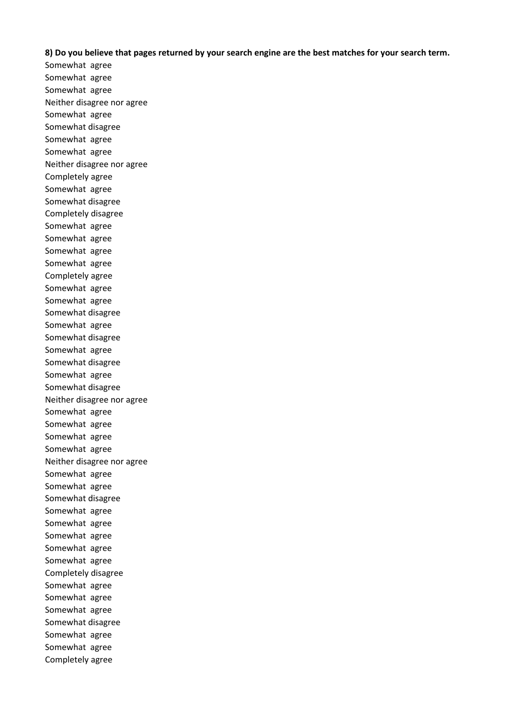**8) Do you believe that pages returned by your search engine are the best matches for your search term.**

Somewhat agree Somewhat agree Somewhat agree Neither disagree nor agree Somewhat agree Somewhat disagree Somewhat agree Somewhat agree Neither disagree nor agree Completely agree Somewhat agree Somewhat disagree Completely disagree Somewhat agree Somewhat agree Somewhat agree Somewhat agree Completely agree Somewhat agree Somewhat agree Somewhat disagree Somewhat agree Somewhat disagree Somewhat agree Somewhat disagree Somewhat agree Somewhat disagree Neither disagree nor agree Somewhat agree Somewhat agree Somewhat agree Somewhat agree Neither disagree nor agree Somewhat agree Somewhat agree Somewhat disagree Somewhat agree Somewhat agree Somewhat agree Somewhat agree Somewhat agree Completely disagree Somewhat agree Somewhat agree Somewhat agree Somewhat disagree Somewhat agree Somewhat agree Completely agree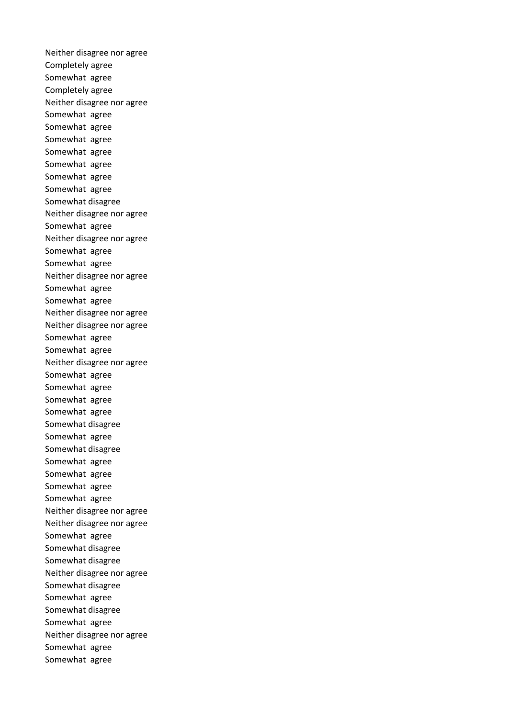Neither disagree nor agree Completely agree Somewhat agree Completely agree Neither disagree nor agree Somewhat agree Somewhat agree Somewhat agree Somewhat agree Somewhat agree Somewhat agree Somewhat agree Somewhat disagree Neither disagree nor agree Somewhat agree Neither disagree nor agree Somewhat agree Somewhat agree Neither disagree nor agree Somewhat agree Somewhat agree Neither disagree nor agree Neither disagree nor agree Somewhat agree Somewhat agree Neither disagree nor agree Somewhat agree Somewhat agree Somewhat agree Somewhat agree Somewhat disagree Somewhat agree Somewhat disagree Somewhat agree Somewhat agree Somewhat agree Somewhat agree Neither disagree nor agree Neither disagree nor agree Somewhat agree Somewhat disagree Somewhat disagree Neither disagree nor agree Somewhat disagree Somewhat agree Somewhat disagree Somewhat agree Neither disagree nor agree Somewhat agree Somewhat agree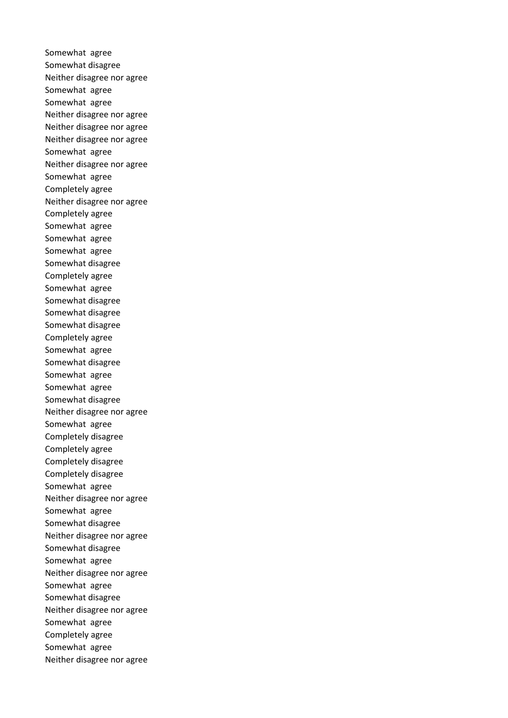Somewhat agree Somewhat disagree Neither disagree nor agree Somewhat agree Somewhat agree Neither disagree nor agree Neither disagree nor agree Neither disagree nor agree Somewhat agree Neither disagree nor agree Somewhat agree Completely agree Neither disagree nor agree Completely agree Somewhat agree Somewhat agree Somewhat agree Somewhat disagree Completely agree Somewhat agree Somewhat disagree Somewhat disagree Somewhat disagree Completely agree Somewhat agree Somewhat disagree Somewhat agree Somewhat agree Somewhat disagree Neither disagree nor agree Somewhat agree Completely disagree Completely agree Completely disagree Completely disagree Somewhat agree Neither disagree nor agree Somewhat agree Somewhat disagree Neither disagree nor agree Somewhat disagree Somewhat agree Neither disagree nor agree Somewhat agree Somewhat disagree Neither disagree nor agree Somewhat agree Completely agree Somewhat agree Neither disagree nor agree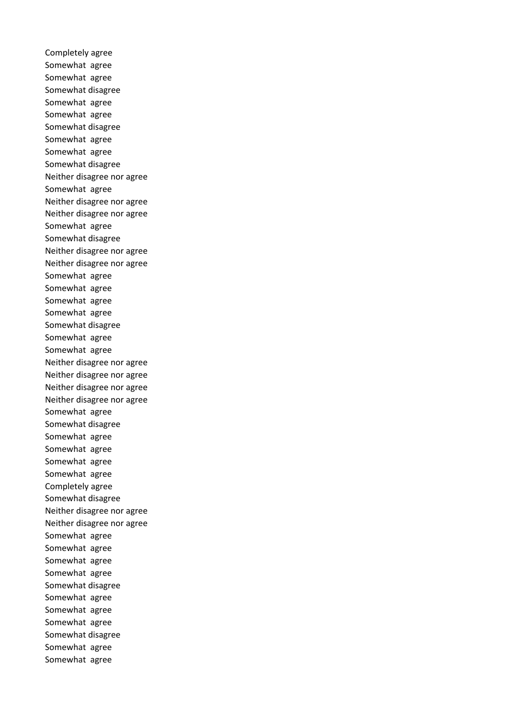Completely agree Somewhat agree Somewhat agree Somewhat disagree Somewhat agree Somewhat agree Somewhat disagree Somewhat agree Somewhat agree Somewhat disagree Neither disagree nor agree Somewhat agree Neither disagree nor agree Neither disagree nor agree Somewhat agree Somewhat disagree Neither disagree nor agree Neither disagree nor agree Somewhat agree Somewhat agree Somewhat agree Somewhat agree Somewhat disagree Somewhat agree Somewhat agree Neither disagree nor agree Neither disagree nor agree Neither disagree nor agree Neither disagree nor agree Somewhat agree Somewhat disagree Somewhat agree Somewhat agree Somewhat agree Somewhat agree Completely agree Somewhat disagree Neither disagree nor agree Neither disagree nor agree Somewhat agree Somewhat agree Somewhat agree Somewhat agree Somewhat disagree Somewhat agree Somewhat agree Somewhat agree Somewhat disagree Somewhat agree Somewhat agree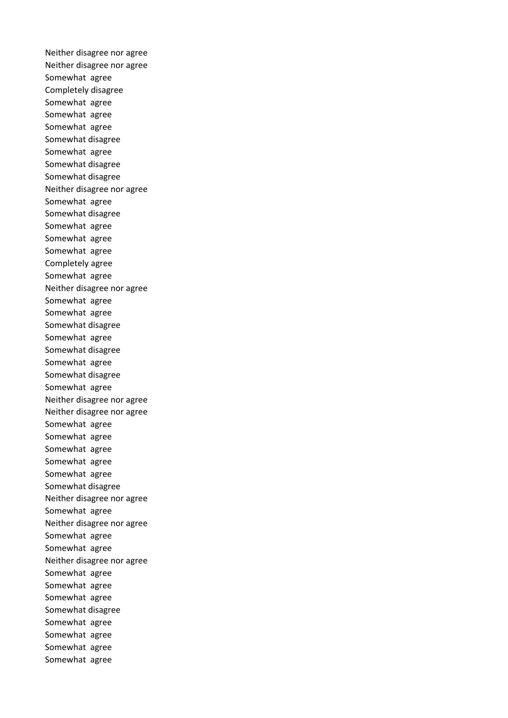Neither disagree nor agree Neither disagree nor agree Somewhat agree Completely disagree Somewhat agree Somewhat agree Somewhat agree Somewhat disagree Somewhat agree Somewhat disagree Somewhat disagree Neither disagree nor agree Somewhat agree Somewhat disagree Somewhat agree Somewhat agree Somewhat agree Completely agree Somewhat agree Neither disagree nor agree Somewhat agree Somewhat agree Somewhat disagree Somewhat agree Somewhat disagree Somewhat agree Somewhat disagree Somewhat agree Neither disagree nor agree Neither disagree nor agree Somewhat agree Somewhat agree Somewhat agree Somewhat agree Somewhat agree Somewhat disagree Neither disagree nor agree Somewhat agree Neither disagree nor agree Somewhat agree Somewhat agree Neither disagree nor agree Somewhat agree Somewhat agree Somewhat agree Somewhat disagree Somewhat agree Somewhat agree Somewhat agree Somewhat agree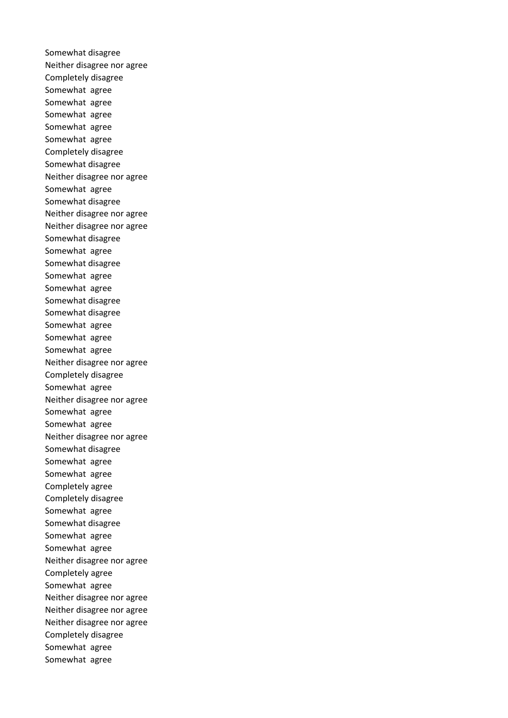Somewhat disagree Neither disagree nor agree Completely disagree Somewhat agree Somewhat agree Somewhat agree Somewhat agree Somewhat agree Completely disagree Somewhat disagree Neither disagree nor agree Somewhat agree Somewhat disagree Neither disagree nor agree Neither disagree nor agree Somewhat disagree Somewhat agree Somewhat disagree Somewhat agree Somewhat agree Somewhat disagree Somewhat disagree Somewhat agree Somewhat agree Somewhat agree Neither disagree nor agree Completely disagree Somewhat agree Neither disagree nor agree Somewhat agree Somewhat agree Neither disagree nor agree Somewhat disagree Somewhat agree Somewhat agree Completely agree Completely disagree Somewhat agree Somewhat disagree Somewhat agree Somewhat agree Neither disagree nor agree Completely agree Somewhat agree Neither disagree nor agree Neither disagree nor agree Neither disagree nor agree Completely disagree Somewhat agree Somewhat agree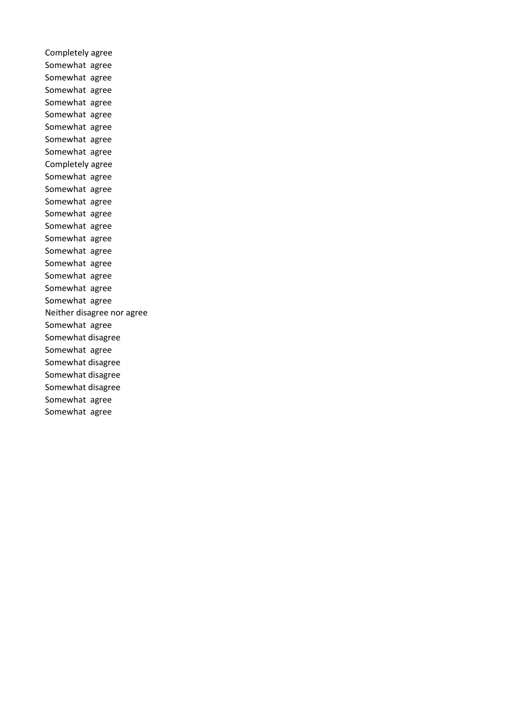Completely agree Somewhat agree Somewhat agree Somewhat agree Somewhat agree Somewhat agree Somewhat agree Somewhat agree Somewhat agree Completely agree Somewhat agree Somewhat agree Somewhat agree Somewhat agree Somewhat agree Somewhat agree Somewhat agree Somewhat agree Somewhat agree Somewhat agree Somewhat agree Neither disagree nor agree Somewhat agree Somewhat disagree Somewhat agree Somewhat disagree Somewhat disagree Somewhat disagree Somewhat agree Somewhat agree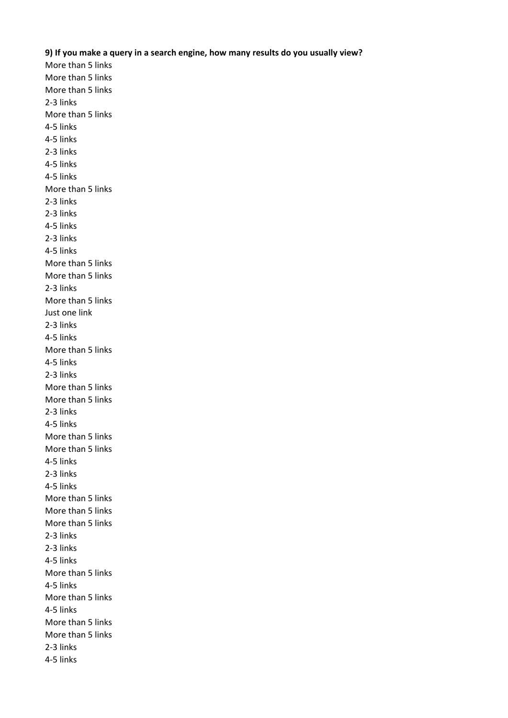## **9) If you make a query in a search engine, how many results do you usually view?**

More than 5 links More than 5 links More than 5 links 2-3 links More than 5 links 4-5 links 4-5 links 2-3 links 4-5 links 4-5 links More than 5 links 2-3 links 2-3 links 4-5 links 2-3 links 4-5 links More than 5 links More than 5 links 2-3 links More than 5 links Just one link 2-3 links 4-5 links More than 5 links 4-5 links 2-3 links More than 5 links More than 5 links 2-3 links 4-5 links More than 5 links More than 5 links 4-5 links 2-3 links 4-5 links More than 5 links More than 5 links More than 5 links 2-3 links 2-3 links 4-5 links More than 5 links 4-5 links More than 5 links 4-5 links More than 5 links More than 5 links 2-3 links 4-5 links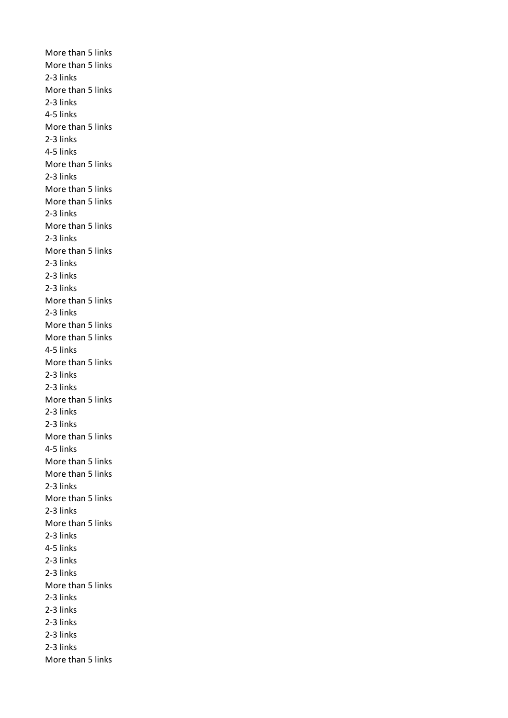More than 5 links More than 5 links 2-3 links More than 5 links 2-3 links 4-5 links More than 5 links 2-3 links 4-5 links More than 5 links 2-3 links More than 5 links More than 5 links 2-3 links More than 5 links 2-3 links More than 5 links 2-3 links 2-3 links 2-3 links More than 5 links 2-3 links More than 5 links More than 5 links 4-5 links More than 5 links 2-3 links 2-3 links More than 5 links 2-3 links 2-3 links More than 5 links 4-5 links More than 5 links More than 5 links 2-3 links More than 5 links 2-3 links More than 5 links 2-3 links 4-5 links 2-3 links 2-3 links More than 5 links 2-3 links 2-3 links 2-3 links 2-3 links 2-3 links More than 5 links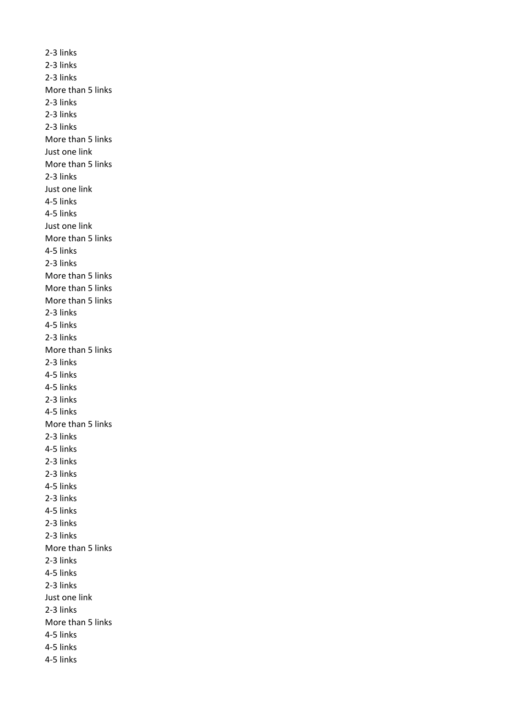2-3 links 2-3 links 2-3 links More than 5 links 2-3 links 2-3 links 2-3 links More than 5 links Just one link More than 5 links 2-3 links Just one link 4-5 links 4-5 links Just one link More than 5 links 4-5 links 2-3 links More than 5 links More than 5 links More than 5 links 2-3 links 4-5 links 2-3 links More than 5 links 2-3 links 4-5 links 4-5 links 2-3 links 4-5 links More than 5 links 2-3 links 4-5 links 2-3 links 2-3 links 4-5 links 2-3 links 4-5 links 2-3 links 2-3 links More than 5 links 2-3 links 4-5 links 2-3 links Just one link 2-3 links More than 5 links 4-5 links 4-5 links 4-5 links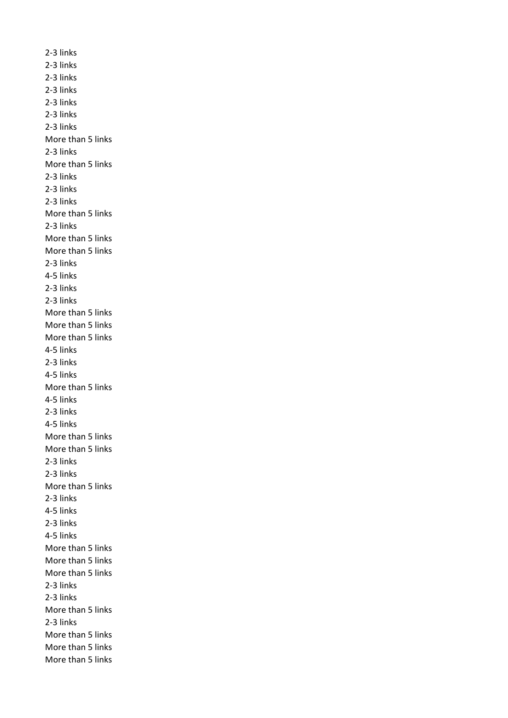2-3 links 2-3 links 2-3 links 2-3 links 2-3 links 2-3 links 2-3 links More than 5 links 2-3 links More than 5 links 2-3 links 2-3 links 2-3 links More than 5 links 2-3 links More than 5 links More than 5 links 2-3 links 4-5 links 2-3 links 2-3 links More than 5 links More than 5 links More than 5 links 4-5 links 2-3 links 4-5 links More than 5 links 4-5 links 2-3 links 4-5 links More than 5 links More than 5 links 2-3 links 2-3 links More than 5 links 2-3 links 4-5 links 2-3 links 4-5 links More than 5 links More than 5 links More than 5 links 2-3 links 2-3 links More than 5 links 2-3 links More than 5 links More than 5 links More than 5 links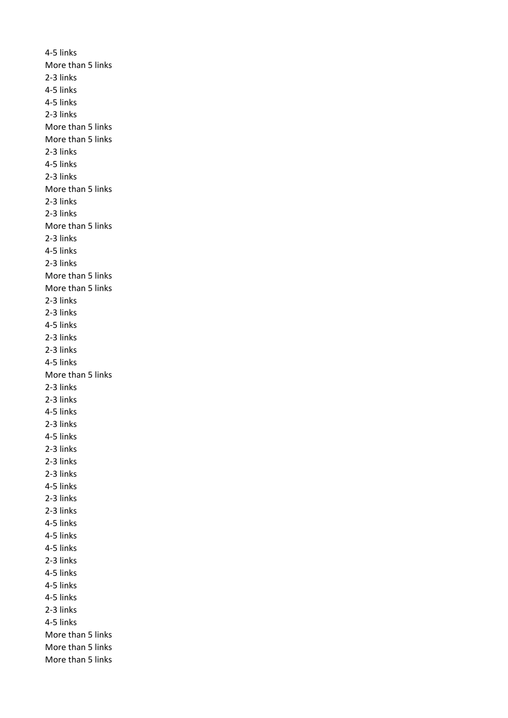4-5 links More than 5 links 2-3 links 4-5 links 4-5 links 2-3 links More than 5 links More than 5 links 2-3 links 4-5 links 2-3 links More than 5 links 2-3 links 2-3 links More than 5 links 2-3 links 4-5 links 2-3 links More than 5 links More than 5 links 2-3 links 2-3 links 4-5 links 2-3 links 2-3 links 4-5 links More than 5 links 2-3 links 2-3 links 4-5 links 2-3 links 4-5 links 2-3 links 2-3 links 2-3 links 4-5 links 2-3 links 2-3 links 4-5 links 4-5 links 4-5 links 2-3 links 4-5 links 4-5 links 4-5 links 2-3 links 4-5 links More than 5 links More than 5 links More than 5 links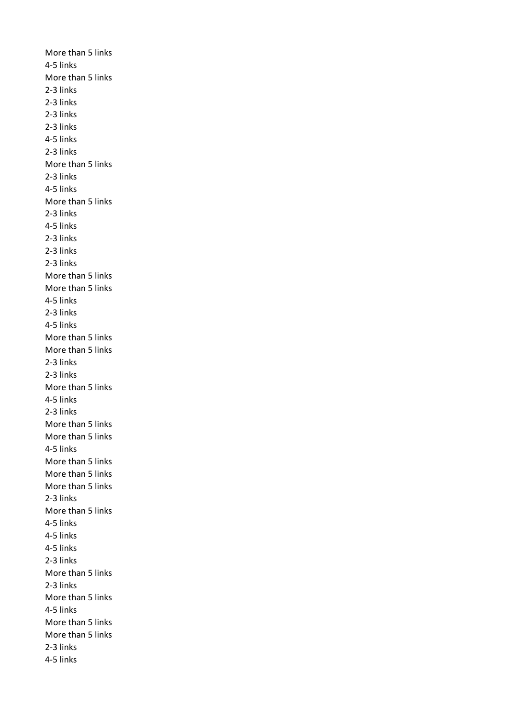More than 5 links 4-5 links More than 5 links 2-3 links 2-3 links 2-3 links 2-3 links 4-5 links 2-3 links More than 5 links 2-3 links 4-5 links More than 5 links 2-3 links 4-5 links 2-3 links 2-3 links 2-3 links More than 5 links More than 5 links 4-5 links 2-3 links 4-5 links More than 5 links More than 5 links 2-3 links 2-3 links More than 5 links 4-5 links 2-3 links More than 5 links More than 5 links 4-5 links More than 5 links More than 5 links More than 5 links 2-3 links More than 5 links 4-5 links 4-5 links 4-5 links 2-3 links More than 5 links 2-3 links More than 5 links 4-5 links More than 5 links More than 5 links 2-3 links 4-5 links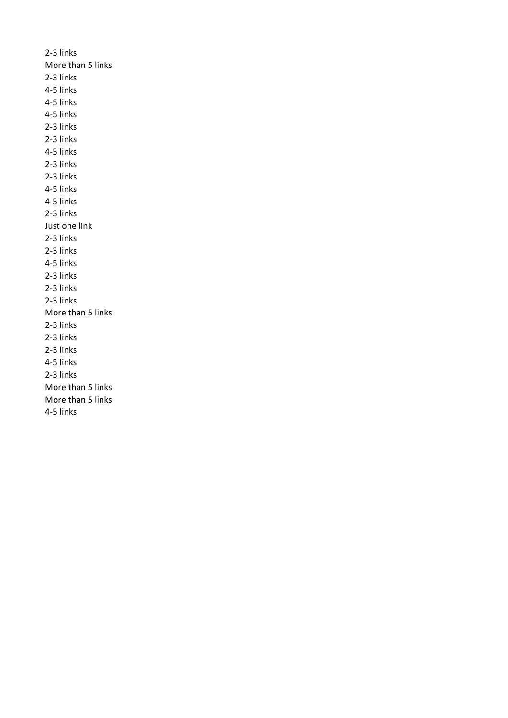2-3 links More than 5 links 2-3 links 4-5 links 4-5 links 4-5 links 2-3 links 2-3 links 4-5 links 2-3 links 2-3 links 4-5 links 4-5 links 2-3 links Just one link 2-3 links 2-3 links 4-5 links 2-3 links 2-3 links 2-3 links More than 5 links 2-3 links 2-3 links 2-3 links 4-5 links 2-3 links More than 5 links More than 5 links 4-5 links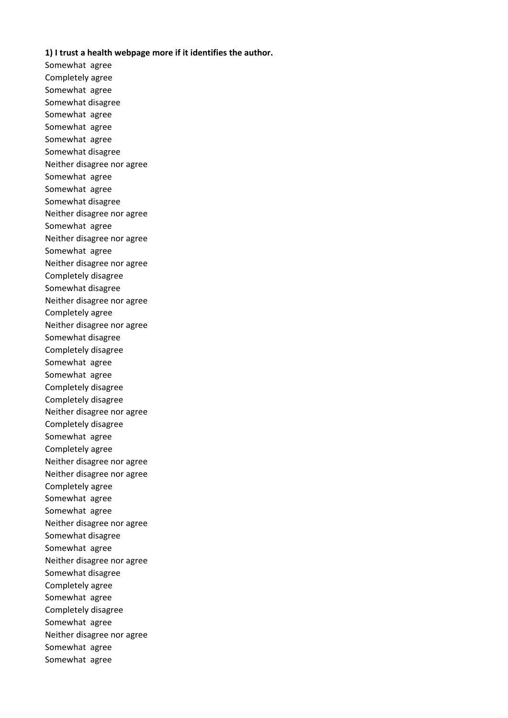## **1) I trust a health webpage more if it identifies the author.**

Somewhat agree Completely agree Somewhat agree Somewhat disagree Somewhat agree Somewhat agree Somewhat agree Somewhat disagree Neither disagree nor agree Somewhat agree Somewhat agree Somewhat disagree Neither disagree nor agree Somewhat agree Neither disagree nor agree Somewhat agree Neither disagree nor agree Completely disagree Somewhat disagree Neither disagree nor agree Completely agree Neither disagree nor agree Somewhat disagree Completely disagree Somewhat agree Somewhat agree Completely disagree Completely disagree Neither disagree nor agree Completely disagree Somewhat agree Completely agree Neither disagree nor agree Neither disagree nor agree Completely agree Somewhat agree Somewhat agree Neither disagree nor agree Somewhat disagree Somewhat agree Neither disagree nor agree Somewhat disagree Completely agree Somewhat agree Completely disagree Somewhat agree Neither disagree nor agree Somewhat agree Somewhat agree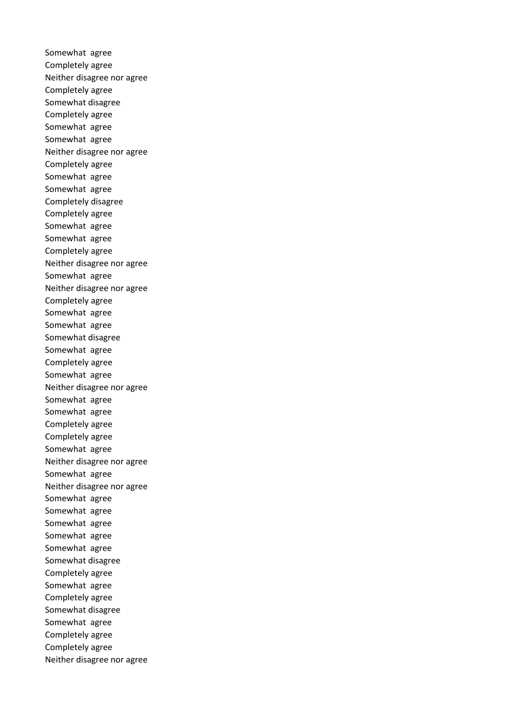Somewhat agree Completely agree Neither disagree nor agree Completely agree Somewhat disagree Completely agree Somewhat agree Somewhat agree Neither disagree nor agree Completely agree Somewhat agree Somewhat agree Completely disagree Completely agree Somewhat agree Somewhat agree Completely agree Neither disagree nor agree Somewhat agree Neither disagree nor agree Completely agree Somewhat agree Somewhat agree Somewhat disagree Somewhat agree Completely agree Somewhat agree Neither disagree nor agree Somewhat agree Somewhat agree Completely agree Completely agree Somewhat agree Neither disagree nor agree Somewhat agree Neither disagree nor agree Somewhat agree Somewhat agree Somewhat agree Somewhat agree Somewhat agree Somewhat disagree Completely agree Somewhat agree Completely agree Somewhat disagree Somewhat agree Completely agree Completely agree Neither disagree nor agree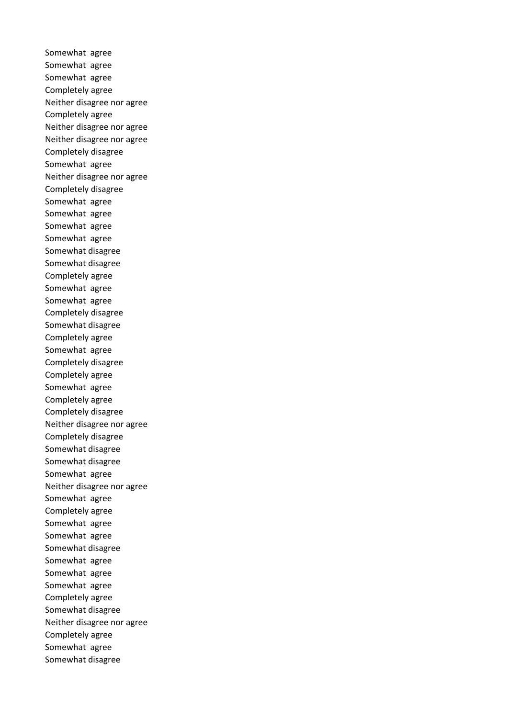Somewhat agree Somewhat agree Somewhat agree Completely agree Neither disagree nor agree Completely agree Neither disagree nor agree Neither disagree nor agree Completely disagree Somewhat agree Neither disagree nor agree Completely disagree Somewhat agree Somewhat agree Somewhat agree Somewhat agree Somewhat disagree Somewhat disagree Completely agree Somewhat agree Somewhat agree Completely disagree Somewhat disagree Completely agree Somewhat agree Completely disagree Completely agree Somewhat agree Completely agree Completely disagree Neither disagree nor agree Completely disagree Somewhat disagree Somewhat disagree Somewhat agree Neither disagree nor agree Somewhat agree Completely agree Somewhat agree Somewhat agree Somewhat disagree Somewhat agree Somewhat agree Somewhat agree Completely agree Somewhat disagree Neither disagree nor agree Completely agree Somewhat agree Somewhat disagree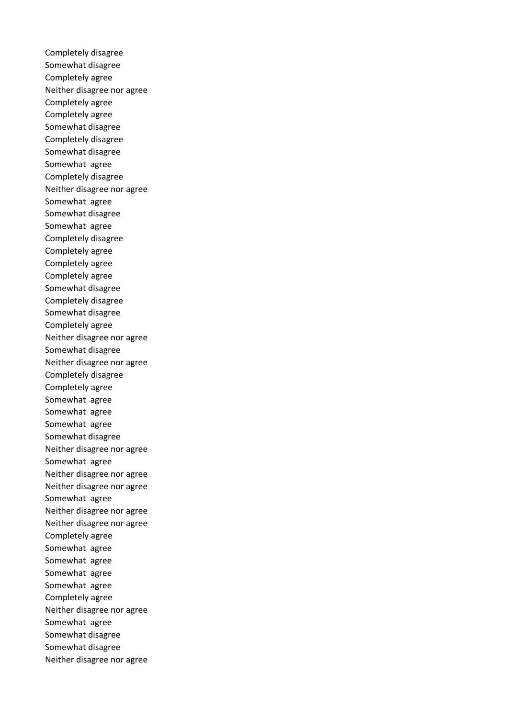Completely disagree Somewhat disagree Completely agree Neither disagree nor agree Completely agree Completely agree Somewhat disagree Completely disagree Somewhat disagree Somewhat agree Completely disagree Neither disagree nor agree Somewhat agree Somewhat disagree Somewhat agree Completely disagree Completely agree Completely agree Completely agree Somewhat disagree Completely disagree Somewhat disagree Completely agree Neither disagree nor agree Somewhat disagree Neither disagree nor agree Completely disagree Completely agree Somewhat agree Somewhat agree Somewhat agree Somewhat disagree Neither disagree nor agree Somewhat agree Neither disagree nor agree Neither disagree nor agree Somewhat agree Neither disagree nor agree Neither disagree nor agree Completely agree Somewhat agree Somewhat agree Somewhat agree Somewhat agree Completely agree Neither disagree nor agree Somewhat agree Somewhat disagree Somewhat disagree Neither disagree nor agree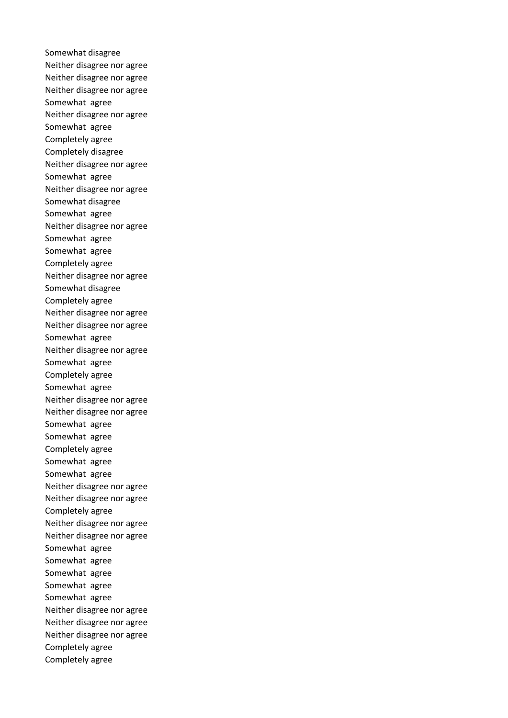Somewhat disagree Neither disagree nor agree Neither disagree nor agree Neither disagree nor agree Somewhat agree Neither disagree nor agree Somewhat agree Completely agree Completely disagree Neither disagree nor agree Somewhat agree Neither disagree nor agree Somewhat disagree Somewhat agree Neither disagree nor agree Somewhat agree Somewhat agree Completely agree Neither disagree nor agree Somewhat disagree Completely agree Neither disagree nor agree Neither disagree nor agree Somewhat agree Neither disagree nor agree Somewhat agree Completely agree Somewhat agree Neither disagree nor agree Neither disagree nor agree Somewhat agree Somewhat agree Completely agree Somewhat agree Somewhat agree Neither disagree nor agree Neither disagree nor agree Completely agree Neither disagree nor agree Neither disagree nor agree Somewhat agree Somewhat agree Somewhat agree Somewhat agree Somewhat agree Neither disagree nor agree Neither disagree nor agree Neither disagree nor agree Completely agree Completely agree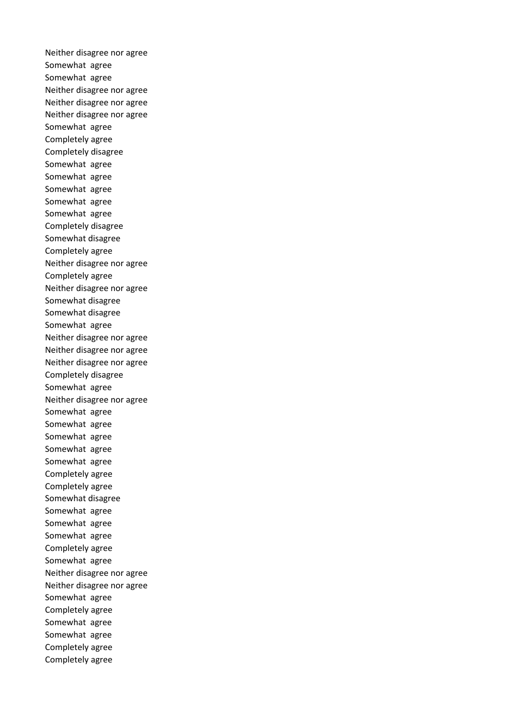Neither disagree nor agree Somewhat agree Somewhat agree Neither disagree nor agree Neither disagree nor agree Neither disagree nor agree Somewhat agree Completely agree Completely disagree Somewhat agree Somewhat agree Somewhat agree Somewhat agree Somewhat agree Completely disagree Somewhat disagree Completely agree Neither disagree nor agree Completely agree Neither disagree nor agree Somewhat disagree Somewhat disagree Somewhat agree Neither disagree nor agree Neither disagree nor agree Neither disagree nor agree Completely disagree Somewhat agree Neither disagree nor agree Somewhat agree Somewhat agree Somewhat agree Somewhat agree Somewhat agree Completely agree Completely agree Somewhat disagree Somewhat agree Somewhat agree Somewhat agree Completely agree Somewhat agree Neither disagree nor agree Neither disagree nor agree Somewhat agree Completely agree Somewhat agree Somewhat agree Completely agree Completely agree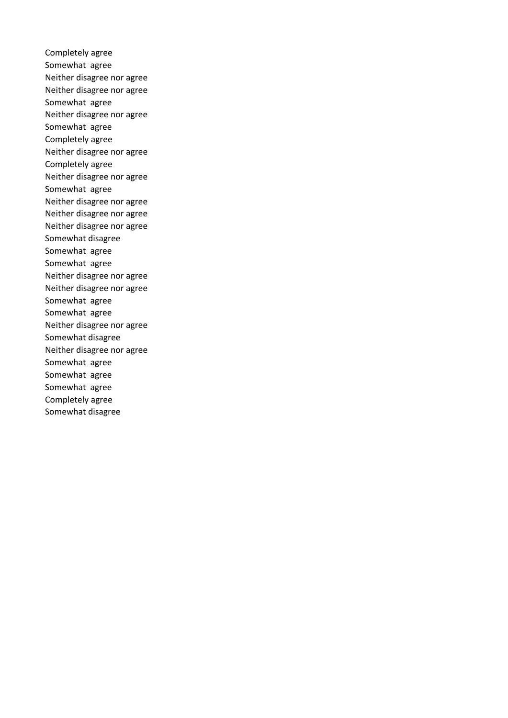Completely agree Somewhat agree Neither disagree nor agree Neither disagree nor agree Somewhat agree Neither disagree nor agree Somewhat agree Completely agree Neither disagree nor agree Completely agree Neither disagree nor agree Somewhat agree Neither disagree nor agree Neither disagree nor agree Neither disagree nor agree Somewhat disagree Somewhat agree Somewhat agree Neither disagree nor agree Neither disagree nor agree Somewhat agree Somewhat agree Neither disagree nor agree Somewhat disagree Neither disagree nor agree Somewhat agree Somewhat agree Somewhat agree Completely agree Somewhat disagree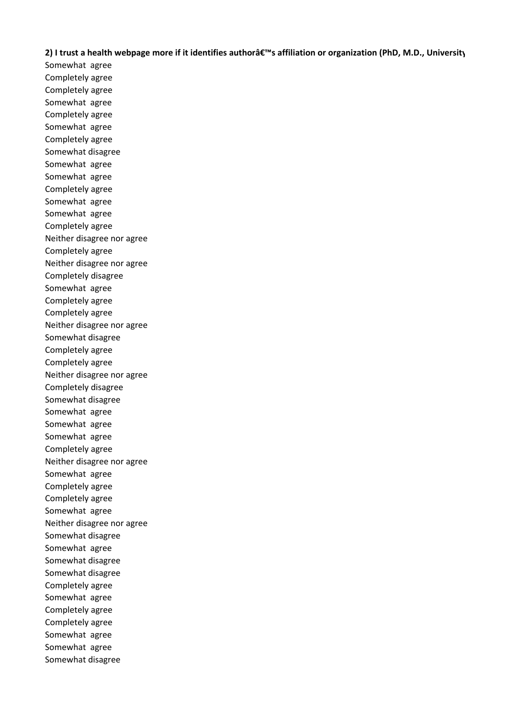# **2)** I trust a health webpage more if it identifies author's affiliation or organization (PhD, M.D., University

Somewhat agree Completely agree Completely agree Somewhat agree Completely agree Somewhat agree Completely agree Somewhat disagree Somewhat agree Somewhat agree Completely agree Somewhat agree Somewhat agree Completely agree Neither disagree nor agree Completely agree Neither disagree nor agree Completely disagree Somewhat agree Completely agree Completely agree Neither disagree nor agree Somewhat disagree Completely agree Completely agree Neither disagree nor agree Completely disagree Somewhat disagree Somewhat agree Somewhat agree Somewhat agree Completely agree Neither disagree nor agree Somewhat agree Completely agree Completely agree Somewhat agree Neither disagree nor agree Somewhat disagree Somewhat agree Somewhat disagree Somewhat disagree Completely agree Somewhat agree Completely agree Completely agree Somewhat agree Somewhat agree Somewhat disagree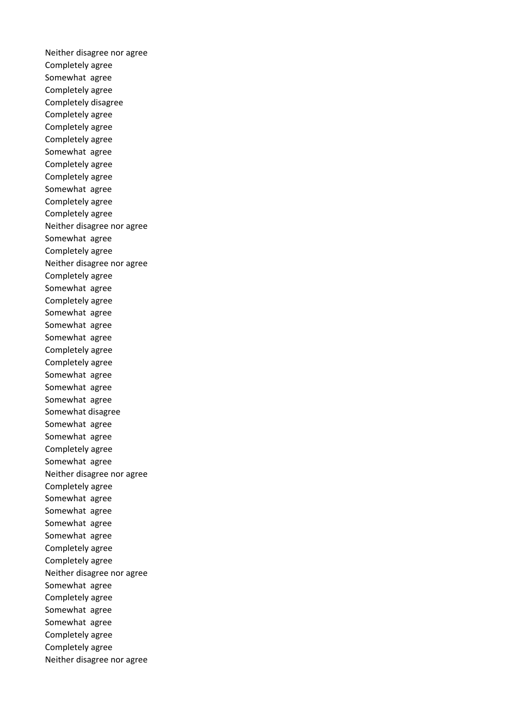Neither disagree nor agree Completely agree Somewhat agree Completely agree Completely disagree Completely agree Completely agree Completely agree Somewhat agree Completely agree Completely agree Somewhat agree Completely agree Completely agree Neither disagree nor agree Somewhat agree Completely agree Neither disagree nor agree Completely agree Somewhat agree Completely agree Somewhat agree Somewhat agree Somewhat agree Completely agree Completely agree Somewhat agree Somewhat agree Somewhat agree Somewhat disagree Somewhat agree Somewhat agree Completely agree Somewhat agree Neither disagree nor agree Completely agree Somewhat agree Somewhat agree Somewhat agree Somewhat agree Completely agree Completely agree Neither disagree nor agree Somewhat agree Completely agree Somewhat agree Somewhat agree Completely agree Completely agree Neither disagree nor agree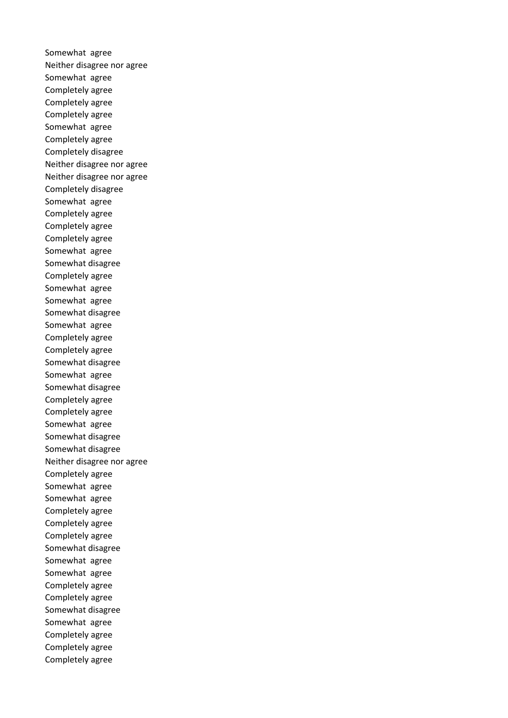Somewhat agree Neither disagree nor agree Somewhat agree Completely agree Completely agree Completely agree Somewhat agree Completely agree Completely disagree Neither disagree nor agree Neither disagree nor agree Completely disagree Somewhat agree Completely agree Completely agree Completely agree Somewhat agree Somewhat disagree Completely agree Somewhat agree Somewhat agree Somewhat disagree Somewhat agree Completely agree Completely agree Somewhat disagree Somewhat agree Somewhat disagree Completely agree Completely agree Somewhat agree Somewhat disagree Somewhat disagree Neither disagree nor agree Completely agree Somewhat agree Somewhat agree Completely agree Completely agree Completely agree Somewhat disagree Somewhat agree Somewhat agree Completely agree Completely agree Somewhat disagree Somewhat agree Completely agree Completely agree Completely agree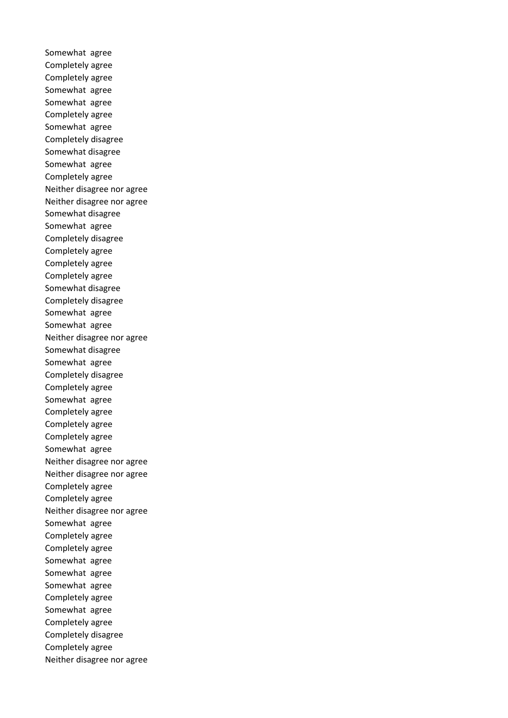Somewhat agree Completely agree Completely agree Somewhat agree Somewhat agree Completely agree Somewhat agree Completely disagree Somewhat disagree Somewhat agree Completely agree Neither disagree nor agree Neither disagree nor agree Somewhat disagree Somewhat agree Completely disagree Completely agree Completely agree Completely agree Somewhat disagree Completely disagree Somewhat agree Somewhat agree Neither disagree nor agree Somewhat disagree Somewhat agree Completely disagree Completely agree Somewhat agree Completely agree Completely agree Completely agree Somewhat agree Neither disagree nor agree Neither disagree nor agree Completely agree Completely agree Neither disagree nor agree Somewhat agree Completely agree Completely agree Somewhat agree Somewhat agree Somewhat agree Completely agree Somewhat agree Completely agree Completely disagree Completely agree Neither disagree nor agree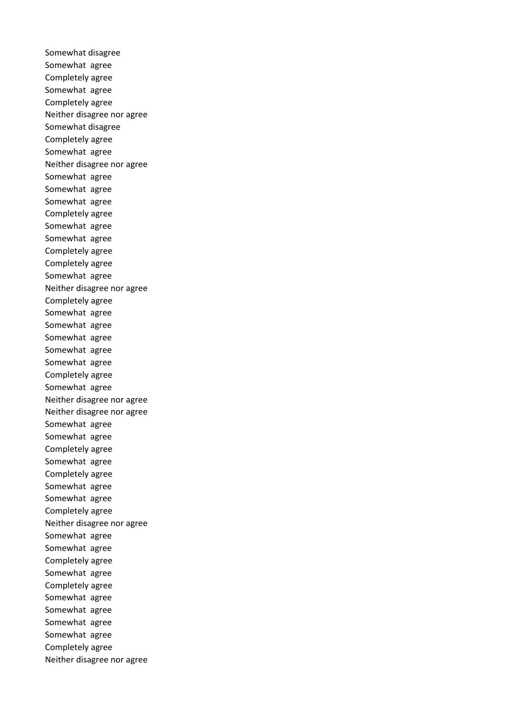Somewhat disagree Somewhat agree Completely agree Somewhat agree Completely agree Neither disagree nor agree Somewhat disagree Completely agree Somewhat agree Neither disagree nor agree Somewhat agree Somewhat agree Somewhat agree Completely agree Somewhat agree Somewhat agree Completely agree Completely agree Somewhat agree Neither disagree nor agree Completely agree Somewhat agree Somewhat agree Somewhat agree Somewhat agree Somewhat agree Completely agree Somewhat agree Neither disagree nor agree Neither disagree nor agree Somewhat agree Somewhat agree Completely agree Somewhat agree Completely agree Somewhat agree Somewhat agree Completely agree Neither disagree nor agree Somewhat agree Somewhat agree Completely agree Somewhat agree Completely agree Somewhat agree Somewhat agree Somewhat agree Somewhat agree Completely agree Neither disagree nor agree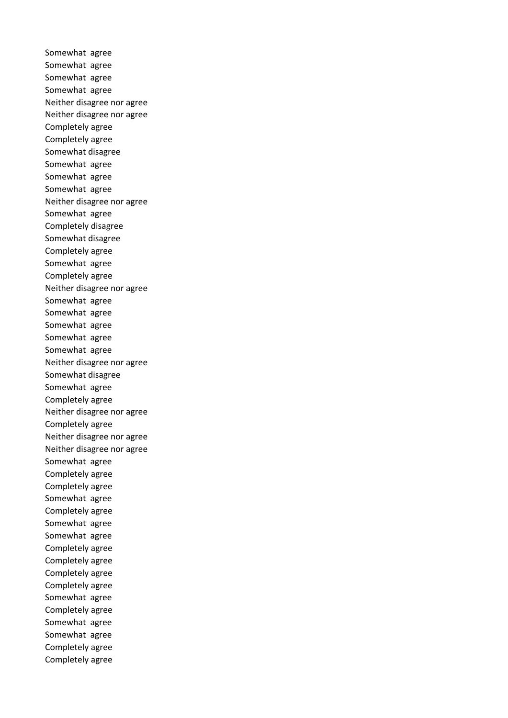Somewhat agree Somewhat agree Somewhat agree Somewhat agree Neither disagree nor agree Neither disagree nor agree Completely agree Completely agree Somewhat disagree Somewhat agree Somewhat agree Somewhat agree Neither disagree nor agree Somewhat agree Completely disagree Somewhat disagree Completely agree Somewhat agree Completely agree Neither disagree nor agree Somewhat agree Somewhat agree Somewhat agree Somewhat agree Somewhat agree Neither disagree nor agree Somewhat disagree Somewhat agree Completely agree Neither disagree nor agree Completely agree Neither disagree nor agree Neither disagree nor agree Somewhat agree Completely agree Completely agree Somewhat agree Completely agree Somewhat agree Somewhat agree Completely agree Completely agree Completely agree Completely agree Somewhat agree Completely agree Somewhat agree Somewhat agree Completely agree Completely agree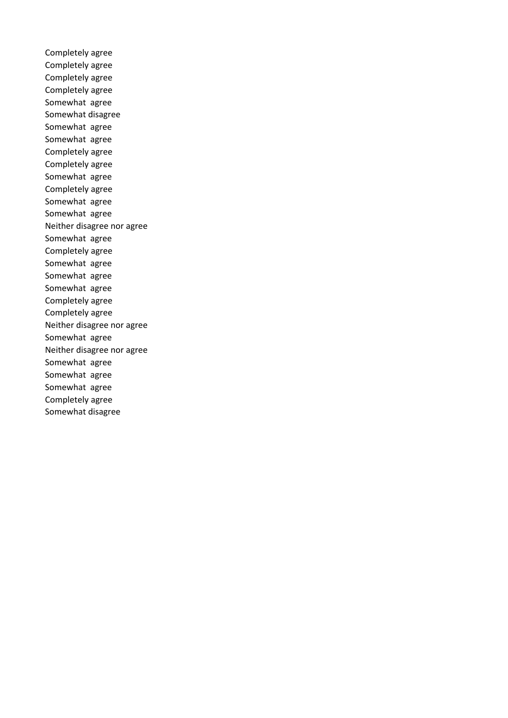Completely agree Completely agree Completely agree Completely agree Somewhat agree Somewhat disagree Somewhat agree Somewhat agree Completely agree Completely agree Somewhat agree Completely agree Somewhat agree Somewhat agree Neither disagree nor agree Somewhat agree Completely agree Somewhat agree Somewhat agree Somewhat agree Completely agree Completely agree Neither disagree nor agree Somewhat agree Neither disagree nor agree Somewhat agree Somewhat agree Somewhat agree Completely agree Somewhat disagree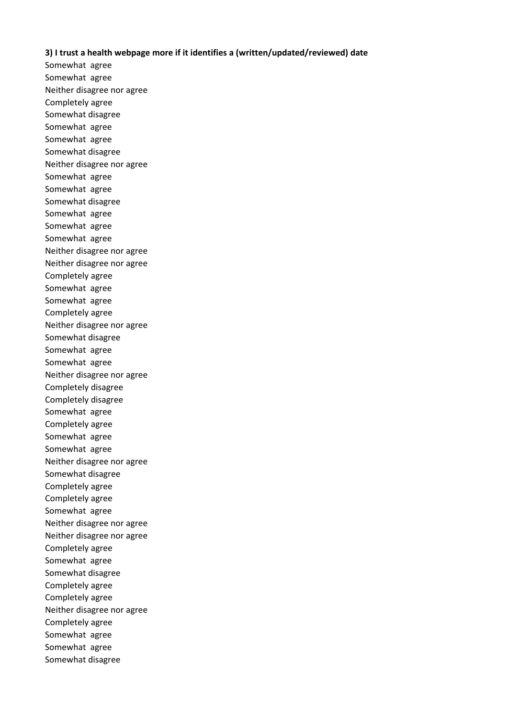# **3) I trust a health webpage more if it identifies a (written/updated/reviewed) date**

Somewhat agree Somewhat agree Neither disagree nor agree Completely agree Somewhat disagree Somewhat agree Somewhat agree Somewhat disagree Neither disagree nor agree Somewhat agree Somewhat agree Somewhat disagree Somewhat agree Somewhat agree Somewhat agree Neither disagree nor agree Neither disagree nor agree Completely agree Somewhat agree Somewhat agree Completely agree Neither disagree nor agree Somewhat disagree Somewhat agree Somewhat agree Neither disagree nor agree Completely disagree Completely disagree Somewhat agree Completely agree Somewhat agree Somewhat agree Neither disagree nor agree Somewhat disagree Completely agree Completely agree Somewhat agree Neither disagree nor agree Neither disagree nor agree Completely agree Somewhat agree Somewhat disagree Completely agree Completely agree Neither disagree nor agree Completely agree Somewhat agree Somewhat agree Somewhat disagree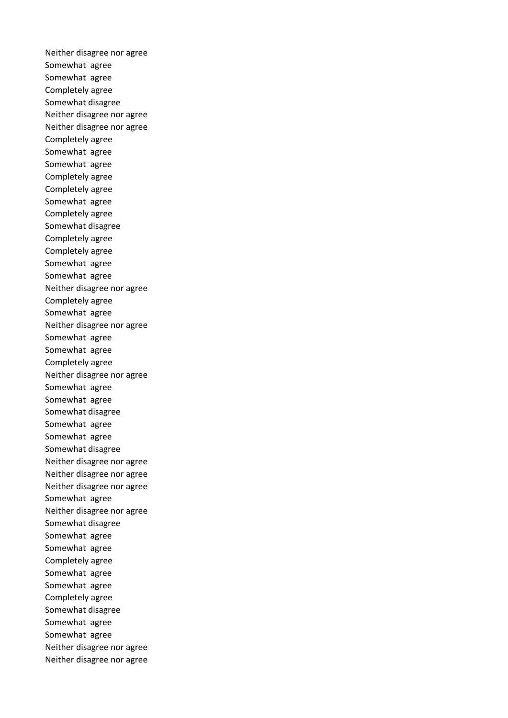Neither disagree nor agree Somewhat agree Somewhat agree Completely agree Somewhat disagree Neither disagree nor agree Neither disagree nor agree Completely agree Somewhat agree Somewhat agree Completely agree Completely agree Somewhat agree Completely agree Somewhat disagree Completely agree Completely agree Somewhat agree Somewhat agree Neither disagree nor agree Completely agree Somewhat agree Neither disagree nor agree Somewhat agree Somewhat agree Completely agree Neither disagree nor agree Somewhat agree Somewhat agree Somewhat disagree Somewhat agree Somewhat agree Somewhat disagree Neither disagree nor agree Neither disagree nor agree Neither disagree nor agree Somewhat agree Neither disagree nor agree Somewhat disagree Somewhat agree Somewhat agree Completely agree Somewhat agree Somewhat agree Completely agree Somewhat disagree Somewhat agree Somewhat agree Neither disagree nor agree Neither disagree nor agree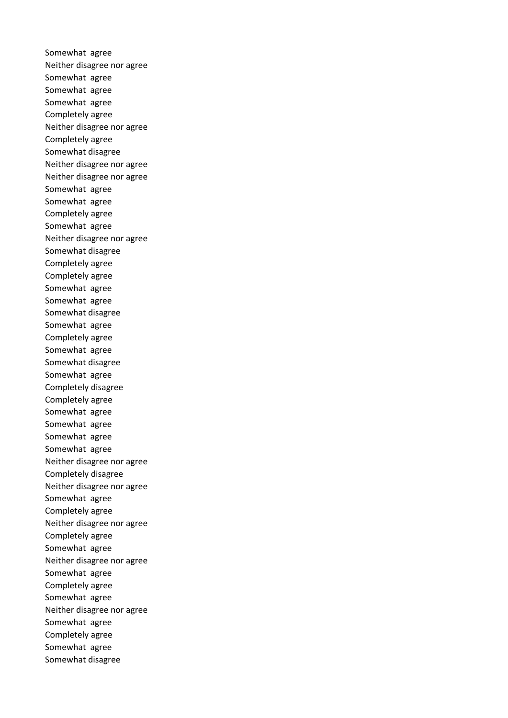Somewhat agree Neither disagree nor agree Somewhat agree Somewhat agree Somewhat agree Completely agree Neither disagree nor agree Completely agree Somewhat disagree Neither disagree nor agree Neither disagree nor agree Somewhat agree Somewhat agree Completely agree Somewhat agree Neither disagree nor agree Somewhat disagree Completely agree Completely agree Somewhat agree Somewhat agree Somewhat disagree Somewhat agree Completely agree Somewhat agree Somewhat disagree Somewhat agree Completely disagree Completely agree Somewhat agree Somewhat agree Somewhat agree Somewhat agree Neither disagree nor agree Completely disagree Neither disagree nor agree Somewhat agree Completely agree Neither disagree nor agree Completely agree Somewhat agree Neither disagree nor agree Somewhat agree Completely agree Somewhat agree Neither disagree nor agree Somewhat agree Completely agree Somewhat agree Somewhat disagree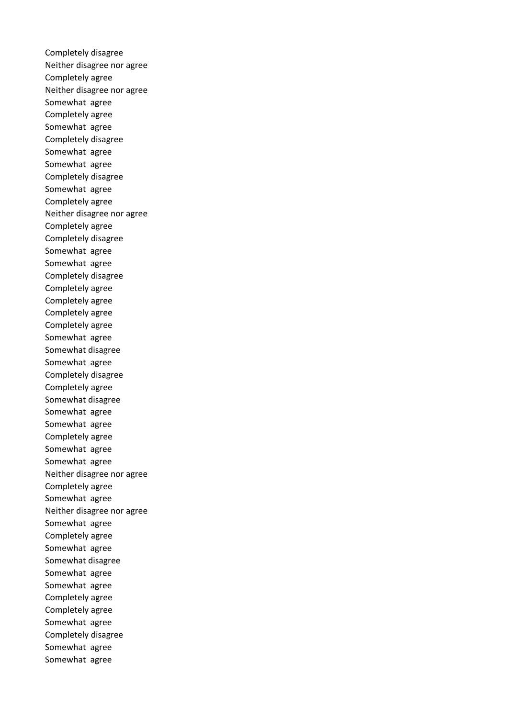Completely disagree Neither disagree nor agree Completely agree Neither disagree nor agree Somewhat agree Completely agree Somewhat agree Completely disagree Somewhat agree Somewhat agree Completely disagree Somewhat agree Completely agree Neither disagree nor agree Completely agree Completely disagree Somewhat agree Somewhat agree Completely disagree Completely agree Completely agree Completely agree Completely agree Somewhat agree Somewhat disagree Somewhat agree Completely disagree Completely agree Somewhat disagree Somewhat agree Somewhat agree Completely agree Somewhat agree Somewhat agree Neither disagree nor agree Completely agree Somewhat agree Neither disagree nor agree Somewhat agree Completely agree Somewhat agree Somewhat disagree Somewhat agree Somewhat agree Completely agree Completely agree Somewhat agree Completely disagree Somewhat agree Somewhat agree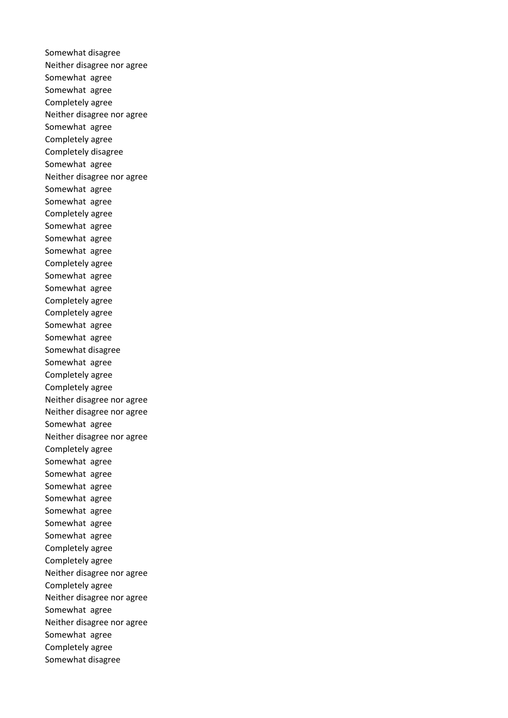Somewhat disagree Neither disagree nor agree Somewhat agree Somewhat agree Completely agree Neither disagree nor agree Somewhat agree Completely agree Completely disagree Somewhat agree Neither disagree nor agree Somewhat agree Somewhat agree Completely agree Somewhat agree Somewhat agree Somewhat agree Completely agree Somewhat agree Somewhat agree Completely agree Completely agree Somewhat agree Somewhat agree Somewhat disagree Somewhat agree Completely agree Completely agree Neither disagree nor agree Neither disagree nor agree Somewhat agree Neither disagree nor agree Completely agree Somewhat agree Somewhat agree Somewhat agree Somewhat agree Somewhat agree Somewhat agree Somewhat agree Completely agree Completely agree Neither disagree nor agree Completely agree Neither disagree nor agree Somewhat agree Neither disagree nor agree Somewhat agree Completely agree Somewhat disagree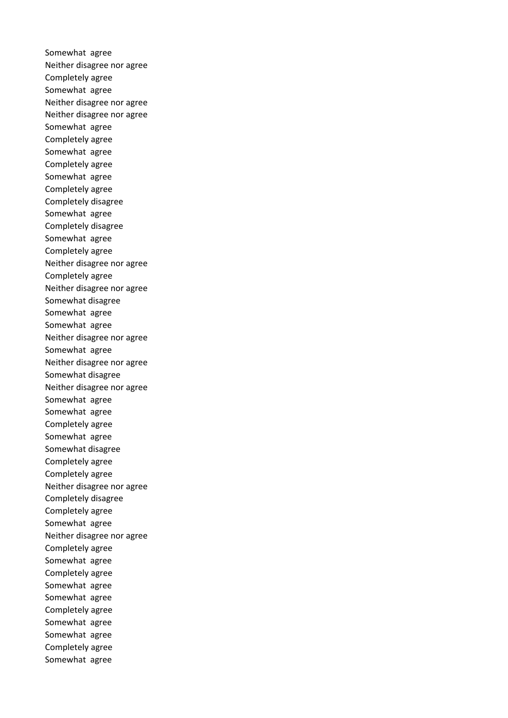Somewhat agree Neither disagree nor agree Completely agree Somewhat agree Neither disagree nor agree Neither disagree nor agree Somewhat agree Completely agree Somewhat agree Completely agree Somewhat agree Completely agree Completely disagree Somewhat agree Completely disagree Somewhat agree Completely agree Neither disagree nor agree Completely agree Neither disagree nor agree Somewhat disagree Somewhat agree Somewhat agree Neither disagree nor agree Somewhat agree Neither disagree nor agree Somewhat disagree Neither disagree nor agree Somewhat agree Somewhat agree Completely agree Somewhat agree Somewhat disagree Completely agree Completely agree Neither disagree nor agree Completely disagree Completely agree Somewhat agree Neither disagree nor agree Completely agree Somewhat agree Completely agree Somewhat agree Somewhat agree Completely agree Somewhat agree Somewhat agree Completely agree Somewhat agree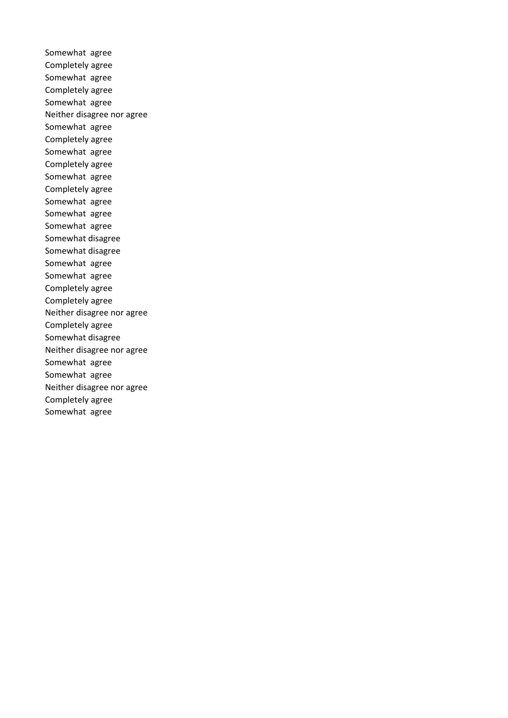Somewhat agree Completely agree Somewhat agree Completely agree Somewhat agree Neither disagree nor agree Somewhat agree Completely agree Somewhat agree Completely agree Somewhat agree Completely agree Somewhat agree Somewhat agree Somewhat agree Somewhat disagree Somewhat disagree Somewhat agree Somewhat agree Completely agree Completely agree Neither disagree nor agree Completely agree Somewhat disagree Neither disagree nor agree Somewhat agree Somewhat agree Neither disagree nor agree Completely agree Somewhat agree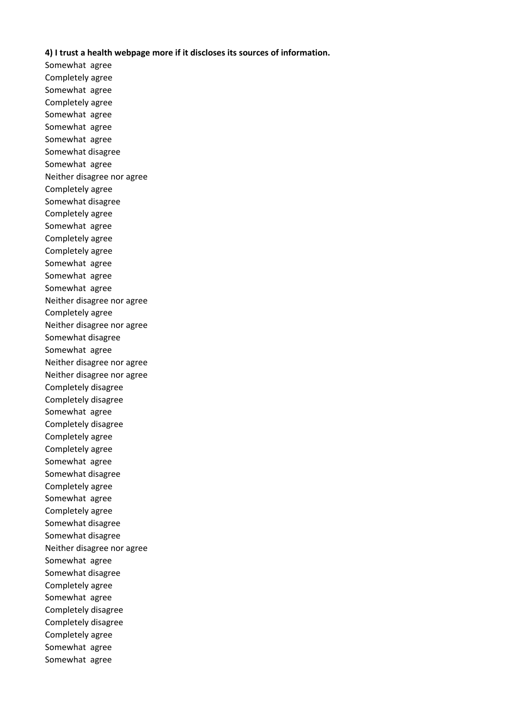# **4) I trust a health webpage more if it discloses its sources of information.**

Somewhat agree Completely agree Somewhat agree Completely agree Somewhat agree Somewhat agree Somewhat agree Somewhat disagree Somewhat agree Neither disagree nor agree Completely agree Somewhat disagree Completely agree Somewhat agree Completely agree Completely agree Somewhat agree Somewhat agree Somewhat agree Neither disagree nor agree Completely agree Neither disagree nor agree Somewhat disagree Somewhat agree Neither disagree nor agree Neither disagree nor agree Completely disagree Completely disagree Somewhat agree Completely disagree Completely agree Completely agree Somewhat agree Somewhat disagree Completely agree Somewhat agree Completely agree Somewhat disagree Somewhat disagree Neither disagree nor agree Somewhat agree Somewhat disagree Completely agree Somewhat agree Completely disagree Completely disagree Completely agree Somewhat agree Somewhat agree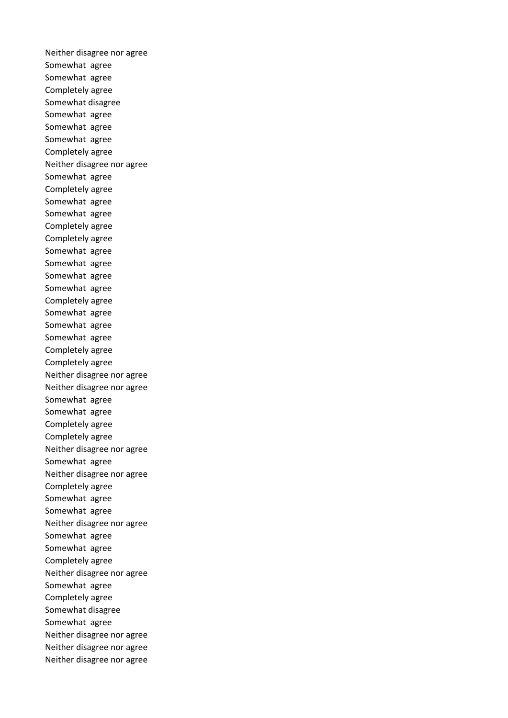Neither disagree nor agree Somewhat agree Somewhat agree Completely agree Somewhat disagree Somewhat agree Somewhat agree Somewhat agree Completely agree Neither disagree nor agree Somewhat agree Completely agree Somewhat agree Somewhat agree Completely agree Completely agree Somewhat agree Somewhat agree Somewhat agree Somewhat agree Completely agree Somewhat agree Somewhat agree Somewhat agree Completely agree Completely agree Neither disagree nor agree Neither disagree nor agree Somewhat agree Somewhat agree Completely agree Completely agree Neither disagree nor agree Somewhat agree Neither disagree nor agree Completely agree Somewhat agree Somewhat agree Neither disagree nor agree Somewhat agree Somewhat agree Completely agree Neither disagree nor agree Somewhat agree Completely agree Somewhat disagree Somewhat agree Neither disagree nor agree Neither disagree nor agree Neither disagree nor agree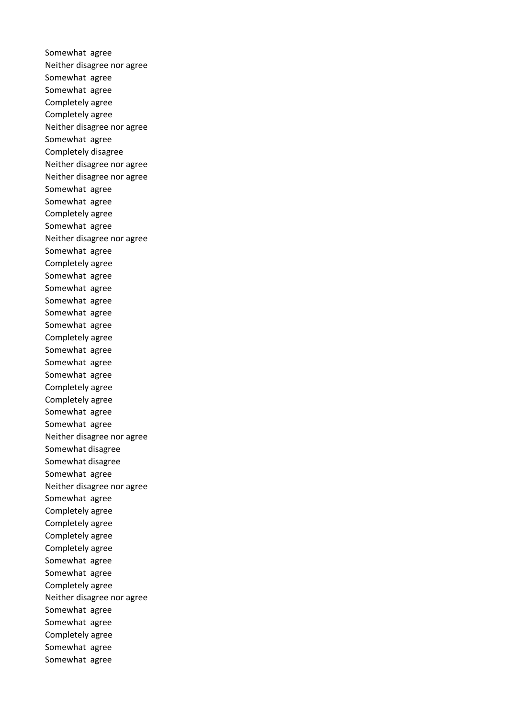Somewhat agree Neither disagree nor agree Somewhat agree Somewhat agree Completely agree Completely agree Neither disagree nor agree Somewhat agree Completely disagree Neither disagree nor agree Neither disagree nor agree Somewhat agree Somewhat agree Completely agree Somewhat agree Neither disagree nor agree Somewhat agree Completely agree Somewhat agree Somewhat agree Somewhat agree Somewhat agree Somewhat agree Completely agree Somewhat agree Somewhat agree Somewhat agree Completely agree Completely agree Somewhat agree Somewhat agree Neither disagree nor agree Somewhat disagree Somewhat disagree Somewhat agree Neither disagree nor agree Somewhat agree Completely agree Completely agree Completely agree Completely agree Somewhat agree Somewhat agree Completely agree Neither disagree nor agree Somewhat agree Somewhat agree Completely agree Somewhat agree Somewhat agree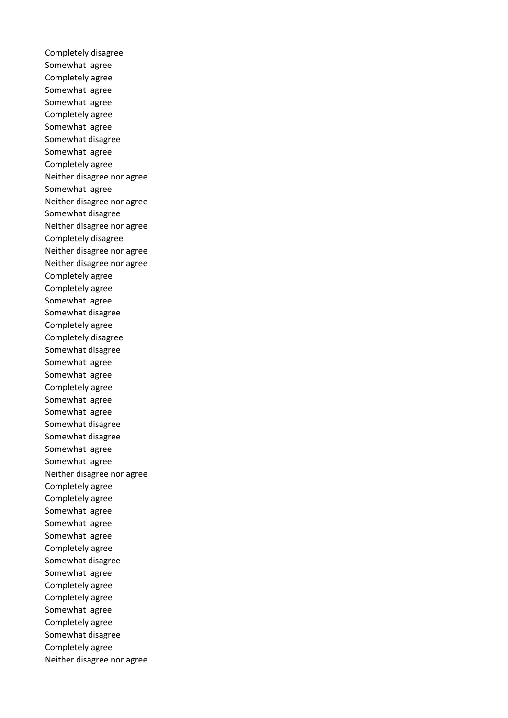Completely disagree Somewhat agree Completely agree Somewhat agree Somewhat agree Completely agree Somewhat agree Somewhat disagree Somewhat agree Completely agree Neither disagree nor agree Somewhat agree Neither disagree nor agree Somewhat disagree Neither disagree nor agree Completely disagree Neither disagree nor agree Neither disagree nor agree Completely agree Completely agree Somewhat agree Somewhat disagree Completely agree Completely disagree Somewhat disagree Somewhat agree Somewhat agree Completely agree Somewhat agree Somewhat agree Somewhat disagree Somewhat disagree Somewhat agree Somewhat agree Neither disagree nor agree Completely agree Completely agree Somewhat agree Somewhat agree Somewhat agree Completely agree Somewhat disagree Somewhat agree Completely agree Completely agree Somewhat agree Completely agree Somewhat disagree Completely agree Neither disagree nor agree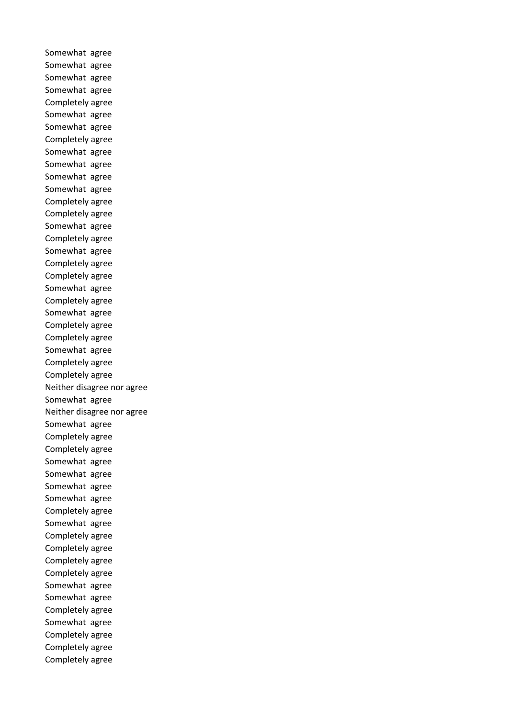Somewhat agree Somewhat agree Somewhat agree Somewhat agree Completely agree Somewhat agree Somewhat agree Completely agree Somewhat agree Somewhat agree Somewhat agree Somewhat agree Completely agree Completely agree Somewhat agree Completely agree Somewhat agree Completely agree Completely agree Somewhat agree Completely agree Somewhat agree Completely agree Completely agree Somewhat agree Completely agree Completely agree Neither disagree nor agree Somewhat agree Neither disagree nor agree Somewhat agree Completely agree Completely agree Somewhat agree Somewhat agree Somewhat agree Somewhat agree Completely agree Somewhat agree Completely agree Completely agree Completely agree Completely agree Somewhat agree Somewhat agree Completely agree Somewhat agree Completely agree Completely agree Completely agree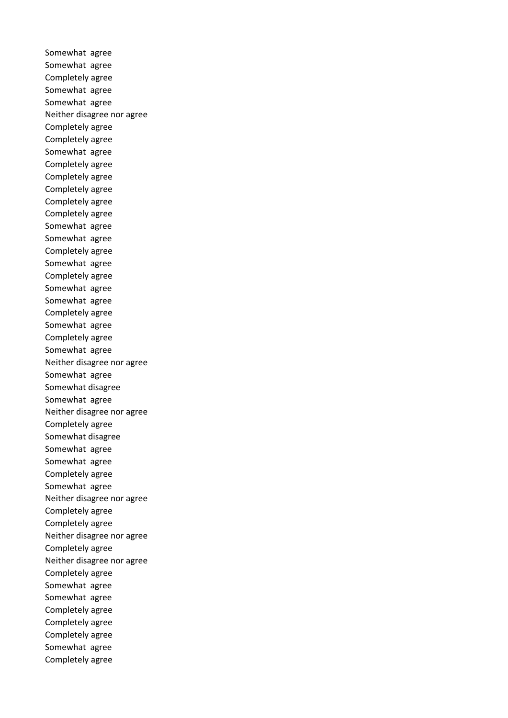Somewhat agree Somewhat agree Completely agree Somewhat agree Somewhat agree Neither disagree nor agree Completely agree Completely agree Somewhat agree Completely agree Completely agree Completely agree Completely agree Completely agree Somewhat agree Somewhat agree Completely agree Somewhat agree Completely agree Somewhat agree Somewhat agree Completely agree Somewhat agree Completely agree Somewhat agree Neither disagree nor agree Somewhat agree Somewhat disagree Somewhat agree Neither disagree nor agree Completely agree Somewhat disagree Somewhat agree Somewhat agree Completely agree Somewhat agree Neither disagree nor agree Completely agree Completely agree Neither disagree nor agree Completely agree Neither disagree nor agree Completely agree Somewhat agree Somewhat agree Completely agree Completely agree Completely agree Somewhat agree Completely agree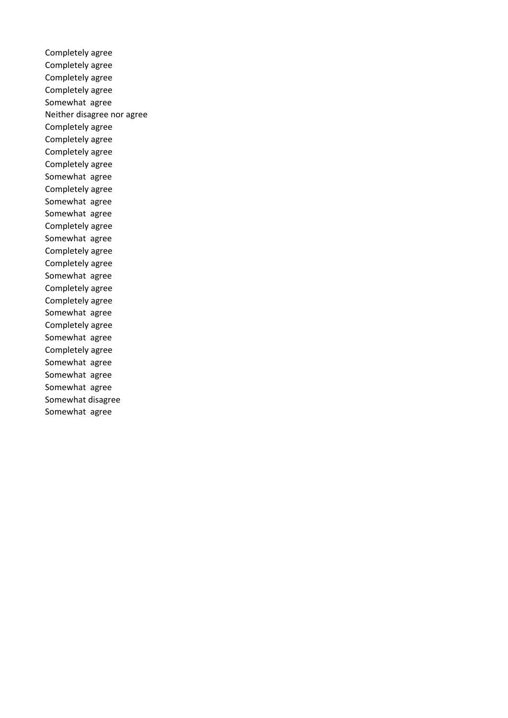Completely agree Completely agree Completely agree Completely agree Somewhat agree Neither disagree nor agree Completely agree Completely agree Completely agree Completely agree Somewhat agree Completely agree Somewhat agree Somewhat agree Completely agree Somewhat agree Completely agree Completely agree Somewhat agree Completely agree Completely agree Somewhat agree Completely agree Somewhat agree Completely agree Somewhat agree Somewhat agree Somewhat agree Somewhat disagree Somewhat agree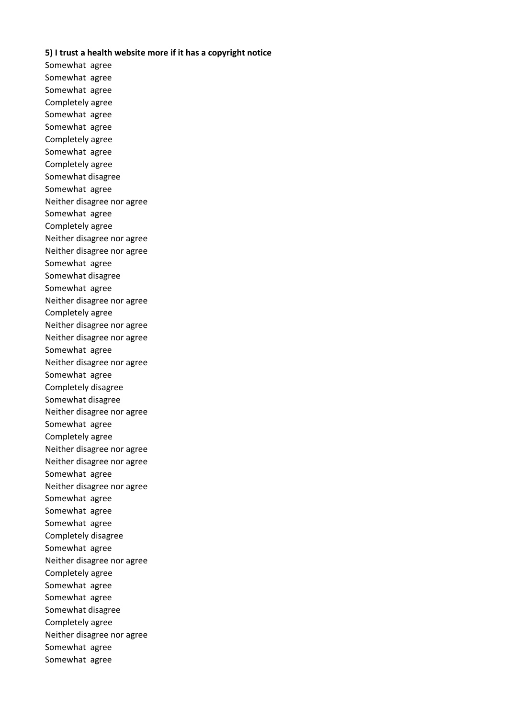### **5) I trust a health website more if it has a copyright notice**

Somewhat agree Somewhat agree Somewhat agree Completely agree Somewhat agree Somewhat agree Completely agree Somewhat agree Completely agree Somewhat disagree Somewhat agree Neither disagree nor agree Somewhat agree Completely agree Neither disagree nor agree Neither disagree nor agree Somewhat agree Somewhat disagree Somewhat agree Neither disagree nor agree Completely agree Neither disagree nor agree Neither disagree nor agree Somewhat agree Neither disagree nor agree Somewhat agree Completely disagree Somewhat disagree Neither disagree nor agree Somewhat agree Completely agree Neither disagree nor agree Neither disagree nor agree Somewhat agree Neither disagree nor agree Somewhat agree Somewhat agree Somewhat agree Completely disagree Somewhat agree Neither disagree nor agree Completely agree Somewhat agree Somewhat agree Somewhat disagree Completely agree Neither disagree nor agree Somewhat agree Somewhat agree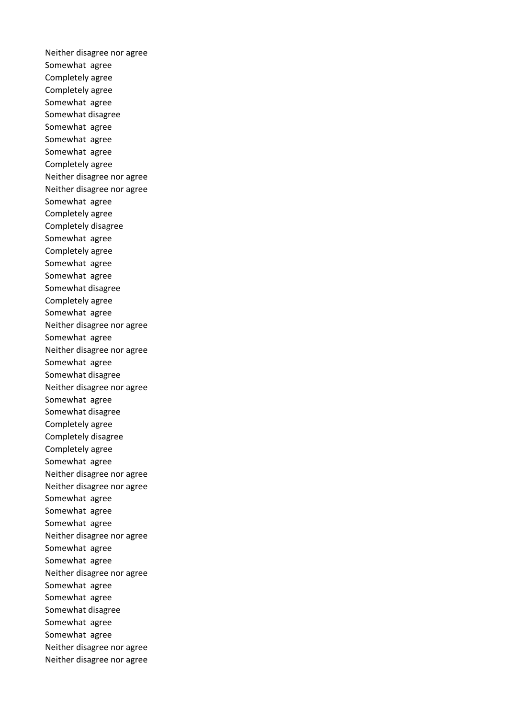Neither disagree nor agree Somewhat agree Completely agree Completely agree Somewhat agree Somewhat disagree Somewhat agree Somewhat agree Somewhat agree Completely agree Neither disagree nor agree Neither disagree nor agree Somewhat agree Completely agree Completely disagree Somewhat agree Completely agree Somewhat agree Somewhat agree Somewhat disagree Completely agree Somewhat agree Neither disagree nor agree Somewhat agree Neither disagree nor agree Somewhat agree Somewhat disagree Neither disagree nor agree Somewhat agree Somewhat disagree Completely agree Completely disagree Completely agree Somewhat agree Neither disagree nor agree Neither disagree nor agree Somewhat agree Somewhat agree Somewhat agree Neither disagree nor agree Somewhat agree Somewhat agree Neither disagree nor agree Somewhat agree Somewhat agree Somewhat disagree Somewhat agree Somewhat agree Neither disagree nor agree Neither disagree nor agree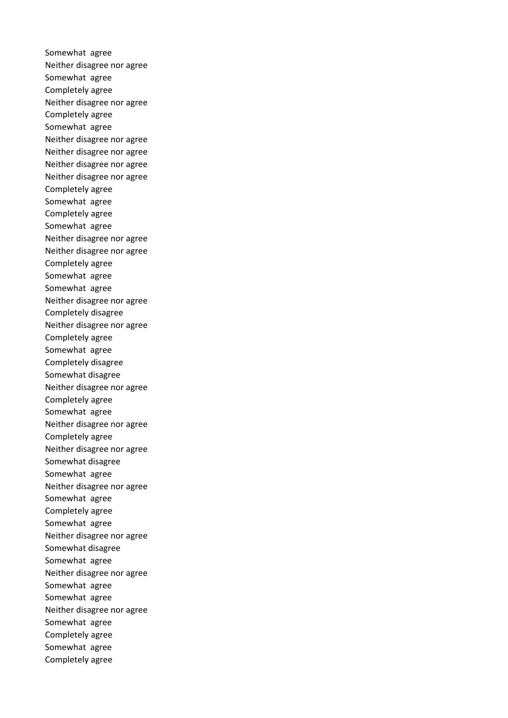Somewhat agree Neither disagree nor agree Somewhat agree Completely agree Neither disagree nor agree Completely agree Somewhat agree Neither disagree nor agree Neither disagree nor agree Neither disagree nor agree Neither disagree nor agree Completely agree Somewhat agree Completely agree Somewhat agree Neither disagree nor agree Neither disagree nor agree Completely agree Somewhat agree Somewhat agree Neither disagree nor agree Completely disagree Neither disagree nor agree Completely agree Somewhat agree Completely disagree Somewhat disagree Neither disagree nor agree Completely agree Somewhat agree Neither disagree nor agree Completely agree Neither disagree nor agree Somewhat disagree Somewhat agree Neither disagree nor agree Somewhat agree Completely agree Somewhat agree Neither disagree nor agree Somewhat disagree Somewhat agree Neither disagree nor agree Somewhat agree Somewhat agree Neither disagree nor agree Somewhat agree Completely agree Somewhat agree Completely agree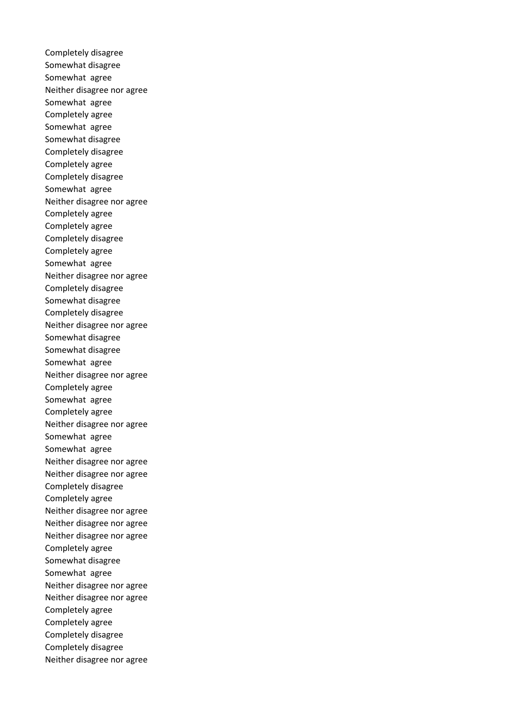Completely disagree Somewhat disagree Somewhat agree Neither disagree nor agree Somewhat agree Completely agree Somewhat agree Somewhat disagree Completely disagree Completely agree Completely disagree Somewhat agree Neither disagree nor agree Completely agree Completely agree Completely disagree Completely agree Somewhat agree Neither disagree nor agree Completely disagree Somewhat disagree Completely disagree Neither disagree nor agree Somewhat disagree Somewhat disagree Somewhat agree Neither disagree nor agree Completely agree Somewhat agree Completely agree Neither disagree nor agree Somewhat agree Somewhat agree Neither disagree nor agree Neither disagree nor agree Completely disagree Completely agree Neither disagree nor agree Neither disagree nor agree Neither disagree nor agree Completely agree Somewhat disagree Somewhat agree Neither disagree nor agree Neither disagree nor agree Completely agree Completely agree Completely disagree Completely disagree Neither disagree nor agree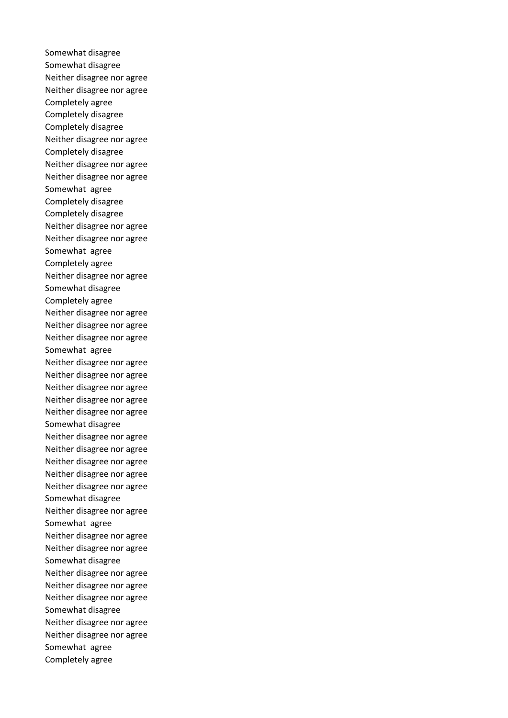Somewhat disagree Somewhat disagree Neither disagree nor agree Neither disagree nor agree Completely agree Completely disagree Completely disagree Neither disagree nor agree Completely disagree Neither disagree nor agree Neither disagree nor agree Somewhat agree Completely disagree Completely disagree Neither disagree nor agree Neither disagree nor agree Somewhat agree Completely agree Neither disagree nor agree Somewhat disagree Completely agree Neither disagree nor agree Neither disagree nor agree Neither disagree nor agree Somewhat agree Neither disagree nor agree Neither disagree nor agree Neither disagree nor agree Neither disagree nor agree Neither disagree nor agree Somewhat disagree Neither disagree nor agree Neither disagree nor agree Neither disagree nor agree Neither disagree nor agree Neither disagree nor agree Somewhat disagree Neither disagree nor agree Somewhat agree Neither disagree nor agree Neither disagree nor agree Somewhat disagree Neither disagree nor agree Neither disagree nor agree Neither disagree nor agree Somewhat disagree Neither disagree nor agree Neither disagree nor agree Somewhat agree Completely agree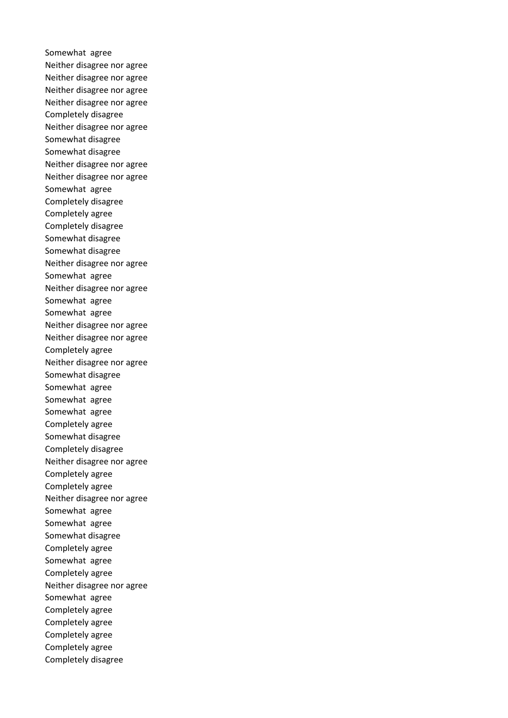Somewhat agree Neither disagree nor agree Neither disagree nor agree Neither disagree nor agree Neither disagree nor agree Completely disagree Neither disagree nor agree Somewhat disagree Somewhat disagree Neither disagree nor agree Neither disagree nor agree Somewhat agree Completely disagree Completely agree Completely disagree Somewhat disagree Somewhat disagree Neither disagree nor agree Somewhat agree Neither disagree nor agree Somewhat agree Somewhat agree Neither disagree nor agree Neither disagree nor agree Completely agree Neither disagree nor agree Somewhat disagree Somewhat agree Somewhat agree Somewhat agree Completely agree Somewhat disagree Completely disagree Neither disagree nor agree Completely agree Completely agree Neither disagree nor agree Somewhat agree Somewhat agree Somewhat disagree Completely agree Somewhat agree Completely agree Neither disagree nor agree Somewhat agree Completely agree Completely agree Completely agree Completely agree Completely disagree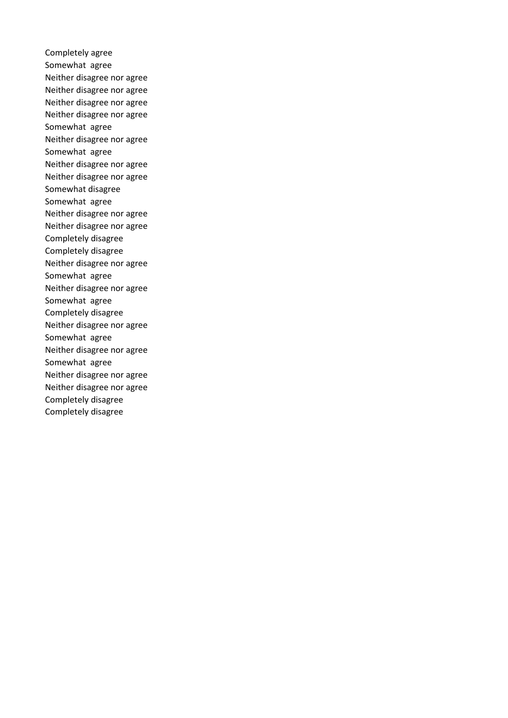Completely agree Somewhat agree Neither disagree nor agree Neither disagree nor agree Neither disagree nor agree Neither disagree nor agree Somewhat agree Neither disagree nor agree Somewhat agree Neither disagree nor agree Neither disagree nor agree Somewhat disagree Somewhat agree Neither disagree nor agree Neither disagree nor agree Completely disagree Completely disagree Neither disagree nor agree Somewhat agree Neither disagree nor agree Somewhat agree Completely disagree Neither disagree nor agree Somewhat agree Neither disagree nor agree Somewhat agree Neither disagree nor agree Neither disagree nor agree Completely disagree Completely disagree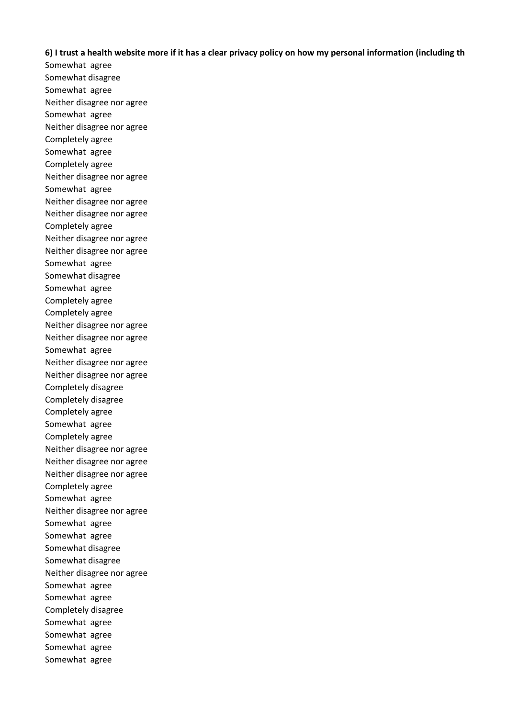# **6) I trust a health website more if it has a clear privacy policy on how my personal information (including th**

Somewhat agree Somewhat disagree Somewhat agree Neither disagree nor agree Somewhat agree Neither disagree nor agree Completely agree Somewhat agree Completely agree Neither disagree nor agree Somewhat agree Neither disagree nor agree Neither disagree nor agree Completely agree Neither disagree nor agree Neither disagree nor agree Somewhat agree Somewhat disagree Somewhat agree Completely agree Completely agree Neither disagree nor agree Neither disagree nor agree Somewhat agree Neither disagree nor agree Neither disagree nor agree Completely disagree Completely disagree Completely agree Somewhat agree Completely agree Neither disagree nor agree Neither disagree nor agree Neither disagree nor agree Completely agree Somewhat agree Neither disagree nor agree Somewhat agree Somewhat agree Somewhat disagree Somewhat disagree Neither disagree nor agree Somewhat agree Somewhat agree Completely disagree Somewhat agree Somewhat agree Somewhat agree Somewhat agree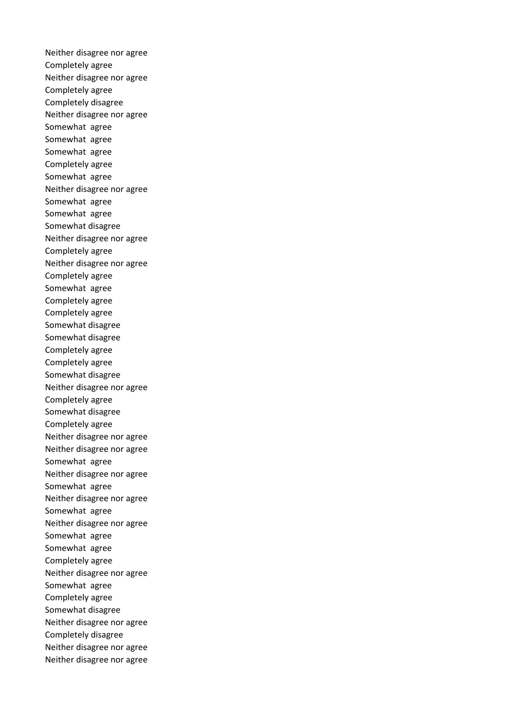Neither disagree nor agree Completely agree Neither disagree nor agree Completely agree Completely disagree Neither disagree nor agree Somewhat agree Somewhat agree Somewhat agree Completely agree Somewhat agree Neither disagree nor agree Somewhat agree Somewhat agree Somewhat disagree Neither disagree nor agree Completely agree Neither disagree nor agree Completely agree Somewhat agree Completely agree Completely agree Somewhat disagree Somewhat disagree Completely agree Completely agree Somewhat disagree Neither disagree nor agree Completely agree Somewhat disagree Completely agree Neither disagree nor agree Neither disagree nor agree Somewhat agree Neither disagree nor agree Somewhat agree Neither disagree nor agree Somewhat agree Neither disagree nor agree Somewhat agree Somewhat agree Completely agree Neither disagree nor agree Somewhat agree Completely agree Somewhat disagree Neither disagree nor agree Completely disagree Neither disagree nor agree Neither disagree nor agree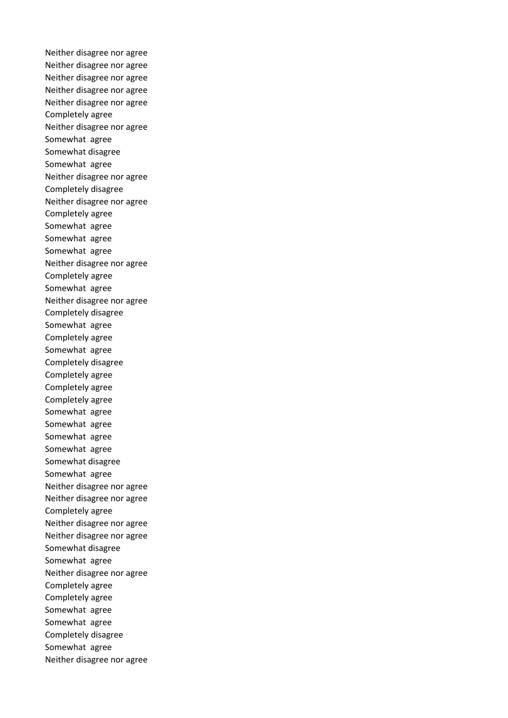Neither disagree nor agree Neither disagree nor agree Neither disagree nor agree Neither disagree nor agree Neither disagree nor agree Completely agree Neither disagree nor agree Somewhat agree Somewhat disagree Somewhat agree Neither disagree nor agree Completely disagree Neither disagree nor agree Completely agree Somewhat agree Somewhat agree Somewhat agree Neither disagree nor agree Completely agree Somewhat agree Neither disagree nor agree Completely disagree Somewhat agree Completely agree Somewhat agree Completely disagree Completely agree Completely agree Completely agree Somewhat agree Somewhat agree Somewhat agree Somewhat agree Somewhat disagree Somewhat agree Neither disagree nor agree Neither disagree nor agree Completely agree Neither disagree nor agree Neither disagree nor agree Somewhat disagree Somewhat agree Neither disagree nor agree Completely agree Completely agree Somewhat agree Somewhat agree Completely disagree Somewhat agree Neither disagree nor agree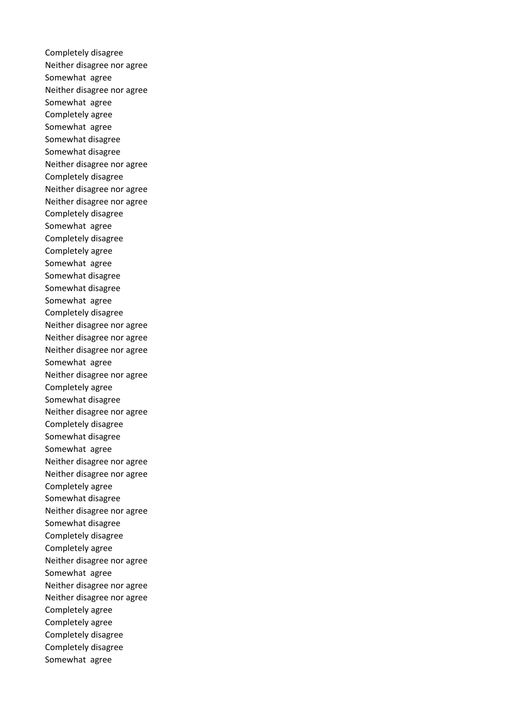Completely disagree Neither disagree nor agree Somewhat agree Neither disagree nor agree Somewhat agree Completely agree Somewhat agree Somewhat disagree Somewhat disagree Neither disagree nor agree Completely disagree Neither disagree nor agree Neither disagree nor agree Completely disagree Somewhat agree Completely disagree Completely agree Somewhat agree Somewhat disagree Somewhat disagree Somewhat agree Completely disagree Neither disagree nor agree Neither disagree nor agree Neither disagree nor agree Somewhat agree Neither disagree nor agree Completely agree Somewhat disagree Neither disagree nor agree Completely disagree Somewhat disagree Somewhat agree Neither disagree nor agree Neither disagree nor agree Completely agree Somewhat disagree Neither disagree nor agree Somewhat disagree Completely disagree Completely agree Neither disagree nor agree Somewhat agree Neither disagree nor agree Neither disagree nor agree Completely agree Completely agree Completely disagree Completely disagree Somewhat agree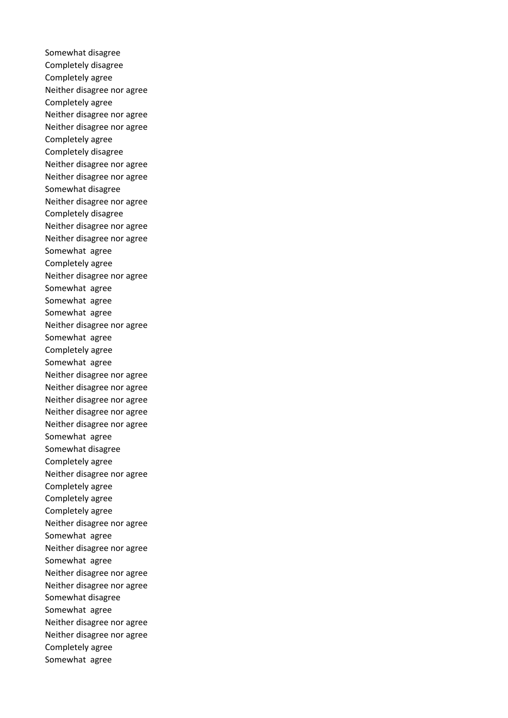Somewhat disagree Completely disagree Completely agree Neither disagree nor agree Completely agree Neither disagree nor agree Neither disagree nor agree Completely agree Completely disagree Neither disagree nor agree Neither disagree nor agree Somewhat disagree Neither disagree nor agree Completely disagree Neither disagree nor agree Neither disagree nor agree Somewhat agree Completely agree Neither disagree nor agree Somewhat agree Somewhat agree Somewhat agree Neither disagree nor agree Somewhat agree Completely agree Somewhat agree Neither disagree nor agree Neither disagree nor agree Neither disagree nor agree Neither disagree nor agree Neither disagree nor agree Somewhat agree Somewhat disagree Completely agree Neither disagree nor agree Completely agree Completely agree Completely agree Neither disagree nor agree Somewhat agree Neither disagree nor agree Somewhat agree Neither disagree nor agree Neither disagree nor agree Somewhat disagree Somewhat agree Neither disagree nor agree Neither disagree nor agree Completely agree Somewhat agree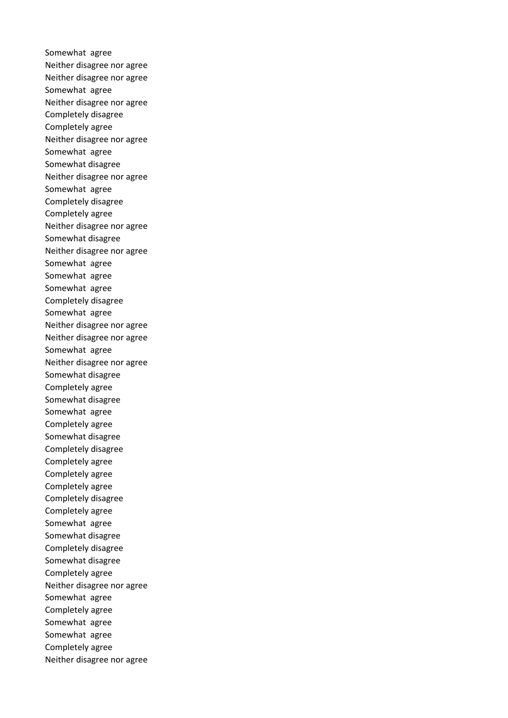Somewhat agree Neither disagree nor agree Neither disagree nor agree Somewhat agree Neither disagree nor agree Completely disagree Completely agree Neither disagree nor agree Somewhat agree Somewhat disagree Neither disagree nor agree Somewhat agree Completely disagree Completely agree Neither disagree nor agree Somewhat disagree Neither disagree nor agree Somewhat agree Somewhat agree Somewhat agree Completely disagree Somewhat agree Neither disagree nor agree Neither disagree nor agree Somewhat agree Neither disagree nor agree Somewhat disagree Completely agree Somewhat disagree Somewhat agree Completely agree Somewhat disagree Completely disagree Completely agree Completely agree Completely agree Completely disagree Completely agree Somewhat agree Somewhat disagree Completely disagree Somewhat disagree Completely agree Neither disagree nor agree Somewhat agree Completely agree Somewhat agree Somewhat agree Completely agree Neither disagree nor agree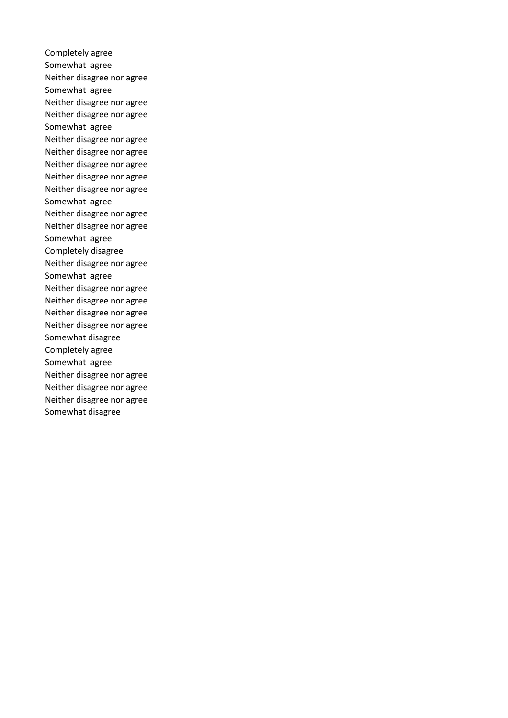Completely agree Somewhat agree Neither disagree nor agree Somewhat agree Neither disagree nor agree Neither disagree nor agree Somewhat agree Neither disagree nor agree Neither disagree nor agree Neither disagree nor agree Neither disagree nor agree Neither disagree nor agree Somewhat agree Neither disagree nor agree Neither disagree nor agree Somewhat agree Completely disagree Neither disagree nor agree Somewhat agree Neither disagree nor agree Neither disagree nor agree Neither disagree nor agree Neither disagree nor agree Somewhat disagree Completely agree Somewhat agree Neither disagree nor agree Neither disagree nor agree Neither disagree nor agree Somewhat disagree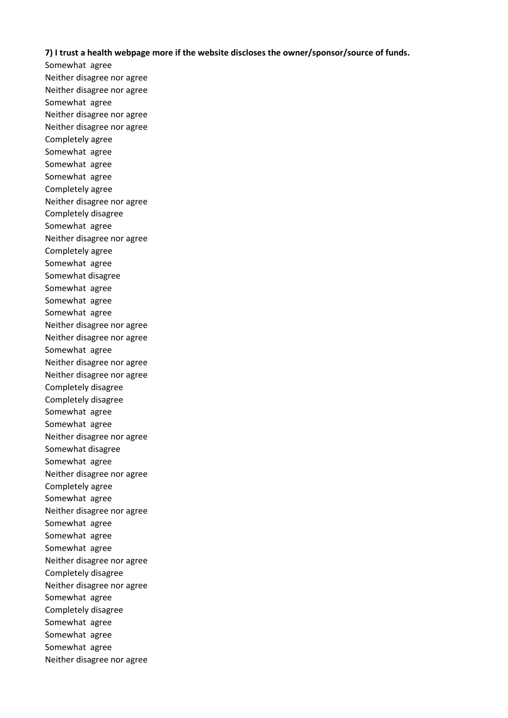## **7) I trust a health webpage more if the website discloses the owner/sponsor/source of funds.**

Somewhat agree Neither disagree nor agree Neither disagree nor agree Somewhat agree Neither disagree nor agree Neither disagree nor agree Completely agree Somewhat agree Somewhat agree Somewhat agree Completely agree Neither disagree nor agree Completely disagree Somewhat agree Neither disagree nor agree Completely agree Somewhat agree Somewhat disagree Somewhat agree Somewhat agree Somewhat agree Neither disagree nor agree Neither disagree nor agree Somewhat agree Neither disagree nor agree Neither disagree nor agree Completely disagree Completely disagree Somewhat agree Somewhat agree Neither disagree nor agree Somewhat disagree Somewhat agree Neither disagree nor agree Completely agree Somewhat agree Neither disagree nor agree Somewhat agree Somewhat agree Somewhat agree Neither disagree nor agree Completely disagree Neither disagree nor agree Somewhat agree Completely disagree Somewhat agree Somewhat agree Somewhat agree Neither disagree nor agree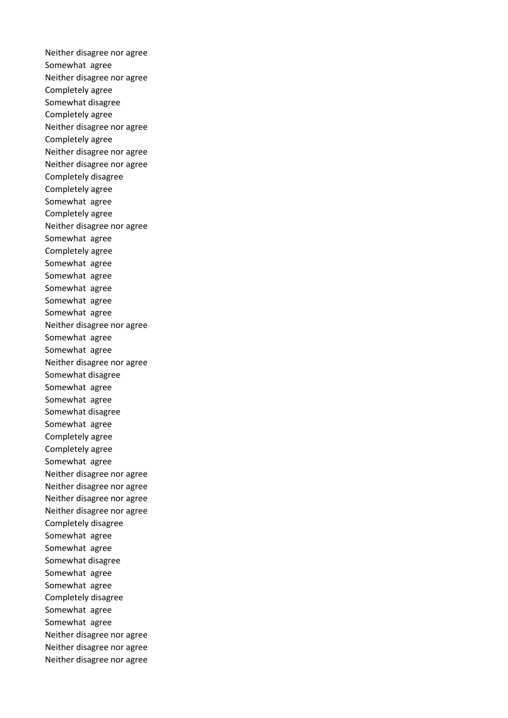Neither disagree nor agree Somewhat agree Neither disagree nor agree Completely agree Somewhat disagree Completely agree Neither disagree nor agree Completely agree Neither disagree nor agree Neither disagree nor agree Completely disagree Completely agree Somewhat agree Completely agree Neither disagree nor agree Somewhat agree Completely agree Somewhat agree Somewhat agree Somewhat agree Somewhat agree Somewhat agree Neither disagree nor agree Somewhat agree Somewhat agree Neither disagree nor agree Somewhat disagree Somewhat agree Somewhat agree Somewhat disagree Somewhat agree Completely agree Completely agree Somewhat agree Neither disagree nor agree Neither disagree nor agree Neither disagree nor agree Neither disagree nor agree Completely disagree Somewhat agree Somewhat agree Somewhat disagree Somewhat agree Somewhat agree Completely disagree Somewhat agree Somewhat agree Neither disagree nor agree Neither disagree nor agree Neither disagree nor agree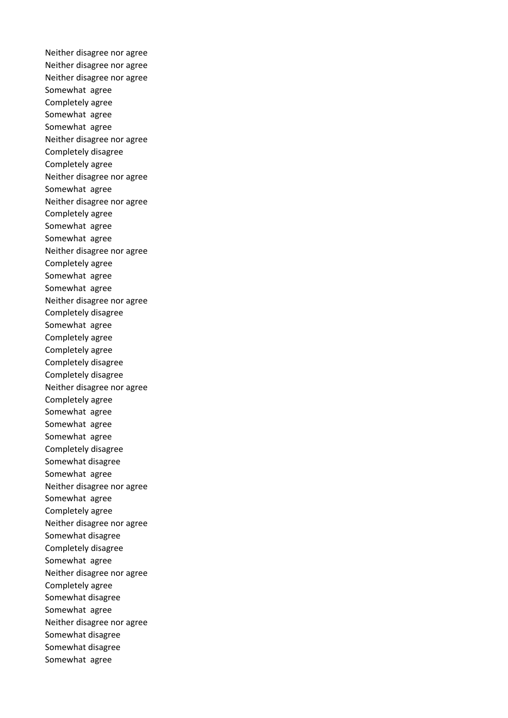Neither disagree nor agree Neither disagree nor agree Neither disagree nor agree Somewhat agree Completely agree Somewhat agree Somewhat agree Neither disagree nor agree Completely disagree Completely agree Neither disagree nor agree Somewhat agree Neither disagree nor agree Completely agree Somewhat agree Somewhat agree Neither disagree nor agree Completely agree Somewhat agree Somewhat agree Neither disagree nor agree Completely disagree Somewhat agree Completely agree Completely agree Completely disagree Completely disagree Neither disagree nor agree Completely agree Somewhat agree Somewhat agree Somewhat agree Completely disagree Somewhat disagree Somewhat agree Neither disagree nor agree Somewhat agree Completely agree Neither disagree nor agree Somewhat disagree Completely disagree Somewhat agree Neither disagree nor agree Completely agree Somewhat disagree Somewhat agree Neither disagree nor agree Somewhat disagree Somewhat disagree Somewhat agree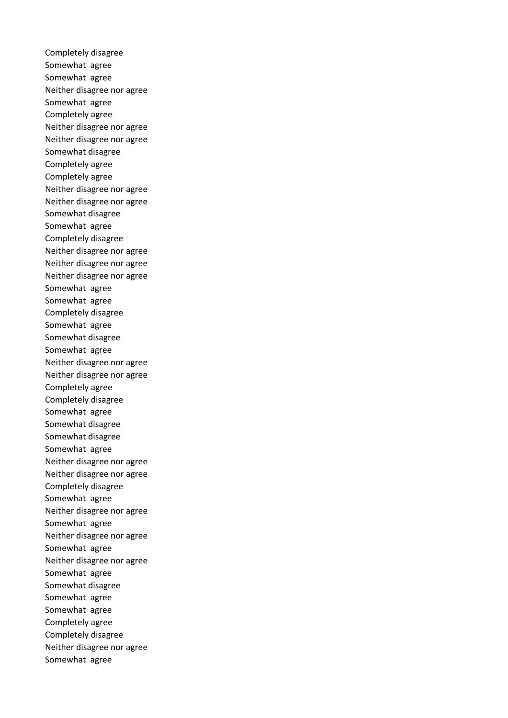Completely disagree Somewhat agree Somewhat agree Neither disagree nor agree Somewhat agree Completely agree Neither disagree nor agree Neither disagree nor agree Somewhat disagree Completely agree Completely agree Neither disagree nor agree Neither disagree nor agree Somewhat disagree Somewhat agree Completely disagree Neither disagree nor agree Neither disagree nor agree Neither disagree nor agree Somewhat agree Somewhat agree Completely disagree Somewhat agree Somewhat disagree Somewhat agree Neither disagree nor agree Neither disagree nor agree Completely agree Completely disagree Somewhat agree Somewhat disagree Somewhat disagree Somewhat agree Neither disagree nor agree Neither disagree nor agree Completely disagree Somewhat agree Neither disagree nor agree Somewhat agree Neither disagree nor agree Somewhat agree Neither disagree nor agree Somewhat agree Somewhat disagree Somewhat agree Somewhat agree Completely agree Completely disagree Neither disagree nor agree Somewhat agree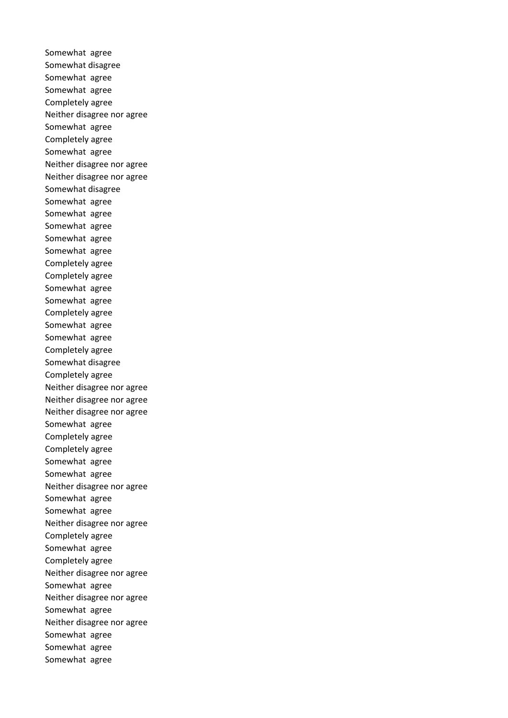Somewhat agree Somewhat disagree Somewhat agree Somewhat agree Completely agree Neither disagree nor agree Somewhat agree Completely agree Somewhat agree Neither disagree nor agree Neither disagree nor agree Somewhat disagree Somewhat agree Somewhat agree Somewhat agree Somewhat agree Somewhat agree Completely agree Completely agree Somewhat agree Somewhat agree Completely agree Somewhat agree Somewhat agree Completely agree Somewhat disagree Completely agree Neither disagree nor agree Neither disagree nor agree Neither disagree nor agree Somewhat agree Completely agree Completely agree Somewhat agree Somewhat agree Neither disagree nor agree Somewhat agree Somewhat agree Neither disagree nor agree Completely agree Somewhat agree Completely agree Neither disagree nor agree Somewhat agree Neither disagree nor agree Somewhat agree Neither disagree nor agree Somewhat agree Somewhat agree Somewhat agree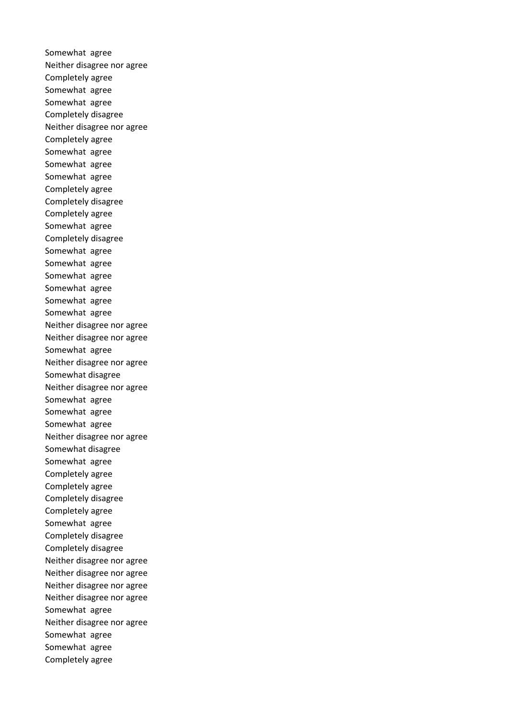Somewhat agree Neither disagree nor agree Completely agree Somewhat agree Somewhat agree Completely disagree Neither disagree nor agree Completely agree Somewhat agree Somewhat agree Somewhat agree Completely agree Completely disagree Completely agree Somewhat agree Completely disagree Somewhat agree Somewhat agree Somewhat agree Somewhat agree Somewhat agree Somewhat agree Neither disagree nor agree Neither disagree nor agree Somewhat agree Neither disagree nor agree Somewhat disagree Neither disagree nor agree Somewhat agree Somewhat agree Somewhat agree Neither disagree nor agree Somewhat disagree Somewhat agree Completely agree Completely agree Completely disagree Completely agree Somewhat agree Completely disagree Completely disagree Neither disagree nor agree Neither disagree nor agree Neither disagree nor agree Neither disagree nor agree Somewhat agree Neither disagree nor agree Somewhat agree Somewhat agree Completely agree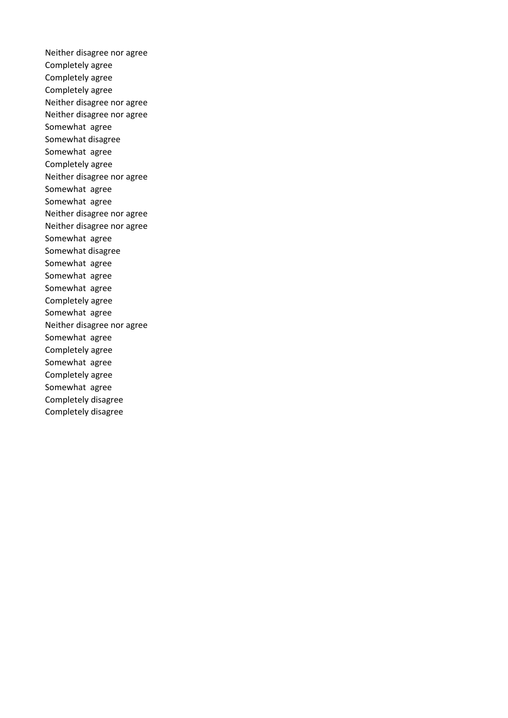Neither disagree nor agree Completely agree Completely agree Completely agree Neither disagree nor agree Neither disagree nor agree Somewhat agree Somewhat disagree Somewhat agree Completely agree Neither disagree nor agree Somewhat agree Somewhat agree Neither disagree nor agree Neither disagree nor agree Somewhat agree Somewhat disagree Somewhat agree Somewhat agree Somewhat agree Completely agree Somewhat agree Neither disagree nor agree Somewhat agree Completely agree Somewhat agree Completely agree Somewhat agree Completely disagree Completely disagree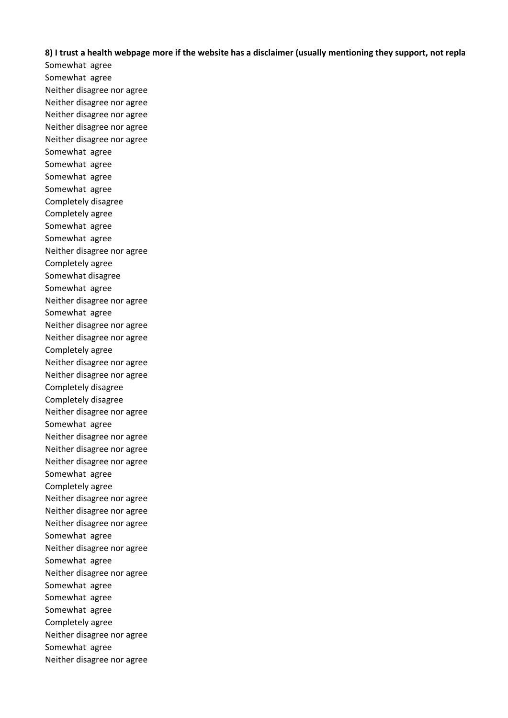**8) I trust a health webpage more if the website has a disclaimer (usually mentioning they support, not repla** 

Somewhat agree Somewhat agree Neither disagree nor agree Neither disagree nor agree Neither disagree nor agree Neither disagree nor agree Neither disagree nor agree Somewhat agree Somewhat agree Somewhat agree Somewhat agree Completely disagree Completely agree Somewhat agree Somewhat agree Neither disagree nor agree Completely agree Somewhat disagree Somewhat agree Neither disagree nor agree Somewhat agree Neither disagree nor agree Neither disagree nor agree Completely agree Neither disagree nor agree Neither disagree nor agree Completely disagree Completely disagree Neither disagree nor agree Somewhat agree Neither disagree nor agree Neither disagree nor agree Neither disagree nor agree Somewhat agree Completely agree Neither disagree nor agree Neither disagree nor agree Neither disagree nor agree Somewhat agree Neither disagree nor agree Somewhat agree Neither disagree nor agree Somewhat agree Somewhat agree Somewhat agree Completely agree Neither disagree nor agree Somewhat agree Neither disagree nor agree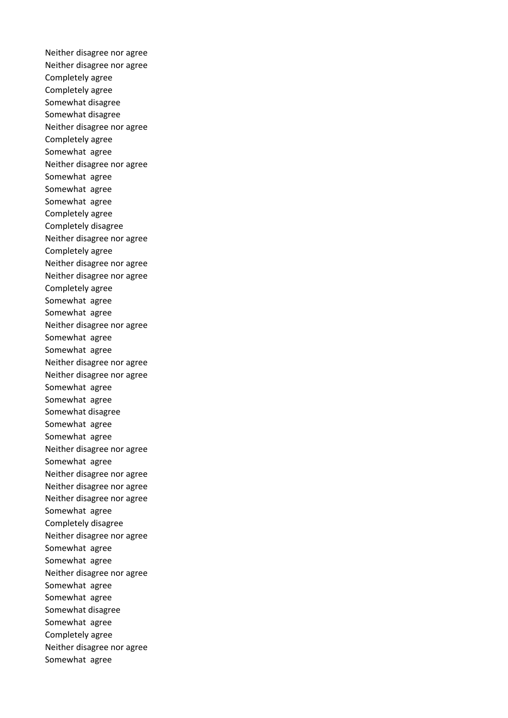Neither disagree nor agree Neither disagree nor agree Completely agree Completely agree Somewhat disagree Somewhat disagree Neither disagree nor agree Completely agree Somewhat agree Neither disagree nor agree Somewhat agree Somewhat agree Somewhat agree Completely agree Completely disagree Neither disagree nor agree Completely agree Neither disagree nor agree Neither disagree nor agree Completely agree Somewhat agree Somewhat agree Neither disagree nor agree Somewhat agree Somewhat agree Neither disagree nor agree Neither disagree nor agree Somewhat agree Somewhat agree Somewhat disagree Somewhat agree Somewhat agree Neither disagree nor agree Somewhat agree Neither disagree nor agree Neither disagree nor agree Neither disagree nor agree Somewhat agree Completely disagree Neither disagree nor agree Somewhat agree Somewhat agree Neither disagree nor agree Somewhat agree Somewhat agree Somewhat disagree Somewhat agree Completely agree Neither disagree nor agree Somewhat agree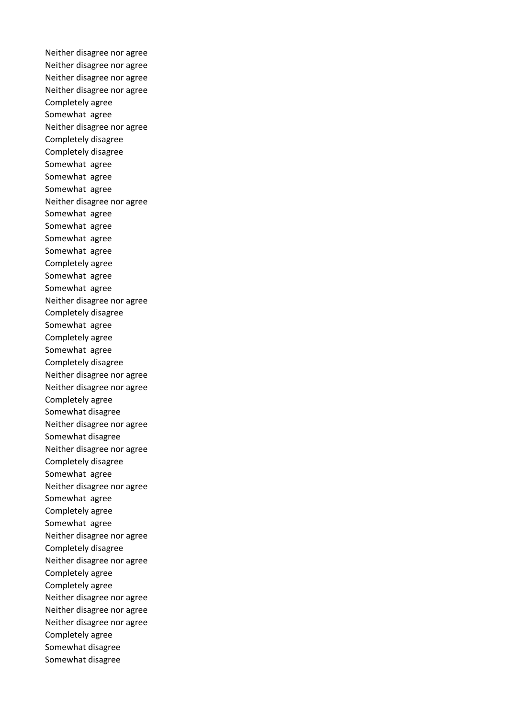Neither disagree nor agree Neither disagree nor agree Neither disagree nor agree Neither disagree nor agree Completely agree Somewhat agree Neither disagree nor agree Completely disagree Completely disagree Somewhat agree Somewhat agree Somewhat agree Neither disagree nor agree Somewhat agree Somewhat agree Somewhat agree Somewhat agree Completely agree Somewhat agree Somewhat agree Neither disagree nor agree Completely disagree Somewhat agree Completely agree Somewhat agree Completely disagree Neither disagree nor agree Neither disagree nor agree Completely agree Somewhat disagree Neither disagree nor agree Somewhat disagree Neither disagree nor agree Completely disagree Somewhat agree Neither disagree nor agree Somewhat agree Completely agree Somewhat agree Neither disagree nor agree Completely disagree Neither disagree nor agree Completely agree Completely agree Neither disagree nor agree Neither disagree nor agree Neither disagree nor agree Completely agree Somewhat disagree Somewhat disagree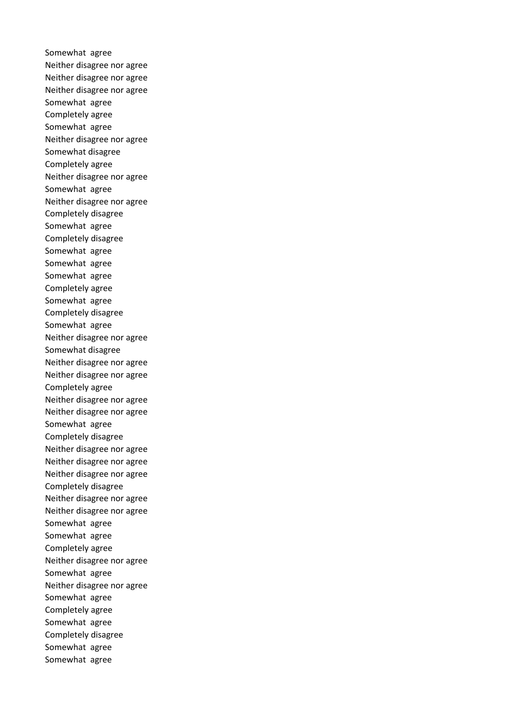Somewhat agree Neither disagree nor agree Neither disagree nor agree Neither disagree nor agree Somewhat agree Completely agree Somewhat agree Neither disagree nor agree Somewhat disagree Completely agree Neither disagree nor agree Somewhat agree Neither disagree nor agree Completely disagree Somewhat agree Completely disagree Somewhat agree Somewhat agree Somewhat agree Completely agree Somewhat agree Completely disagree Somewhat agree Neither disagree nor agree Somewhat disagree Neither disagree nor agree Neither disagree nor agree Completely agree Neither disagree nor agree Neither disagree nor agree Somewhat agree Completely disagree Neither disagree nor agree Neither disagree nor agree Neither disagree nor agree Completely disagree Neither disagree nor agree Neither disagree nor agree Somewhat agree Somewhat agree Completely agree Neither disagree nor agree Somewhat agree Neither disagree nor agree Somewhat agree Completely agree Somewhat agree Completely disagree Somewhat agree Somewhat agree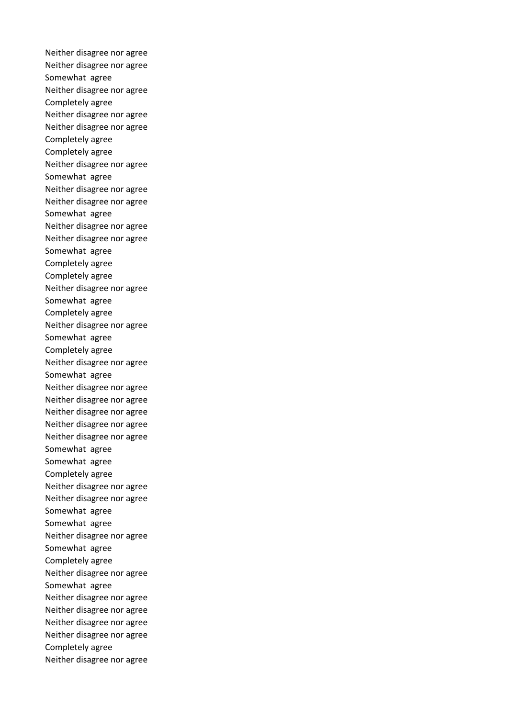Neither disagree nor agree Neither disagree nor agree Somewhat agree Neither disagree nor agree Completely agree Neither disagree nor agree Neither disagree nor agree Completely agree Completely agree Neither disagree nor agree Somewhat agree Neither disagree nor agree Neither disagree nor agree Somewhat agree Neither disagree nor agree Neither disagree nor agree Somewhat agree Completely agree Completely agree Neither disagree nor agree Somewhat agree Completely agree Neither disagree nor agree Somewhat agree Completely agree Neither disagree nor agree Somewhat agree Neither disagree nor agree Neither disagree nor agree Neither disagree nor agree Neither disagree nor agree Neither disagree nor agree Somewhat agree Somewhat agree Completely agree Neither disagree nor agree Neither disagree nor agree Somewhat agree Somewhat agree Neither disagree nor agree Somewhat agree Completely agree Neither disagree nor agree Somewhat agree Neither disagree nor agree Neither disagree nor agree Neither disagree nor agree Neither disagree nor agree Completely agree Neither disagree nor agree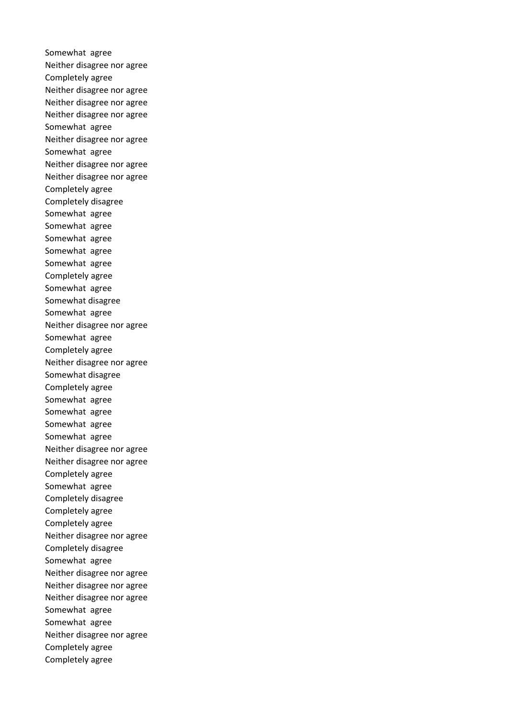Somewhat agree Neither disagree nor agree Completely agree Neither disagree nor agree Neither disagree nor agree Neither disagree nor agree Somewhat agree Neither disagree nor agree Somewhat agree Neither disagree nor agree Neither disagree nor agree Completely agree Completely disagree Somewhat agree Somewhat agree Somewhat agree Somewhat agree Somewhat agree Completely agree Somewhat agree Somewhat disagree Somewhat agree Neither disagree nor agree Somewhat agree Completely agree Neither disagree nor agree Somewhat disagree Completely agree Somewhat agree Somewhat agree Somewhat agree Somewhat agree Neither disagree nor agree Neither disagree nor agree Completely agree Somewhat agree Completely disagree Completely agree Completely agree Neither disagree nor agree Completely disagree Somewhat agree Neither disagree nor agree Neither disagree nor agree Neither disagree nor agree Somewhat agree Somewhat agree Neither disagree nor agree Completely agree Completely agree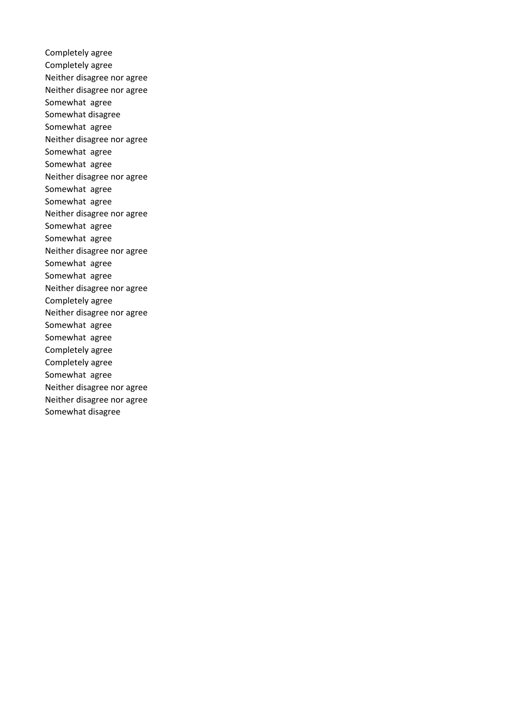Completely agree Completely agree Neither disagree nor agree Neither disagree nor agree Somewhat agree Somewhat disagree Somewhat agree Neither disagree nor agree Somewhat agree Somewhat agree Neither disagree nor agree Somewhat agree Somewhat agree Neither disagree nor agree Somewhat agree Somewhat agree Neither disagree nor agree Somewhat agree Somewhat agree Neither disagree nor agree Completely agree Neither disagree nor agree Somewhat agree Somewhat agree Completely agree Completely agree Somewhat agree Neither disagree nor agree Neither disagree nor agree Somewhat disagree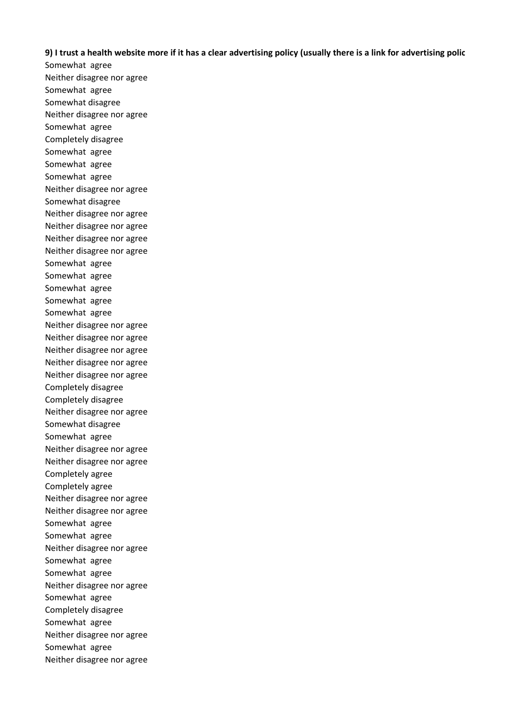## **9) I trust a health website more if it has a clear advertising policy (usually there is a link for advertising polic**

Somewhat agree Neither disagree nor agree Somewhat agree Somewhat disagree Neither disagree nor agree Somewhat agree Completely disagree Somewhat agree Somewhat agree Somewhat agree Neither disagree nor agree Somewhat disagree Neither disagree nor agree Neither disagree nor agree Neither disagree nor agree Neither disagree nor agree Somewhat agree Somewhat agree Somewhat agree Somewhat agree Somewhat agree Neither disagree nor agree Neither disagree nor agree Neither disagree nor agree Neither disagree nor agree Neither disagree nor agree Completely disagree Completely disagree Neither disagree nor agree Somewhat disagree Somewhat agree Neither disagree nor agree Neither disagree nor agree Completely agree Completely agree Neither disagree nor agree Neither disagree nor agree Somewhat agree Somewhat agree Neither disagree nor agree Somewhat agree Somewhat agree Neither disagree nor agree Somewhat agree Completely disagree Somewhat agree Neither disagree nor agree Somewhat agree Neither disagree nor agree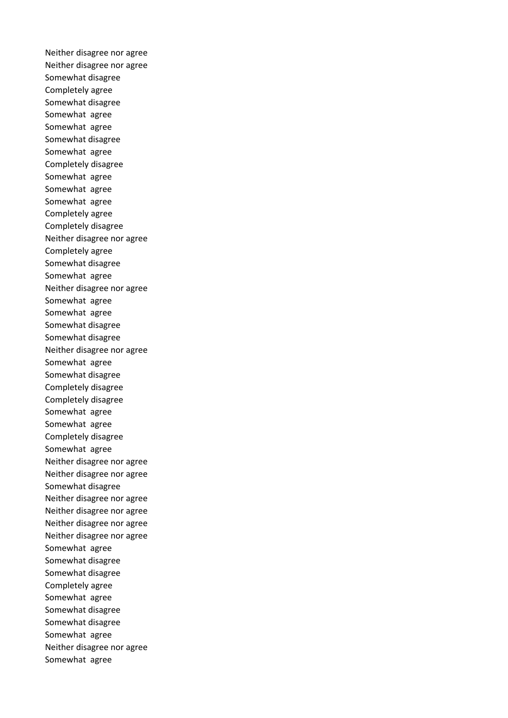Neither disagree nor agree Neither disagree nor agree Somewhat disagree Completely agree Somewhat disagree Somewhat agree Somewhat agree Somewhat disagree Somewhat agree Completely disagree Somewhat agree Somewhat agree Somewhat agree Completely agree Completely disagree Neither disagree nor agree Completely agree Somewhat disagree Somewhat agree Neither disagree nor agree Somewhat agree Somewhat agree Somewhat disagree Somewhat disagree Neither disagree nor agree Somewhat agree Somewhat disagree Completely disagree Completely disagree Somewhat agree Somewhat agree Completely disagree Somewhat agree Neither disagree nor agree Neither disagree nor agree Somewhat disagree Neither disagree nor agree Neither disagree nor agree Neither disagree nor agree Neither disagree nor agree Somewhat agree Somewhat disagree Somewhat disagree Completely agree Somewhat agree Somewhat disagree Somewhat disagree Somewhat agree Neither disagree nor agree Somewhat agree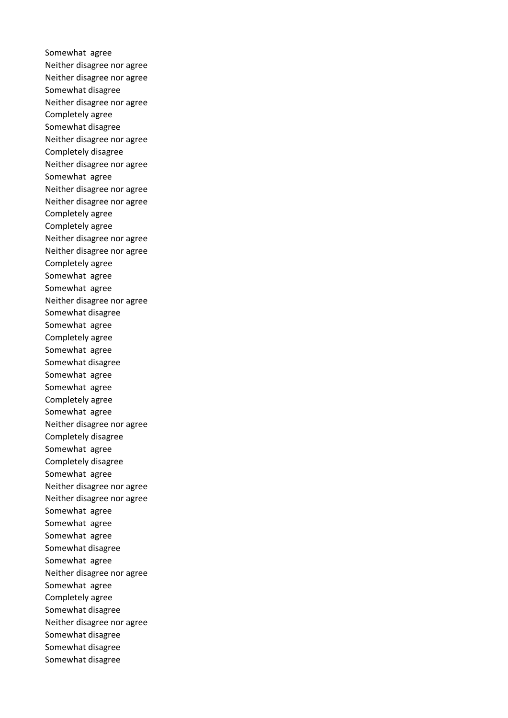Somewhat agree Neither disagree nor agree Neither disagree nor agree Somewhat disagree Neither disagree nor agree Completely agree Somewhat disagree Neither disagree nor agree Completely disagree Neither disagree nor agree Somewhat agree Neither disagree nor agree Neither disagree nor agree Completely agree Completely agree Neither disagree nor agree Neither disagree nor agree Completely agree Somewhat agree Somewhat agree Neither disagree nor agree Somewhat disagree Somewhat agree Completely agree Somewhat agree Somewhat disagree Somewhat agree Somewhat agree Completely agree Somewhat agree Neither disagree nor agree Completely disagree Somewhat agree Completely disagree Somewhat agree Neither disagree nor agree Neither disagree nor agree Somewhat agree Somewhat agree Somewhat agree Somewhat disagree Somewhat agree Neither disagree nor agree Somewhat agree Completely agree Somewhat disagree Neither disagree nor agree Somewhat disagree Somewhat disagree Somewhat disagree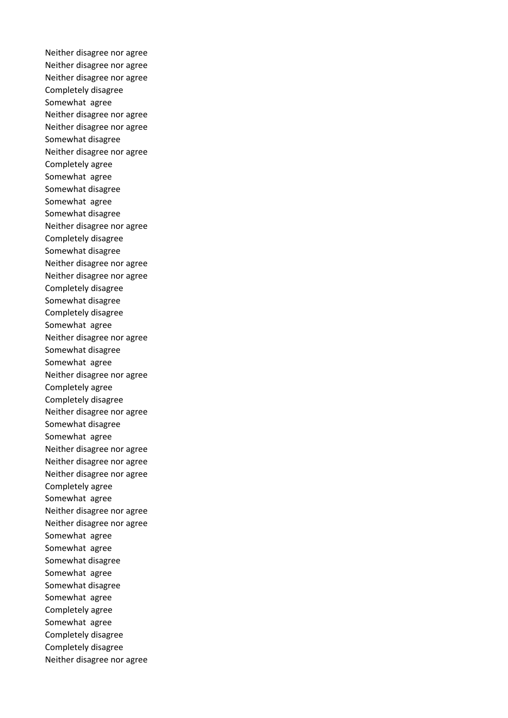Neither disagree nor agree Neither disagree nor agree Neither disagree nor agree Completely disagree Somewhat agree Neither disagree nor agree Neither disagree nor agree Somewhat disagree Neither disagree nor agree Completely agree Somewhat agree Somewhat disagree Somewhat agree Somewhat disagree Neither disagree nor agree Completely disagree Somewhat disagree Neither disagree nor agree Neither disagree nor agree Completely disagree Somewhat disagree Completely disagree Somewhat agree Neither disagree nor agree Somewhat disagree Somewhat agree Neither disagree nor agree Completely agree Completely disagree Neither disagree nor agree Somewhat disagree Somewhat agree Neither disagree nor agree Neither disagree nor agree Neither disagree nor agree Completely agree Somewhat agree Neither disagree nor agree Neither disagree nor agree Somewhat agree Somewhat agree Somewhat disagree Somewhat agree Somewhat disagree Somewhat agree Completely agree Somewhat agree Completely disagree Completely disagree Neither disagree nor agree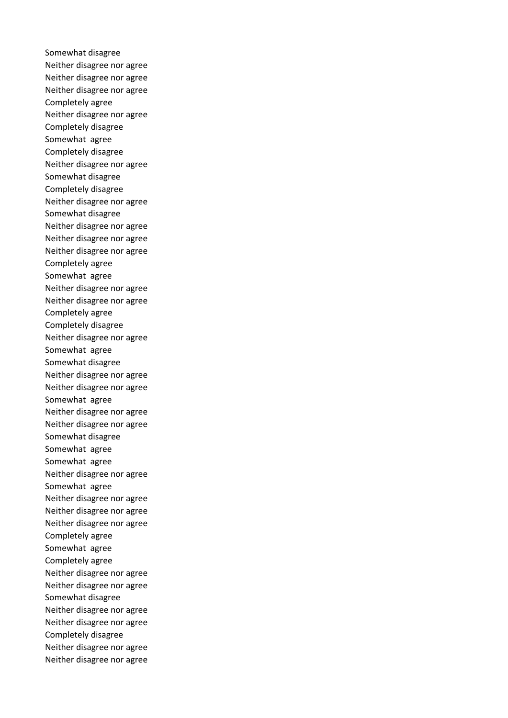Somewhat disagree Neither disagree nor agree Neither disagree nor agree Neither disagree nor agree Completely agree Neither disagree nor agree Completely disagree Somewhat agree Completely disagree Neither disagree nor agree Somewhat disagree Completely disagree Neither disagree nor agree Somewhat disagree Neither disagree nor agree Neither disagree nor agree Neither disagree nor agree Completely agree Somewhat agree Neither disagree nor agree Neither disagree nor agree Completely agree Completely disagree Neither disagree nor agree Somewhat agree Somewhat disagree Neither disagree nor agree Neither disagree nor agree Somewhat agree Neither disagree nor agree Neither disagree nor agree Somewhat disagree Somewhat agree Somewhat agree Neither disagree nor agree Somewhat agree Neither disagree nor agree Neither disagree nor agree Neither disagree nor agree Completely agree Somewhat agree Completely agree Neither disagree nor agree Neither disagree nor agree Somewhat disagree Neither disagree nor agree Neither disagree nor agree Completely disagree Neither disagree nor agree Neither disagree nor agree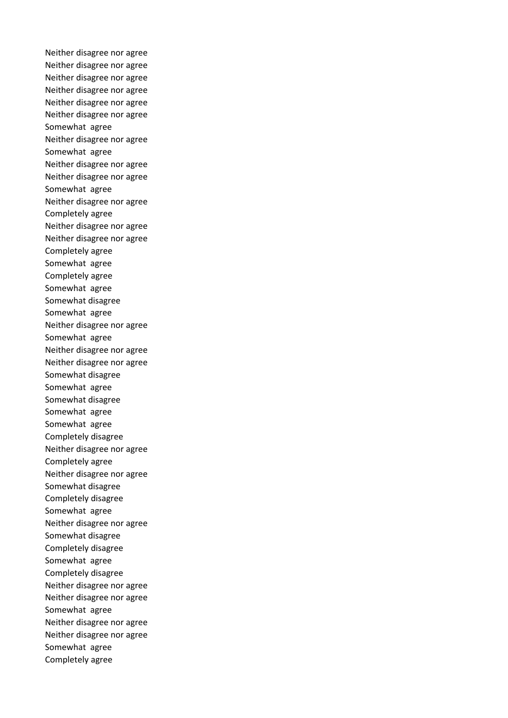Neither disagree nor agree Neither disagree nor agree Neither disagree nor agree Neither disagree nor agree Neither disagree nor agree Neither disagree nor agree Somewhat agree Neither disagree nor agree Somewhat agree Neither disagree nor agree Neither disagree nor agree Somewhat agree Neither disagree nor agree Completely agree Neither disagree nor agree Neither disagree nor agree Completely agree Somewhat agree Completely agree Somewhat agree Somewhat disagree Somewhat agree Neither disagree nor agree Somewhat agree Neither disagree nor agree Neither disagree nor agree Somewhat disagree Somewhat agree Somewhat disagree Somewhat agree Somewhat agree Completely disagree Neither disagree nor agree Completely agree Neither disagree nor agree Somewhat disagree Completely disagree Somewhat agree Neither disagree nor agree Somewhat disagree Completely disagree Somewhat agree Completely disagree Neither disagree nor agree Neither disagree nor agree Somewhat agree Neither disagree nor agree Neither disagree nor agree Somewhat agree Completely agree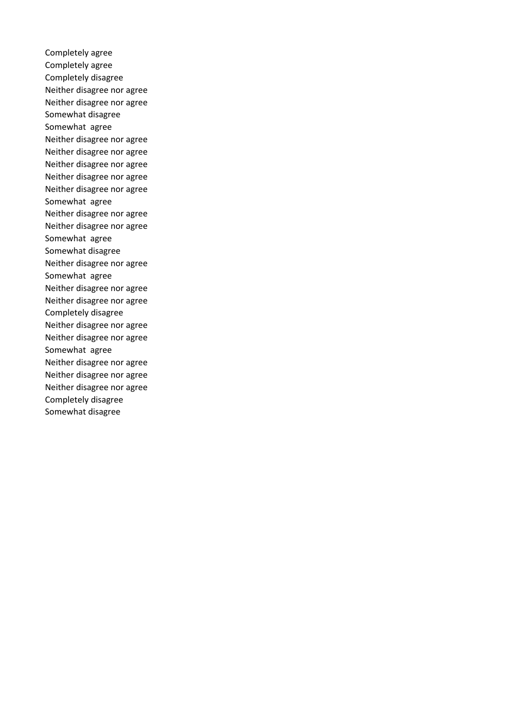Completely agree Completely agree Completely disagree Neither disagree nor agree Neither disagree nor agree Somewhat disagree Somewhat agree Neither disagree nor agree Neither disagree nor agree Neither disagree nor agree Neither disagree nor agree Neither disagree nor agree Somewhat agree Neither disagree nor agree Neither disagree nor agree Somewhat agree Somewhat disagree Neither disagree nor agree Somewhat agree Neither disagree nor agree Neither disagree nor agree Completely disagree Neither disagree nor agree Neither disagree nor agree Somewhat agree Neither disagree nor agree Neither disagree nor agree Neither disagree nor agree Completely disagree Somewhat disagree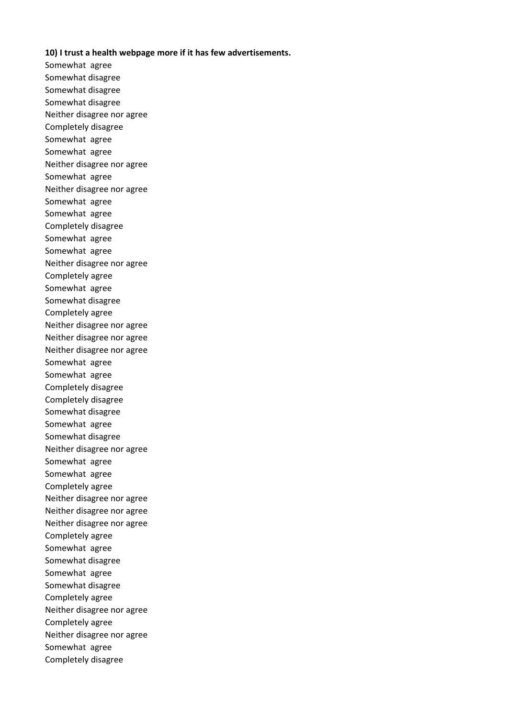## **10) I trust a health webpage more if it has few advertisements.**

Somewhat agree Somewhat disagree Somewhat disagree Somewhat disagree Neither disagree nor agree Completely disagree Somewhat agree Somewhat agree Neither disagree nor agree Somewhat agree Neither disagree nor agree Somewhat agree Somewhat agree Completely disagree Somewhat agree Somewhat agree Neither disagree nor agree Completely agree Somewhat agree Somewhat disagree Completely agree Neither disagree nor agree Neither disagree nor agree Neither disagree nor agree Somewhat agree Somewhat agree Completely disagree Completely disagree Somewhat disagree Somewhat agree Somewhat disagree Neither disagree nor agree Somewhat agree Somewhat agree Completely agree Neither disagree nor agree Neither disagree nor agree Neither disagree nor agree Completely agree Somewhat agree Somewhat disagree Somewhat agree Somewhat disagree Completely agree Neither disagree nor agree Completely agree Neither disagree nor agree Somewhat agree Completely disagree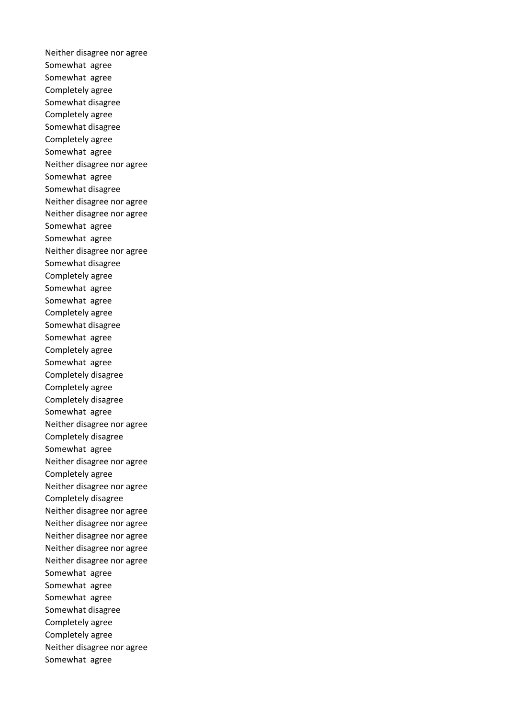Neither disagree nor agree Somewhat agree Somewhat agree Completely agree Somewhat disagree Completely agree Somewhat disagree Completely agree Somewhat agree Neither disagree nor agree Somewhat agree Somewhat disagree Neither disagree nor agree Neither disagree nor agree Somewhat agree Somewhat agree Neither disagree nor agree Somewhat disagree Completely agree Somewhat agree Somewhat agree Completely agree Somewhat disagree Somewhat agree Completely agree Somewhat agree Completely disagree Completely agree Completely disagree Somewhat agree Neither disagree nor agree Completely disagree Somewhat agree Neither disagree nor agree Completely agree Neither disagree nor agree Completely disagree Neither disagree nor agree Neither disagree nor agree Neither disagree nor agree Neither disagree nor agree Neither disagree nor agree Somewhat agree Somewhat agree Somewhat agree Somewhat disagree Completely agree Completely agree Neither disagree nor agree Somewhat agree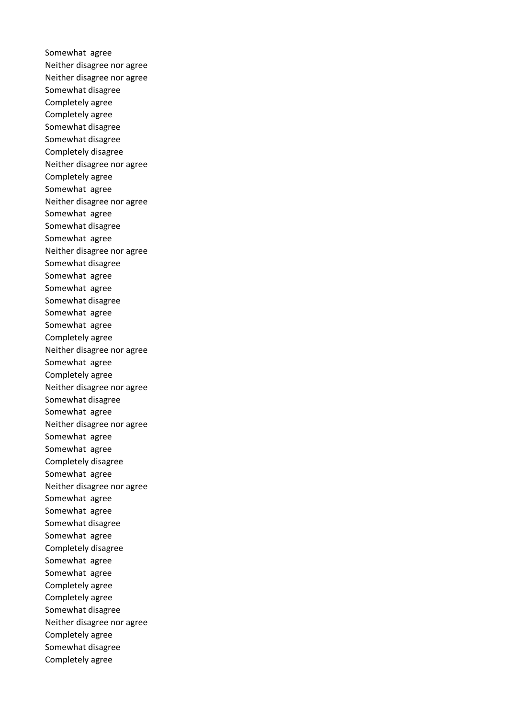Somewhat agree Neither disagree nor agree Neither disagree nor agree Somewhat disagree Completely agree Completely agree Somewhat disagree Somewhat disagree Completely disagree Neither disagree nor agree Completely agree Somewhat agree Neither disagree nor agree Somewhat agree Somewhat disagree Somewhat agree Neither disagree nor agree Somewhat disagree Somewhat agree Somewhat agree Somewhat disagree Somewhat agree Somewhat agree Completely agree Neither disagree nor agree Somewhat agree Completely agree Neither disagree nor agree Somewhat disagree Somewhat agree Neither disagree nor agree Somewhat agree Somewhat agree Completely disagree Somewhat agree Neither disagree nor agree Somewhat agree Somewhat agree Somewhat disagree Somewhat agree Completely disagree Somewhat agree Somewhat agree Completely agree Completely agree Somewhat disagree Neither disagree nor agree Completely agree Somewhat disagree Completely agree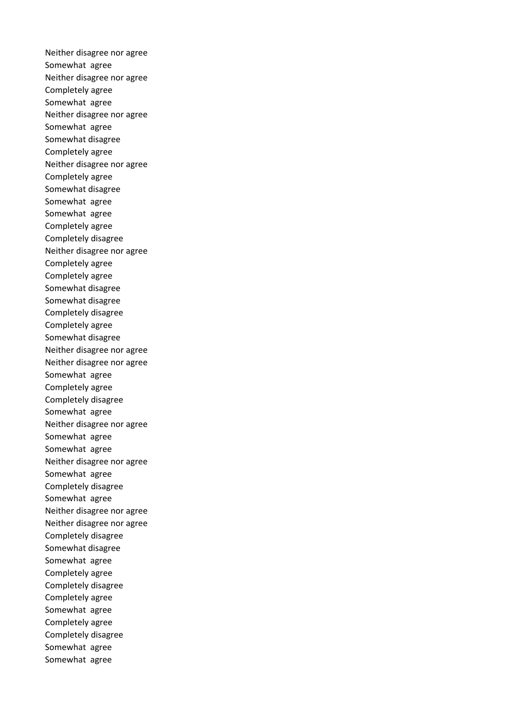Neither disagree nor agree Somewhat agree Neither disagree nor agree Completely agree Somewhat agree Neither disagree nor agree Somewhat agree Somewhat disagree Completely agree Neither disagree nor agree Completely agree Somewhat disagree Somewhat agree Somewhat agree Completely agree Completely disagree Neither disagree nor agree Completely agree Completely agree Somewhat disagree Somewhat disagree Completely disagree Completely agree Somewhat disagree Neither disagree nor agree Neither disagree nor agree Somewhat agree Completely agree Completely disagree Somewhat agree Neither disagree nor agree Somewhat agree Somewhat agree Neither disagree nor agree Somewhat agree Completely disagree Somewhat agree Neither disagree nor agree Neither disagree nor agree Completely disagree Somewhat disagree Somewhat agree Completely agree Completely disagree Completely agree Somewhat agree Completely agree Completely disagree Somewhat agree Somewhat agree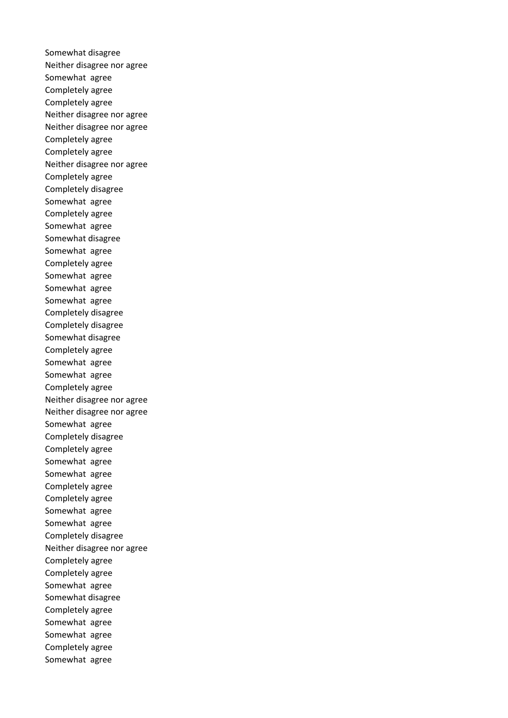Somewhat disagree Neither disagree nor agree Somewhat agree Completely agree Completely agree Neither disagree nor agree Neither disagree nor agree Completely agree Completely agree Neither disagree nor agree Completely agree Completely disagree Somewhat agree Completely agree Somewhat agree Somewhat disagree Somewhat agree Completely agree Somewhat agree Somewhat agree Somewhat agree Completely disagree Completely disagree Somewhat disagree Completely agree Somewhat agree Somewhat agree Completely agree Neither disagree nor agree Neither disagree nor agree Somewhat agree Completely disagree Completely agree Somewhat agree Somewhat agree Completely agree Completely agree Somewhat agree Somewhat agree Completely disagree Neither disagree nor agree Completely agree Completely agree Somewhat agree Somewhat disagree Completely agree Somewhat agree Somewhat agree Completely agree Somewhat agree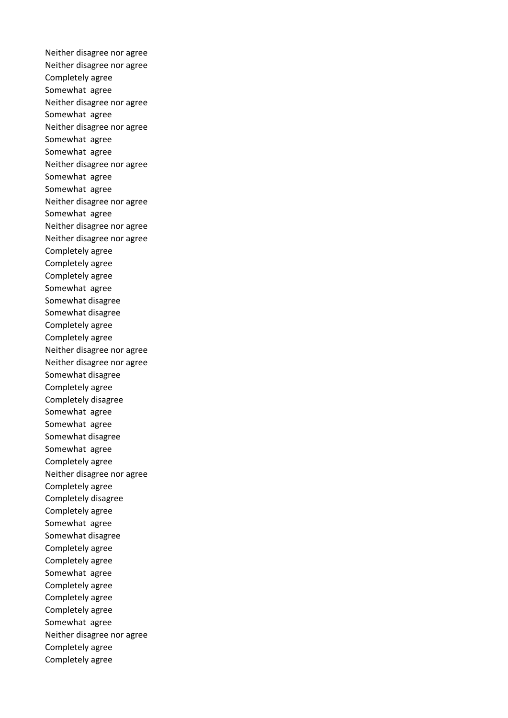Neither disagree nor agree Neither disagree nor agree Completely agree Somewhat agree Neither disagree nor agree Somewhat agree Neither disagree nor agree Somewhat agree Somewhat agree Neither disagree nor agree Somewhat agree Somewhat agree Neither disagree nor agree Somewhat agree Neither disagree nor agree Neither disagree nor agree Completely agree Completely agree Completely agree Somewhat agree Somewhat disagree Somewhat disagree Completely agree Completely agree Neither disagree nor agree Neither disagree nor agree Somewhat disagree Completely agree Completely disagree Somewhat agree Somewhat agree Somewhat disagree Somewhat agree Completely agree Neither disagree nor agree Completely agree Completely disagree Completely agree Somewhat agree Somewhat disagree Completely agree Completely agree Somewhat agree Completely agree Completely agree Completely agree Somewhat agree Neither disagree nor agree Completely agree Completely agree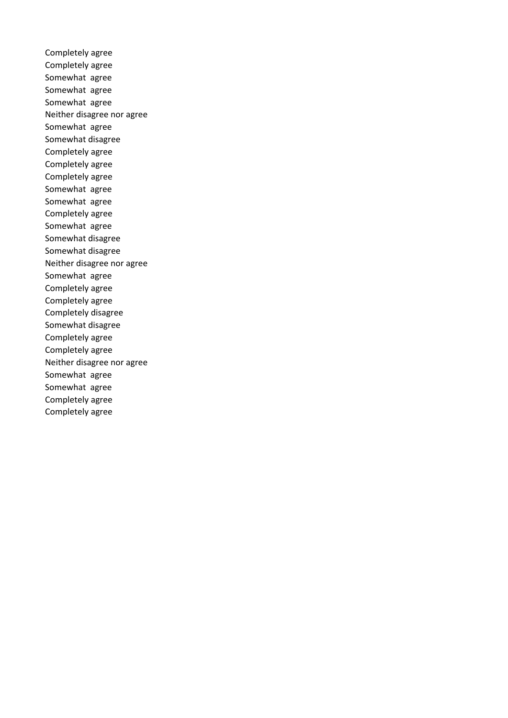Completely agree Completely agree Somewhat agree Somewhat agree Somewhat agree Neither disagree nor agree Somewhat agree Somewhat disagree Completely agree Completely agree Completely agree Somewhat agree Somewhat agree Completely agree Somewhat agree Somewhat disagree Somewhat disagree Neither disagree nor agree Somewhat agree Completely agree Completely agree Completely disagree Somewhat disagree Completely agree Completely agree Neither disagree nor agree Somewhat agree Somewhat agree Completely agree Completely agree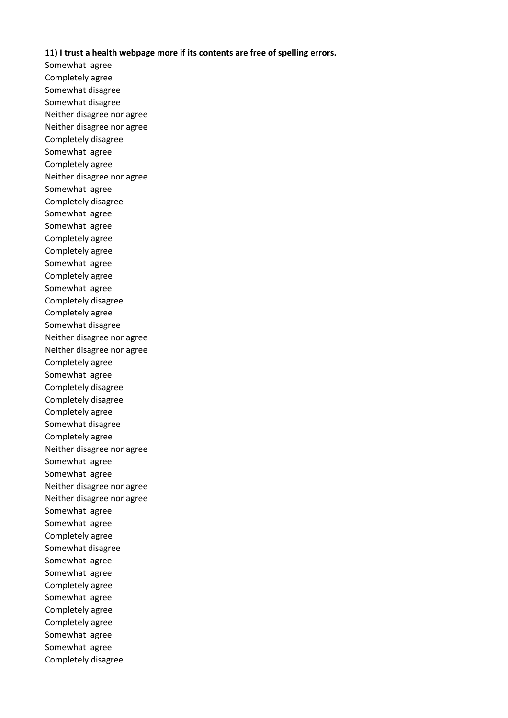## **11) I trust a health webpage more if its contents are free of spelling errors.**

Somewhat agree Completely agree Somewhat disagree Somewhat disagree Neither disagree nor agree Neither disagree nor agree Completely disagree Somewhat agree Completely agree Neither disagree nor agree Somewhat agree Completely disagree Somewhat agree Somewhat agree Completely agree Completely agree Somewhat agree Completely agree Somewhat agree Completely disagree Completely agree Somewhat disagree Neither disagree nor agree Neither disagree nor agree Completely agree Somewhat agree Completely disagree Completely disagree Completely agree Somewhat disagree Completely agree Neither disagree nor agree Somewhat agree Somewhat agree Neither disagree nor agree Neither disagree nor agree Somewhat agree Somewhat agree Completely agree Somewhat disagree Somewhat agree Somewhat agree Completely agree Somewhat agree Completely agree Completely agree Somewhat agree Somewhat agree Completely disagree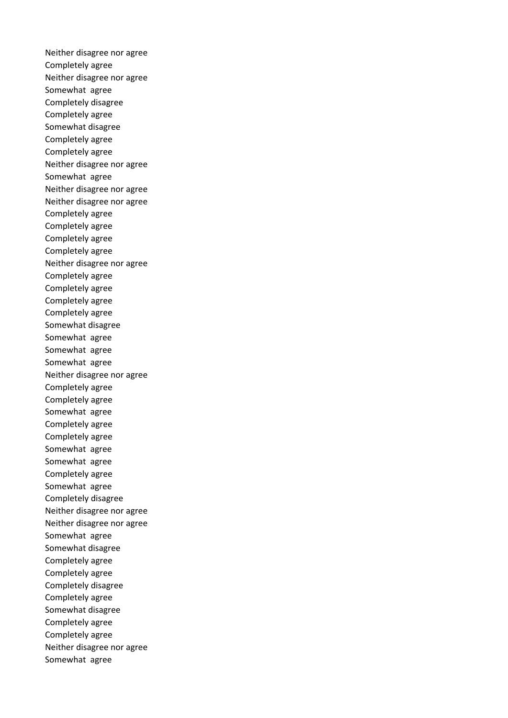Neither disagree nor agree Completely agree Neither disagree nor agree Somewhat agree Completely disagree Completely agree Somewhat disagree Completely agree Completely agree Neither disagree nor agree Somewhat agree Neither disagree nor agree Neither disagree nor agree Completely agree Completely agree Completely agree Completely agree Neither disagree nor agree Completely agree Completely agree Completely agree Completely agree Somewhat disagree Somewhat agree Somewhat agree Somewhat agree Neither disagree nor agree Completely agree Completely agree Somewhat agree Completely agree Completely agree Somewhat agree Somewhat agree Completely agree Somewhat agree Completely disagree Neither disagree nor agree Neither disagree nor agree Somewhat agree Somewhat disagree Completely agree Completely agree Completely disagree Completely agree Somewhat disagree Completely agree Completely agree Neither disagree nor agree Somewhat agree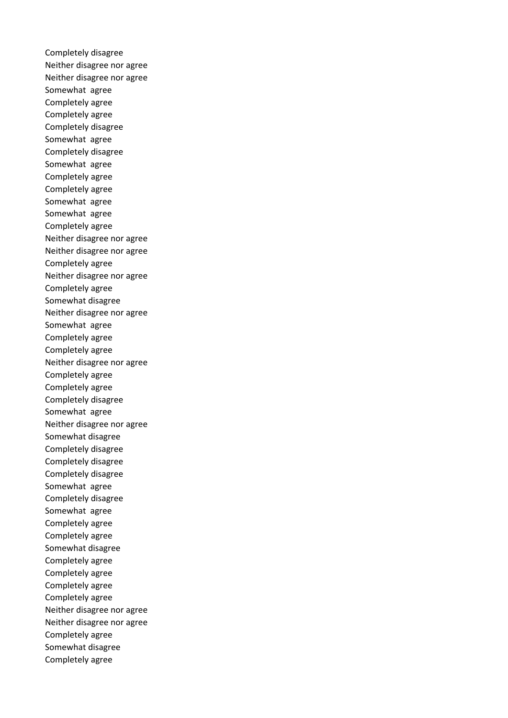Completely disagree Neither disagree nor agree Neither disagree nor agree Somewhat agree Completely agree Completely agree Completely disagree Somewhat agree Completely disagree Somewhat agree Completely agree Completely agree Somewhat agree Somewhat agree Completely agree Neither disagree nor agree Neither disagree nor agree Completely agree Neither disagree nor agree Completely agree Somewhat disagree Neither disagree nor agree Somewhat agree Completely agree Completely agree Neither disagree nor agree Completely agree Completely agree Completely disagree Somewhat agree Neither disagree nor agree Somewhat disagree Completely disagree Completely disagree Completely disagree Somewhat agree Completely disagree Somewhat agree Completely agree Completely agree Somewhat disagree Completely agree Completely agree Completely agree Completely agree Neither disagree nor agree Neither disagree nor agree Completely agree Somewhat disagree Completely agree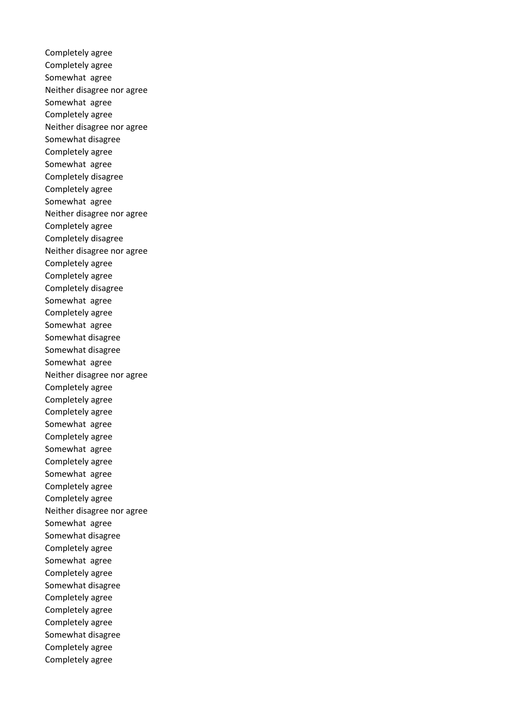Completely agree Completely agree Somewhat agree Neither disagree nor agree Somewhat agree Completely agree Neither disagree nor agree Somewhat disagree Completely agree Somewhat agree Completely disagree Completely agree Somewhat agree Neither disagree nor agree Completely agree Completely disagree Neither disagree nor agree Completely agree Completely agree Completely disagree Somewhat agree Completely agree Somewhat agree Somewhat disagree Somewhat disagree Somewhat agree Neither disagree nor agree Completely agree Completely agree Completely agree Somewhat agree Completely agree Somewhat agree Completely agree Somewhat agree Completely agree Completely agree Neither disagree nor agree Somewhat agree Somewhat disagree Completely agree Somewhat agree Completely agree Somewhat disagree Completely agree Completely agree Completely agree Somewhat disagree Completely agree Completely agree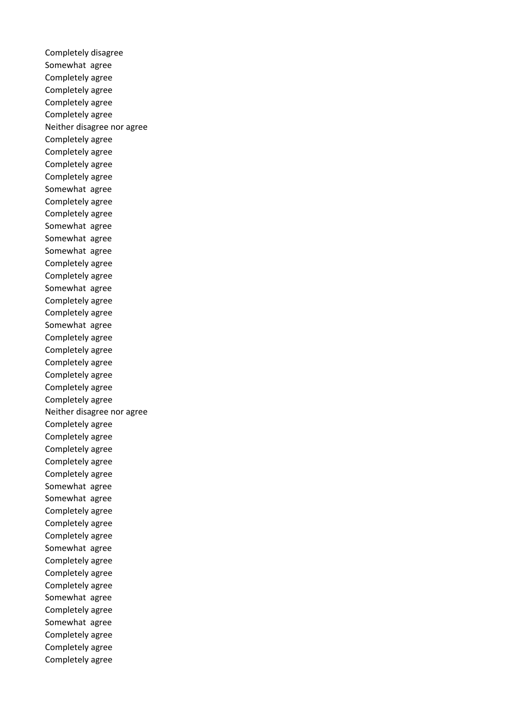Completely disagree Somewhat agree Completely agree Completely agree Completely agree Completely agree Neither disagree nor agree Completely agree Completely agree Completely agree Completely agree Somewhat agree Completely agree Completely agree Somewhat agree Somewhat agree Somewhat agree Completely agree Completely agree Somewhat agree Completely agree Completely agree Somewhat agree Completely agree Completely agree Completely agree Completely agree Completely agree Completely agree Neither disagree nor agree Completely agree Completely agree Completely agree Completely agree Completely agree Somewhat agree Somewhat agree Completely agree Completely agree Completely agree Somewhat agree Completely agree Completely agree Completely agree Somewhat agree Completely agree Somewhat agree Completely agree Completely agree Completely agree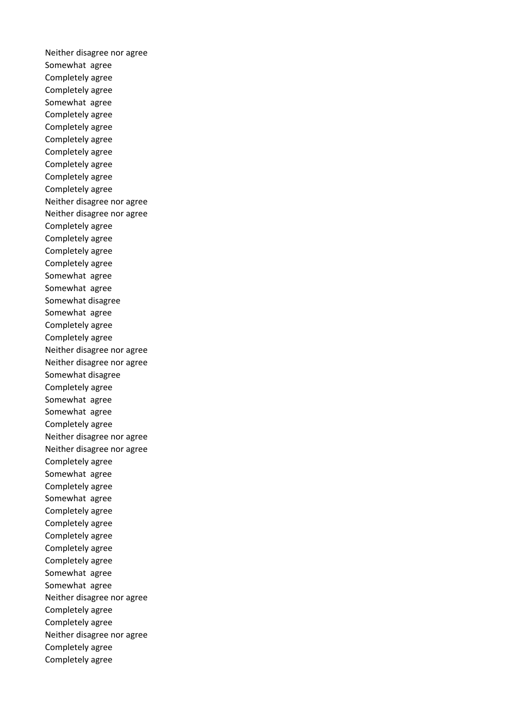Neither disagree nor agree Somewhat agree Completely agree Completely agree Somewhat agree Completely agree Completely agree Completely agree Completely agree Completely agree Completely agree Completely agree Neither disagree nor agree Neither disagree nor agree Completely agree Completely agree Completely agree Completely agree Somewhat agree Somewhat agree Somewhat disagree Somewhat agree Completely agree Completely agree Neither disagree nor agree Neither disagree nor agree Somewhat disagree Completely agree Somewhat agree Somewhat agree Completely agree Neither disagree nor agree Neither disagree nor agree Completely agree Somewhat agree Completely agree Somewhat agree Completely agree Completely agree Completely agree Completely agree Completely agree Somewhat agree Somewhat agree Neither disagree nor agree Completely agree Completely agree Neither disagree nor agree Completely agree Completely agree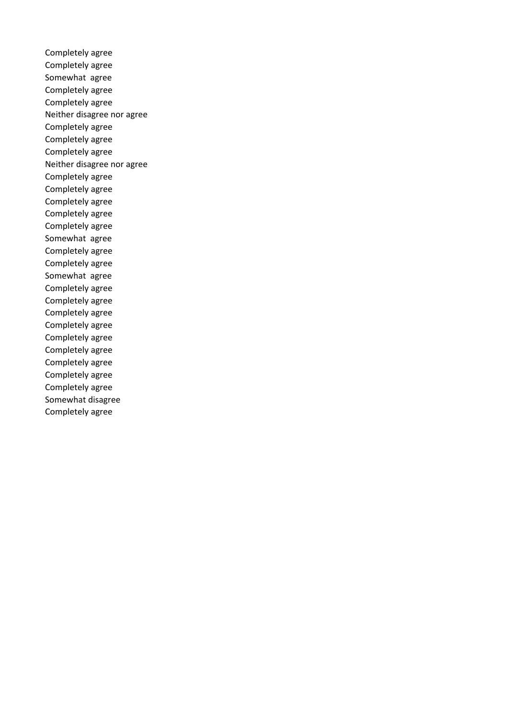Completely agree Completely agree Somewhat agree Completely agree Completely agree Neither disagree nor agree Completely agree Completely agree Completely agree Neither disagree nor agree Completely agree Completely agree Completely agree Completely agree Completely agree Somewhat agree Completely agree Completely agree Somewhat agree Completely agree Completely agree Completely agree Completely agree Completely agree Completely agree Completely agree Completely agree Completely agree Somewhat disagree Completely agree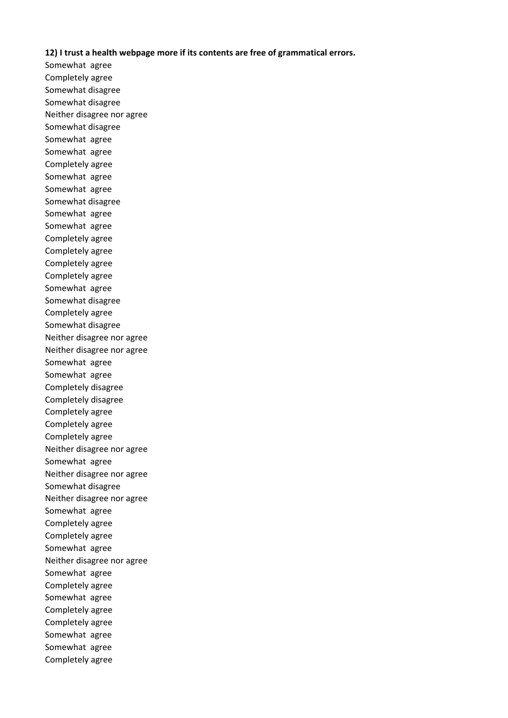## **12) I trust a health webpage more if its contents are free of grammatical errors.**

Somewhat agree Completely agree Somewhat disagree Somewhat disagree Neither disagree nor agree Somewhat disagree Somewhat agree Somewhat agree Completely agree Somewhat agree Somewhat agree Somewhat disagree Somewhat agree Somewhat agree Completely agree Completely agree Completely agree Completely agree Somewhat agree Somewhat disagree Completely agree Somewhat disagree Neither disagree nor agree Neither disagree nor agree Somewhat agree Somewhat agree Completely disagree Completely disagree Completely agree Completely agree Completely agree Neither disagree nor agree Somewhat agree Neither disagree nor agree Somewhat disagree Neither disagree nor agree Somewhat agree Completely agree Completely agree Somewhat agree Neither disagree nor agree Somewhat agree Completely agree Somewhat agree Completely agree Completely agree Somewhat agree Somewhat agree Completely agree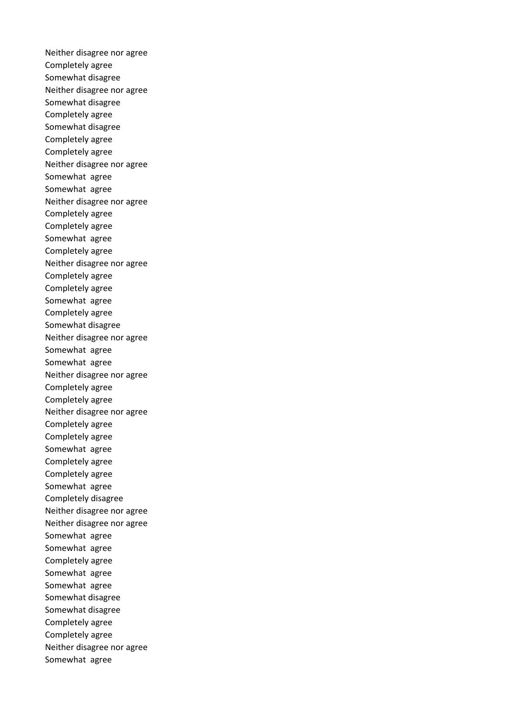Neither disagree nor agree Completely agree Somewhat disagree Neither disagree nor agree Somewhat disagree Completely agree Somewhat disagree Completely agree Completely agree Neither disagree nor agree Somewhat agree Somewhat agree Neither disagree nor agree Completely agree Completely agree Somewhat agree Completely agree Neither disagree nor agree Completely agree Completely agree Somewhat agree Completely agree Somewhat disagree Neither disagree nor agree Somewhat agree Somewhat agree Neither disagree nor agree Completely agree Completely agree Neither disagree nor agree Completely agree Completely agree Somewhat agree Completely agree Completely agree Somewhat agree Completely disagree Neither disagree nor agree Neither disagree nor agree Somewhat agree Somewhat agree Completely agree Somewhat agree Somewhat agree Somewhat disagree Somewhat disagree Completely agree Completely agree Neither disagree nor agree Somewhat agree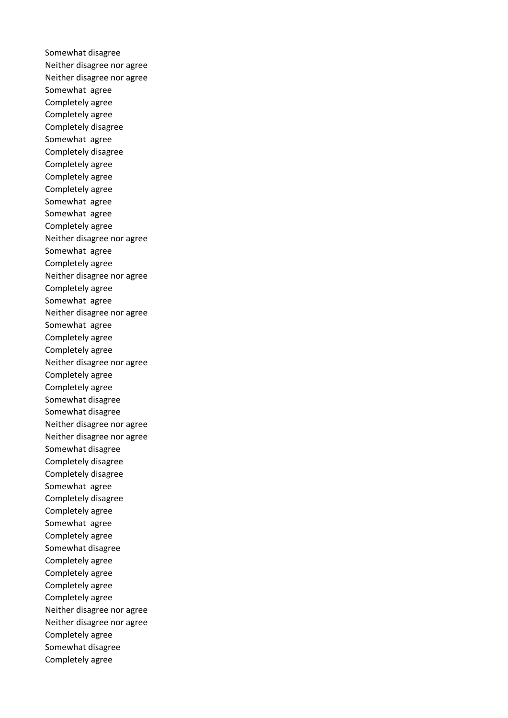Somewhat disagree Neither disagree nor agree Neither disagree nor agree Somewhat agree Completely agree Completely agree Completely disagree Somewhat agree Completely disagree Completely agree Completely agree Completely agree Somewhat agree Somewhat agree Completely agree Neither disagree nor agree Somewhat agree Completely agree Neither disagree nor agree Completely agree Somewhat agree Neither disagree nor agree Somewhat agree Completely agree Completely agree Neither disagree nor agree Completely agree Completely agree Somewhat disagree Somewhat disagree Neither disagree nor agree Neither disagree nor agree Somewhat disagree Completely disagree Completely disagree Somewhat agree Completely disagree Completely agree Somewhat agree Completely agree Somewhat disagree Completely agree Completely agree Completely agree Completely agree Neither disagree nor agree Neither disagree nor agree Completely agree Somewhat disagree Completely agree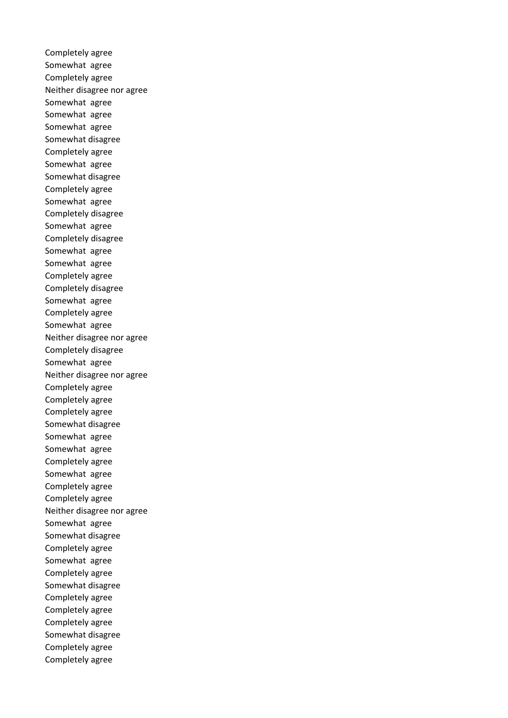Completely agree Somewhat agree Completely agree Neither disagree nor agree Somewhat agree Somewhat agree Somewhat agree Somewhat disagree Completely agree Somewhat agree Somewhat disagree Completely agree Somewhat agree Completely disagree Somewhat agree Completely disagree Somewhat agree Somewhat agree Completely agree Completely disagree Somewhat agree Completely agree Somewhat agree Neither disagree nor agree Completely disagree Somewhat agree Neither disagree nor agree Completely agree Completely agree Completely agree Somewhat disagree Somewhat agree Somewhat agree Completely agree Somewhat agree Completely agree Completely agree Neither disagree nor agree Somewhat agree Somewhat disagree Completely agree Somewhat agree Completely agree Somewhat disagree Completely agree Completely agree Completely agree Somewhat disagree Completely agree Completely agree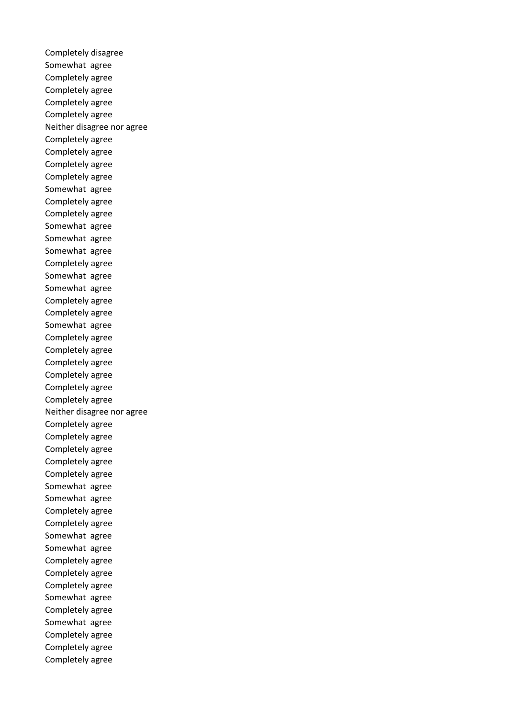Completely disagree Somewhat agree Completely agree Completely agree Completely agree Completely agree Neither disagree nor agree Completely agree Completely agree Completely agree Completely agree Somewhat agree Completely agree Completely agree Somewhat agree Somewhat agree Somewhat agree Completely agree Somewhat agree Somewhat agree Completely agree Completely agree Somewhat agree Completely agree Completely agree Completely agree Completely agree Completely agree Completely agree Neither disagree nor agree Completely agree Completely agree Completely agree Completely agree Completely agree Somewhat agree Somewhat agree Completely agree Completely agree Somewhat agree Somewhat agree Completely agree Completely agree Completely agree Somewhat agree Completely agree Somewhat agree Completely agree Completely agree Completely agree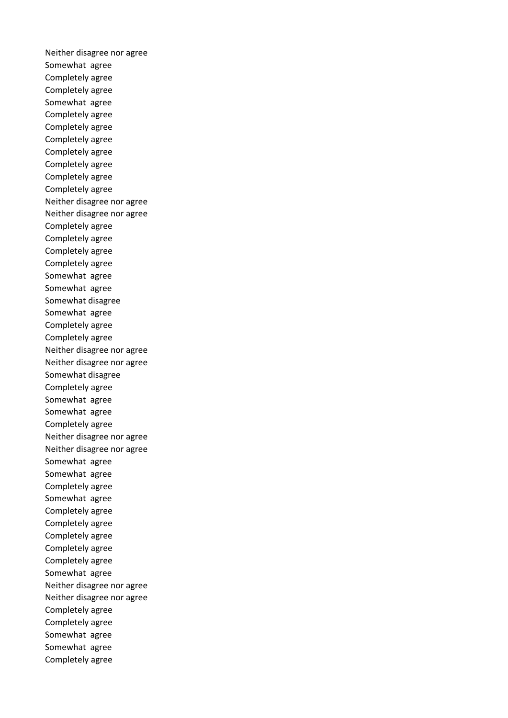Neither disagree nor agree Somewhat agree Completely agree Completely agree Somewhat agree Completely agree Completely agree Completely agree Completely agree Completely agree Completely agree Completely agree Neither disagree nor agree Neither disagree nor agree Completely agree Completely agree Completely agree Completely agree Somewhat agree Somewhat agree Somewhat disagree Somewhat agree Completely agree Completely agree Neither disagree nor agree Neither disagree nor agree Somewhat disagree Completely agree Somewhat agree Somewhat agree Completely agree Neither disagree nor agree Neither disagree nor agree Somewhat agree Somewhat agree Completely agree Somewhat agree Completely agree Completely agree Completely agree Completely agree Completely agree Somewhat agree Neither disagree nor agree Neither disagree nor agree Completely agree Completely agree Somewhat agree Somewhat agree Completely agree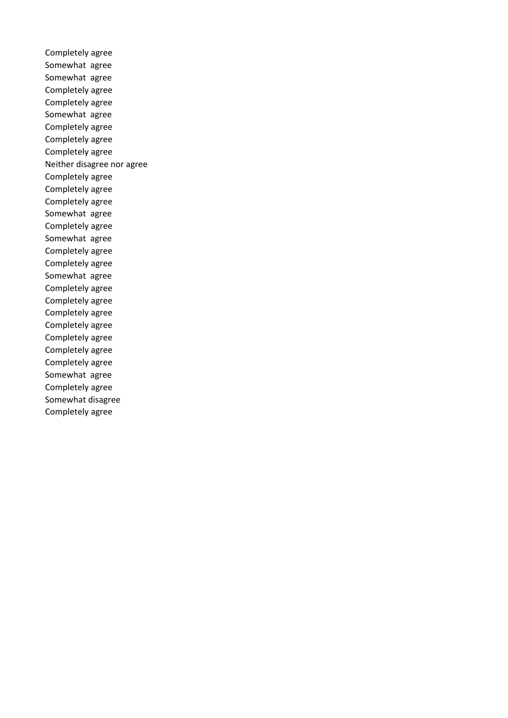Completely agree Somewhat agree Somewhat agree Completely agree Completely agree Somewhat agree Completely agree Completely agree Completely agree Neither disagree nor agree Completely agree Completely agree Completely agree Somewhat agree Completely agree Somewhat agree Completely agree Completely agree Somewhat agree Completely agree Completely agree Completely agree Completely agree Completely agree Completely agree Completely agree Somewhat agree Completely agree Somewhat disagree Completely agree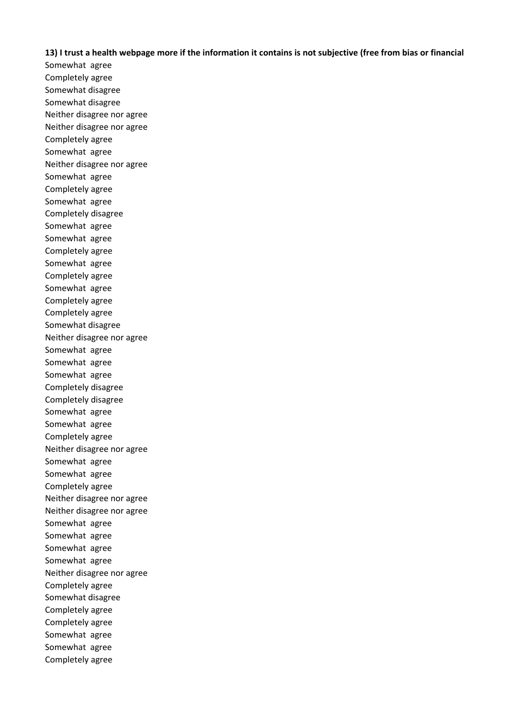**13) I trust a health webpage more if the information it contains is not subjective (free from bias or financial** 

Somewhat agree Completely agree Somewhat disagree Somewhat disagree Neither disagree nor agree Neither disagree nor agree Completely agree Somewhat agree Neither disagree nor agree Somewhat agree Completely agree Somewhat agree Completely disagree Somewhat agree Somewhat agree Completely agree Somewhat agree Completely agree Somewhat agree Completely agree Completely agree Somewhat disagree Neither disagree nor agree Somewhat agree Somewhat agree Somewhat agree Completely disagree Completely disagree Somewhat agree Somewhat agree Completely agree Neither disagree nor agree Somewhat agree Somewhat agree Completely agree Neither disagree nor agree Neither disagree nor agree Somewhat agree Somewhat agree Somewhat agree Somewhat agree Neither disagree nor agree Completely agree Somewhat disagree Completely agree Completely agree Somewhat agree Somewhat agree Completely agree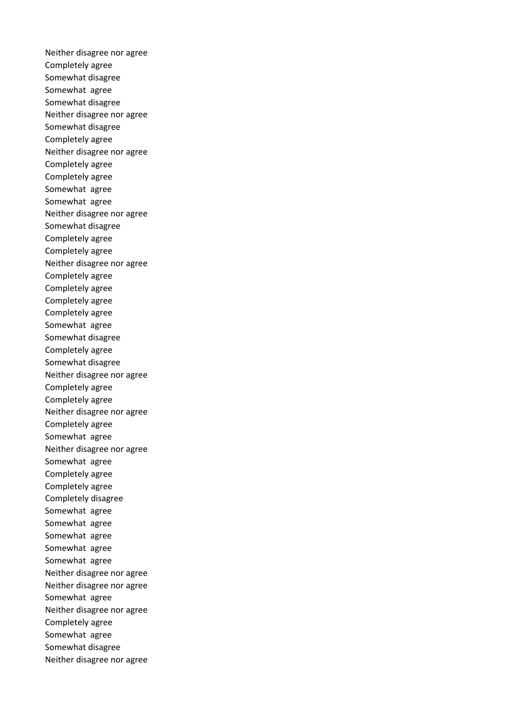Neither disagree nor agree Completely agree Somewhat disagree Somewhat agree Somewhat disagree Neither disagree nor agree Somewhat disagree Completely agree Neither disagree nor agree Completely agree Completely agree Somewhat agree Somewhat agree Neither disagree nor agree Somewhat disagree Completely agree Completely agree Neither disagree nor agree Completely agree Completely agree Completely agree Completely agree Somewhat agree Somewhat disagree Completely agree Somewhat disagree Neither disagree nor agree Completely agree Completely agree Neither disagree nor agree Completely agree Somewhat agree Neither disagree nor agree Somewhat agree Completely agree Completely agree Completely disagree Somewhat agree Somewhat agree Somewhat agree Somewhat agree Somewhat agree Neither disagree nor agree Neither disagree nor agree Somewhat agree Neither disagree nor agree Completely agree Somewhat agree Somewhat disagree Neither disagree nor agree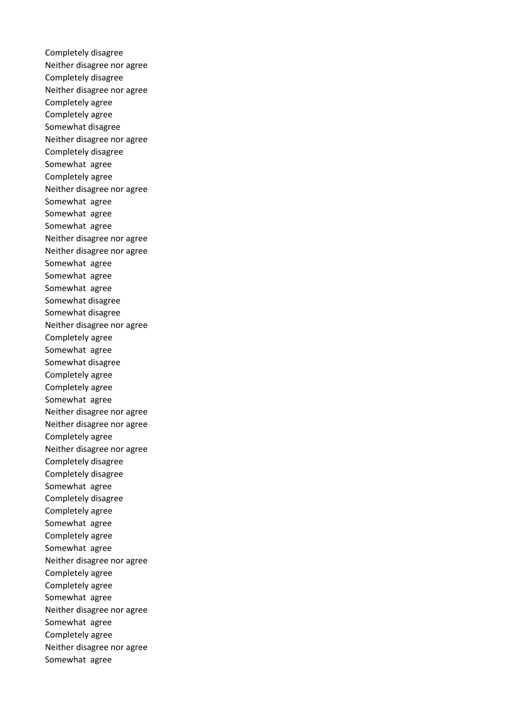Completely disagree Neither disagree nor agree Completely disagree Neither disagree nor agree Completely agree Completely agree Somewhat disagree Neither disagree nor agree Completely disagree Somewhat agree Completely agree Neither disagree nor agree Somewhat agree Somewhat agree Somewhat agree Neither disagree nor agree Neither disagree nor agree Somewhat agree Somewhat agree Somewhat agree Somewhat disagree Somewhat disagree Neither disagree nor agree Completely agree Somewhat agree Somewhat disagree Completely agree Completely agree Somewhat agree Neither disagree nor agree Neither disagree nor agree Completely agree Neither disagree nor agree Completely disagree Completely disagree Somewhat agree Completely disagree Completely agree Somewhat agree Completely agree Somewhat agree Neither disagree nor agree Completely agree Completely agree Somewhat agree Neither disagree nor agree Somewhat agree Completely agree Neither disagree nor agree Somewhat agree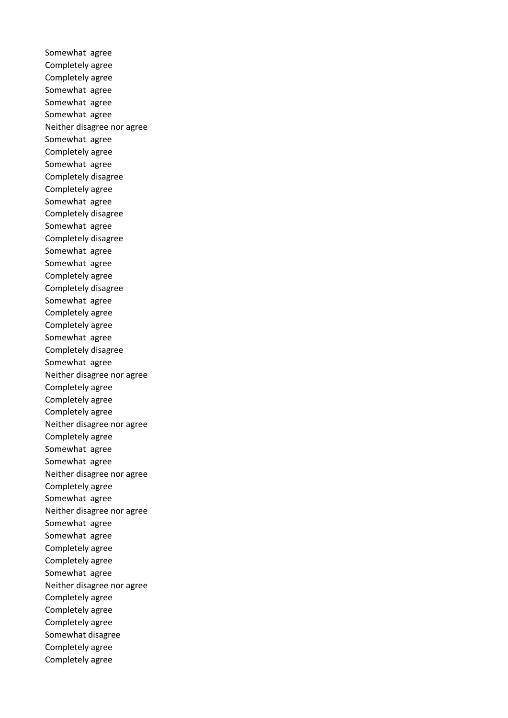Somewhat agree Completely agree Completely agree Somewhat agree Somewhat agree Somewhat agree Neither disagree nor agree Somewhat agree Completely agree Somewhat agree Completely disagree Completely agree Somewhat agree Completely disagree Somewhat agree Completely disagree Somewhat agree Somewhat agree Completely agree Completely disagree Somewhat agree Completely agree Completely agree Somewhat agree Completely disagree Somewhat agree Neither disagree nor agree Completely agree Completely agree Completely agree Neither disagree nor agree Completely agree Somewhat agree Somewhat agree Neither disagree nor agree Completely agree Somewhat agree Neither disagree nor agree Somewhat agree Somewhat agree Completely agree Completely agree Somewhat agree Neither disagree nor agree Completely agree Completely agree Completely agree Somewhat disagree Completely agree Completely agree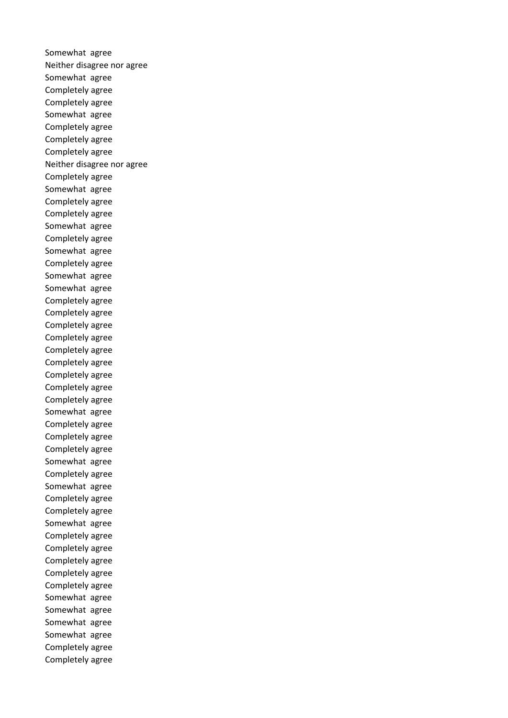Somewhat agree Neither disagree nor agree Somewhat agree Completely agree Completely agree Somewhat agree Completely agree Completely agree Completely agree Neither disagree nor agree Completely agree Somewhat agree Completely agree Completely agree Somewhat agree Completely agree Somewhat agree Completely agree Somewhat agree Somewhat agree Completely agree Completely agree Completely agree Completely agree Completely agree Completely agree Completely agree Completely agree Completely agree Somewhat agree Completely agree Completely agree Completely agree Somewhat agree Completely agree Somewhat agree Completely agree Completely agree Somewhat agree Completely agree Completely agree Completely agree Completely agree Completely agree Somewhat agree Somewhat agree Somewhat agree Somewhat agree Completely agree Completely agree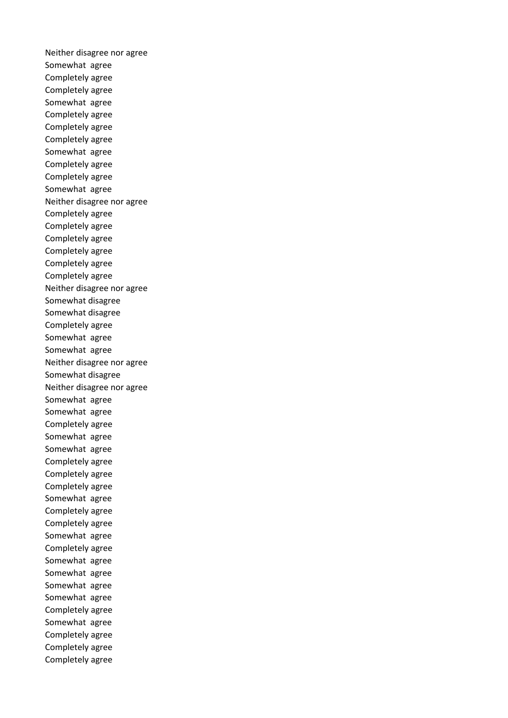Neither disagree nor agree Somewhat agree Completely agree Completely agree Somewhat agree Completely agree Completely agree Completely agree Somewhat agree Completely agree Completely agree Somewhat agree Neither disagree nor agree Completely agree Completely agree Completely agree Completely agree Completely agree Completely agree Neither disagree nor agree Somewhat disagree Somewhat disagree Completely agree Somewhat agree Somewhat agree Neither disagree nor agree Somewhat disagree Neither disagree nor agree Somewhat agree Somewhat agree Completely agree Somewhat agree Somewhat agree Completely agree Completely agree Completely agree Somewhat agree Completely agree Completely agree Somewhat agree Completely agree Somewhat agree Somewhat agree Somewhat agree Somewhat agree Completely agree Somewhat agree Completely agree Completely agree Completely agree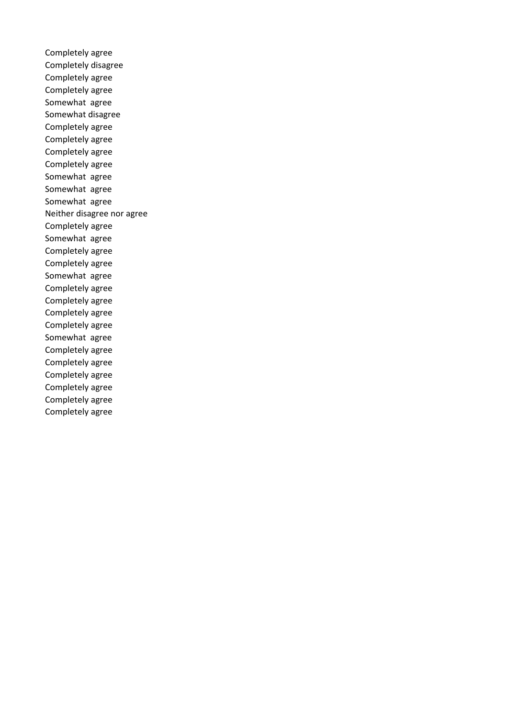Completely agree Completely disagree Completely agree Completely agree Somewhat agree Somewhat disagree Completely agree Completely agree Completely agree Completely agree Somewhat agree Somewhat agree Somewhat agree Neither disagree nor agree Completely agree Somewhat agree Completely agree Completely agree Somewhat agree Completely agree Completely agree Completely agree Completely agree Somewhat agree Completely agree Completely agree Completely agree Completely agree Completely agree Completely agree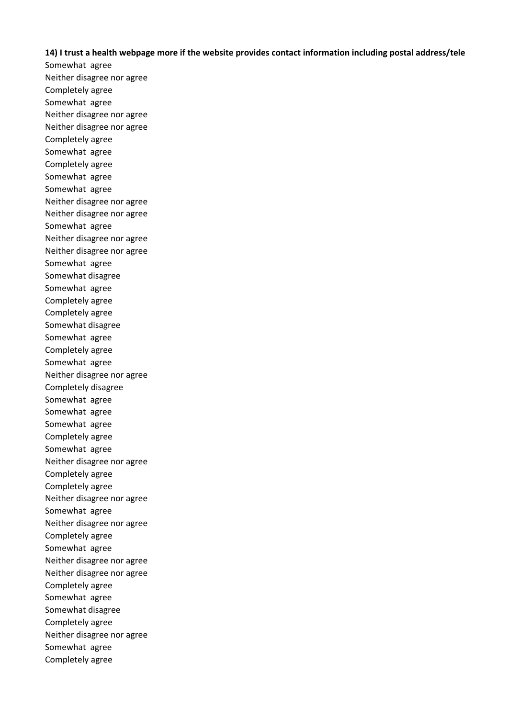## **14) I trust a health webpage more if the website provides contact information including postal address/tele**

Somewhat agree Neither disagree nor agree Completely agree Somewhat agree Neither disagree nor agree Neither disagree nor agree Completely agree Somewhat agree Completely agree Somewhat agree Somewhat agree Neither disagree nor agree Neither disagree nor agree Somewhat agree Neither disagree nor agree Neither disagree nor agree Somewhat agree Somewhat disagree Somewhat agree Completely agree Completely agree Somewhat disagree Somewhat agree Completely agree Somewhat agree Neither disagree nor agree Completely disagree Somewhat agree Somewhat agree Somewhat agree Completely agree Somewhat agree Neither disagree nor agree Completely agree Completely agree Neither disagree nor agree Somewhat agree Neither disagree nor agree Completely agree Somewhat agree Neither disagree nor agree Neither disagree nor agree Completely agree Somewhat agree Somewhat disagree Completely agree Neither disagree nor agree Somewhat agree Completely agree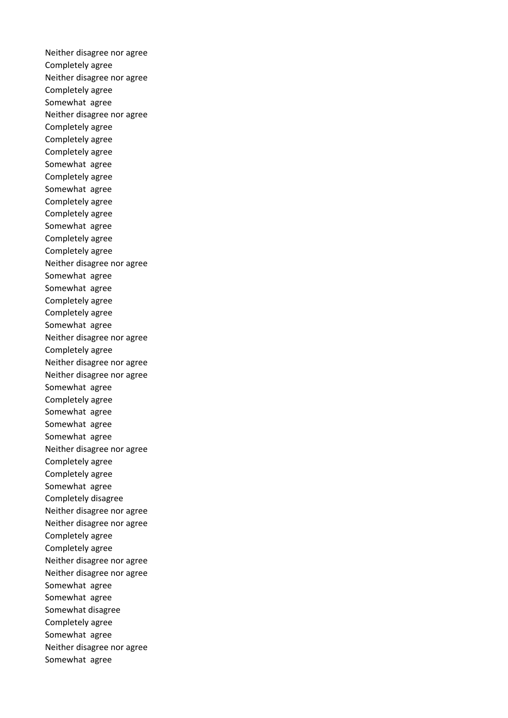Neither disagree nor agree Completely agree Neither disagree nor agree Completely agree Somewhat agree Neither disagree nor agree Completely agree Completely agree Completely agree Somewhat agree Completely agree Somewhat agree Completely agree Completely agree Somewhat agree Completely agree Completely agree Neither disagree nor agree Somewhat agree Somewhat agree Completely agree Completely agree Somewhat agree Neither disagree nor agree Completely agree Neither disagree nor agree Neither disagree nor agree Somewhat agree Completely agree Somewhat agree Somewhat agree Somewhat agree Neither disagree nor agree Completely agree Completely agree Somewhat agree Completely disagree Neither disagree nor agree Neither disagree nor agree Completely agree Completely agree Neither disagree nor agree Neither disagree nor agree Somewhat agree Somewhat agree Somewhat disagree Completely agree Somewhat agree Neither disagree nor agree Somewhat agree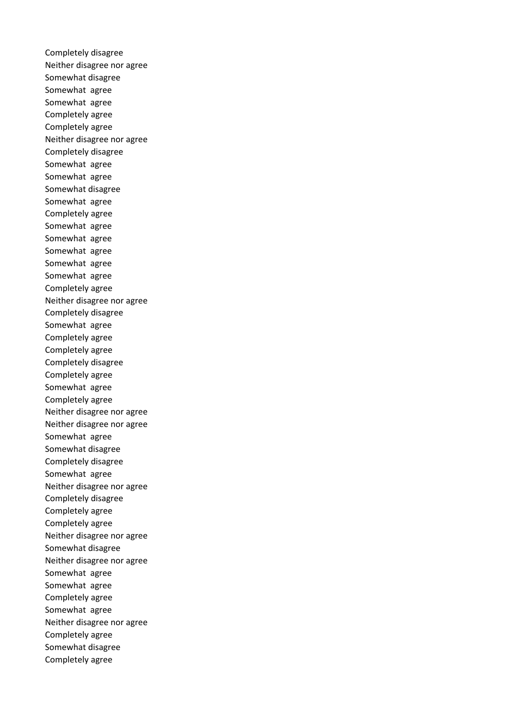Completely disagree Neither disagree nor agree Somewhat disagree Somewhat agree Somewhat agree Completely agree Completely agree Neither disagree nor agree Completely disagree Somewhat agree Somewhat agree Somewhat disagree Somewhat agree Completely agree Somewhat agree Somewhat agree Somewhat agree Somewhat agree Somewhat agree Completely agree Neither disagree nor agree Completely disagree Somewhat agree Completely agree Completely agree Completely disagree Completely agree Somewhat agree Completely agree Neither disagree nor agree Neither disagree nor agree Somewhat agree Somewhat disagree Completely disagree Somewhat agree Neither disagree nor agree Completely disagree Completely agree Completely agree Neither disagree nor agree Somewhat disagree Neither disagree nor agree Somewhat agree Somewhat agree Completely agree Somewhat agree Neither disagree nor agree Completely agree Somewhat disagree Completely agree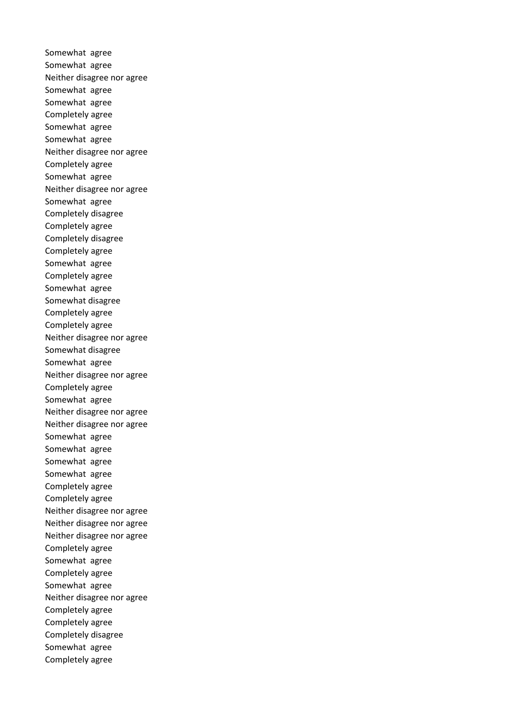Somewhat agree Somewhat agree Neither disagree nor agree Somewhat agree Somewhat agree Completely agree Somewhat agree Somewhat agree Neither disagree nor agree Completely agree Somewhat agree Neither disagree nor agree Somewhat agree Completely disagree Completely agree Completely disagree Completely agree Somewhat agree Completely agree Somewhat agree Somewhat disagree Completely agree Completely agree Neither disagree nor agree Somewhat disagree Somewhat agree Neither disagree nor agree Completely agree Somewhat agree Neither disagree nor agree Neither disagree nor agree Somewhat agree Somewhat agree Somewhat agree Somewhat agree Completely agree Completely agree Neither disagree nor agree Neither disagree nor agree Neither disagree nor agree Completely agree Somewhat agree Completely agree Somewhat agree Neither disagree nor agree Completely agree Completely agree Completely disagree Somewhat agree Completely agree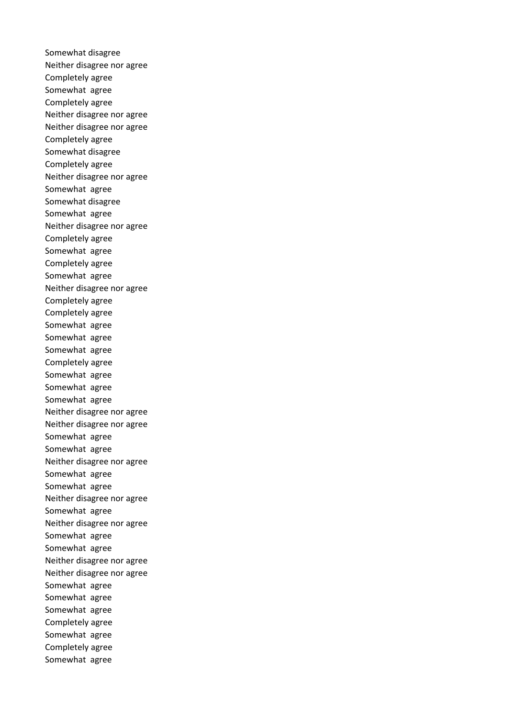Somewhat disagree Neither disagree nor agree Completely agree Somewhat agree Completely agree Neither disagree nor agree Neither disagree nor agree Completely agree Somewhat disagree Completely agree Neither disagree nor agree Somewhat agree Somewhat disagree Somewhat agree Neither disagree nor agree Completely agree Somewhat agree Completely agree Somewhat agree Neither disagree nor agree Completely agree Completely agree Somewhat agree Somewhat agree Somewhat agree Completely agree Somewhat agree Somewhat agree Somewhat agree Neither disagree nor agree Neither disagree nor agree Somewhat agree Somewhat agree Neither disagree nor agree Somewhat agree Somewhat agree Neither disagree nor agree Somewhat agree Neither disagree nor agree Somewhat agree Somewhat agree Neither disagree nor agree Neither disagree nor agree Somewhat agree Somewhat agree Somewhat agree Completely agree Somewhat agree Completely agree Somewhat agree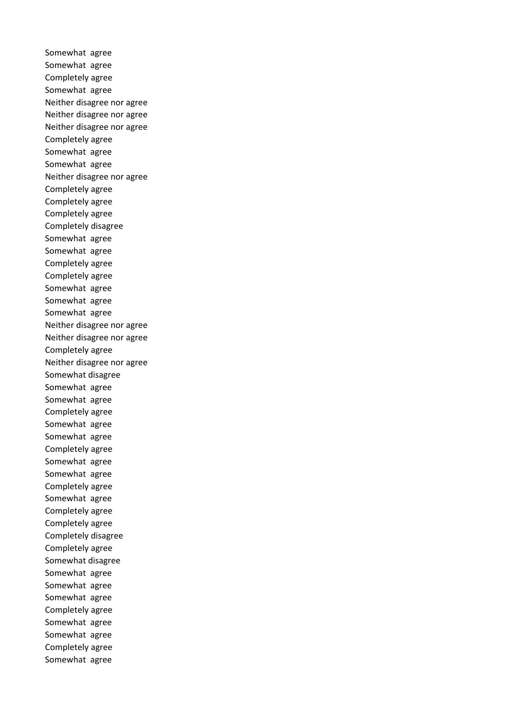Somewhat agree Somewhat agree Completely agree Somewhat agree Neither disagree nor agree Neither disagree nor agree Neither disagree nor agree Completely agree Somewhat agree Somewhat agree Neither disagree nor agree Completely agree Completely agree Completely agree Completely disagree Somewhat agree Somewhat agree Completely agree Completely agree Somewhat agree Somewhat agree Somewhat agree Neither disagree nor agree Neither disagree nor agree Completely agree Neither disagree nor agree Somewhat disagree Somewhat agree Somewhat agree Completely agree Somewhat agree Somewhat agree Completely agree Somewhat agree Somewhat agree Completely agree Somewhat agree Completely agree Completely agree Completely disagree Completely agree Somewhat disagree Somewhat agree Somewhat agree Somewhat agree Completely agree Somewhat agree Somewhat agree Completely agree Somewhat agree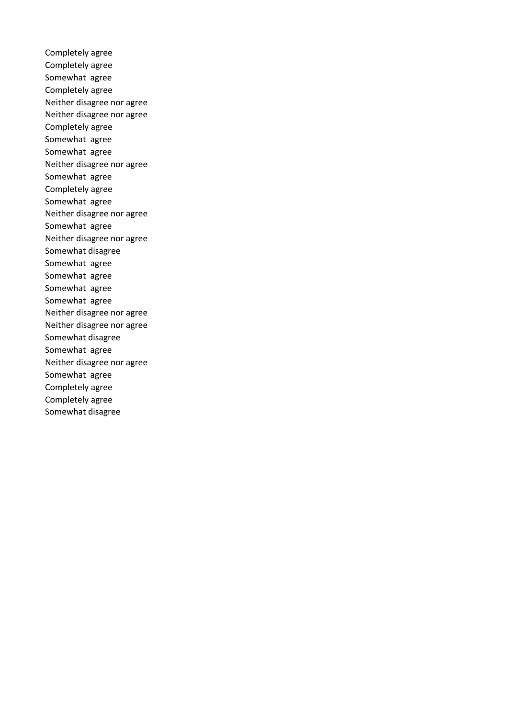Completely agree Completely agree Somewhat agree Completely agree Neither disagree nor agree Neither disagree nor agree Completely agree Somewhat agree Somewhat agree Neither disagree nor agree Somewhat agree Completely agree Somewhat agree Neither disagree nor agree Somewhat agree Neither disagree nor agree Somewhat disagree Somewhat agree Somewhat agree Somewhat agree Somewhat agree Neither disagree nor agree Neither disagree nor agree Somewhat disagree Somewhat agree Neither disagree nor agree Somewhat agree Completely agree Completely agree Somewhat disagree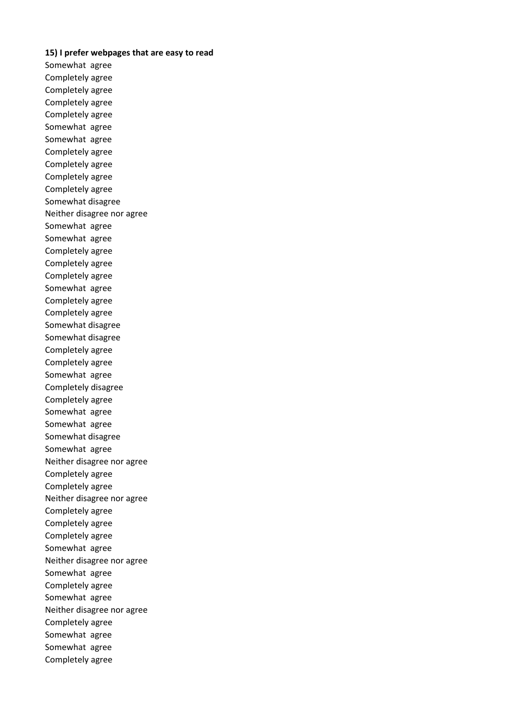## **15) I prefer webpages that are easy to read**

Somewhat agree Completely agree Completely agree Completely agree Completely agree Somewhat agree Somewhat agree Completely agree Completely agree Completely agree Completely agree Somewhat disagree Neither disagree nor agree Somewhat agree Somewhat agree Completely agree Completely agree Completely agree Somewhat agree Completely agree Completely agree Somewhat disagree Somewhat disagree Completely agree Completely agree Somewhat agree Completely disagree Completely agree Somewhat agree Somewhat agree Somewhat disagree Somewhat agree Neither disagree nor agree Completely agree Completely agree Neither disagree nor agree Completely agree Completely agree Completely agree Somewhat agree Neither disagree nor agree Somewhat agree Completely agree Somewhat agree Neither disagree nor agree Completely agree Somewhat agree Somewhat agree Completely agree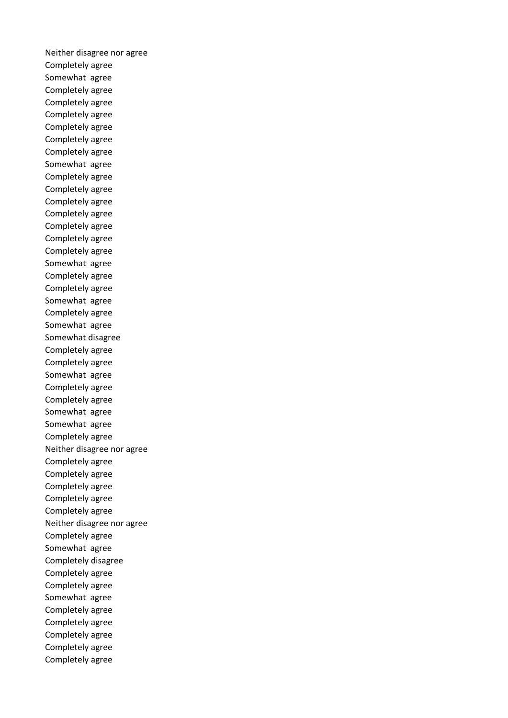Neither disagree nor agree Completely agree Somewhat agree Completely agree Completely agree Completely agree Completely agree Completely agree Completely agree Somewhat agree Completely agree Completely agree Completely agree Completely agree Completely agree Completely agree Completely agree Somewhat agree Completely agree Completely agree Somewhat agree Completely agree Somewhat agree Somewhat disagree Completely agree Completely agree Somewhat agree Completely agree Completely agree Somewhat agree Somewhat agree Completely agree Neither disagree nor agree Completely agree Completely agree Completely agree Completely agree Completely agree Neither disagree nor agree Completely agree Somewhat agree Completely disagree Completely agree Completely agree Somewhat agree Completely agree Completely agree Completely agree Completely agree Completely agree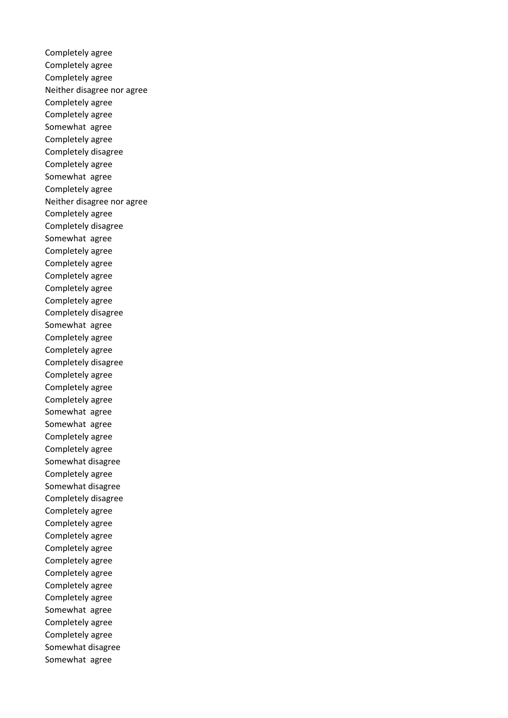Completely agree Completely agree Completely agree Neither disagree nor agree Completely agree Completely agree Somewhat agree Completely agree Completely disagree Completely agree Somewhat agree Completely agree Neither disagree nor agree Completely agree Completely disagree Somewhat agree Completely agree Completely agree Completely agree Completely agree Completely agree Completely disagree Somewhat agree Completely agree Completely agree Completely disagree Completely agree Completely agree Completely agree Somewhat agree Somewhat agree Completely agree Completely agree Somewhat disagree Completely agree Somewhat disagree Completely disagree Completely agree Completely agree Completely agree Completely agree Completely agree Completely agree Completely agree Completely agree Somewhat agree Completely agree Completely agree Somewhat disagree Somewhat agree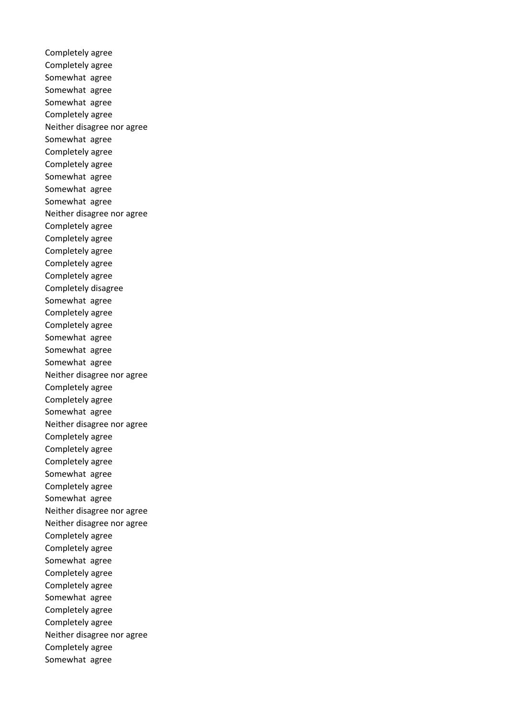Completely agree Completely agree Somewhat agree Somewhat agree Somewhat agree Completely agree Neither disagree nor agree Somewhat agree Completely agree Completely agree Somewhat agree Somewhat agree Somewhat agree Neither disagree nor agree Completely agree Completely agree Completely agree Completely agree Completely agree Completely disagree Somewhat agree Completely agree Completely agree Somewhat agree Somewhat agree Somewhat agree Neither disagree nor agree Completely agree Completely agree Somewhat agree Neither disagree nor agree Completely agree Completely agree Completely agree Somewhat agree Completely agree Somewhat agree Neither disagree nor agree Neither disagree nor agree Completely agree Completely agree Somewhat agree Completely agree Completely agree Somewhat agree Completely agree Completely agree Neither disagree nor agree Completely agree Somewhat agree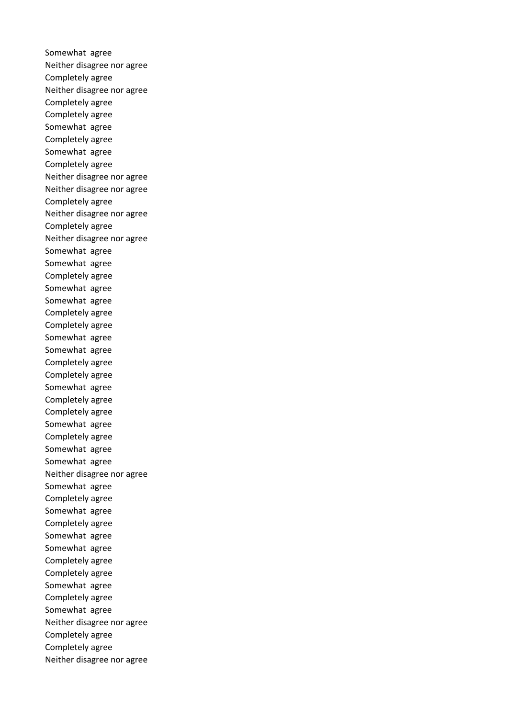Somewhat agree Neither disagree nor agree Completely agree Neither disagree nor agree Completely agree Completely agree Somewhat agree Completely agree Somewhat agree Completely agree Neither disagree nor agree Neither disagree nor agree Completely agree Neither disagree nor agree Completely agree Neither disagree nor agree Somewhat agree Somewhat agree Completely agree Somewhat agree Somewhat agree Completely agree Completely agree Somewhat agree Somewhat agree Completely agree Completely agree Somewhat agree Completely agree Completely agree Somewhat agree Completely agree Somewhat agree Somewhat agree Neither disagree nor agree Somewhat agree Completely agree Somewhat agree Completely agree Somewhat agree Somewhat agree Completely agree Completely agree Somewhat agree Completely agree Somewhat agree Neither disagree nor agree Completely agree Completely agree Neither disagree nor agree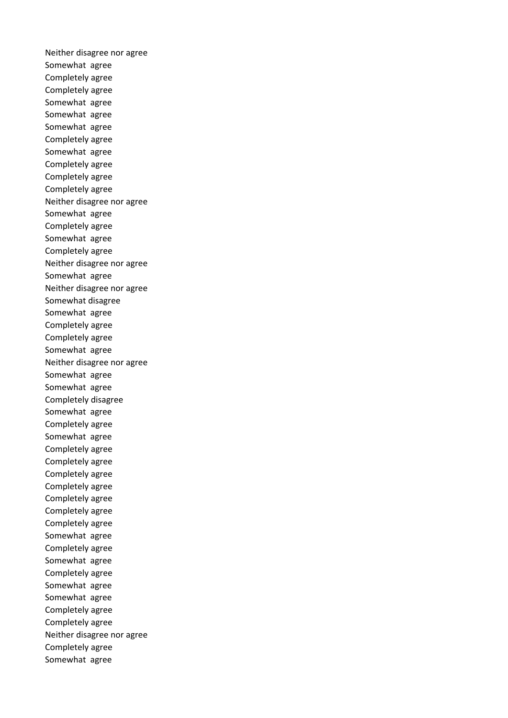Neither disagree nor agree Somewhat agree Completely agree Completely agree Somewhat agree Somewhat agree Somewhat agree Completely agree Somewhat agree Completely agree Completely agree Completely agree Neither disagree nor agree Somewhat agree Completely agree Somewhat agree Completely agree Neither disagree nor agree Somewhat agree Neither disagree nor agree Somewhat disagree Somewhat agree Completely agree Completely agree Somewhat agree Neither disagree nor agree Somewhat agree Somewhat agree Completely disagree Somewhat agree Completely agree Somewhat agree Completely agree Completely agree Completely agree Completely agree Completely agree Completely agree Completely agree Somewhat agree Completely agree Somewhat agree Completely agree Somewhat agree Somewhat agree Completely agree Completely agree Neither disagree nor agree Completely agree Somewhat agree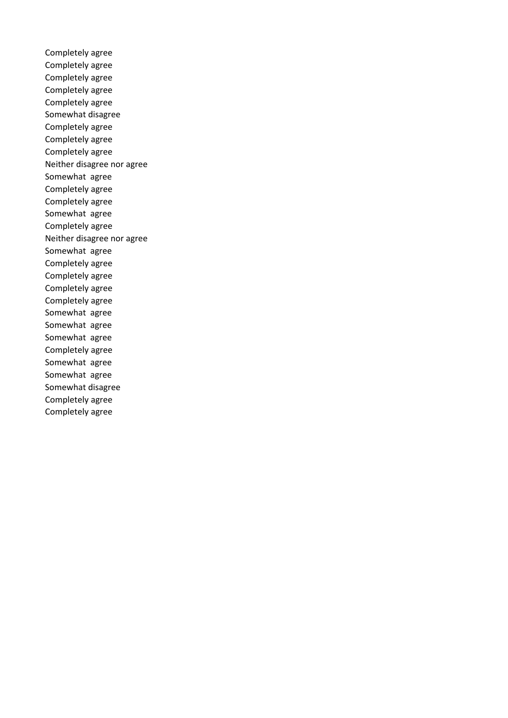Completely agree Completely agree Completely agree Completely agree Completely agree Somewhat disagree Completely agree Completely agree Completely agree Neither disagree nor agree Somewhat agree Completely agree Completely agree Somewhat agree Completely agree Neither disagree nor agree Somewhat agree Completely agree Completely agree Completely agree Completely agree Somewhat agree Somewhat agree Somewhat agree Completely agree Somewhat agree Somewhat agree Somewhat disagree Completely agree Completely agree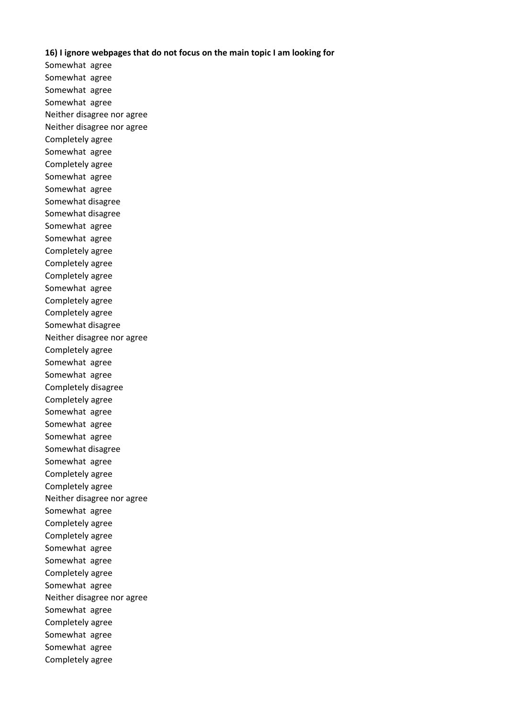## **16) I ignore webpages that do not focus on the main topic I am looking for**

Somewhat agree Somewhat agree Somewhat agree Somewhat agree Neither disagree nor agree Neither disagree nor agree Completely agree Somewhat agree Completely agree Somewhat agree Somewhat agree Somewhat disagree Somewhat disagree Somewhat agree Somewhat agree Completely agree Completely agree Completely agree Somewhat agree Completely agree Completely agree Somewhat disagree Neither disagree nor agree Completely agree Somewhat agree Somewhat agree Completely disagree Completely agree Somewhat agree Somewhat agree Somewhat agree Somewhat disagree Somewhat agree Completely agree Completely agree Neither disagree nor agree Somewhat agree Completely agree Completely agree Somewhat agree Somewhat agree Completely agree Somewhat agree Neither disagree nor agree Somewhat agree Completely agree Somewhat agree Somewhat agree Completely agree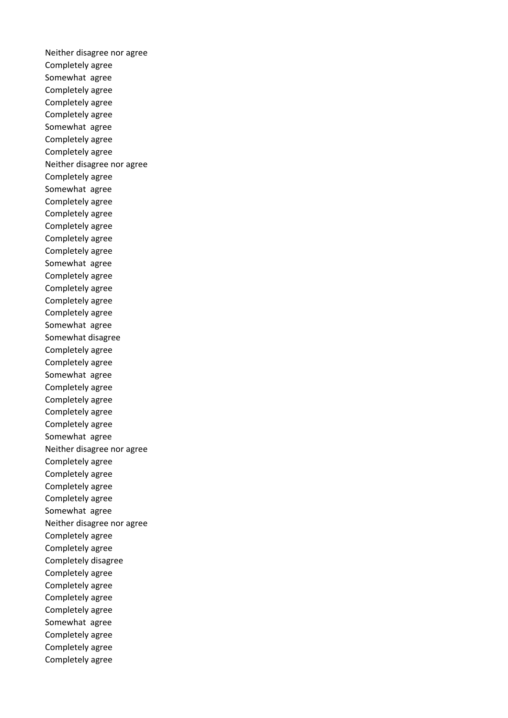Neither disagree nor agree Completely agree Somewhat agree Completely agree Completely agree Completely agree Somewhat agree Completely agree Completely agree Neither disagree nor agree Completely agree Somewhat agree Completely agree Completely agree Completely agree Completely agree Completely agree Somewhat agree Completely agree Completely agree Completely agree Completely agree Somewhat agree Somewhat disagree Completely agree Completely agree Somewhat agree Completely agree Completely agree Completely agree Completely agree Somewhat agree Neither disagree nor agree Completely agree Completely agree Completely agree Completely agree Somewhat agree Neither disagree nor agree Completely agree Completely agree Completely disagree Completely agree Completely agree Completely agree Completely agree Somewhat agree Completely agree Completely agree Completely agree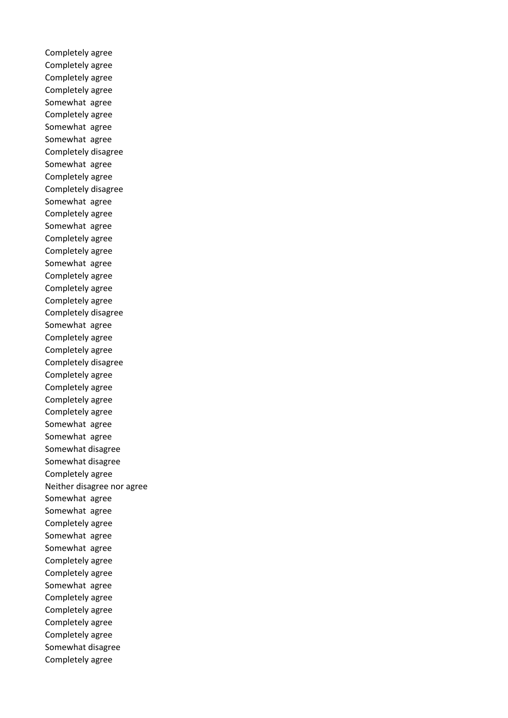Completely agree Completely agree Completely agree Completely agree Somewhat agree Completely agree Somewhat agree Somewhat agree Completely disagree Somewhat agree Completely agree Completely disagree Somewhat agree Completely agree Somewhat agree Completely agree Completely agree Somewhat agree Completely agree Completely agree Completely agree Completely disagree Somewhat agree Completely agree Completely agree Completely disagree Completely agree Completely agree Completely agree Completely agree Somewhat agree Somewhat agree Somewhat disagree Somewhat disagree Completely agree Neither disagree nor agree Somewhat agree Somewhat agree Completely agree Somewhat agree Somewhat agree Completely agree Completely agree Somewhat agree Completely agree Completely agree Completely agree Completely agree Somewhat disagree Completely agree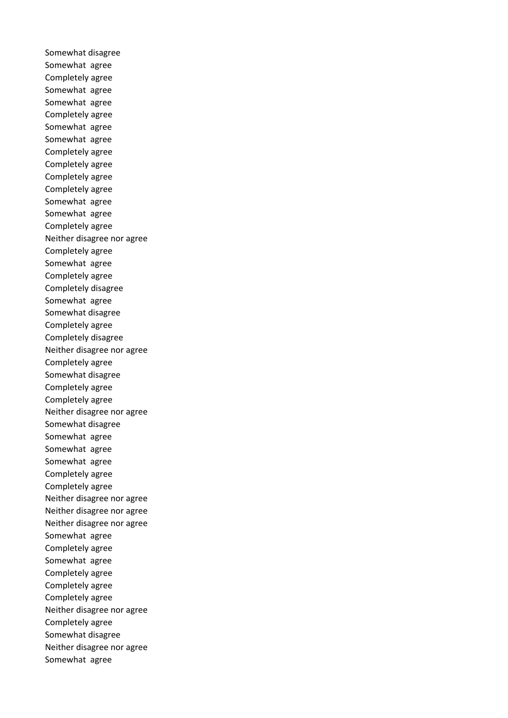Somewhat disagree Somewhat agree Completely agree Somewhat agree Somewhat agree Completely agree Somewhat agree Somewhat agree Completely agree Completely agree Completely agree Completely agree Somewhat agree Somewhat agree Completely agree Neither disagree nor agree Completely agree Somewhat agree Completely agree Completely disagree Somewhat agree Somewhat disagree Completely agree Completely disagree Neither disagree nor agree Completely agree Somewhat disagree Completely agree Completely agree Neither disagree nor agree Somewhat disagree Somewhat agree Somewhat agree Somewhat agree Completely agree Completely agree Neither disagree nor agree Neither disagree nor agree Neither disagree nor agree Somewhat agree Completely agree Somewhat agree Completely agree Completely agree Completely agree Neither disagree nor agree Completely agree Somewhat disagree Neither disagree nor agree Somewhat agree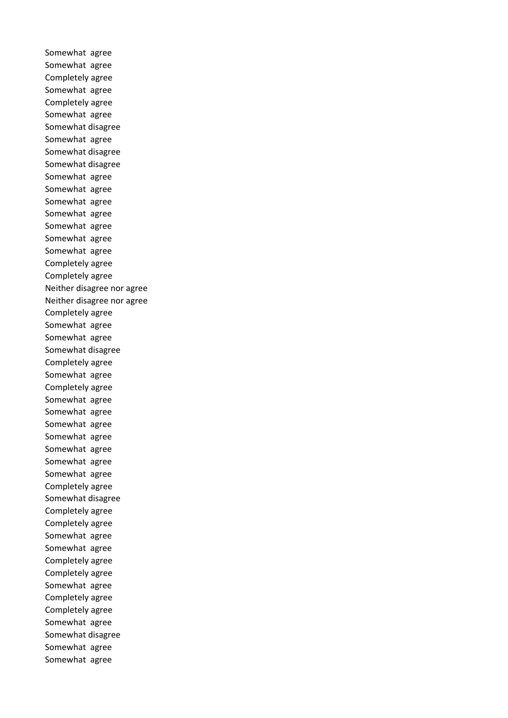Somewhat agree Somewhat agree Completely agree Somewhat agree Completely agree Somewhat agree Somewhat disagree Somewhat agree Somewhat disagree Somewhat disagree Somewhat agree Somewhat agree Somewhat agree Somewhat agree Somewhat agree Somewhat agree Somewhat agree Completely agree Completely agree Neither disagree nor agree Neither disagree nor agree Completely agree Somewhat agree Somewhat agree Somewhat disagree Completely agree Somewhat agree Completely agree Somewhat agree Somewhat agree Somewhat agree Somewhat agree Somewhat agree Somewhat agree Somewhat agree Completely agree Somewhat disagree Completely agree Completely agree Somewhat agree Somewhat agree Completely agree Completely agree Somewhat agree Completely agree Completely agree Somewhat agree Somewhat disagree Somewhat agree Somewhat agree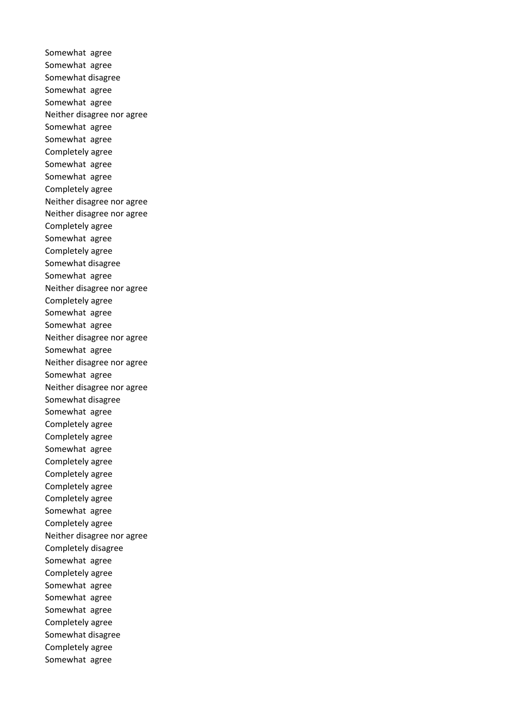Somewhat agree Somewhat agree Somewhat disagree Somewhat agree Somewhat agree Neither disagree nor agree Somewhat agree Somewhat agree Completely agree Somewhat agree Somewhat agree Completely agree Neither disagree nor agree Neither disagree nor agree Completely agree Somewhat agree Completely agree Somewhat disagree Somewhat agree Neither disagree nor agree Completely agree Somewhat agree Somewhat agree Neither disagree nor agree Somewhat agree Neither disagree nor agree Somewhat agree Neither disagree nor agree Somewhat disagree Somewhat agree Completely agree Completely agree Somewhat agree Completely agree Completely agree Completely agree Completely agree Somewhat agree Completely agree Neither disagree nor agree Completely disagree Somewhat agree Completely agree Somewhat agree Somewhat agree Somewhat agree Completely agree Somewhat disagree Completely agree Somewhat agree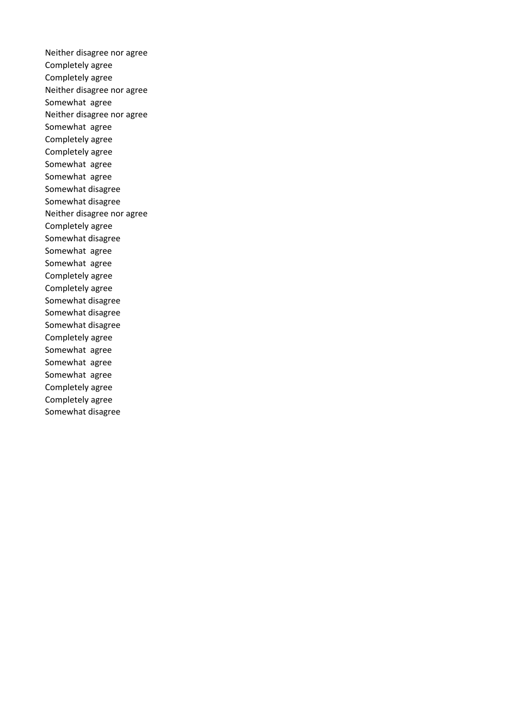Neither disagree nor agree Completely agree Completely agree Neither disagree nor agree Somewhat agree Neither disagree nor agree Somewhat agree Completely agree Completely agree Somewhat agree Somewhat agree Somewhat disagree Somewhat disagree Neither disagree nor agree Completely agree Somewhat disagree Somewhat agree Somewhat agree Completely agree Completely agree Somewhat disagree Somewhat disagree Somewhat disagree Completely agree Somewhat agree Somewhat agree Somewhat agree Completely agree Completely agree Somewhat disagree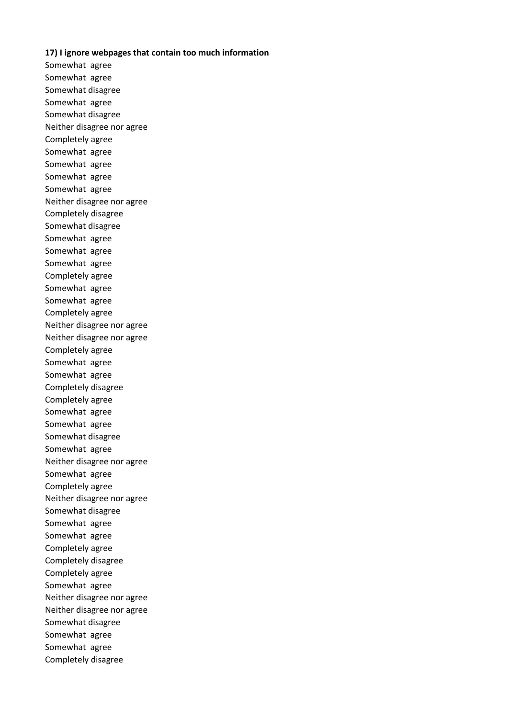## **17) I ignore webpages that contain too much information**

Somewhat agree Somewhat agree Somewhat disagree Somewhat agree Somewhat disagree Neither disagree nor agree Completely agree Somewhat agree Somewhat agree Somewhat agree Somewhat agree Neither disagree nor agree Completely disagree Somewhat disagree Somewhat agree Somewhat agree Somewhat agree Completely agree Somewhat agree Somewhat agree Completely agree Neither disagree nor agree Neither disagree nor agree Completely agree Somewhat agree Somewhat agree Completely disagree Completely agree Somewhat agree Somewhat agree Somewhat disagree Somewhat agree Neither disagree nor agree Somewhat agree Completely agree Neither disagree nor agree Somewhat disagree Somewhat agree Somewhat agree Completely agree Completely disagree Completely agree Somewhat agree Neither disagree nor agree Neither disagree nor agree Somewhat disagree Somewhat agree Somewhat agree Completely disagree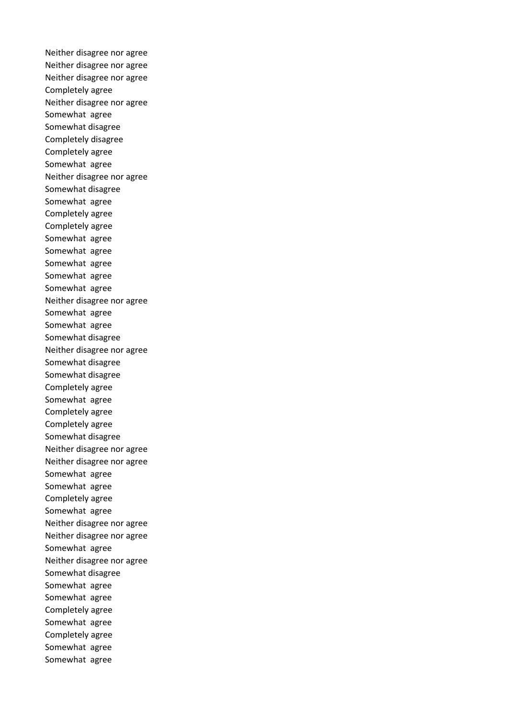Neither disagree nor agree Neither disagree nor agree Neither disagree nor agree Completely agree Neither disagree nor agree Somewhat agree Somewhat disagree Completely disagree Completely agree Somewhat agree Neither disagree nor agree Somewhat disagree Somewhat agree Completely agree Completely agree Somewhat agree Somewhat agree Somewhat agree Somewhat agree Somewhat agree Neither disagree nor agree Somewhat agree Somewhat agree Somewhat disagree Neither disagree nor agree Somewhat disagree Somewhat disagree Completely agree Somewhat agree Completely agree Completely agree Somewhat disagree Neither disagree nor agree Neither disagree nor agree Somewhat agree Somewhat agree Completely agree Somewhat agree Neither disagree nor agree Neither disagree nor agree Somewhat agree Neither disagree nor agree Somewhat disagree Somewhat agree Somewhat agree Completely agree Somewhat agree Completely agree Somewhat agree Somewhat agree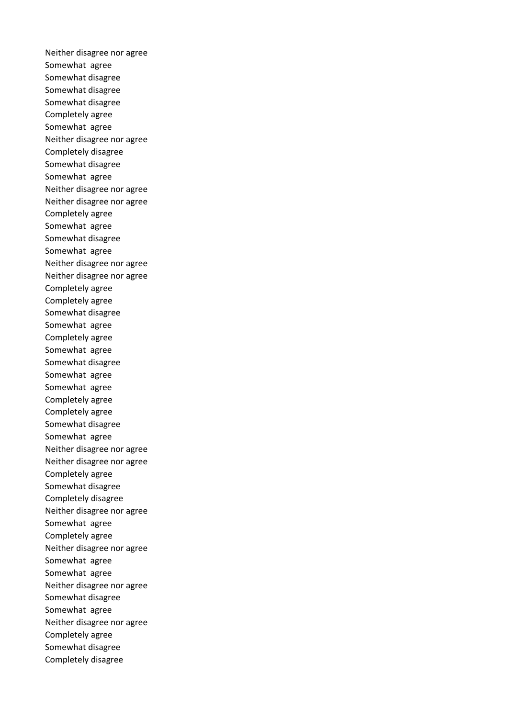Neither disagree nor agree Somewhat agree Somewhat disagree Somewhat disagree Somewhat disagree Completely agree Somewhat agree Neither disagree nor agree Completely disagree Somewhat disagree Somewhat agree Neither disagree nor agree Neither disagree nor agree Completely agree Somewhat agree Somewhat disagree Somewhat agree Neither disagree nor agree Neither disagree nor agree Completely agree Completely agree Somewhat disagree Somewhat agree Completely agree Somewhat agree Somewhat disagree Somewhat agree Somewhat agree Completely agree Completely agree Somewhat disagree Somewhat agree Neither disagree nor agree Neither disagree nor agree Completely agree Somewhat disagree Completely disagree Neither disagree nor agree Somewhat agree Completely agree Neither disagree nor agree Somewhat agree Somewhat agree Neither disagree nor agree Somewhat disagree Somewhat agree Neither disagree nor agree Completely agree Somewhat disagree Completely disagree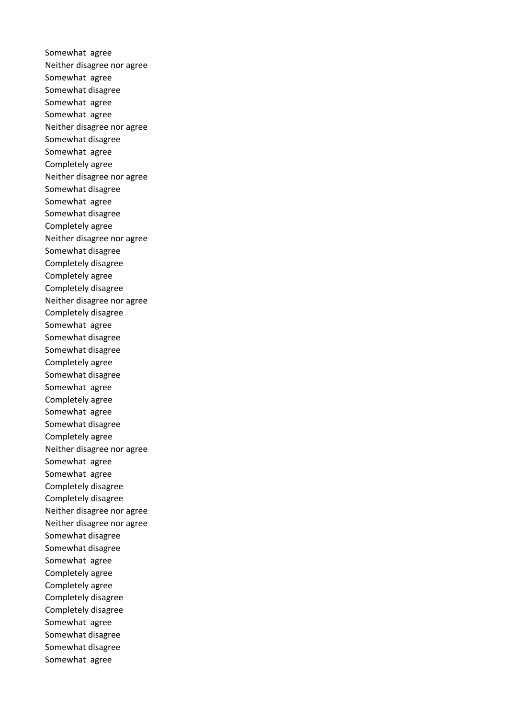Somewhat agree Neither disagree nor agree Somewhat agree Somewhat disagree Somewhat agree Somewhat agree Neither disagree nor agree Somewhat disagree Somewhat agree Completely agree Neither disagree nor agree Somewhat disagree Somewhat agree Somewhat disagree Completely agree Neither disagree nor agree Somewhat disagree Completely disagree Completely agree Completely disagree Neither disagree nor agree Completely disagree Somewhat agree Somewhat disagree Somewhat disagree Completely agree Somewhat disagree Somewhat agree Completely agree Somewhat agree Somewhat disagree Completely agree Neither disagree nor agree Somewhat agree Somewhat agree Completely disagree Completely disagree Neither disagree nor agree Neither disagree nor agree Somewhat disagree Somewhat disagree Somewhat agree Completely agree Completely agree Completely disagree Completely disagree Somewhat agree Somewhat disagree Somewhat disagree Somewhat agree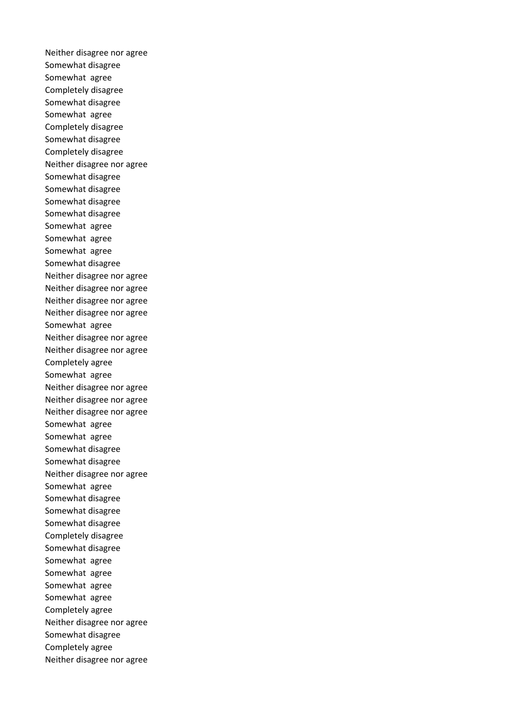Neither disagree nor agree Somewhat disagree Somewhat agree Completely disagree Somewhat disagree Somewhat agree Completely disagree Somewhat disagree Completely disagree Neither disagree nor agree Somewhat disagree Somewhat disagree Somewhat disagree Somewhat disagree Somewhat agree Somewhat agree Somewhat agree Somewhat disagree Neither disagree nor agree Neither disagree nor agree Neither disagree nor agree Neither disagree nor agree Somewhat agree Neither disagree nor agree Neither disagree nor agree Completely agree Somewhat agree Neither disagree nor agree Neither disagree nor agree Neither disagree nor agree Somewhat agree Somewhat agree Somewhat disagree Somewhat disagree Neither disagree nor agree Somewhat agree Somewhat disagree Somewhat disagree Somewhat disagree Completely disagree Somewhat disagree Somewhat agree Somewhat agree Somewhat agree Somewhat agree Completely agree Neither disagree nor agree Somewhat disagree Completely agree Neither disagree nor agree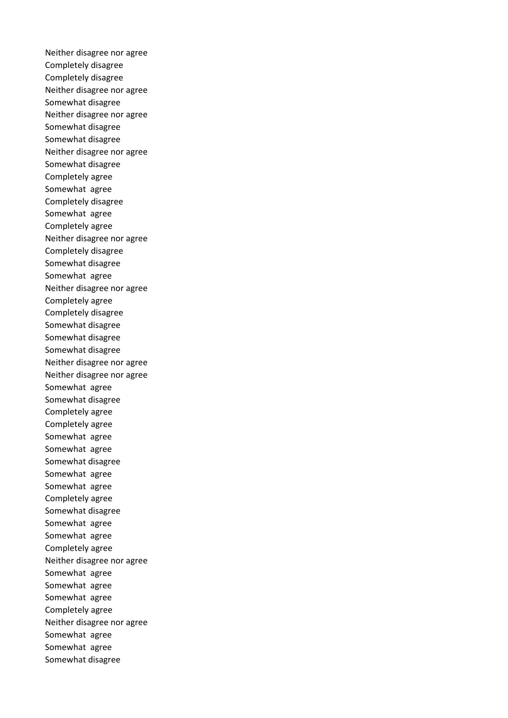Neither disagree nor agree Completely disagree Completely disagree Neither disagree nor agree Somewhat disagree Neither disagree nor agree Somewhat disagree Somewhat disagree Neither disagree nor agree Somewhat disagree Completely agree Somewhat agree Completely disagree Somewhat agree Completely agree Neither disagree nor agree Completely disagree Somewhat disagree Somewhat agree Neither disagree nor agree Completely agree Completely disagree Somewhat disagree Somewhat disagree Somewhat disagree Neither disagree nor agree Neither disagree nor agree Somewhat agree Somewhat disagree Completely agree Completely agree Somewhat agree Somewhat agree Somewhat disagree Somewhat agree Somewhat agree Completely agree Somewhat disagree Somewhat agree Somewhat agree Completely agree Neither disagree nor agree Somewhat agree Somewhat agree Somewhat agree Completely agree Neither disagree nor agree Somewhat agree Somewhat agree Somewhat disagree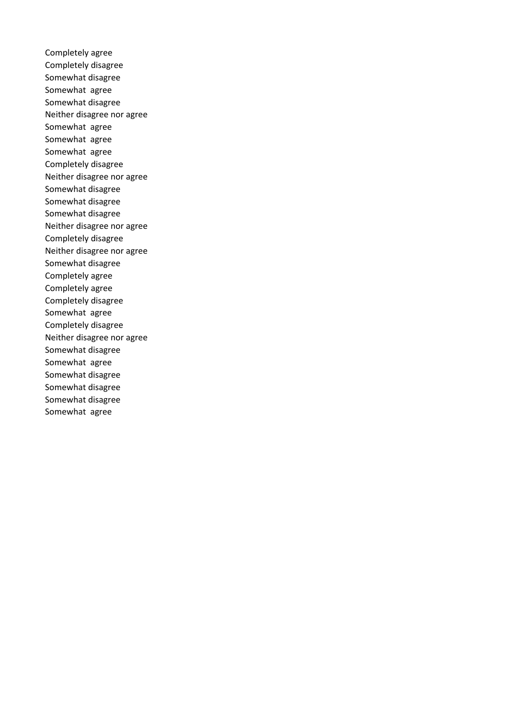Completely agree Completely disagree Somewhat disagree Somewhat agree Somewhat disagree Neither disagree nor agree Somewhat agree Somewhat agree Somewhat agree Completely disagree Neither disagree nor agree Somewhat disagree Somewhat disagree Somewhat disagree Neither disagree nor agree Completely disagree Neither disagree nor agree Somewhat disagree Completely agree Completely agree Completely disagree Somewhat agree Completely disagree Neither disagree nor agree Somewhat disagree Somewhat agree Somewhat disagree Somewhat disagree Somewhat disagree Somewhat agree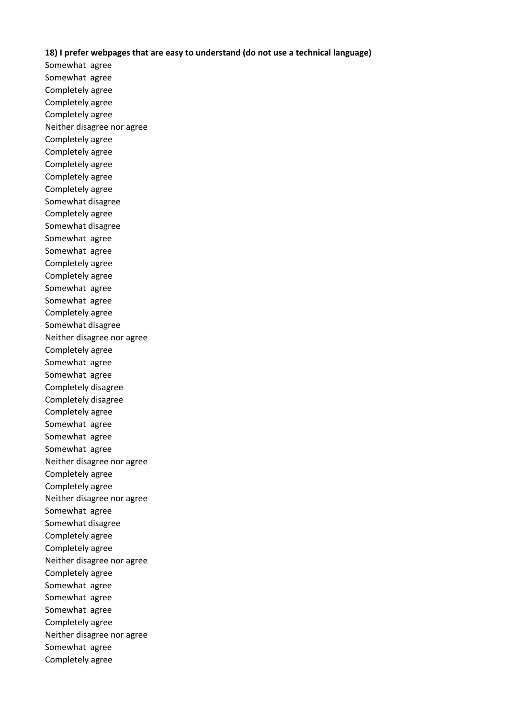## **18) I prefer webpages that are easy to understand (do not use a technical language)**

Somewhat agree Somewhat agree Completely agree Completely agree Completely agree Neither disagree nor agree Completely agree Completely agree Completely agree Completely agree Completely agree Somewhat disagree Completely agree Somewhat disagree Somewhat agree Somewhat agree Completely agree Completely agree Somewhat agree Somewhat agree Completely agree Somewhat disagree Neither disagree nor agree Completely agree Somewhat agree Somewhat agree Completely disagree Completely disagree Completely agree Somewhat agree Somewhat agree Somewhat agree Neither disagree nor agree Completely agree Completely agree Neither disagree nor agree Somewhat agree Somewhat disagree Completely agree Completely agree Neither disagree nor agree Completely agree Somewhat agree Somewhat agree Somewhat agree Completely agree Neither disagree nor agree Somewhat agree Completely agree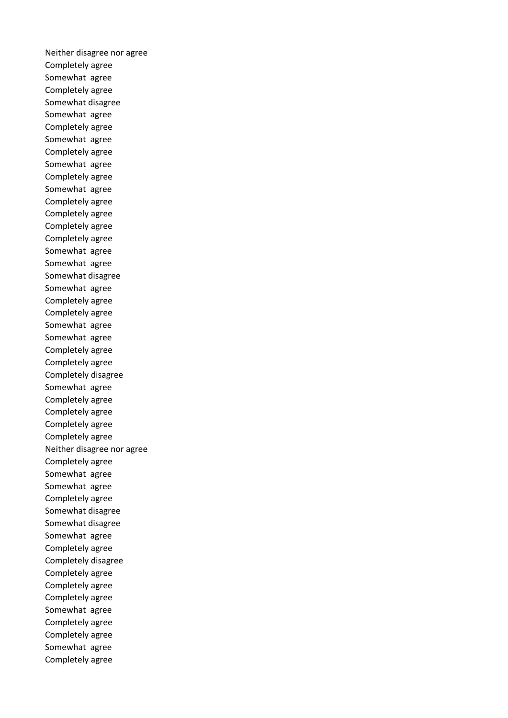Neither disagree nor agree Completely agree Somewhat agree Completely agree Somewhat disagree Somewhat agree Completely agree Somewhat agree Completely agree Somewhat agree Completely agree Somewhat agree Completely agree Completely agree Completely agree Completely agree Somewhat agree Somewhat agree Somewhat disagree Somewhat agree Completely agree Completely agree Somewhat agree Somewhat agree Completely agree Completely agree Completely disagree Somewhat agree Completely agree Completely agree Completely agree Completely agree Neither disagree nor agree Completely agree Somewhat agree Somewhat agree Completely agree Somewhat disagree Somewhat disagree Somewhat agree Completely agree Completely disagree Completely agree Completely agree Completely agree Somewhat agree Completely agree Completely agree Somewhat agree Completely agree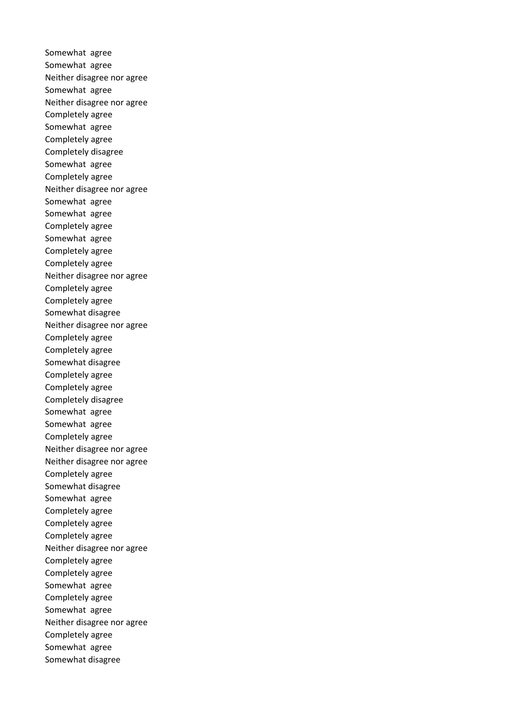Somewhat agree Somewhat agree Neither disagree nor agree Somewhat agree Neither disagree nor agree Completely agree Somewhat agree Completely agree Completely disagree Somewhat agree Completely agree Neither disagree nor agree Somewhat agree Somewhat agree Completely agree Somewhat agree Completely agree Completely agree Neither disagree nor agree Completely agree Completely agree Somewhat disagree Neither disagree nor agree Completely agree Completely agree Somewhat disagree Completely agree Completely agree Completely disagree Somewhat agree Somewhat agree Completely agree Neither disagree nor agree Neither disagree nor agree Completely agree Somewhat disagree Somewhat agree Completely agree Completely agree Completely agree Neither disagree nor agree Completely agree Completely agree Somewhat agree Completely agree Somewhat agree Neither disagree nor agree Completely agree Somewhat agree Somewhat disagree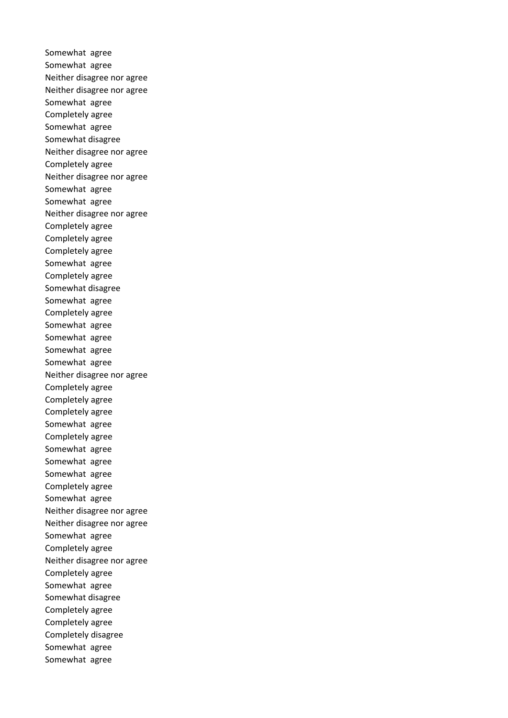Somewhat agree Somewhat agree Neither disagree nor agree Neither disagree nor agree Somewhat agree Completely agree Somewhat agree Somewhat disagree Neither disagree nor agree Completely agree Neither disagree nor agree Somewhat agree Somewhat agree Neither disagree nor agree Completely agree Completely agree Completely agree Somewhat agree Completely agree Somewhat disagree Somewhat agree Completely agree Somewhat agree Somewhat agree Somewhat agree Somewhat agree Neither disagree nor agree Completely agree Completely agree Completely agree Somewhat agree Completely agree Somewhat agree Somewhat agree Somewhat agree Completely agree Somewhat agree Neither disagree nor agree Neither disagree nor agree Somewhat agree Completely agree Neither disagree nor agree Completely agree Somewhat agree Somewhat disagree Completely agree Completely agree Completely disagree Somewhat agree Somewhat agree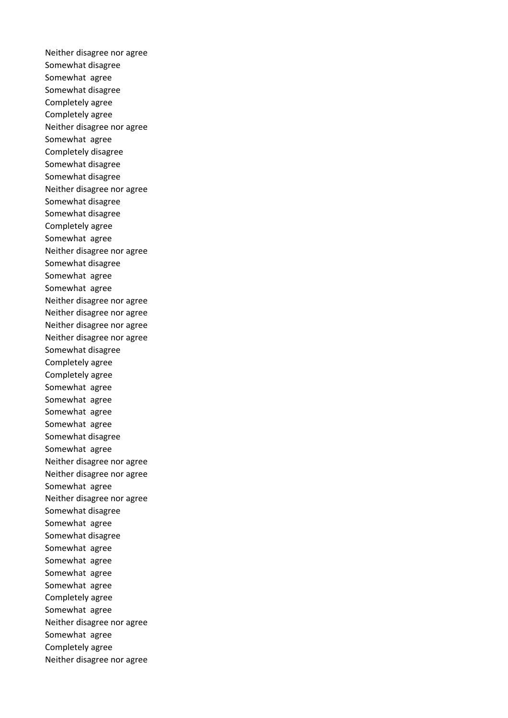Neither disagree nor agree Somewhat disagree Somewhat agree Somewhat disagree Completely agree Completely agree Neither disagree nor agree Somewhat agree Completely disagree Somewhat disagree Somewhat disagree Neither disagree nor agree Somewhat disagree Somewhat disagree Completely agree Somewhat agree Neither disagree nor agree Somewhat disagree Somewhat agree Somewhat agree Neither disagree nor agree Neither disagree nor agree Neither disagree nor agree Neither disagree nor agree Somewhat disagree Completely agree Completely agree Somewhat agree Somewhat agree Somewhat agree Somewhat agree Somewhat disagree Somewhat agree Neither disagree nor agree Neither disagree nor agree Somewhat agree Neither disagree nor agree Somewhat disagree Somewhat agree Somewhat disagree Somewhat agree Somewhat agree Somewhat agree Somewhat agree Completely agree Somewhat agree Neither disagree nor agree Somewhat agree Completely agree Neither disagree nor agree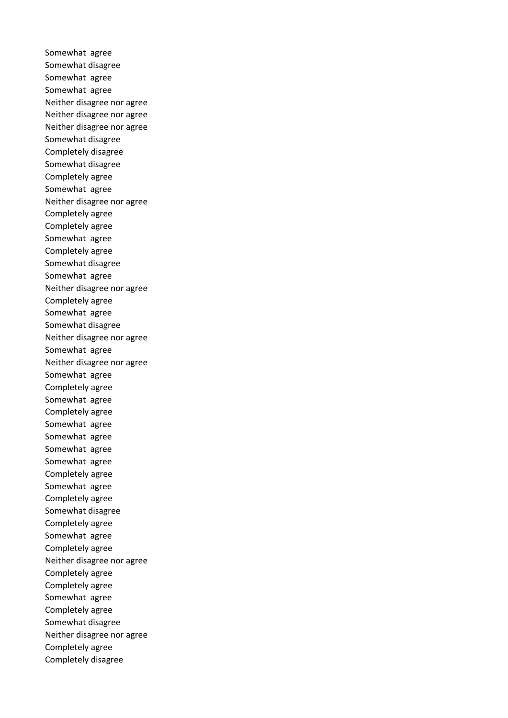Somewhat agree Somewhat disagree Somewhat agree Somewhat agree Neither disagree nor agree Neither disagree nor agree Neither disagree nor agree Somewhat disagree Completely disagree Somewhat disagree Completely agree Somewhat agree Neither disagree nor agree Completely agree Completely agree Somewhat agree Completely agree Somewhat disagree Somewhat agree Neither disagree nor agree Completely agree Somewhat agree Somewhat disagree Neither disagree nor agree Somewhat agree Neither disagree nor agree Somewhat agree Completely agree Somewhat agree Completely agree Somewhat agree Somewhat agree Somewhat agree Somewhat agree Completely agree Somewhat agree Completely agree Somewhat disagree Completely agree Somewhat agree Completely agree Neither disagree nor agree Completely agree Completely agree Somewhat agree Completely agree Somewhat disagree Neither disagree nor agree Completely agree Completely disagree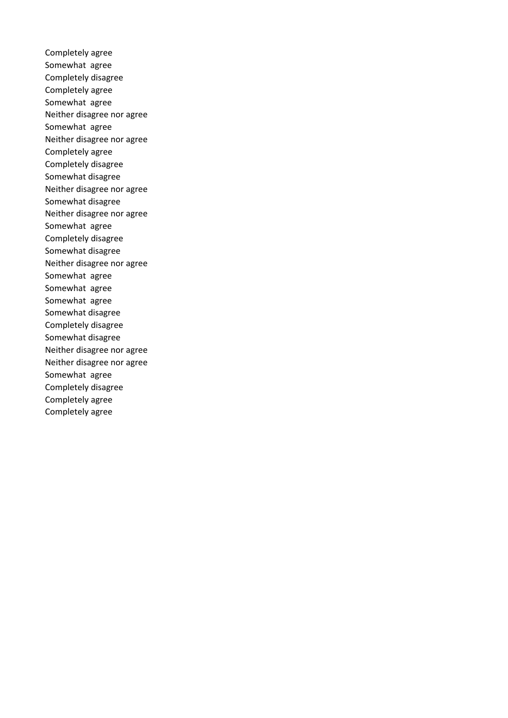Completely agree Somewhat agree Completely disagree Completely agree Somewhat agree Neither disagree nor agree Somewhat agree Neither disagree nor agree Completely agree Completely disagree Somewhat disagree Neither disagree nor agree Somewhat disagree Neither disagree nor agree Somewhat agree Completely disagree Somewhat disagree Neither disagree nor agree Somewhat agree Somewhat agree Somewhat agree Somewhat disagree Completely disagree Somewhat disagree Neither disagree nor agree Neither disagree nor agree Somewhat agree Completely disagree Completely agree Completely agree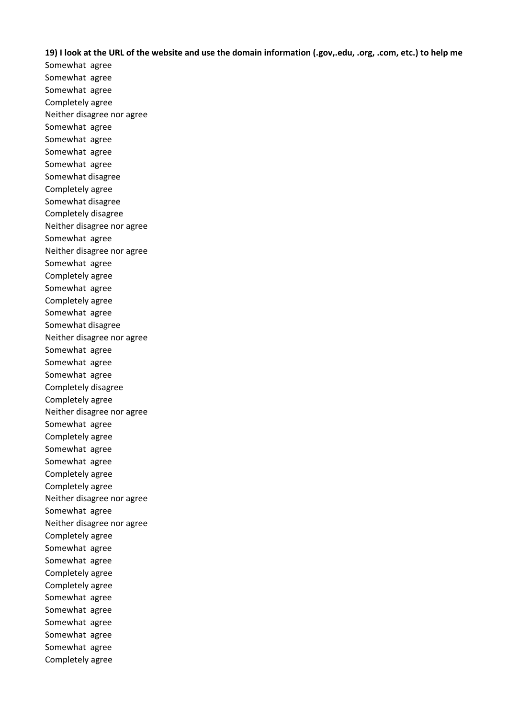**19) I look at the URL of the website and use the domain information (.gov,.edu, .org, .com, etc.) to help me** 

Somewhat agree Somewhat agree Somewhat agree Completely agree Neither disagree nor agree Somewhat agree Somewhat agree Somewhat agree Somewhat agree Somewhat disagree Completely agree Somewhat disagree Completely disagree Neither disagree nor agree Somewhat agree Neither disagree nor agree Somewhat agree Completely agree Somewhat agree Completely agree Somewhat agree Somewhat disagree Neither disagree nor agree Somewhat agree Somewhat agree Somewhat agree Completely disagree Completely agree Neither disagree nor agree Somewhat agree Completely agree Somewhat agree Somewhat agree Completely agree Completely agree Neither disagree nor agree Somewhat agree Neither disagree nor agree Completely agree Somewhat agree Somewhat agree Completely agree Completely agree Somewhat agree Somewhat agree Somewhat agree Somewhat agree Somewhat agree Completely agree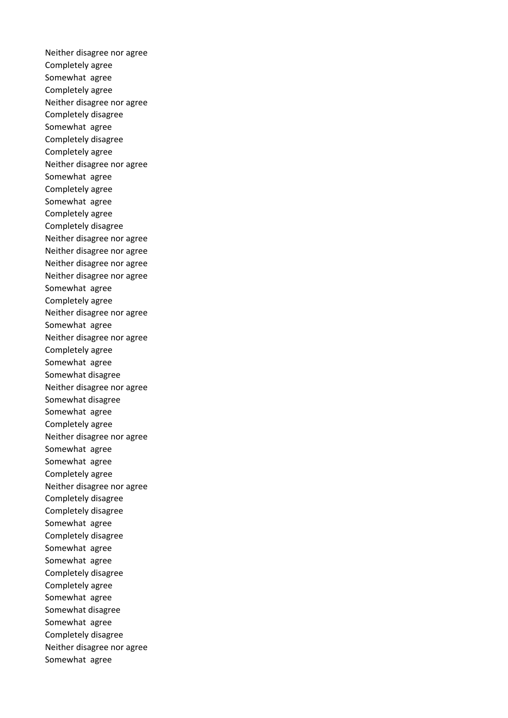Neither disagree nor agree Completely agree Somewhat agree Completely agree Neither disagree nor agree Completely disagree Somewhat agree Completely disagree Completely agree Neither disagree nor agree Somewhat agree Completely agree Somewhat agree Completely agree Completely disagree Neither disagree nor agree Neither disagree nor agree Neither disagree nor agree Neither disagree nor agree Somewhat agree Completely agree Neither disagree nor agree Somewhat agree Neither disagree nor agree Completely agree Somewhat agree Somewhat disagree Neither disagree nor agree Somewhat disagree Somewhat agree Completely agree Neither disagree nor agree Somewhat agree Somewhat agree Completely agree Neither disagree nor agree Completely disagree Completely disagree Somewhat agree Completely disagree Somewhat agree Somewhat agree Completely disagree Completely agree Somewhat agree Somewhat disagree Somewhat agree Completely disagree Neither disagree nor agree Somewhat agree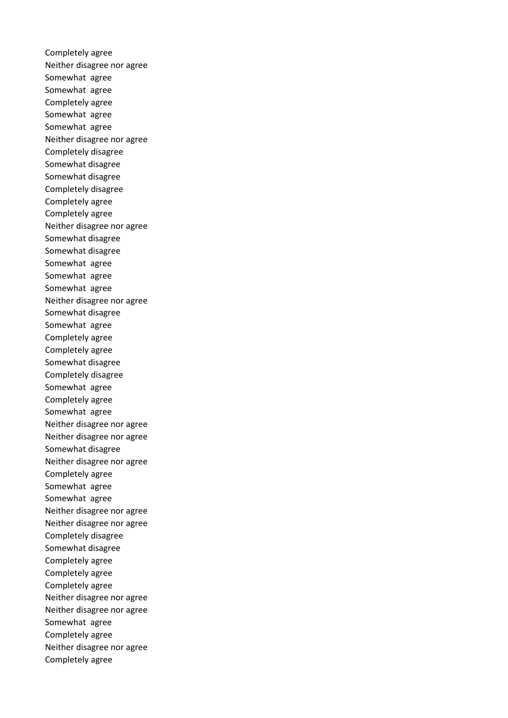Completely agree Neither disagree nor agree Somewhat agree Somewhat agree Completely agree Somewhat agree Somewhat agree Neither disagree nor agree Completely disagree Somewhat disagree Somewhat disagree Completely disagree Completely agree Completely agree Neither disagree nor agree Somewhat disagree Somewhat disagree Somewhat agree Somewhat agree Somewhat agree Neither disagree nor agree Somewhat disagree Somewhat agree Completely agree Completely agree Somewhat disagree Completely disagree Somewhat agree Completely agree Somewhat agree Neither disagree nor agree Neither disagree nor agree Somewhat disagree Neither disagree nor agree Completely agree Somewhat agree Somewhat agree Neither disagree nor agree Neither disagree nor agree Completely disagree Somewhat disagree Completely agree Completely agree Completely agree Neither disagree nor agree Neither disagree nor agree Somewhat agree Completely agree Neither disagree nor agree Completely agree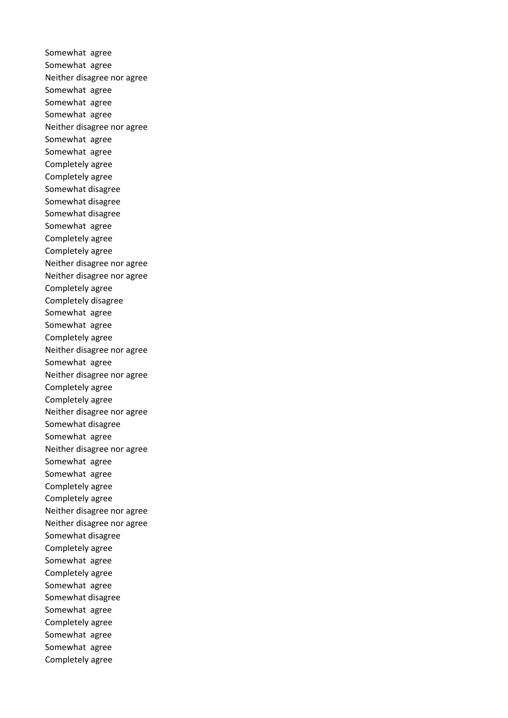Somewhat agree Somewhat agree Neither disagree nor agree Somewhat agree Somewhat agree Somewhat agree Neither disagree nor agree Somewhat agree Somewhat agree Completely agree Completely agree Somewhat disagree Somewhat disagree Somewhat disagree Somewhat agree Completely agree Completely agree Neither disagree nor agree Neither disagree nor agree Completely agree Completely disagree Somewhat agree Somewhat agree Completely agree Neither disagree nor agree Somewhat agree Neither disagree nor agree Completely agree Completely agree Neither disagree nor agree Somewhat disagree Somewhat agree Neither disagree nor agree Somewhat agree Somewhat agree Completely agree Completely agree Neither disagree nor agree Neither disagree nor agree Somewhat disagree Completely agree Somewhat agree Completely agree Somewhat agree Somewhat disagree Somewhat agree Completely agree Somewhat agree Somewhat agree Completely agree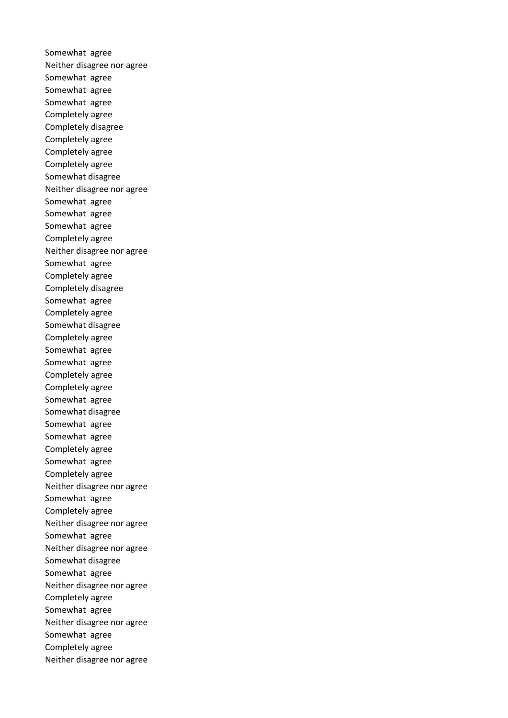Somewhat agree Neither disagree nor agree Somewhat agree Somewhat agree Somewhat agree Completely agree Completely disagree Completely agree Completely agree Completely agree Somewhat disagree Neither disagree nor agree Somewhat agree Somewhat agree Somewhat agree Completely agree Neither disagree nor agree Somewhat agree Completely agree Completely disagree Somewhat agree Completely agree Somewhat disagree Completely agree Somewhat agree Somewhat agree Completely agree Completely agree Somewhat agree Somewhat disagree Somewhat agree Somewhat agree Completely agree Somewhat agree Completely agree Neither disagree nor agree Somewhat agree Completely agree Neither disagree nor agree Somewhat agree Neither disagree nor agree Somewhat disagree Somewhat agree Neither disagree nor agree Completely agree Somewhat agree Neither disagree nor agree Somewhat agree Completely agree Neither disagree nor agree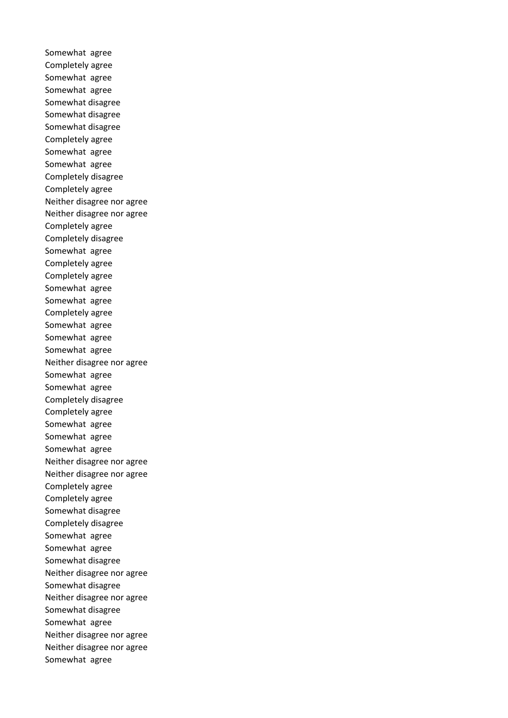Somewhat agree Completely agree Somewhat agree Somewhat agree Somewhat disagree Somewhat disagree Somewhat disagree Completely agree Somewhat agree Somewhat agree Completely disagree Completely agree Neither disagree nor agree Neither disagree nor agree Completely agree Completely disagree Somewhat agree Completely agree Completely agree Somewhat agree Somewhat agree Completely agree Somewhat agree Somewhat agree Somewhat agree Neither disagree nor agree Somewhat agree Somewhat agree Completely disagree Completely agree Somewhat agree Somewhat agree Somewhat agree Neither disagree nor agree Neither disagree nor agree Completely agree Completely agree Somewhat disagree Completely disagree Somewhat agree Somewhat agree Somewhat disagree Neither disagree nor agree Somewhat disagree Neither disagree nor agree Somewhat disagree Somewhat agree Neither disagree nor agree Neither disagree nor agree Somewhat agree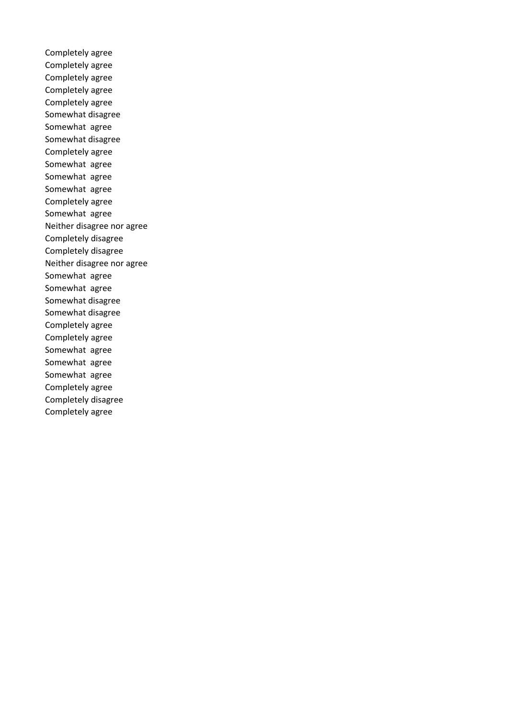Completely agree Completely agree Completely agree Completely agree Completely agree Somewhat disagree Somewhat agree Somewhat disagree Completely agree Somewhat agree Somewhat agree Somewhat agree Completely agree Somewhat agree Neither disagree nor agree Completely disagree Completely disagree Neither disagree nor agree Somewhat agree Somewhat agree Somewhat disagree Somewhat disagree Completely agree Completely agree Somewhat agree Somewhat agree Somewhat agree Completely agree Completely disagree Completely agree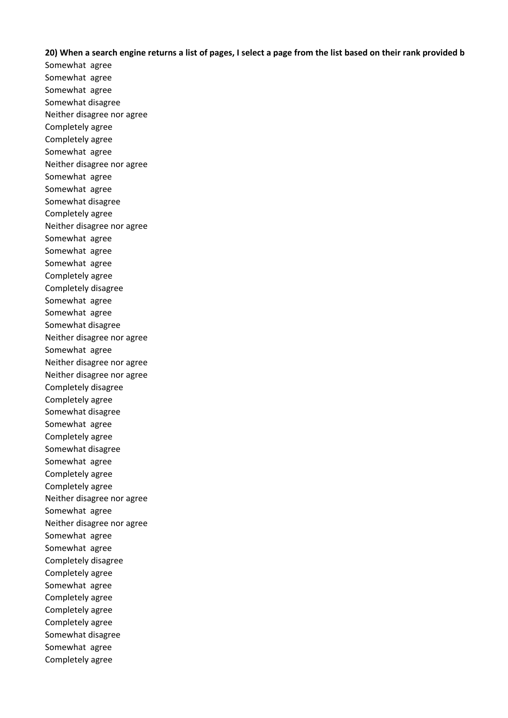## **20) When a search engine returns a list of pages, I select a page from the list based on their rank provided b**

Somewhat agree Somewhat agree Somewhat agree Somewhat disagree Neither disagree nor agree Completely agree Completely agree Somewhat agree Neither disagree nor agree Somewhat agree Somewhat agree Somewhat disagree Completely agree Neither disagree nor agree Somewhat agree Somewhat agree Somewhat agree Completely agree Completely disagree Somewhat agree Somewhat agree Somewhat disagree Neither disagree nor agree Somewhat agree Neither disagree nor agree Neither disagree nor agree Completely disagree Completely agree Somewhat disagree Somewhat agree Completely agree Somewhat disagree Somewhat agree Completely agree Completely agree Neither disagree nor agree Somewhat agree Neither disagree nor agree Somewhat agree Somewhat agree Completely disagree Completely agree Somewhat agree Completely agree Completely agree Completely agree Somewhat disagree Somewhat agree Completely agree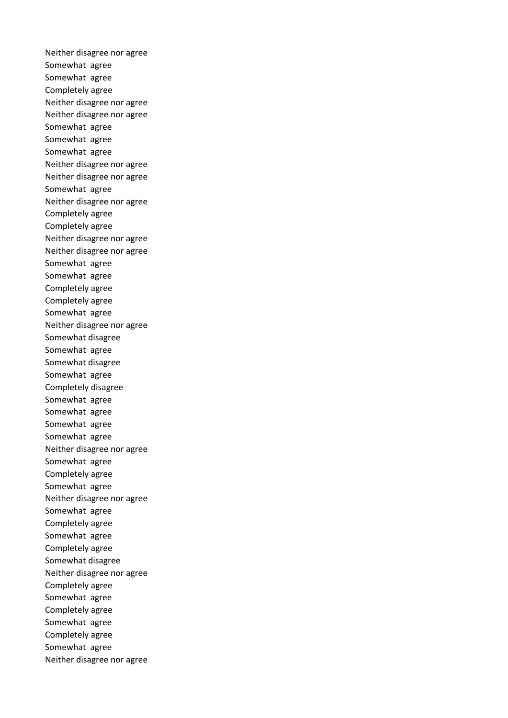Neither disagree nor agree Somewhat agree Somewhat agree Completely agree Neither disagree nor agree Neither disagree nor agree Somewhat agree Somewhat agree Somewhat agree Neither disagree nor agree Neither disagree nor agree Somewhat agree Neither disagree nor agree Completely agree Completely agree Neither disagree nor agree Neither disagree nor agree Somewhat agree Somewhat agree Completely agree Completely agree Somewhat agree Neither disagree nor agree Somewhat disagree Somewhat agree Somewhat disagree Somewhat agree Completely disagree Somewhat agree Somewhat agree Somewhat agree Somewhat agree Neither disagree nor agree Somewhat agree Completely agree Somewhat agree Neither disagree nor agree Somewhat agree Completely agree Somewhat agree Completely agree Somewhat disagree Neither disagree nor agree Completely agree Somewhat agree Completely agree Somewhat agree Completely agree Somewhat agree Neither disagree nor agree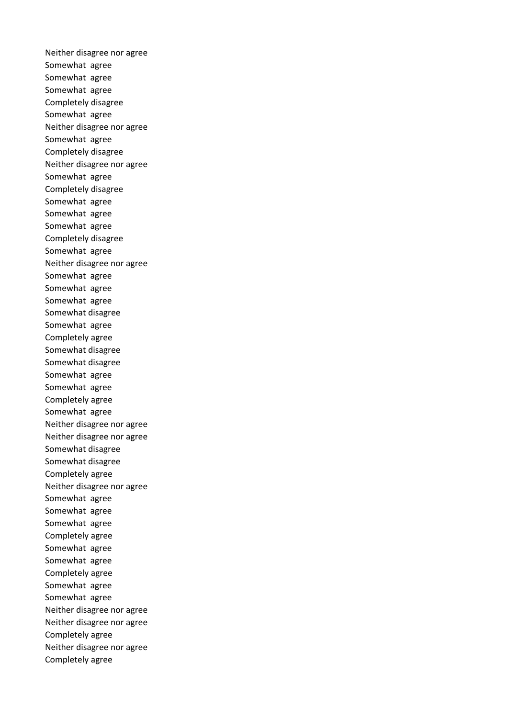Neither disagree nor agree Somewhat agree Somewhat agree Somewhat agree Completely disagree Somewhat agree Neither disagree nor agree Somewhat agree Completely disagree Neither disagree nor agree Somewhat agree Completely disagree Somewhat agree Somewhat agree Somewhat agree Completely disagree Somewhat agree Neither disagree nor agree Somewhat agree Somewhat agree Somewhat agree Somewhat disagree Somewhat agree Completely agree Somewhat disagree Somewhat disagree Somewhat agree Somewhat agree Completely agree Somewhat agree Neither disagree nor agree Neither disagree nor agree Somewhat disagree Somewhat disagree Completely agree Neither disagree nor agree Somewhat agree Somewhat agree Somewhat agree Completely agree Somewhat agree Somewhat agree Completely agree Somewhat agree Somewhat agree Neither disagree nor agree Neither disagree nor agree Completely agree Neither disagree nor agree Completely agree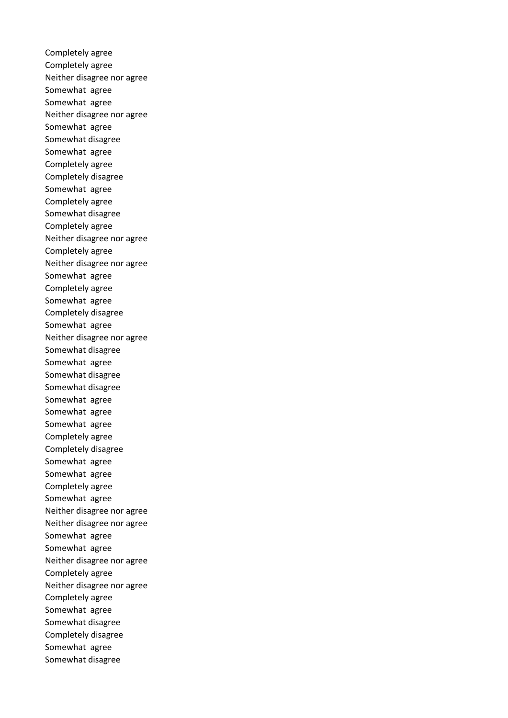Completely agree Completely agree Neither disagree nor agree Somewhat agree Somewhat agree Neither disagree nor agree Somewhat agree Somewhat disagree Somewhat agree Completely agree Completely disagree Somewhat agree Completely agree Somewhat disagree Completely agree Neither disagree nor agree Completely agree Neither disagree nor agree Somewhat agree Completely agree Somewhat agree Completely disagree Somewhat agree Neither disagree nor agree Somewhat disagree Somewhat agree Somewhat disagree Somewhat disagree Somewhat agree Somewhat agree Somewhat agree Completely agree Completely disagree Somewhat agree Somewhat agree Completely agree Somewhat agree Neither disagree nor agree Neither disagree nor agree Somewhat agree Somewhat agree Neither disagree nor agree Completely agree Neither disagree nor agree Completely agree Somewhat agree Somewhat disagree Completely disagree Somewhat agree Somewhat disagree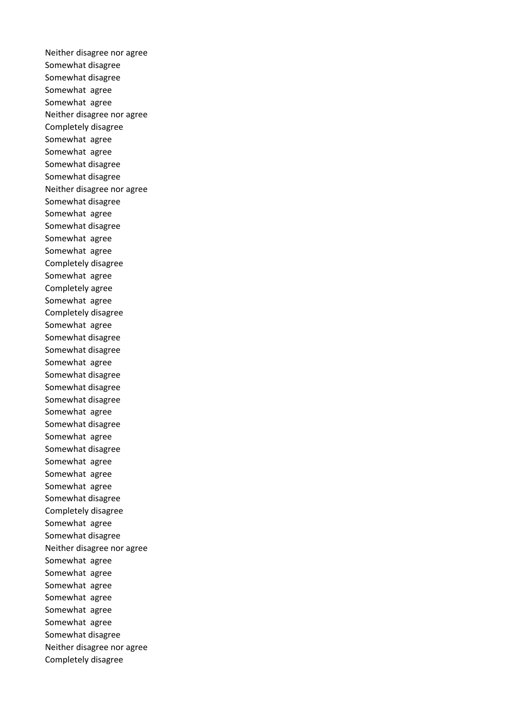Neither disagree nor agree Somewhat disagree Somewhat disagree Somewhat agree Somewhat agree Neither disagree nor agree Completely disagree Somewhat agree Somewhat agree Somewhat disagree Somewhat disagree Neither disagree nor agree Somewhat disagree Somewhat agree Somewhat disagree Somewhat agree Somewhat agree Completely disagree Somewhat agree Completely agree Somewhat agree Completely disagree Somewhat agree Somewhat disagree Somewhat disagree Somewhat agree Somewhat disagree Somewhat disagree Somewhat disagree Somewhat agree Somewhat disagree Somewhat agree Somewhat disagree Somewhat agree Somewhat agree Somewhat agree Somewhat disagree Completely disagree Somewhat agree Somewhat disagree Neither disagree nor agree Somewhat agree Somewhat agree Somewhat agree Somewhat agree Somewhat agree Somewhat agree Somewhat disagree Neither disagree nor agree Completely disagree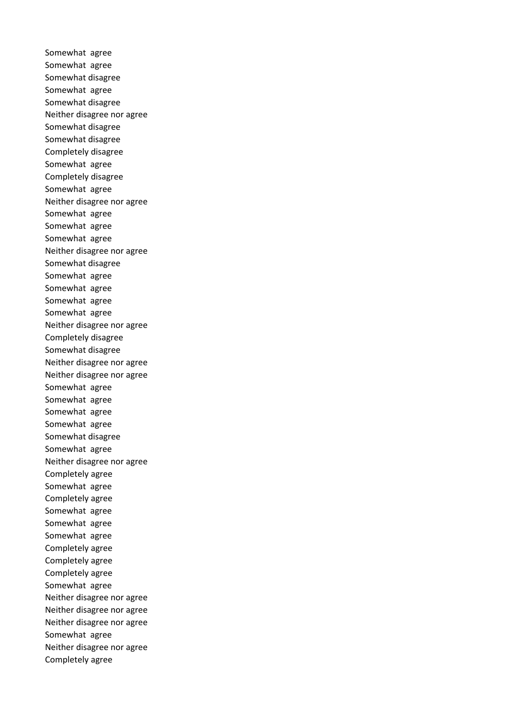Somewhat agree Somewhat agree Somewhat disagree Somewhat agree Somewhat disagree Neither disagree nor agree Somewhat disagree Somewhat disagree Completely disagree Somewhat agree Completely disagree Somewhat agree Neither disagree nor agree Somewhat agree Somewhat agree Somewhat agree Neither disagree nor agree Somewhat disagree Somewhat agree Somewhat agree Somewhat agree Somewhat agree Neither disagree nor agree Completely disagree Somewhat disagree Neither disagree nor agree Neither disagree nor agree Somewhat agree Somewhat agree Somewhat agree Somewhat agree Somewhat disagree Somewhat agree Neither disagree nor agree Completely agree Somewhat agree Completely agree Somewhat agree Somewhat agree Somewhat agree Completely agree Completely agree Completely agree Somewhat agree Neither disagree nor agree Neither disagree nor agree Neither disagree nor agree Somewhat agree Neither disagree nor agree Completely agree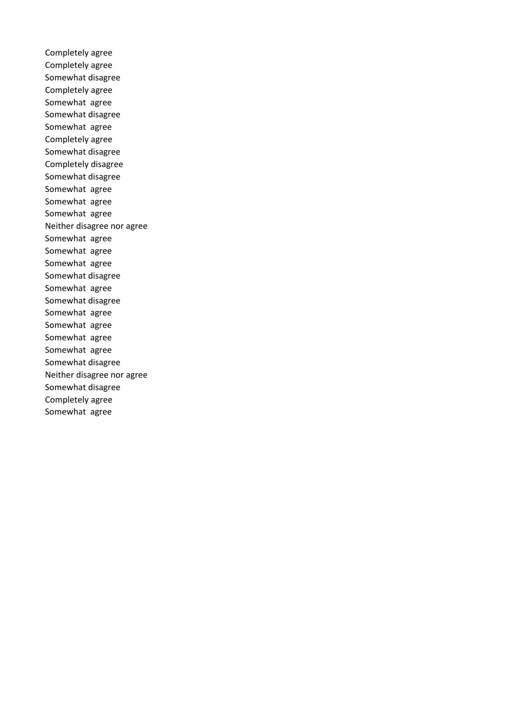Completely agree Completely agree Somewhat disagree Completely agree Somewhat agree Somewhat disagree Somewhat agree Completely agree Somewhat disagree Completely disagree Somewhat disagree Somewhat agree Somewhat agree Somewhat agree Neither disagree nor agree Somewhat agree Somewhat agree Somewhat agree Somewhat disagree Somewhat agree Somewhat disagree Somewhat agree Somewhat agree Somewhat agree Somewhat agree Somewhat disagree Neither disagree nor agree Somewhat disagree Completely agree Somewhat agree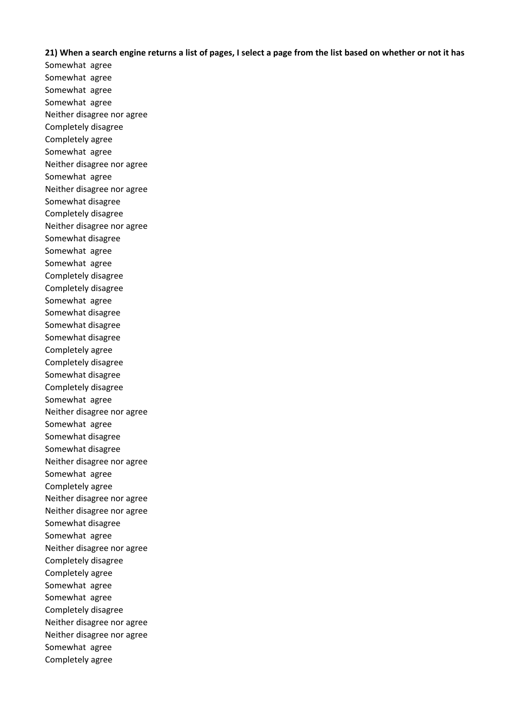## **21) When a search engine returns a list of pages, I select a page from the list based on whether or not it has**

Somewhat agree Somewhat agree Somewhat agree Somewhat agree Neither disagree nor agree Completely disagree Completely agree Somewhat agree Neither disagree nor agree Somewhat agree Neither disagree nor agree Somewhat disagree Completely disagree Neither disagree nor agree Somewhat disagree Somewhat agree Somewhat agree Completely disagree Completely disagree Somewhat agree Somewhat disagree Somewhat disagree Somewhat disagree Completely agree Completely disagree Somewhat disagree Completely disagree Somewhat agree Neither disagree nor agree Somewhat agree Somewhat disagree Somewhat disagree Neither disagree nor agree Somewhat agree Completely agree Neither disagree nor agree Neither disagree nor agree Somewhat disagree Somewhat agree Neither disagree nor agree Completely disagree Completely agree Somewhat agree Somewhat agree Completely disagree Neither disagree nor agree Neither disagree nor agree Somewhat agree Completely agree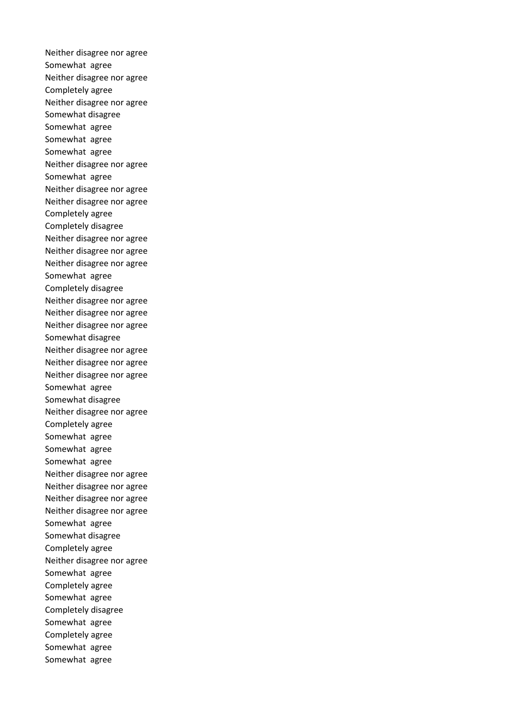Neither disagree nor agree Somewhat agree Neither disagree nor agree Completely agree Neither disagree nor agree Somewhat disagree Somewhat agree Somewhat agree Somewhat agree Neither disagree nor agree Somewhat agree Neither disagree nor agree Neither disagree nor agree Completely agree Completely disagree Neither disagree nor agree Neither disagree nor agree Neither disagree nor agree Somewhat agree Completely disagree Neither disagree nor agree Neither disagree nor agree Neither disagree nor agree Somewhat disagree Neither disagree nor agree Neither disagree nor agree Neither disagree nor agree Somewhat agree Somewhat disagree Neither disagree nor agree Completely agree Somewhat agree Somewhat agree Somewhat agree Neither disagree nor agree Neither disagree nor agree Neither disagree nor agree Neither disagree nor agree Somewhat agree Somewhat disagree Completely agree Neither disagree nor agree Somewhat agree Completely agree Somewhat agree Completely disagree Somewhat agree Completely agree Somewhat agree Somewhat agree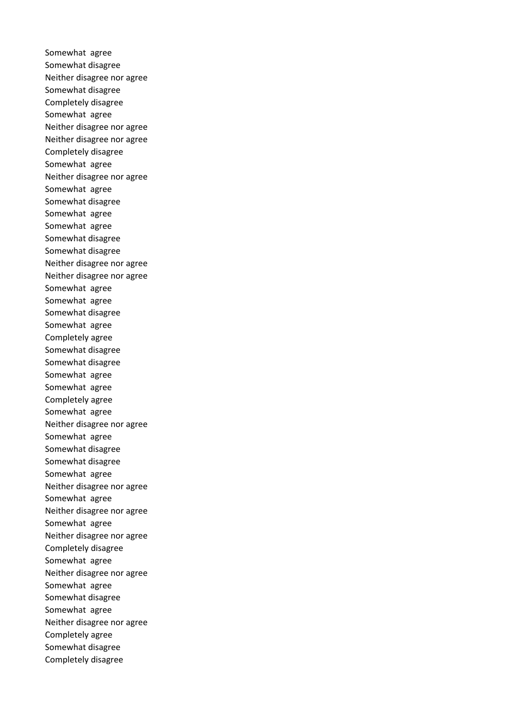Somewhat agree Somewhat disagree Neither disagree nor agree Somewhat disagree Completely disagree Somewhat agree Neither disagree nor agree Neither disagree nor agree Completely disagree Somewhat agree Neither disagree nor agree Somewhat agree Somewhat disagree Somewhat agree Somewhat agree Somewhat disagree Somewhat disagree Neither disagree nor agree Neither disagree nor agree Somewhat agree Somewhat agree Somewhat disagree Somewhat agree Completely agree Somewhat disagree Somewhat disagree Somewhat agree Somewhat agree Completely agree Somewhat agree Neither disagree nor agree Somewhat agree Somewhat disagree Somewhat disagree Somewhat agree Neither disagree nor agree Somewhat agree Neither disagree nor agree Somewhat agree Neither disagree nor agree Completely disagree Somewhat agree Neither disagree nor agree Somewhat agree Somewhat disagree Somewhat agree Neither disagree nor agree Completely agree Somewhat disagree Completely disagree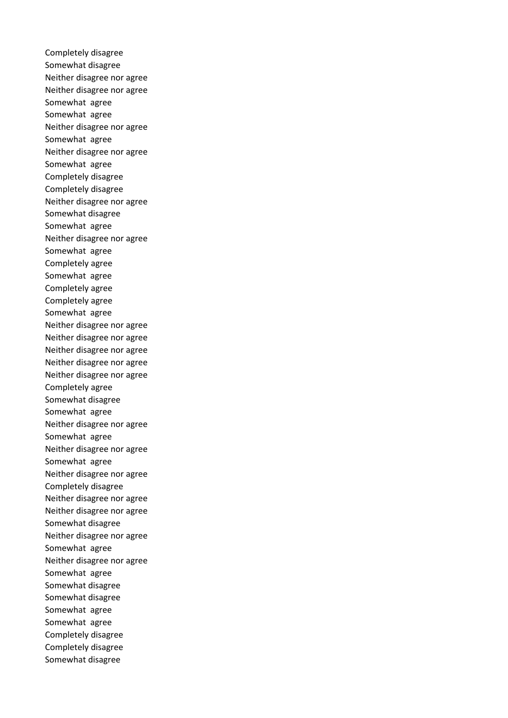Completely disagree Somewhat disagree Neither disagree nor agree Neither disagree nor agree Somewhat agree Somewhat agree Neither disagree nor agree Somewhat agree Neither disagree nor agree Somewhat agree Completely disagree Completely disagree Neither disagree nor agree Somewhat disagree Somewhat agree Neither disagree nor agree Somewhat agree Completely agree Somewhat agree Completely agree Completely agree Somewhat agree Neither disagree nor agree Neither disagree nor agree Neither disagree nor agree Neither disagree nor agree Neither disagree nor agree Completely agree Somewhat disagree Somewhat agree Neither disagree nor agree Somewhat agree Neither disagree nor agree Somewhat agree Neither disagree nor agree Completely disagree Neither disagree nor agree Neither disagree nor agree Somewhat disagree Neither disagree nor agree Somewhat agree Neither disagree nor agree Somewhat agree Somewhat disagree Somewhat disagree Somewhat agree Somewhat agree Completely disagree Completely disagree Somewhat disagree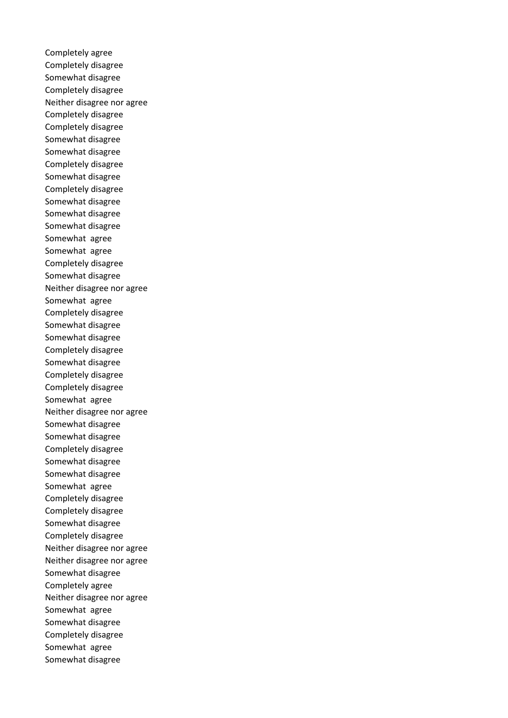Completely agree Completely disagree Somewhat disagree Completely disagree Neither disagree nor agree Completely disagree Completely disagree Somewhat disagree Somewhat disagree Completely disagree Somewhat disagree Completely disagree Somewhat disagree Somewhat disagree Somewhat disagree Somewhat agree Somewhat agree Completely disagree Somewhat disagree Neither disagree nor agree Somewhat agree Completely disagree Somewhat disagree Somewhat disagree Completely disagree Somewhat disagree Completely disagree Completely disagree Somewhat agree Neither disagree nor agree Somewhat disagree Somewhat disagree Completely disagree Somewhat disagree Somewhat disagree Somewhat agree Completely disagree Completely disagree Somewhat disagree Completely disagree Neither disagree nor agree Neither disagree nor agree Somewhat disagree Completely agree Neither disagree nor agree Somewhat agree Somewhat disagree Completely disagree Somewhat agree Somewhat disagree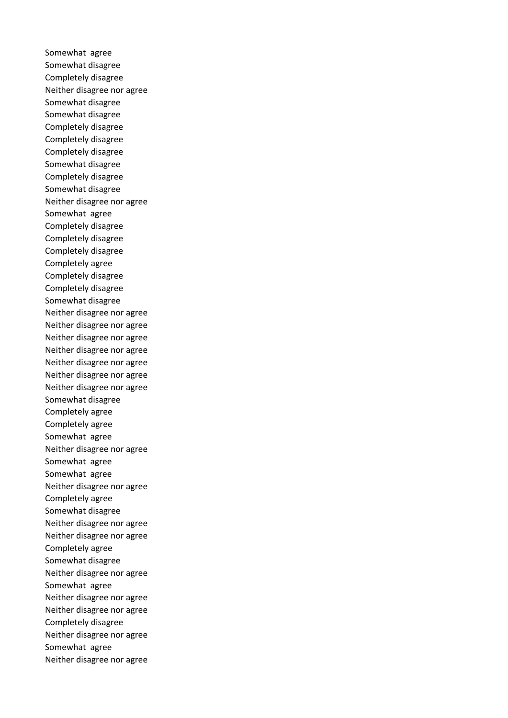Somewhat agree Somewhat disagree Completely disagree Neither disagree nor agree Somewhat disagree Somewhat disagree Completely disagree Completely disagree Completely disagree Somewhat disagree Completely disagree Somewhat disagree Neither disagree nor agree Somewhat agree Completely disagree Completely disagree Completely disagree Completely agree Completely disagree Completely disagree Somewhat disagree Neither disagree nor agree Neither disagree nor agree Neither disagree nor agree Neither disagree nor agree Neither disagree nor agree Neither disagree nor agree Neither disagree nor agree Somewhat disagree Completely agree Completely agree Somewhat agree Neither disagree nor agree Somewhat agree Somewhat agree Neither disagree nor agree Completely agree Somewhat disagree Neither disagree nor agree Neither disagree nor agree Completely agree Somewhat disagree Neither disagree nor agree Somewhat agree Neither disagree nor agree Neither disagree nor agree Completely disagree Neither disagree nor agree Somewhat agree Neither disagree nor agree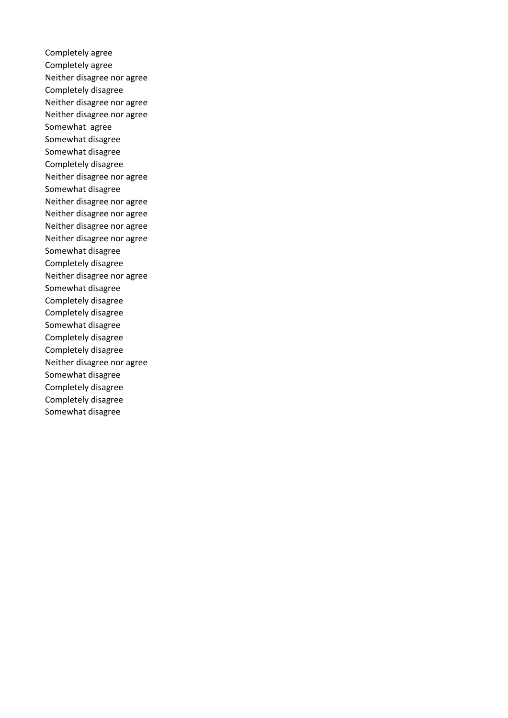Completely agree Completely agree Neither disagree nor agree Completely disagree Neither disagree nor agree Neither disagree nor agree Somewhat agree Somewhat disagree Somewhat disagree Completely disagree Neither disagree nor agree Somewhat disagree Neither disagree nor agree Neither disagree nor agree Neither disagree nor agree Neither disagree nor agree Somewhat disagree Completely disagree Neither disagree nor agree Somewhat disagree Completely disagree Completely disagree Somewhat disagree Completely disagree Completely disagree Neither disagree nor agree Somewhat disagree Completely disagree Completely disagree Somewhat disagree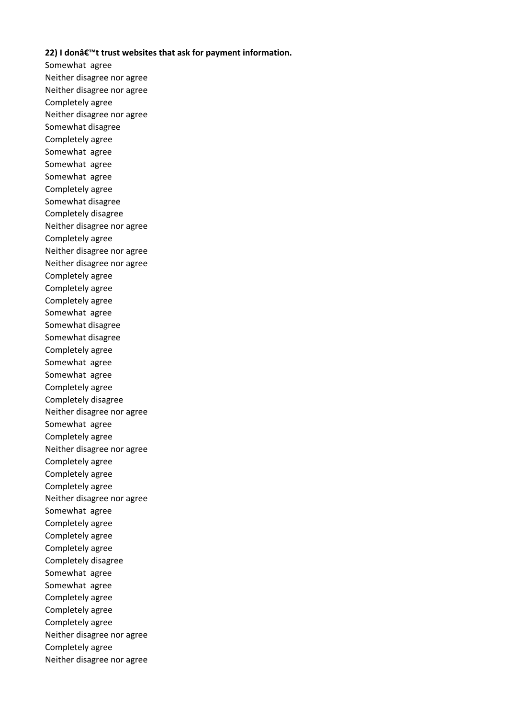## **22) I don't trust websites that ask for payment information.**

Somewhat agree Neither disagree nor agree Neither disagree nor agree Completely agree Neither disagree nor agree Somewhat disagree Completely agree Somewhat agree Somewhat agree Somewhat agree Completely agree Somewhat disagree Completely disagree Neither disagree nor agree Completely agree Neither disagree nor agree Neither disagree nor agree Completely agree Completely agree Completely agree Somewhat agree Somewhat disagree Somewhat disagree Completely agree Somewhat agree Somewhat agree Completely agree Completely disagree Neither disagree nor agree Somewhat agree Completely agree Neither disagree nor agree Completely agree Completely agree Completely agree Neither disagree nor agree Somewhat agree Completely agree Completely agree Completely agree Completely disagree Somewhat agree Somewhat agree Completely agree Completely agree Completely agree Neither disagree nor agree Completely agree Neither disagree nor agree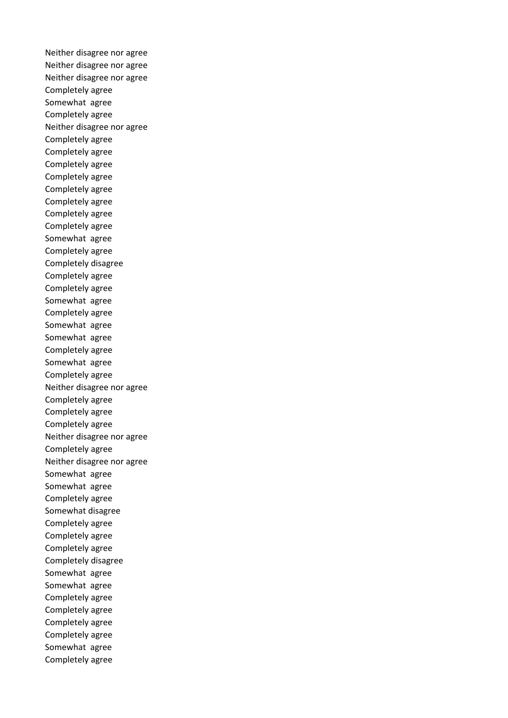Neither disagree nor agree Neither disagree nor agree Neither disagree nor agree Completely agree Somewhat agree Completely agree Neither disagree nor agree Completely agree Completely agree Completely agree Completely agree Completely agree Completely agree Completely agree Completely agree Somewhat agree Completely agree Completely disagree Completely agree Completely agree Somewhat agree Completely agree Somewhat agree Somewhat agree Completely agree Somewhat agree Completely agree Neither disagree nor agree Completely agree Completely agree Completely agree Neither disagree nor agree Completely agree Neither disagree nor agree Somewhat agree Somewhat agree Completely agree Somewhat disagree Completely agree Completely agree Completely agree Completely disagree Somewhat agree Somewhat agree Completely agree Completely agree Completely agree Completely agree Somewhat agree Completely agree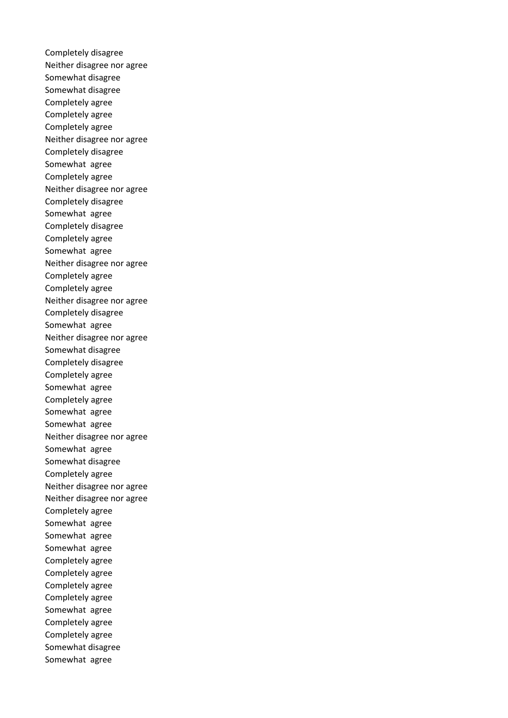Completely disagree Neither disagree nor agree Somewhat disagree Somewhat disagree Completely agree Completely agree Completely agree Neither disagree nor agree Completely disagree Somewhat agree Completely agree Neither disagree nor agree Completely disagree Somewhat agree Completely disagree Completely agree Somewhat agree Neither disagree nor agree Completely agree Completely agree Neither disagree nor agree Completely disagree Somewhat agree Neither disagree nor agree Somewhat disagree Completely disagree Completely agree Somewhat agree Completely agree Somewhat agree Somewhat agree Neither disagree nor agree Somewhat agree Somewhat disagree Completely agree Neither disagree nor agree Neither disagree nor agree Completely agree Somewhat agree Somewhat agree Somewhat agree Completely agree Completely agree Completely agree Completely agree Somewhat agree Completely agree Completely agree Somewhat disagree Somewhat agree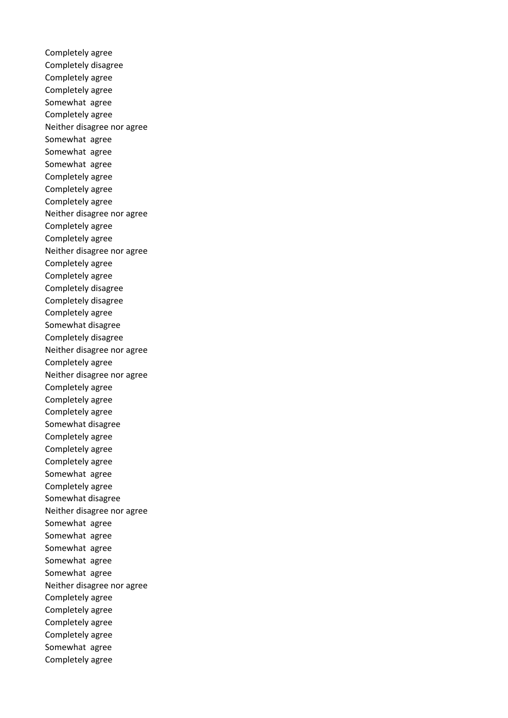Completely agree Completely disagree Completely agree Completely agree Somewhat agree Completely agree Neither disagree nor agree Somewhat agree Somewhat agree Somewhat agree Completely agree Completely agree Completely agree Neither disagree nor agree Completely agree Completely agree Neither disagree nor agree Completely agree Completely agree Completely disagree Completely disagree Completely agree Somewhat disagree Completely disagree Neither disagree nor agree Completely agree Neither disagree nor agree Completely agree Completely agree Completely agree Somewhat disagree Completely agree Completely agree Completely agree Somewhat agree Completely agree Somewhat disagree Neither disagree nor agree Somewhat agree Somewhat agree Somewhat agree Somewhat agree Somewhat agree Neither disagree nor agree Completely agree Completely agree Completely agree Completely agree Somewhat agree Completely agree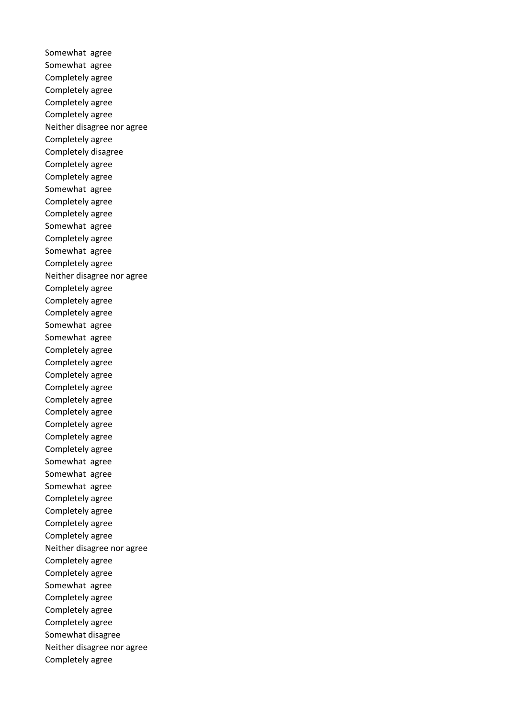Somewhat agree Somewhat agree Completely agree Completely agree Completely agree Completely agree Neither disagree nor agree Completely agree Completely disagree Completely agree Completely agree Somewhat agree Completely agree Completely agree Somewhat agree Completely agree Somewhat agree Completely agree Neither disagree nor agree Completely agree Completely agree Completely agree Somewhat agree Somewhat agree Completely agree Completely agree Completely agree Completely agree Completely agree Completely agree Completely agree Completely agree Completely agree Somewhat agree Somewhat agree Somewhat agree Completely agree Completely agree Completely agree Completely agree Neither disagree nor agree Completely agree Completely agree Somewhat agree Completely agree Completely agree Completely agree Somewhat disagree Neither disagree nor agree Completely agree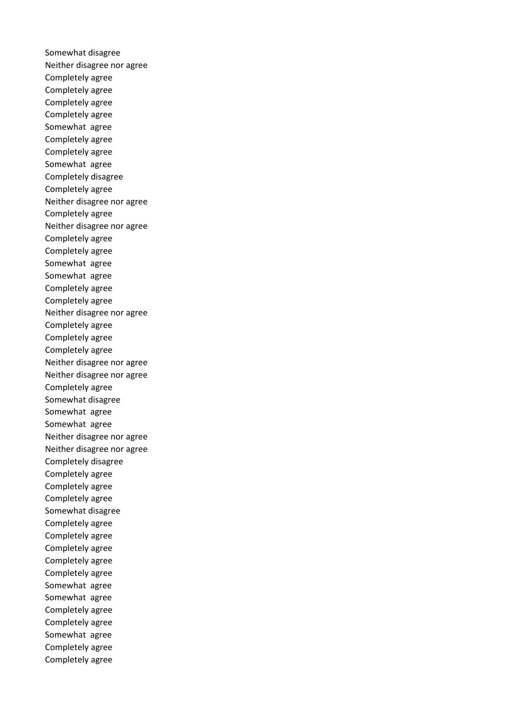Somewhat disagree Neither disagree nor agree Completely agree Completely agree Completely agree Completely agree Somewhat agree Completely agree Completely agree Somewhat agree Completely disagree Completely agree Neither disagree nor agree Completely agree Neither disagree nor agree Completely agree Completely agree Somewhat agree Somewhat agree Completely agree Completely agree Neither disagree nor agree Completely agree Completely agree Completely agree Neither disagree nor agree Neither disagree nor agree Completely agree Somewhat disagree Somewhat agree Somewhat agree Neither disagree nor agree Neither disagree nor agree Completely disagree Completely agree Completely agree Completely agree Somewhat disagree Completely agree Completely agree Completely agree Completely agree Completely agree Somewhat agree Somewhat agree Completely agree Completely agree Somewhat agree Completely agree Completely agree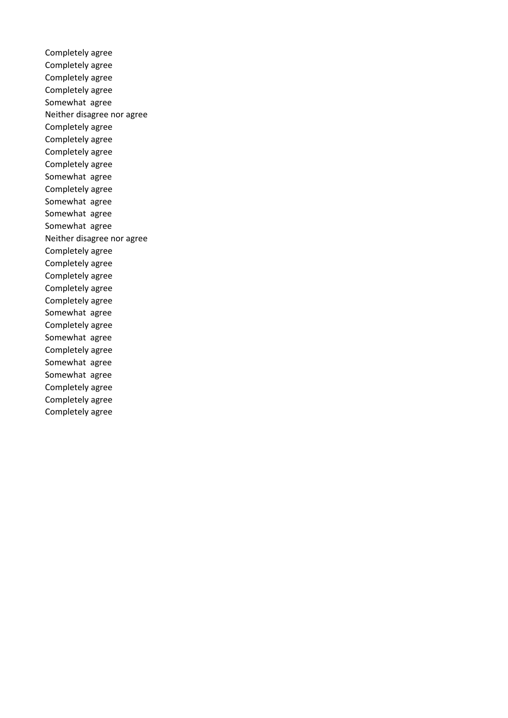Completely agree Completely agree Completely agree Completely agree Somewhat agree Neither disagree nor agree Completely agree Completely agree Completely agree Completely agree Somewhat agree Completely agree Somewhat agree Somewhat agree Somewhat agree Neither disagree nor agree Completely agree Completely agree Completely agree Completely agree Completely agree Somewhat agree Completely agree Somewhat agree Completely agree Somewhat agree Somewhat agree Completely agree Completely agree Completely agree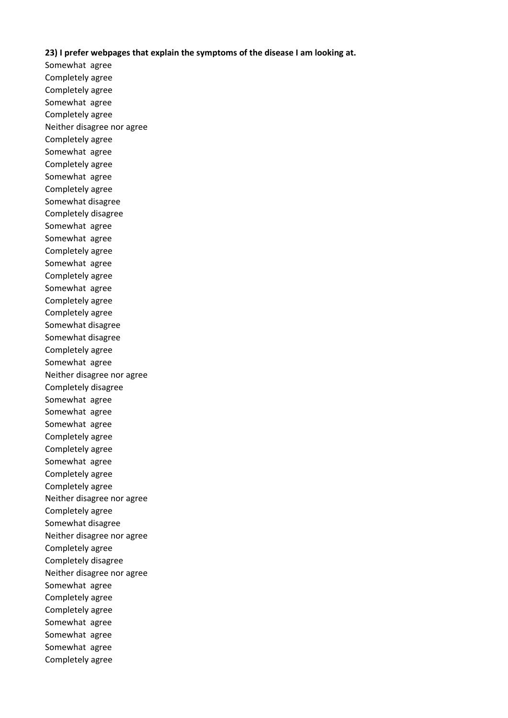### **23) I prefer webpages that explain the symptoms of the disease I am looking at.**

Somewhat agree Completely agree Completely agree Somewhat agree Completely agree Neither disagree nor agree Completely agree Somewhat agree Completely agree Somewhat agree Completely agree Somewhat disagree Completely disagree Somewhat agree Somewhat agree Completely agree Somewhat agree Completely agree Somewhat agree Completely agree Completely agree Somewhat disagree Somewhat disagree Completely agree Somewhat agree Neither disagree nor agree Completely disagree Somewhat agree Somewhat agree Somewhat agree Completely agree Completely agree Somewhat agree Completely agree Completely agree Neither disagree nor agree Completely agree Somewhat disagree Neither disagree nor agree Completely agree Completely disagree Neither disagree nor agree Somewhat agree Completely agree Completely agree Somewhat agree Somewhat agree Somewhat agree Completely agree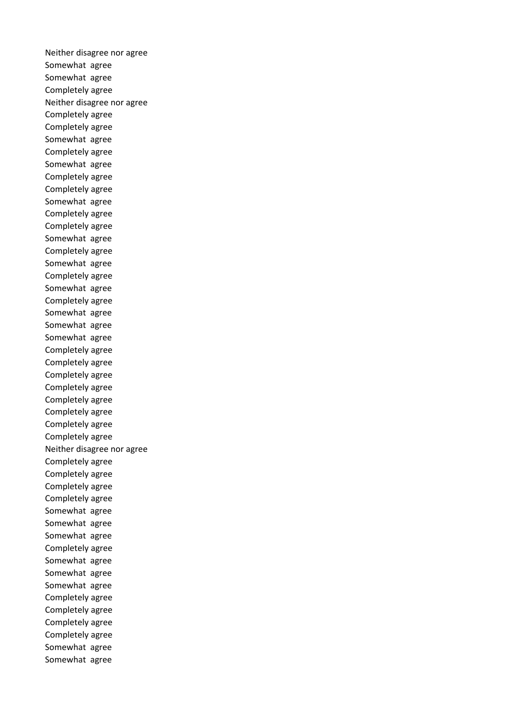Neither disagree nor agree Somewhat agree Somewhat agree Completely agree Neither disagree nor agree Completely agree Completely agree Somewhat agree Completely agree Somewhat agree Completely agree Completely agree Somewhat agree Completely agree Completely agree Somewhat agree Completely agree Somewhat agree Completely agree Somewhat agree Completely agree Somewhat agree Somewhat agree Somewhat agree Completely agree Completely agree Completely agree Completely agree Completely agree Completely agree Completely agree Completely agree Neither disagree nor agree Completely agree Completely agree Completely agree Completely agree Somewhat agree Somewhat agree Somewhat agree Completely agree Somewhat agree Somewhat agree Somewhat agree Completely agree Completely agree Completely agree Completely agree Somewhat agree Somewhat agree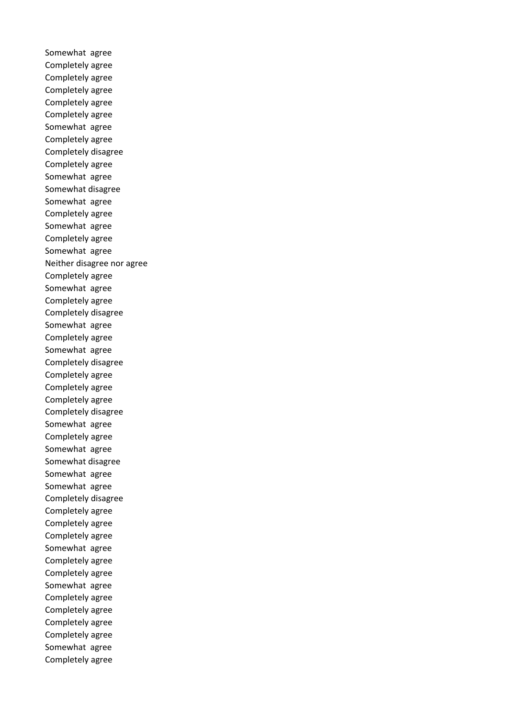Somewhat agree Completely agree Completely agree Completely agree Completely agree Completely agree Somewhat agree Completely agree Completely disagree Completely agree Somewhat agree Somewhat disagree Somewhat agree Completely agree Somewhat agree Completely agree Somewhat agree Neither disagree nor agree Completely agree Somewhat agree Completely agree Completely disagree Somewhat agree Completely agree Somewhat agree Completely disagree Completely agree Completely agree Completely agree Completely disagree Somewhat agree Completely agree Somewhat agree Somewhat disagree Somewhat agree Somewhat agree Completely disagree Completely agree Completely agree Completely agree Somewhat agree Completely agree Completely agree Somewhat agree Completely agree Completely agree Completely agree Completely agree Somewhat agree Completely agree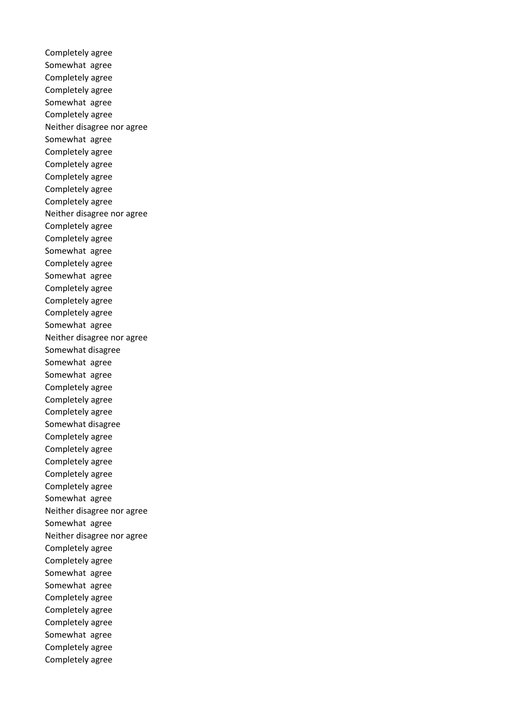Completely agree Somewhat agree Completely agree Completely agree Somewhat agree Completely agree Neither disagree nor agree Somewhat agree Completely agree Completely agree Completely agree Completely agree Completely agree Neither disagree nor agree Completely agree Completely agree Somewhat agree Completely agree Somewhat agree Completely agree Completely agree Completely agree Somewhat agree Neither disagree nor agree Somewhat disagree Somewhat agree Somewhat agree Completely agree Completely agree Completely agree Somewhat disagree Completely agree Completely agree Completely agree Completely agree Completely agree Somewhat agree Neither disagree nor agree Somewhat agree Neither disagree nor agree Completely agree Completely agree Somewhat agree Somewhat agree Completely agree Completely agree Completely agree Somewhat agree Completely agree Completely agree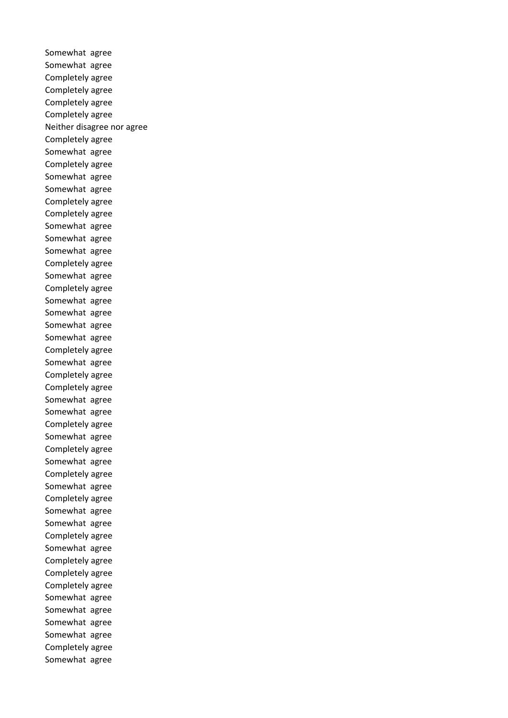Somewhat agree Somewhat agree Completely agree Completely agree Completely agree Completely agree Neither disagree nor agree Completely agree Somewhat agree Completely agree Somewhat agree Somewhat agree Completely agree Completely agree Somewhat agree Somewhat agree Somewhat agree Completely agree Somewhat agree Completely agree Somewhat agree Somewhat agree Somewhat agree Somewhat agree Completely agree Somewhat agree Completely agree Completely agree Somewhat agree Somewhat agree Completely agree Somewhat agree Completely agree Somewhat agree Completely agree Somewhat agree Completely agree Somewhat agree Somewhat agree Completely agree Somewhat agree Completely agree Completely agree Completely agree Somewhat agree Somewhat agree Somewhat agree Somewhat agree Completely agree Somewhat agree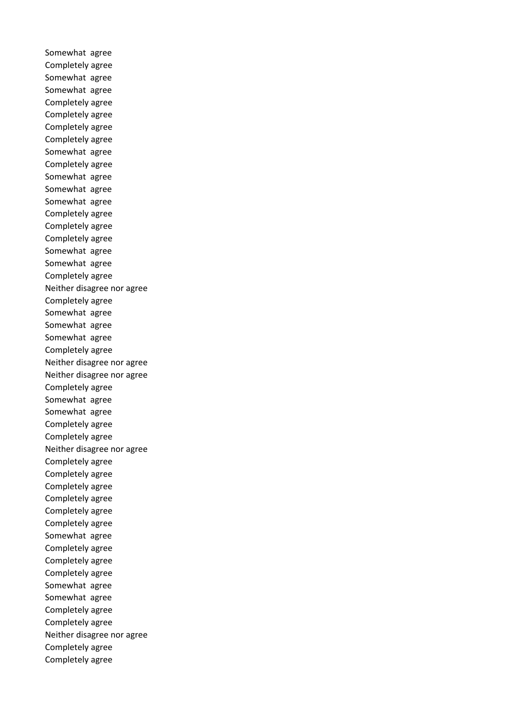Somewhat agree Completely agree Somewhat agree Somewhat agree Completely agree Completely agree Completely agree Completely agree Somewhat agree Completely agree Somewhat agree Somewhat agree Somewhat agree Completely agree Completely agree Completely agree Somewhat agree Somewhat agree Completely agree Neither disagree nor agree Completely agree Somewhat agree Somewhat agree Somewhat agree Completely agree Neither disagree nor agree Neither disagree nor agree Completely agree Somewhat agree Somewhat agree Completely agree Completely agree Neither disagree nor agree Completely agree Completely agree Completely agree Completely agree Completely agree Completely agree Somewhat agree Completely agree Completely agree Completely agree Somewhat agree Somewhat agree Completely agree Completely agree Neither disagree nor agree Completely agree Completely agree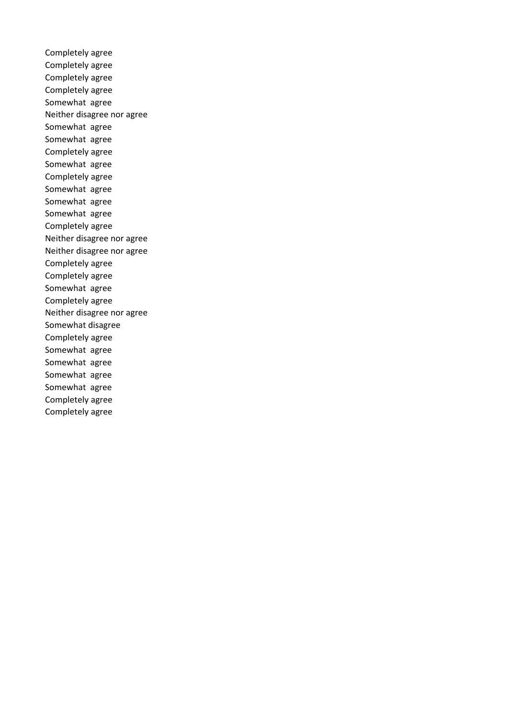Completely agree Completely agree Completely agree Completely agree Somewhat agree Neither disagree nor agree Somewhat agree Somewhat agree Completely agree Somewhat agree Completely agree Somewhat agree Somewhat agree Somewhat agree Completely agree Neither disagree nor agree Neither disagree nor agree Completely agree Completely agree Somewhat agree Completely agree Neither disagree nor agree Somewhat disagree Completely agree Somewhat agree Somewhat agree Somewhat agree Somewhat agree Completely agree Completely agree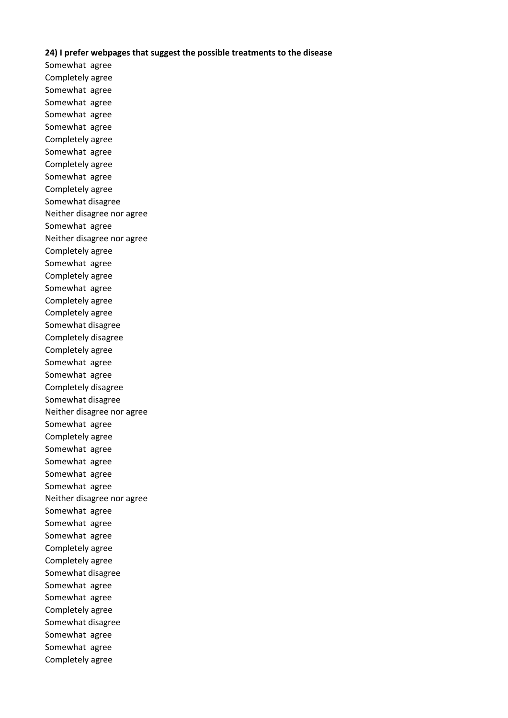#### **24) I prefer webpages that suggest the possible treatments to the disease**

Somewhat agree Completely agree Somewhat agree Somewhat agree Somewhat agree Somewhat agree Completely agree Somewhat agree Completely agree Somewhat agree Completely agree Somewhat disagree Neither disagree nor agree Somewhat agree Neither disagree nor agree Completely agree Somewhat agree Completely agree Somewhat agree Completely agree Completely agree Somewhat disagree Completely disagree Completely agree Somewhat agree Somewhat agree Completely disagree Somewhat disagree Neither disagree nor agree Somewhat agree Completely agree Somewhat agree Somewhat agree Somewhat agree Somewhat agree Neither disagree nor agree Somewhat agree Somewhat agree Somewhat agree Completely agree Completely agree Somewhat disagree Somewhat agree Somewhat agree Completely agree Somewhat disagree Somewhat agree Somewhat agree Completely agree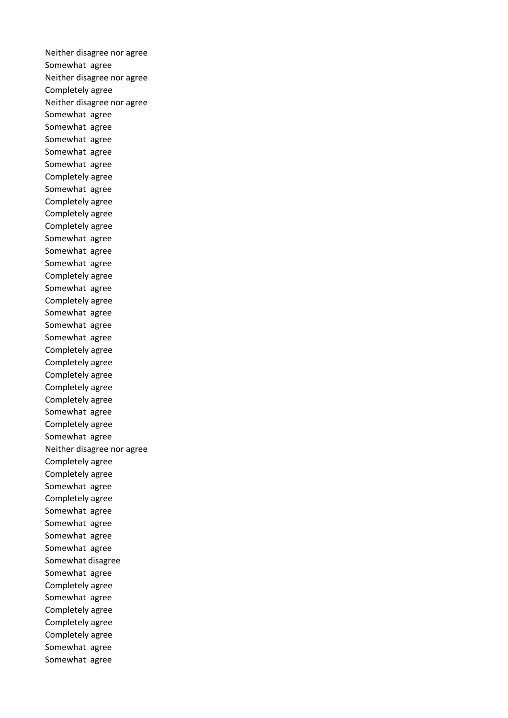Neither disagree nor agree Somewhat agree Neither disagree nor agree Completely agree Neither disagree nor agree Somewhat agree Somewhat agree Somewhat agree Somewhat agree Somewhat agree Completely agree Somewhat agree Completely agree Completely agree Completely agree Somewhat agree Somewhat agree Somewhat agree Completely agree Somewhat agree Completely agree Somewhat agree Somewhat agree Somewhat agree Completely agree Completely agree Completely agree Completely agree Completely agree Somewhat agree Completely agree Somewhat agree Neither disagree nor agree Completely agree Completely agree Somewhat agree Completely agree Somewhat agree Somewhat agree Somewhat agree Somewhat agree Somewhat disagree Somewhat agree Completely agree Somewhat agree Completely agree Completely agree Completely agree Somewhat agree Somewhat agree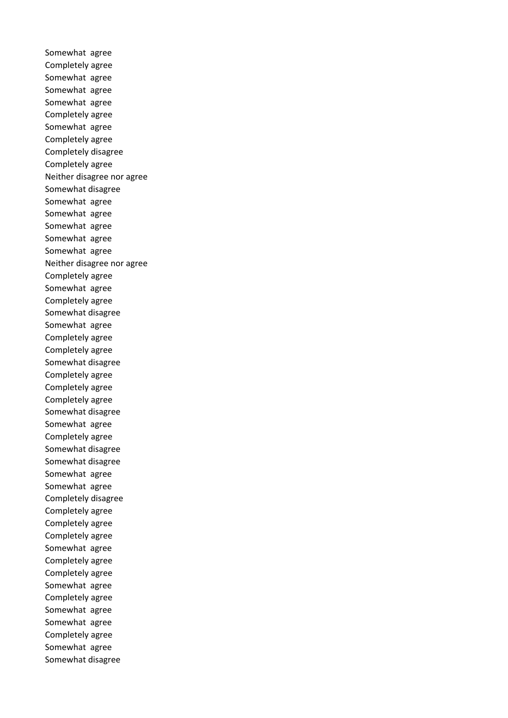Somewhat agree Completely agree Somewhat agree Somewhat agree Somewhat agree Completely agree Somewhat agree Completely agree Completely disagree Completely agree Neither disagree nor agree Somewhat disagree Somewhat agree Somewhat agree Somewhat agree Somewhat agree Somewhat agree Neither disagree nor agree Completely agree Somewhat agree Completely agree Somewhat disagree Somewhat agree Completely agree Completely agree Somewhat disagree Completely agree Completely agree Completely agree Somewhat disagree Somewhat agree Completely agree Somewhat disagree Somewhat disagree Somewhat agree Somewhat agree Completely disagree Completely agree Completely agree Completely agree Somewhat agree Completely agree Completely agree Somewhat agree Completely agree Somewhat agree Somewhat agree Completely agree Somewhat agree Somewhat disagree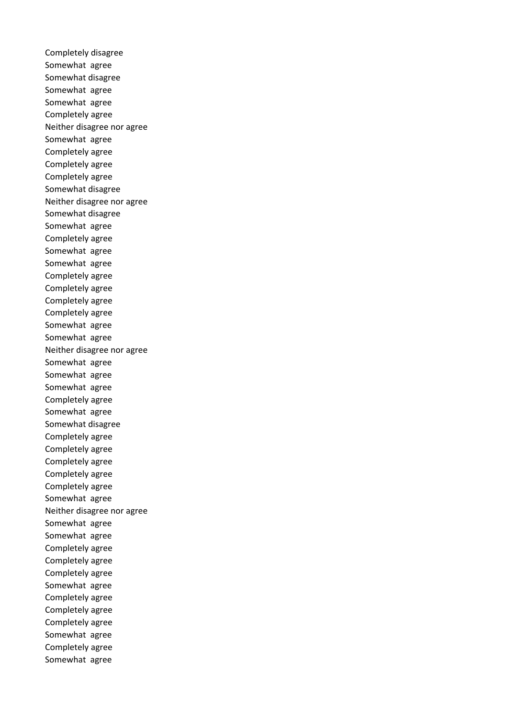Completely disagree Somewhat agree Somewhat disagree Somewhat agree Somewhat agree Completely agree Neither disagree nor agree Somewhat agree Completely agree Completely agree Completely agree Somewhat disagree Neither disagree nor agree Somewhat disagree Somewhat agree Completely agree Somewhat agree Somewhat agree Completely agree Completely agree Completely agree Completely agree Somewhat agree Somewhat agree Neither disagree nor agree Somewhat agree Somewhat agree Somewhat agree Completely agree Somewhat agree Somewhat disagree Completely agree Completely agree Completely agree Completely agree Completely agree Somewhat agree Neither disagree nor agree Somewhat agree Somewhat agree Completely agree Completely agree Completely agree Somewhat agree Completely agree Completely agree Completely agree Somewhat agree Completely agree Somewhat agree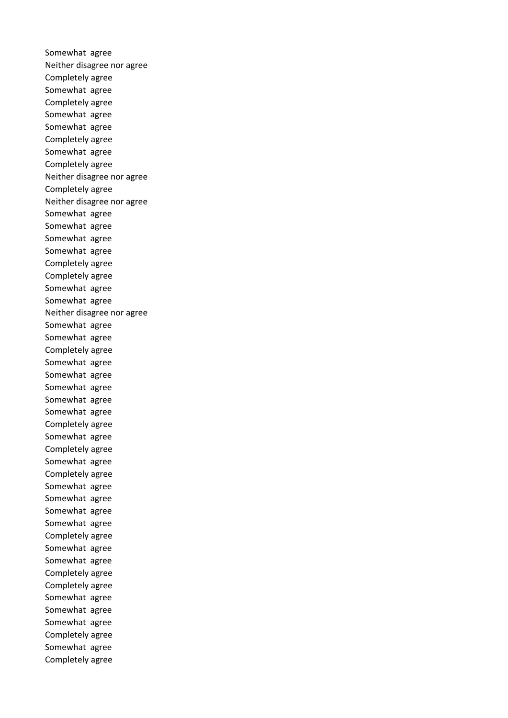Somewhat agree Neither disagree nor agree Completely agree Somewhat agree Completely agree Somewhat agree Somewhat agree Completely agree Somewhat agree Completely agree Neither disagree nor agree Completely agree Neither disagree nor agree Somewhat agree Somewhat agree Somewhat agree Somewhat agree Completely agree Completely agree Somewhat agree Somewhat agree Neither disagree nor agree Somewhat agree Somewhat agree Completely agree Somewhat agree Somewhat agree Somewhat agree Somewhat agree Somewhat agree Completely agree Somewhat agree Completely agree Somewhat agree Completely agree Somewhat agree Somewhat agree Somewhat agree Somewhat agree Completely agree Somewhat agree Somewhat agree Completely agree Completely agree Somewhat agree Somewhat agree Somewhat agree Completely agree Somewhat agree Completely agree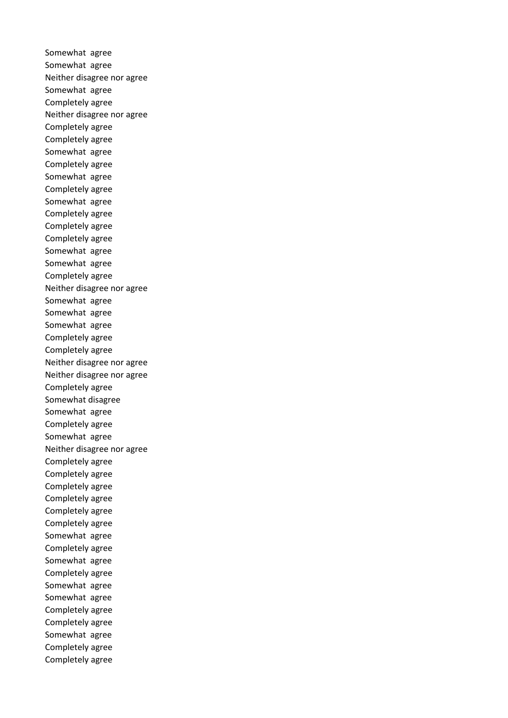Somewhat agree Somewhat agree Neither disagree nor agree Somewhat agree Completely agree Neither disagree nor agree Completely agree Completely agree Somewhat agree Completely agree Somewhat agree Completely agree Somewhat agree Completely agree Completely agree Completely agree Somewhat agree Somewhat agree Completely agree Neither disagree nor agree Somewhat agree Somewhat agree Somewhat agree Completely agree Completely agree Neither disagree nor agree Neither disagree nor agree Completely agree Somewhat disagree Somewhat agree Completely agree Somewhat agree Neither disagree nor agree Completely agree Completely agree Completely agree Completely agree Completely agree Completely agree Somewhat agree Completely agree Somewhat agree Completely agree Somewhat agree Somewhat agree Completely agree Completely agree Somewhat agree Completely agree Completely agree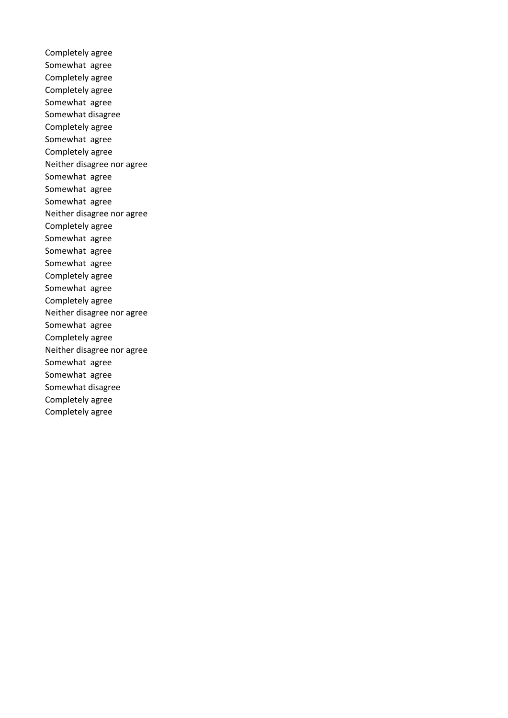Completely agree Somewhat agree Completely agree Completely agree Somewhat agree Somewhat disagree Completely agree Somewhat agree Completely agree Neither disagree nor agree Somewhat agree Somewhat agree Somewhat agree Neither disagree nor agree Completely agree Somewhat agree Somewhat agree Somewhat agree Completely agree Somewhat agree Completely agree Neither disagree nor agree Somewhat agree Completely agree Neither disagree nor agree Somewhat agree Somewhat agree Somewhat disagree Completely agree Completely agree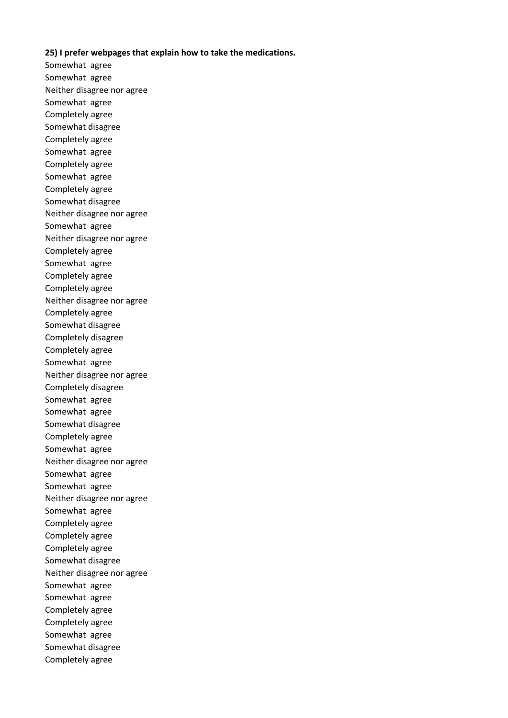#### **25) I prefer webpages that explain how to take the medications.**

Somewhat agree Somewhat agree Neither disagree nor agree Somewhat agree Completely agree Somewhat disagree Completely agree Somewhat agree Completely agree Somewhat agree Completely agree Somewhat disagree Neither disagree nor agree Somewhat agree Neither disagree nor agree Completely agree Somewhat agree Completely agree Completely agree Neither disagree nor agree Completely agree Somewhat disagree Completely disagree Completely agree Somewhat agree Neither disagree nor agree Completely disagree Somewhat agree Somewhat agree Somewhat disagree Completely agree Somewhat agree Neither disagree nor agree Somewhat agree Somewhat agree Neither disagree nor agree Somewhat agree Completely agree Completely agree Completely agree Somewhat disagree Neither disagree nor agree Somewhat agree Somewhat agree Completely agree Completely agree Somewhat agree Somewhat disagree Completely agree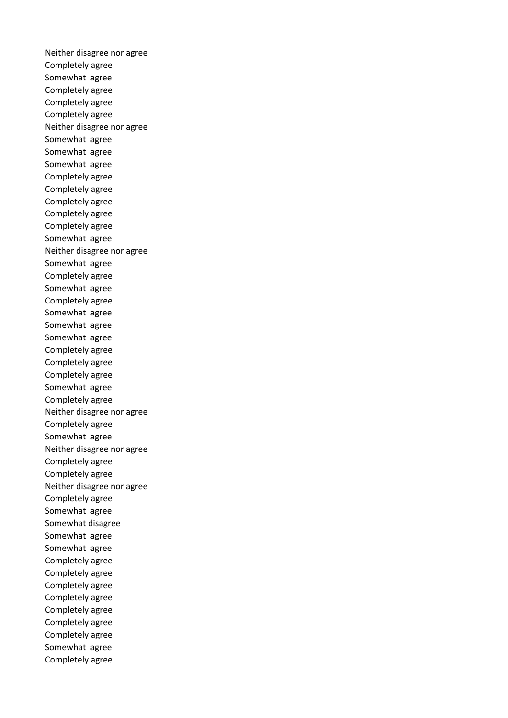Neither disagree nor agree Completely agree Somewhat agree Completely agree Completely agree Completely agree Neither disagree nor agree Somewhat agree Somewhat agree Somewhat agree Completely agree Completely agree Completely agree Completely agree Completely agree Somewhat agree Neither disagree nor agree Somewhat agree Completely agree Somewhat agree Completely agree Somewhat agree Somewhat agree Somewhat agree Completely agree Completely agree Completely agree Somewhat agree Completely agree Neither disagree nor agree Completely agree Somewhat agree Neither disagree nor agree Completely agree Completely agree Neither disagree nor agree Completely agree Somewhat agree Somewhat disagree Somewhat agree Somewhat agree Completely agree Completely agree Completely agree Completely agree Completely agree Completely agree Completely agree Somewhat agree Completely agree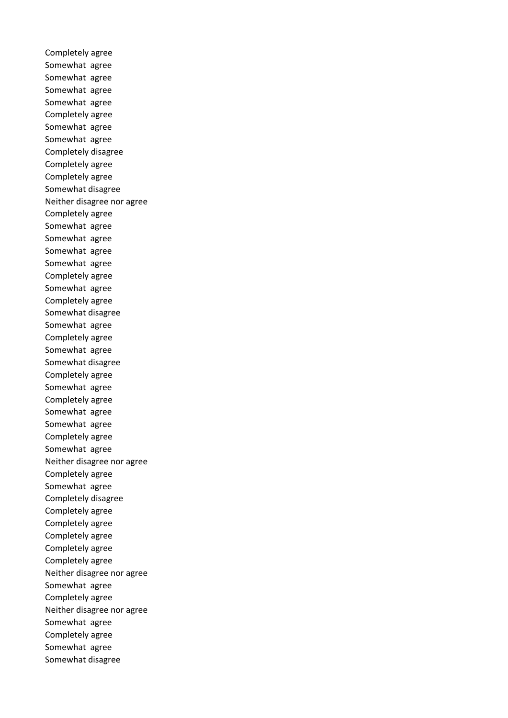Completely agree Somewhat agree Somewhat agree Somewhat agree Somewhat agree Completely agree Somewhat agree Somewhat agree Completely disagree Completely agree Completely agree Somewhat disagree Neither disagree nor agree Completely agree Somewhat agree Somewhat agree Somewhat agree Somewhat agree Completely agree Somewhat agree Completely agree Somewhat disagree Somewhat agree Completely agree Somewhat agree Somewhat disagree Completely agree Somewhat agree Completely agree Somewhat agree Somewhat agree Completely agree Somewhat agree Neither disagree nor agree Completely agree Somewhat agree Completely disagree Completely agree Completely agree Completely agree Completely agree Completely agree Neither disagree nor agree Somewhat agree Completely agree Neither disagree nor agree Somewhat agree Completely agree Somewhat agree Somewhat disagree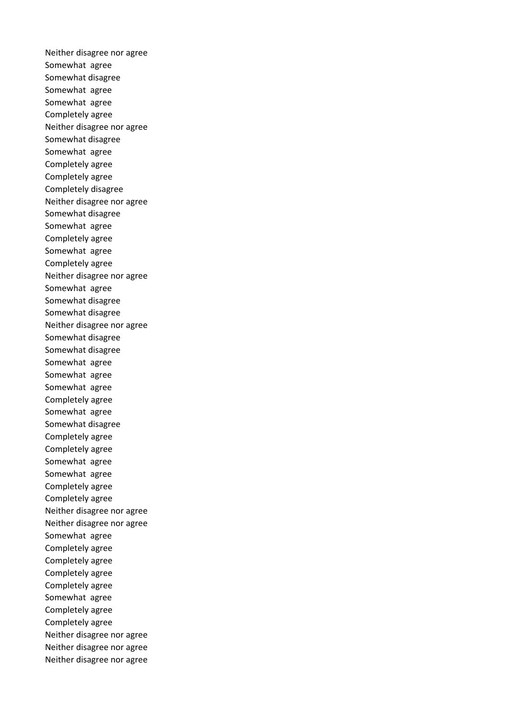Neither disagree nor agree Somewhat agree Somewhat disagree Somewhat agree Somewhat agree Completely agree Neither disagree nor agree Somewhat disagree Somewhat agree Completely agree Completely agree Completely disagree Neither disagree nor agree Somewhat disagree Somewhat agree Completely agree Somewhat agree Completely agree Neither disagree nor agree Somewhat agree Somewhat disagree Somewhat disagree Neither disagree nor agree Somewhat disagree Somewhat disagree Somewhat agree Somewhat agree Somewhat agree Completely agree Somewhat agree Somewhat disagree Completely agree Completely agree Somewhat agree Somewhat agree Completely agree Completely agree Neither disagree nor agree Neither disagree nor agree Somewhat agree Completely agree Completely agree Completely agree Completely agree Somewhat agree Completely agree Completely agree Neither disagree nor agree Neither disagree nor agree Neither disagree nor agree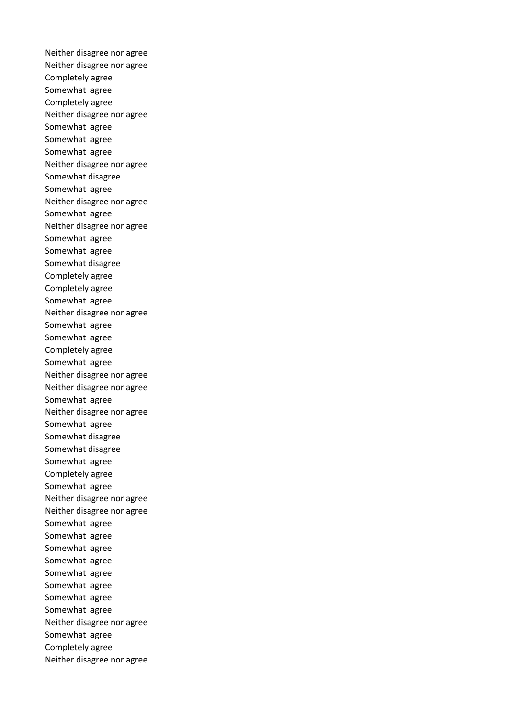Neither disagree nor agree Neither disagree nor agree Completely agree Somewhat agree Completely agree Neither disagree nor agree Somewhat agree Somewhat agree Somewhat agree Neither disagree nor agree Somewhat disagree Somewhat agree Neither disagree nor agree Somewhat agree Neither disagree nor agree Somewhat agree Somewhat agree Somewhat disagree Completely agree Completely agree Somewhat agree Neither disagree nor agree Somewhat agree Somewhat agree Completely agree Somewhat agree Neither disagree nor agree Neither disagree nor agree Somewhat agree Neither disagree nor agree Somewhat agree Somewhat disagree Somewhat disagree Somewhat agree Completely agree Somewhat agree Neither disagree nor agree Neither disagree nor agree Somewhat agree Somewhat agree Somewhat agree Somewhat agree Somewhat agree Somewhat agree Somewhat agree Somewhat agree Neither disagree nor agree Somewhat agree Completely agree Neither disagree nor agree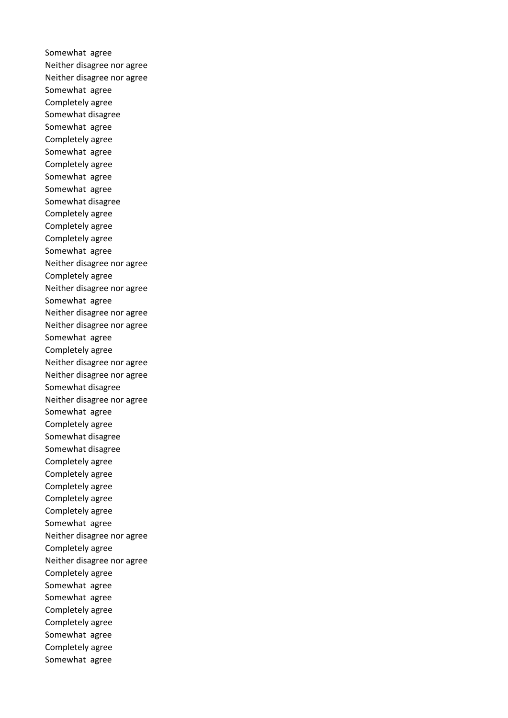Somewhat agree Neither disagree nor agree Neither disagree nor agree Somewhat agree Completely agree Somewhat disagree Somewhat agree Completely agree Somewhat agree Completely agree Somewhat agree Somewhat agree Somewhat disagree Completely agree Completely agree Completely agree Somewhat agree Neither disagree nor agree Completely agree Neither disagree nor agree Somewhat agree Neither disagree nor agree Neither disagree nor agree Somewhat agree Completely agree Neither disagree nor agree Neither disagree nor agree Somewhat disagree Neither disagree nor agree Somewhat agree Completely agree Somewhat disagree Somewhat disagree Completely agree Completely agree Completely agree Completely agree Completely agree Somewhat agree Neither disagree nor agree Completely agree Neither disagree nor agree Completely agree Somewhat agree Somewhat agree Completely agree Completely agree Somewhat agree Completely agree Somewhat agree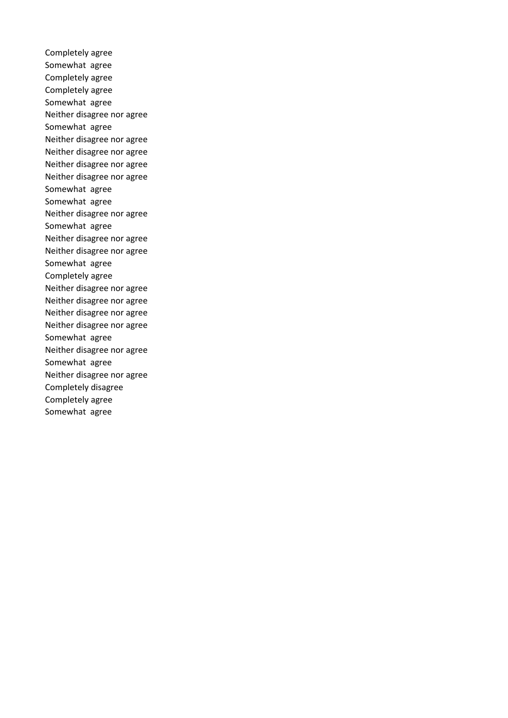Completely agree Somewhat agree Completely agree Completely agree Somewhat agree Neither disagree nor agree Somewhat agree Neither disagree nor agree Neither disagree nor agree Neither disagree nor agree Neither disagree nor agree Somewhat agree Somewhat agree Neither disagree nor agree Somewhat agree Neither disagree nor agree Neither disagree nor agree Somewhat agree Completely agree Neither disagree nor agree Neither disagree nor agree Neither disagree nor agree Neither disagree nor agree Somewhat agree Neither disagree nor agree Somewhat agree Neither disagree nor agree Completely disagree Completely agree Somewhat agree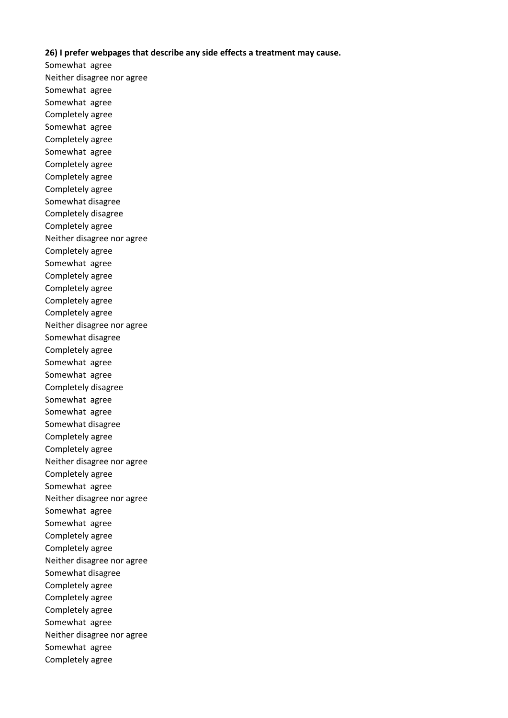# **26) I prefer webpages that describe any side effects a treatment may cause.**

Somewhat agree Neither disagree nor agree Somewhat agree Somewhat agree Completely agree Somewhat agree Completely agree Somewhat agree Completely agree Completely agree Completely agree Somewhat disagree Completely disagree Completely agree Neither disagree nor agree Completely agree Somewhat agree Completely agree Completely agree Completely agree Completely agree Neither disagree nor agree Somewhat disagree Completely agree Somewhat agree Somewhat agree Completely disagree Somewhat agree Somewhat agree Somewhat disagree Completely agree Completely agree Neither disagree nor agree Completely agree Somewhat agree Neither disagree nor agree Somewhat agree Somewhat agree Completely agree Completely agree Neither disagree nor agree Somewhat disagree Completely agree Completely agree Completely agree Somewhat agree Neither disagree nor agree Somewhat agree Completely agree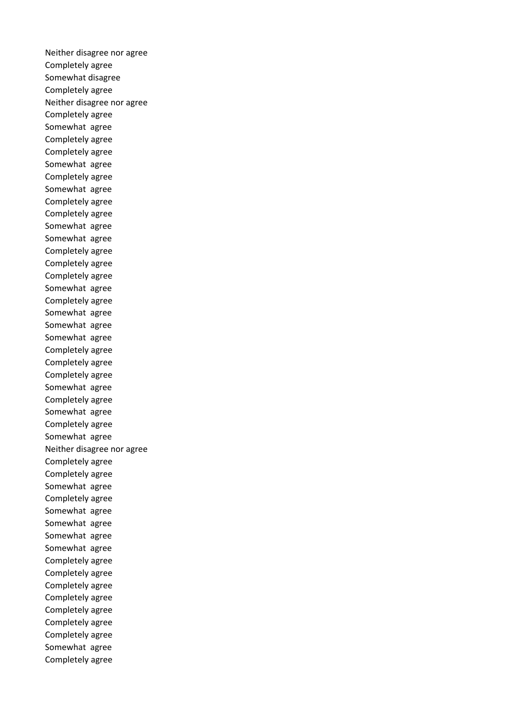Neither disagree nor agree Completely agree Somewhat disagree Completely agree Neither disagree nor agree Completely agree Somewhat agree Completely agree Completely agree Somewhat agree Completely agree Somewhat agree Completely agree Completely agree Somewhat agree Somewhat agree Completely agree Completely agree Completely agree Somewhat agree Completely agree Somewhat agree Somewhat agree Somewhat agree Completely agree Completely agree Completely agree Somewhat agree Completely agree Somewhat agree Completely agree Somewhat agree Neither disagree nor agree Completely agree Completely agree Somewhat agree Completely agree Somewhat agree Somewhat agree Somewhat agree Somewhat agree Completely agree Completely agree Completely agree Completely agree Completely agree Completely agree Completely agree Somewhat agree Completely agree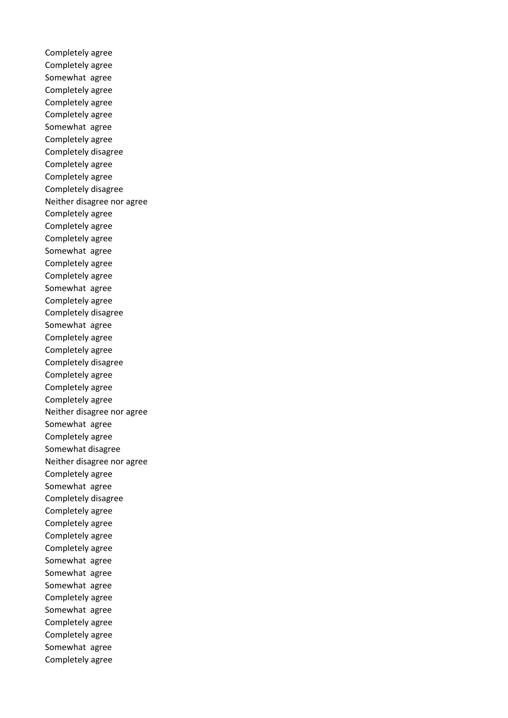Completely agree Completely agree Somewhat agree Completely agree Completely agree Completely agree Somewhat agree Completely agree Completely disagree Completely agree Completely agree Completely disagree Neither disagree nor agree Completely agree Completely agree Completely agree Somewhat agree Completely agree Completely agree Somewhat agree Completely agree Completely disagree Somewhat agree Completely agree Completely agree Completely disagree Completely agree Completely agree Completely agree Neither disagree nor agree Somewhat agree Completely agree Somewhat disagree Neither disagree nor agree Completely agree Somewhat agree Completely disagree Completely agree Completely agree Completely agree Completely agree Somewhat agree Somewhat agree Somewhat agree Completely agree Somewhat agree Completely agree Completely agree Somewhat agree Completely agree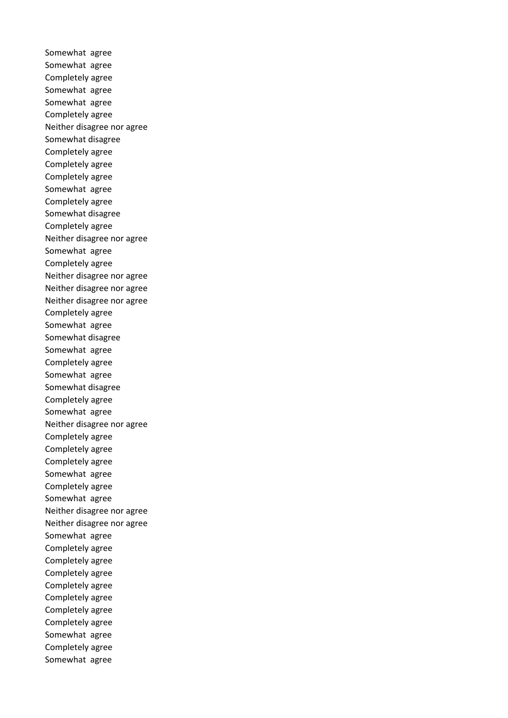Somewhat agree Somewhat agree Completely agree Somewhat agree Somewhat agree Completely agree Neither disagree nor agree Somewhat disagree Completely agree Completely agree Completely agree Somewhat agree Completely agree Somewhat disagree Completely agree Neither disagree nor agree Somewhat agree Completely agree Neither disagree nor agree Neither disagree nor agree Neither disagree nor agree Completely agree Somewhat agree Somewhat disagree Somewhat agree Completely agree Somewhat agree Somewhat disagree Completely agree Somewhat agree Neither disagree nor agree Completely agree Completely agree Completely agree Somewhat agree Completely agree Somewhat agree Neither disagree nor agree Neither disagree nor agree Somewhat agree Completely agree Completely agree Completely agree Completely agree Completely agree Completely agree Completely agree Somewhat agree Completely agree Somewhat agree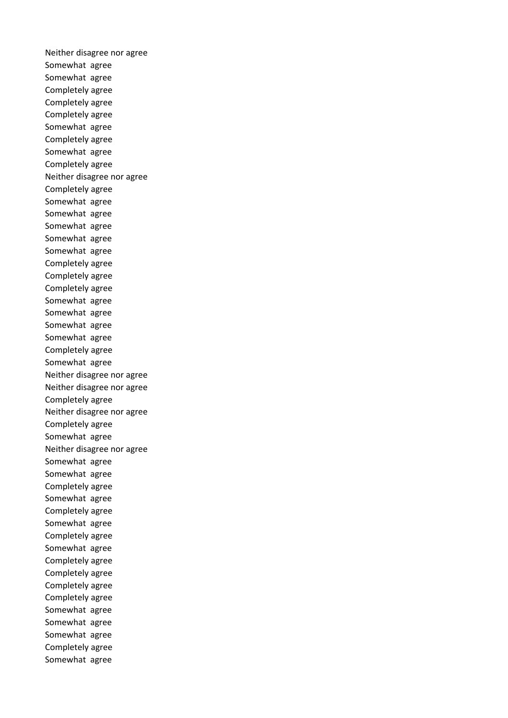Neither disagree nor agree Somewhat agree Somewhat agree Completely agree Completely agree Completely agree Somewhat agree Completely agree Somewhat agree Completely agree Neither disagree nor agree Completely agree Somewhat agree Somewhat agree Somewhat agree Somewhat agree Somewhat agree Completely agree Completely agree Completely agree Somewhat agree Somewhat agree Somewhat agree Somewhat agree Completely agree Somewhat agree Neither disagree nor agree Neither disagree nor agree Completely agree Neither disagree nor agree Completely agree Somewhat agree Neither disagree nor agree Somewhat agree Somewhat agree Completely agree Somewhat agree Completely agree Somewhat agree Completely agree Somewhat agree Completely agree Completely agree Completely agree Completely agree Somewhat agree Somewhat agree Somewhat agree Completely agree Somewhat agree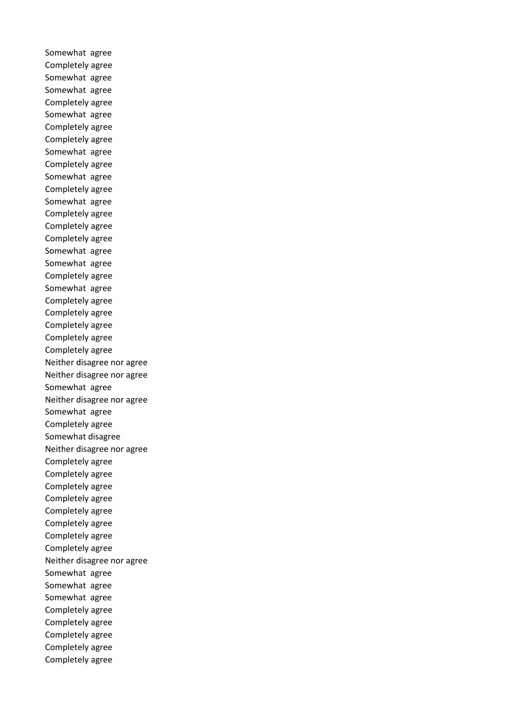Somewhat agree Completely agree Somewhat agree Somewhat agree Completely agree Somewhat agree Completely agree Completely agree Somewhat agree Completely agree Somewhat agree Completely agree Somewhat agree Completely agree Completely agree Completely agree Somewhat agree Somewhat agree Completely agree Somewhat agree Completely agree Completely agree Completely agree Completely agree Completely agree Neither disagree nor agree Neither disagree nor agree Somewhat agree Neither disagree nor agree Somewhat agree Completely agree Somewhat disagree Neither disagree nor agree Completely agree Completely agree Completely agree Completely agree Completely agree Completely agree Completely agree Completely agree Neither disagree nor agree Somewhat agree Somewhat agree Somewhat agree Completely agree Completely agree Completely agree Completely agree Completely agree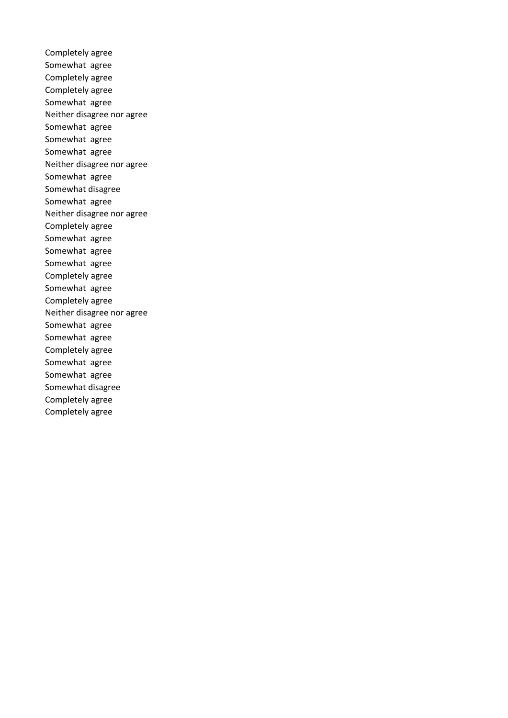Completely agree Somewhat agree Completely agree Completely agree Somewhat agree Neither disagree nor agree Somewhat agree Somewhat agree Somewhat agree Neither disagree nor agree Somewhat agree Somewhat disagree Somewhat agree Neither disagree nor agree Completely agree Somewhat agree Somewhat agree Somewhat agree Completely agree Somewhat agree Completely agree Neither disagree nor agree Somewhat agree Somewhat agree Completely agree Somewhat agree Somewhat agree Somewhat disagree Completely agree Completely agree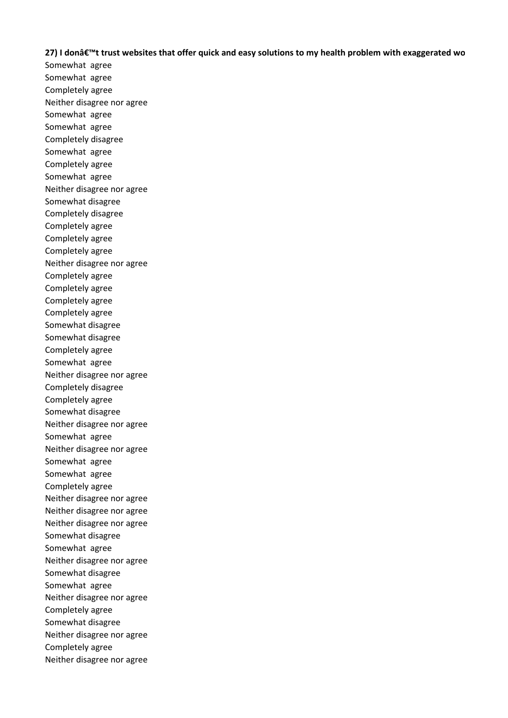**27) I don't trust websites that offer quick and easy solutions to my health problem with exaggerated wo** 

Somewhat agree Somewhat agree Completely agree Neither disagree nor agree Somewhat agree Somewhat agree Completely disagree Somewhat agree Completely agree Somewhat agree Neither disagree nor agree Somewhat disagree Completely disagree Completely agree Completely agree Completely agree Neither disagree nor agree Completely agree Completely agree Completely agree Completely agree Somewhat disagree Somewhat disagree Completely agree Somewhat agree Neither disagree nor agree Completely disagree Completely agree Somewhat disagree Neither disagree nor agree Somewhat agree Neither disagree nor agree Somewhat agree Somewhat agree Completely agree Neither disagree nor agree Neither disagree nor agree Neither disagree nor agree Somewhat disagree Somewhat agree Neither disagree nor agree Somewhat disagree Somewhat agree Neither disagree nor agree Completely agree Somewhat disagree Neither disagree nor agree Completely agree Neither disagree nor agree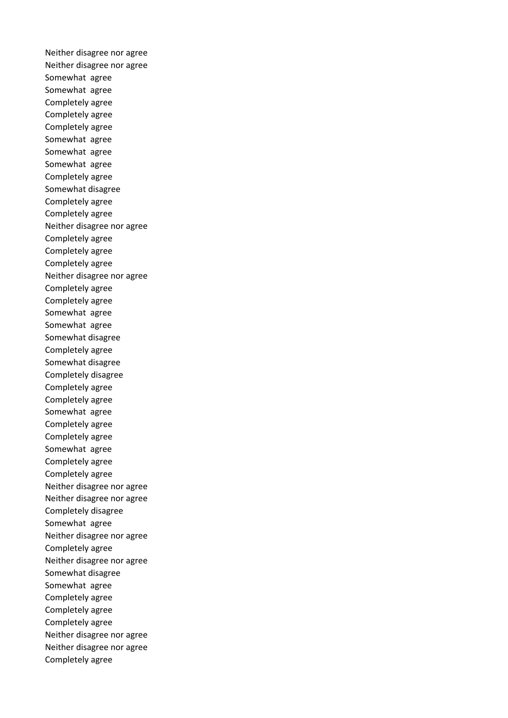Neither disagree nor agree Neither disagree nor agree Somewhat agree Somewhat agree Completely agree Completely agree Completely agree Somewhat agree Somewhat agree Somewhat agree Completely agree Somewhat disagree Completely agree Completely agree Neither disagree nor agree Completely agree Completely agree Completely agree Neither disagree nor agree Completely agree Completely agree Somewhat agree Somewhat agree Somewhat disagree Completely agree Somewhat disagree Completely disagree Completely agree Completely agree Somewhat agree Completely agree Completely agree Somewhat agree Completely agree Completely agree Neither disagree nor agree Neither disagree nor agree Completely disagree Somewhat agree Neither disagree nor agree Completely agree Neither disagree nor agree Somewhat disagree Somewhat agree Completely agree Completely agree Completely agree Neither disagree nor agree Neither disagree nor agree Completely agree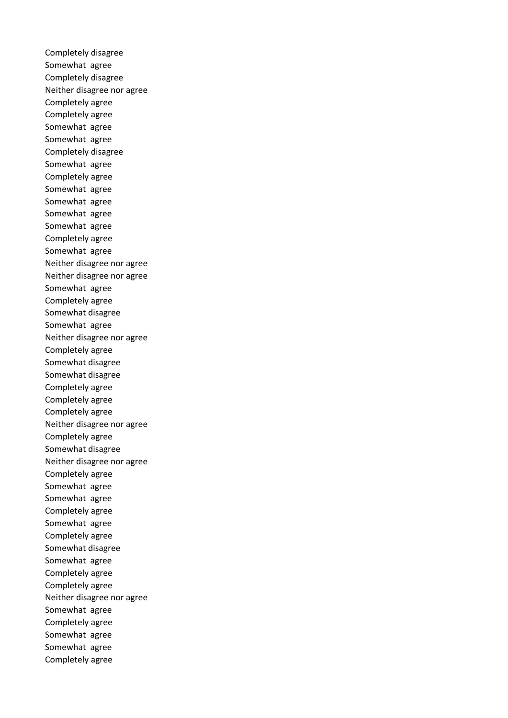Completely disagree Somewhat agree Completely disagree Neither disagree nor agree Completely agree Completely agree Somewhat agree Somewhat agree Completely disagree Somewhat agree Completely agree Somewhat agree Somewhat agree Somewhat agree Somewhat agree Completely agree Somewhat agree Neither disagree nor agree Neither disagree nor agree Somewhat agree Completely agree Somewhat disagree Somewhat agree Neither disagree nor agree Completely agree Somewhat disagree Somewhat disagree Completely agree Completely agree Completely agree Neither disagree nor agree Completely agree Somewhat disagree Neither disagree nor agree Completely agree Somewhat agree Somewhat agree Completely agree Somewhat agree Completely agree Somewhat disagree Somewhat agree Completely agree Completely agree Neither disagree nor agree Somewhat agree Completely agree Somewhat agree Somewhat agree Completely agree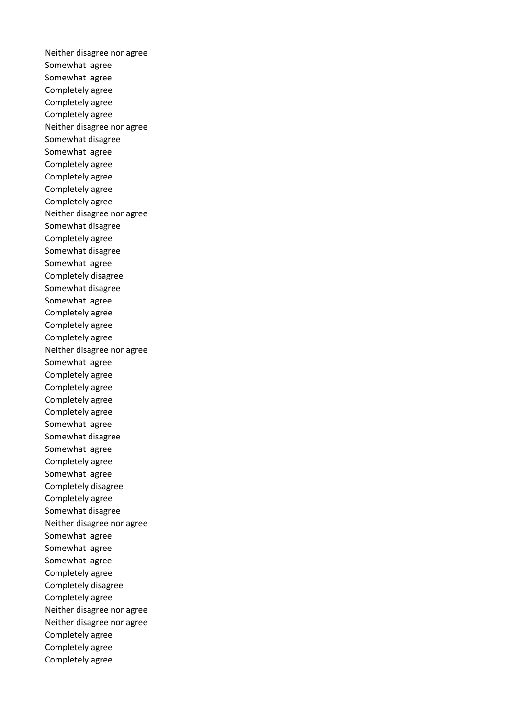Neither disagree nor agree Somewhat agree Somewhat agree Completely agree Completely agree Completely agree Neither disagree nor agree Somewhat disagree Somewhat agree Completely agree Completely agree Completely agree Completely agree Neither disagree nor agree Somewhat disagree Completely agree Somewhat disagree Somewhat agree Completely disagree Somewhat disagree Somewhat agree Completely agree Completely agree Completely agree Neither disagree nor agree Somewhat agree Completely agree Completely agree Completely agree Completely agree Somewhat agree Somewhat disagree Somewhat agree Completely agree Somewhat agree Completely disagree Completely agree Somewhat disagree Neither disagree nor agree Somewhat agree Somewhat agree Somewhat agree Completely agree Completely disagree Completely agree Neither disagree nor agree Neither disagree nor agree Completely agree Completely agree Completely agree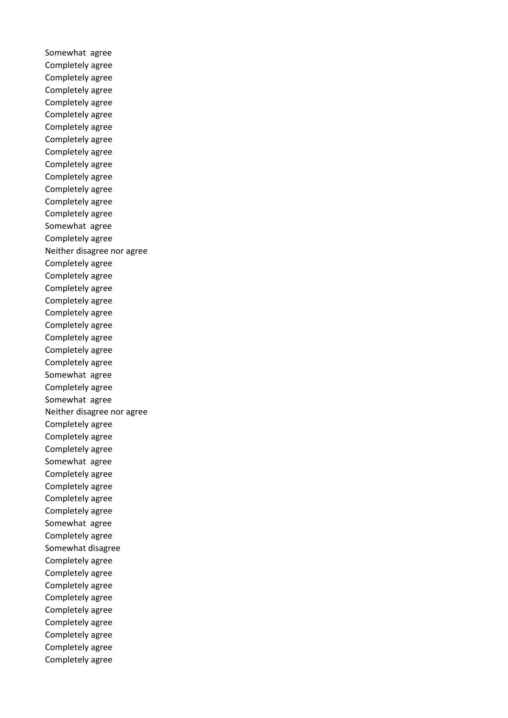Somewhat agree Completely agree Completely agree Completely agree Completely agree Completely agree Completely agree Completely agree Completely agree Completely agree Completely agree Completely agree Completely agree Completely agree Somewhat agree Completely agree Neither disagree nor agree Completely agree Completely agree Completely agree Completely agree Completely agree Completely agree Completely agree Completely agree Completely agree Somewhat agree Completely agree Somewhat agree Neither disagree nor agree Completely agree Completely agree Completely agree Somewhat agree Completely agree Completely agree Completely agree Completely agree Somewhat agree Completely agree Somewhat disagree Completely agree Completely agree Completely agree Completely agree Completely agree Completely agree Completely agree Completely agree Completely agree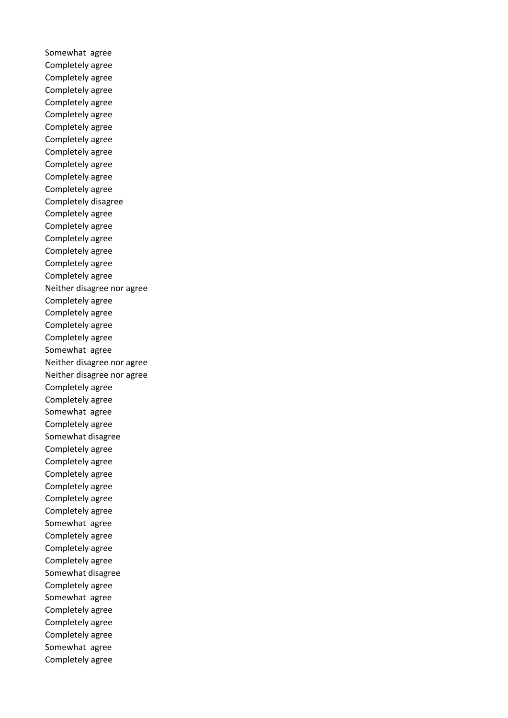Somewhat agree Completely agree Completely agree Completely agree Completely agree Completely agree Completely agree Completely agree Completely agree Completely agree Completely agree Completely agree Completely disagree Completely agree Completely agree Completely agree Completely agree Completely agree Completely agree Neither disagree nor agree Completely agree Completely agree Completely agree Completely agree Somewhat agree Neither disagree nor agree Neither disagree nor agree Completely agree Completely agree Somewhat agree Completely agree Somewhat disagree Completely agree Completely agree Completely agree Completely agree Completely agree Completely agree Somewhat agree Completely agree Completely agree Completely agree Somewhat disagree Completely agree Somewhat agree Completely agree Completely agree Completely agree Somewhat agree Completely agree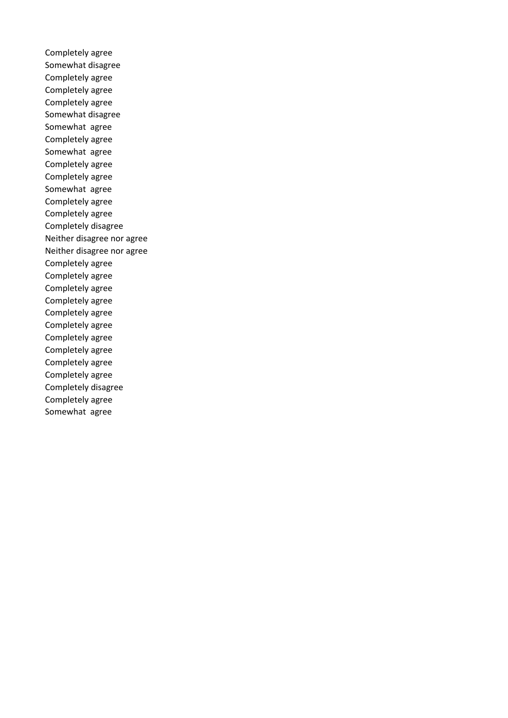Completely agree Somewhat disagree Completely agree Completely agree Completely agree Somewhat disagree Somewhat agree Completely agree Somewhat agree Completely agree Completely agree Somewhat agree Completely agree Completely agree Completely disagree Neither disagree nor agree Neither disagree nor agree Completely agree Completely agree Completely agree Completely agree Completely agree Completely agree Completely agree Completely agree Completely agree Completely agree Completely disagree Completely agree Somewhat agree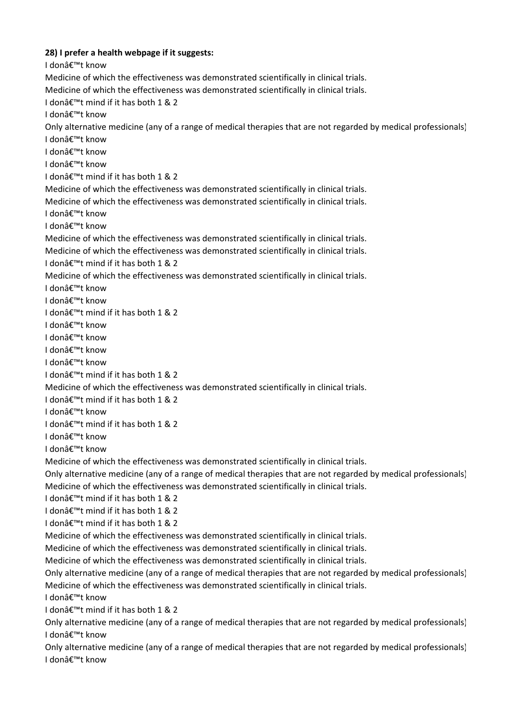**28) I prefer a health webpage if it suggests:**  I donâ€<sup>™</sup>t know Medicine of which the effectiveness was demonstrated scientifically in clinical trials. Medicine of which the effectiveness was demonstrated scientifically in clinical trials.

I donâ€<sup>™</sup>t mind if it has both 1 & 2

I don't know

Only alternative medicine (any of a range of medical therapies that are not regarded by medical professionals)

I donâ€<sup>™</sup>t know

I donâ€<sup>™</sup>t know

I donâ€<sup>™</sup>t know

I donâ€<sup>™</sup>t mind if it has both 1 & 2

Medicine of which the effectiveness was demonstrated scientifically in clinical trials.

Medicine of which the effectiveness was demonstrated scientifically in clinical trials.

I donâ€<sup>™†</sup> know

I donâ€<sup>™</sup>t know

Medicine of which the effectiveness was demonstrated scientifically in clinical trials.

Medicine of which the effectiveness was demonstrated scientifically in clinical trials.

I don't mind if it has both 1 & 2

Medicine of which the effectiveness was demonstrated scientifically in clinical trials.

I donâ€<sup>™</sup>t know

I don't know

I donâ€<sup>™</sup>t mind if it has both 1 & 2

I donâ€<sup>™</sup>t know

I donâ€<sup>™</sup>t know

I donâ€<sup>™</sup>t know

I donâ€<sup>™</sup>t know

I donâ€<sup>™</sup>t mind if it has both 1 & 2

Medicine of which the effectiveness was demonstrated scientifically in clinical trials.

I donâ€<sup>™</sup>t mind if it has both 1 & 2

I donâ€<sup>™</sup>t know

I donâ€<sup>™</sup>t mind if it has both 1 & 2

I donâ€<sup>™</sup>t know

I donâ€<sup>™</sup>t know

Medicine of which the effectiveness was demonstrated scientifically in clinical trials.

Only alternative medicine (any of a range of medical therapies that are not regarded by medical professionals) Medicine of which the effectiveness was demonstrated scientifically in clinical trials.

I donâ€<sup>™</sup>t mind if it has both 1 & 2

I donâ€<sup>™</sup>t mind if it has both 1 & 2

I donâ€<sup>™</sup>t mind if it has both 1 & 2

Medicine of which the effectiveness was demonstrated scientifically in clinical trials.

Medicine of which the effectiveness was demonstrated scientifically in clinical trials.

Medicine of which the effectiveness was demonstrated scientifically in clinical trials.

Only alternative medicine (any of a range of medical therapies that are not regarded by medical professionals) Medicine of which the effectiveness was demonstrated scientifically in clinical trials.

I don't know

I donâ€<sup>™</sup>t mind if it has both 1 & 2

Only alternative medicine (any of a range of medical therapies that are not regarded by medical professionals) I don't know

Only alternative medicine (any of a range of medical therapies that are not regarded by medical professionals) I donâ€<sup>™†</sup> know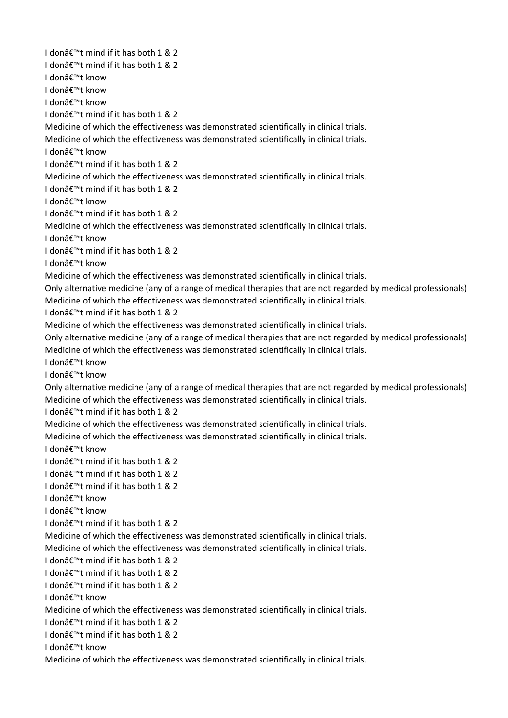I donâ€<sup>™</sup>t mind if it has both 1 & 2 I donâ€<sup>™</sup>t mind if it has both 1 & 2 I donâ€<sup>™</sup>t know I donâ€<sup>™†</sup> know I donâ€<sup>™</sup>t know I donâ€<sup>™</sup>t mind if it has both 1 & 2 Medicine of which the effectiveness was demonstrated scientifically in clinical trials. Medicine of which the effectiveness was demonstrated scientifically in clinical trials. I donâ€<sup>™</sup>t know I donâ€<sup>™</sup>t mind if it has both 1 & 2 Medicine of which the effectiveness was demonstrated scientifically in clinical trials. I donâ€<sup>™</sup>t mind if it has both 1 & 2 I donâ€<sup>™</sup>t know I donâ€<sup>™</sup>t mind if it has both 1 & 2 Medicine of which the effectiveness was demonstrated scientifically in clinical trials. I don't know I donâ€<sup>™</sup>t mind if it has both 1 & 2 I donâ€<sup>™</sup>t know Medicine of which the effectiveness was demonstrated scientifically in clinical trials. Only alternative medicine (any of a range of medical therapies that are not regarded by medical professionals) Medicine of which the effectiveness was demonstrated scientifically in clinical trials. I donâ€<sup>™</sup>t mind if it has both 1 & 2 Medicine of which the effectiveness was demonstrated scientifically in clinical trials. Only alternative medicine (any of a range of medical therapies that are not regarded by medical professionals) Medicine of which the effectiveness was demonstrated scientifically in clinical trials. I donâ€<sup>™</sup>t know I donâ€<sup>™</sup>t know Only alternative medicine (any of a range of medical therapies that are not regarded by medical professionals) Medicine of which the effectiveness was demonstrated scientifically in clinical trials. I donâ€<sup>™</sup>t mind if it has both 1 & 2 Medicine of which the effectiveness was demonstrated scientifically in clinical trials. Medicine of which the effectiveness was demonstrated scientifically in clinical trials. I donâ€<sup>™</sup>t know I donâ€<sup>™</sup>t mind if it has both 1 & 2 I donâ€<sup>™</sup>t mind if it has both 1 & 2 I donâ€<sup>™</sup>t mind if it has both 1 & 2 I donâ€<sup>™</sup>t know I donâ€<sup>™</sup>t know I donâ€<sup>™</sup>t mind if it has both 1 & 2 Medicine of which the effectiveness was demonstrated scientifically in clinical trials. Medicine of which the effectiveness was demonstrated scientifically in clinical trials. I donâ€<sup>™</sup>t mind if it has both 1 & 2 I don $\hat{\mathbf{a}} \in \mathbb{M}$ t mind if it has both 1 & 2 I don $\hat{\mathbf{a}} \in \mathbb{M}$  mind if it has both 1 & 2 I don't know Medicine of which the effectiveness was demonstrated scientifically in clinical trials. I donâ€<sup>™</sup>t mind if it has both 1 & 2 I donâ€<sup>™</sup>t mind if it has both 1 & 2 I donâ€<sup>™</sup>t know Medicine of which the effectiveness was demonstrated scientifically in clinical trials.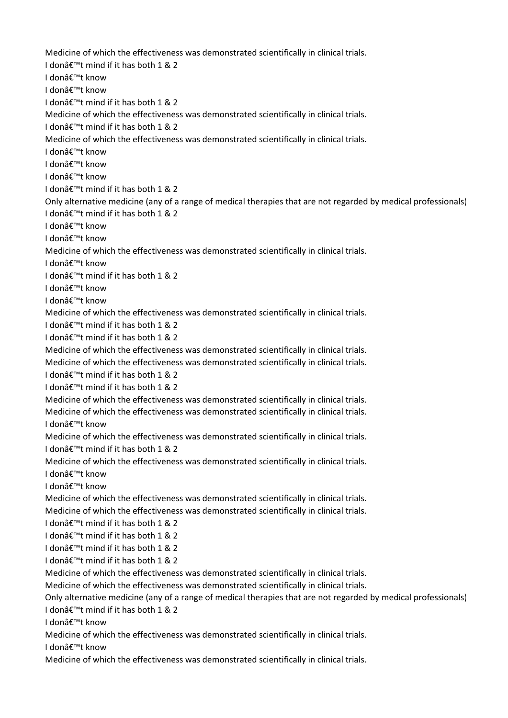Medicine of which the effectiveness was demonstrated scientifically in clinical trials. I donâ€<sup>™</sup>t mind if it has both 1 & 2 I donâ€<sup>™</sup>t know I donâ€<sup>™†</sup> know I donâ€<sup>™</sup>t mind if it has both 1 & 2 Medicine of which the effectiveness was demonstrated scientifically in clinical trials. I don $\hat{\mathbf{a}} \in \mathbb{M}$ t mind if it has both 1 & 2 Medicine of which the effectiveness was demonstrated scientifically in clinical trials. I donâ€<sup>™</sup>t know I donâ€<sup>™</sup>t know I donâ€<sup>™</sup>t know I don't mind if it has both 1 & 2 Only alternative medicine (any of a range of medical therapies that are not regarded by medical professionals) I donâ€<sup>™</sup>t mind if it has both 1 & 2 I donâ€<sup>™</sup>t know I donâ€<sup>™</sup>t know Medicine of which the effectiveness was demonstrated scientifically in clinical trials. I don't know I donâ€<sup>™</sup>t mind if it has both 1 & 2 I don't know I don't know Medicine of which the effectiveness was demonstrated scientifically in clinical trials. I donâ€<sup>™</sup>t mind if it has both 1 & 2 I donâ€<sup>™</sup>t mind if it has both 1 & 2 Medicine of which the effectiveness was demonstrated scientifically in clinical trials. Medicine of which the effectiveness was demonstrated scientifically in clinical trials. I donâ€<sup>™</sup>t mind if it has both 1 & 2 I donâ€<sup>™</sup>t mind if it has both 1 & 2 Medicine of which the effectiveness was demonstrated scientifically in clinical trials. Medicine of which the effectiveness was demonstrated scientifically in clinical trials. I donâ€<sup>™</sup>t know Medicine of which the effectiveness was demonstrated scientifically in clinical trials. I don't mind if it has both 1 & 2 Medicine of which the effectiveness was demonstrated scientifically in clinical trials. I donâ€<sup>™</sup>t know I donâ€<sup>™</sup>t know Medicine of which the effectiveness was demonstrated scientifically in clinical trials. Medicine of which the effectiveness was demonstrated scientifically in clinical trials. I donâ€<sup>™</sup>t mind if it has both 1 & 2 I donâ€<sup>™</sup>t mind if it has both 1 & 2 I donâ€<sup>™</sup>t mind if it has both 1 & 2 I donâ€<sup>™</sup>t mind if it has both 1 & 2 Medicine of which the effectiveness was demonstrated scientifically in clinical trials. Medicine of which the effectiveness was demonstrated scientifically in clinical trials. Only alternative medicine (any of a range of medical therapies that are not regarded by medical professionals) I don $\hat{\mathbf{a}} \in \mathbb{M}$ t mind if it has both 1 & 2 I donâ€<sup>™</sup>t know Medicine of which the effectiveness was demonstrated scientifically in clinical trials. I donâ€<sup>™</sup>t know Medicine of which the effectiveness was demonstrated scientifically in clinical trials.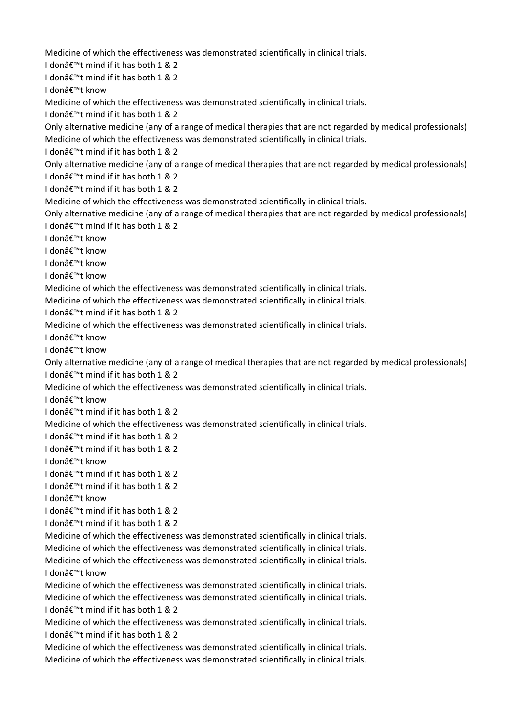Medicine of which the effectiveness was demonstrated scientifically in clinical trials.

I donâ€<sup>™</sup>t mind if it has both 1 & 2

I donâ€<sup>™</sup>t mind if it has both 1 & 2

I donâ€<sup>™†</sup> know

Medicine of which the effectiveness was demonstrated scientifically in clinical trials.

I don't mind if it has both 1 & 2

Only alternative medicine (any of a range of medical therapies that are not regarded by medical professionals) Medicine of which the effectiveness was demonstrated scientifically in clinical trials.

I donâ€<sup>™</sup>t mind if it has both 1 & 2

Only alternative medicine (any of a range of medical therapies that are not regarded by medical professionals) I donâ€<sup>™</sup>t mind if it has both 1 & 2

I don't mind if it has both 1 & 2

Medicine of which the effectiveness was demonstrated scientifically in clinical trials.

Only alternative medicine (any of a range of medical therapies that are not regarded by medical professionals) I don $\hat{\mathbf{a}} \in \mathbb{M}$ t mind if it has both 1 & 2

I donâ€<sup>™</sup>t know

I donâ€<sup>™</sup>t know

I donâ€<sup>™</sup>t know

I donâ€<sup>™</sup>t know

Medicine of which the effectiveness was demonstrated scientifically in clinical trials.

Medicine of which the effectiveness was demonstrated scientifically in clinical trials.

I donâ€<sup>™</sup>t mind if it has both 1 & 2

Medicine of which the effectiveness was demonstrated scientifically in clinical trials.

I don't know

I donâ€<sup>™</sup>t know

Only alternative medicine (any of a range of medical therapies that are not regarded by medical professionals) I donâ€<sup>™</sup>t mind if it has both 1 & 2

Medicine of which the effectiveness was demonstrated scientifically in clinical trials.

I donâ€<sup>™</sup>t know

I donâ€<sup>™</sup>t mind if it has both 1 & 2

Medicine of which the effectiveness was demonstrated scientifically in clinical trials.

I donâ€<sup>™</sup>t mind if it has both 1 & 2

I donâ€<sup>™</sup>t mind if it has both 1 & 2

I donâ€<sup>™</sup>t know

I donâ€<sup>™</sup>t mind if it has both 1 & 2

I donâ€<sup>™</sup>t mind if it has both 1 & 2

I donâ€<sup>™</sup>t know

I donâ€<sup>™</sup>t mind if it has both 1 & 2

I donâ€<sup>™</sup>t mind if it has both 1 & 2

Medicine of which the effectiveness was demonstrated scientifically in clinical trials. Medicine of which the effectiveness was demonstrated scientifically in clinical trials. Medicine of which the effectiveness was demonstrated scientifically in clinical trials. I donâ€<sup>™</sup>t know

Medicine of which the effectiveness was demonstrated scientifically in clinical trials. Medicine of which the effectiveness was demonstrated scientifically in clinical trials. I donâ€<sup>™</sup>t mind if it has both 1 & 2

Medicine of which the effectiveness was demonstrated scientifically in clinical trials. I donâ€<sup>™</sup>t mind if it has both 1 & 2

Medicine of which the effectiveness was demonstrated scientifically in clinical trials. Medicine of which the effectiveness was demonstrated scientifically in clinical trials.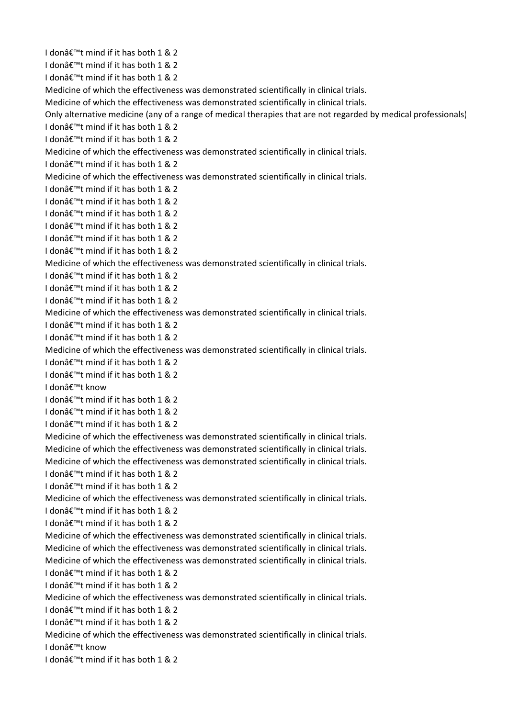I donâ€<sup>™</sup>t mind if it has both 1 & 2 I donâ€<sup>™</sup>t mind if it has both 1 & 2 I donâ€<sup>™</sup>t mind if it has both 1 & 2 Medicine of which the effectiveness was demonstrated scientifically in clinical trials. Medicine of which the effectiveness was demonstrated scientifically in clinical trials. Only alternative medicine (any of a range of medical therapies that are not regarded by medical professionals) I donâ€<sup>™</sup>t mind if it has both 1 & 2  $I$  don $\hat{A}$ €™t mind if it has both 1 & 2 Medicine of which the effectiveness was demonstrated scientifically in clinical trials. I donâ€<sup>™</sup>t mind if it has both 1 & 2 Medicine of which the effectiveness was demonstrated scientifically in clinical trials. I don't mind if it has both 1 & 2 I donâ€<sup>™</sup>t mind if it has both 1 & 2 I donâ€<sup>™</sup>t mind if it has both 1 & 2 I donâ€<sup>™</sup>t mind if it has both 1 & 2 I donâ€<sup>™</sup>t mind if it has both 1 & 2 I donâ€<sup>™</sup>t mind if it has both 1 & 2 Medicine of which the effectiveness was demonstrated scientifically in clinical trials. I donâ€<sup>™</sup>t mind if it has both 1 & 2 I donâ€<sup>™</sup>t mind if it has both 1 & 2 I donâ€<sup>™</sup>t mind if it has both 1 & 2 Medicine of which the effectiveness was demonstrated scientifically in clinical trials. I donâ€<sup>™</sup>t mind if it has both 1 & 2 I donâ€<sup>™</sup>t mind if it has both 1 & 2 Medicine of which the effectiveness was demonstrated scientifically in clinical trials. I donâ€<sup>™</sup>t mind if it has both 1 & 2 I donâ€<sup>™</sup>t mind if it has both 1 & 2 I donâ€<sup>™</sup>t know I donâ€<sup>™</sup>t mind if it has both 1 & 2 I donâ€<sup>™</sup>t mind if it has both 1 & 2 I donâ€<sup>™</sup>t mind if it has both 1 & 2 Medicine of which the effectiveness was demonstrated scientifically in clinical trials. Medicine of which the effectiveness was demonstrated scientifically in clinical trials. Medicine of which the effectiveness was demonstrated scientifically in clinical trials. I donâ€<sup>™</sup>t mind if it has both 1 & 2 I donâ€<sup>™</sup>t mind if it has both 1 & 2 Medicine of which the effectiveness was demonstrated scientifically in clinical trials. I donâ€<sup>™</sup>t mind if it has both 1 & 2 I donâ€<sup>™</sup>t mind if it has both 1 & 2 Medicine of which the effectiveness was demonstrated scientifically in clinical trials. Medicine of which the effectiveness was demonstrated scientifically in clinical trials. Medicine of which the effectiveness was demonstrated scientifically in clinical trials. I donâ€<sup>™</sup>t mind if it has both 1 & 2 I donâ€<sup>™</sup>t mind if it has both 1 & 2 Medicine of which the effectiveness was demonstrated scientifically in clinical trials. I donâ€<sup>™</sup>t mind if it has both 1 & 2 I donâ€<sup>™</sup>t mind if it has both 1 & 2 Medicine of which the effectiveness was demonstrated scientifically in clinical trials. I donâ€<sup>™</sup>t know I donâ€<sup>™</sup>t mind if it has both 1 & 2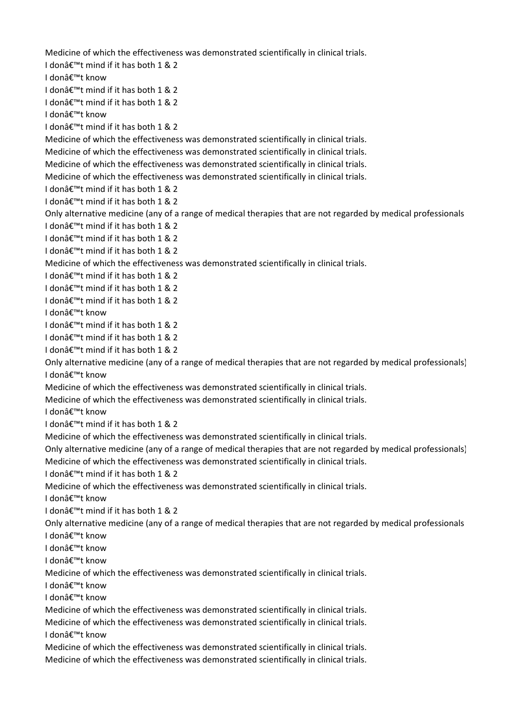Medicine of which the effectiveness was demonstrated scientifically in clinical trials.

I donâ€<sup>™</sup>t mind if it has both 1 & 2

I donâ€<sup>™</sup>t know

I don $\hat{a} \in \mathbb{M}$  mind if it has both 1 & 2

I donâ€<sup>™</sup>t mind if it has both 1 & 2

I don't know

I don $\hat{\mathbf{a}} \in \mathbb{M}$ t mind if it has both 1 & 2

Medicine of which the effectiveness was demonstrated scientifically in clinical trials.

Medicine of which the effectiveness was demonstrated scientifically in clinical trials.

Medicine of which the effectiveness was demonstrated scientifically in clinical trials.

Medicine of which the effectiveness was demonstrated scientifically in clinical trials.

I don $'t$  mind if it has both 1 & 2

I donâ€<sup>™</sup>t mind if it has both 1 & 2

Only alternative medicine (any of a range of medical therapies that are not regarded by medical professionals

I donâ€<sup>™</sup>t mind if it has both 1 & 2

I donâ€<sup>™</sup>t mind if it has both 1 & 2

I donâ€<sup>™</sup>t mind if it has both 1 & 2

Medicine of which the effectiveness was demonstrated scientifically in clinical trials.

I donâ€<sup>™</sup>t mind if it has both 1 & 2

I donâ€<sup>™</sup>t mind if it has both 1 & 2

I donâ€<sup>™</sup>t mind if it has both 1 & 2

I donâ€<sup>™</sup>t know

I donâ€<sup>™</sup>t mind if it has both 1 & 2

I donâ€<sup>™</sup>t mind if it has both 1 & 2

I donâ€<sup>™</sup>t mind if it has both 1 & 2

Only alternative medicine (any of a range of medical therapies that are not regarded by medical professionals) I donâ€<sup>™</sup>t know

Medicine of which the effectiveness was demonstrated scientifically in clinical trials.

Medicine of which the effectiveness was demonstrated scientifically in clinical trials.

I donâ€<sup>™</sup>t know

I donâ€<sup>™</sup>t mind if it has both 1 & 2

Medicine of which the effectiveness was demonstrated scientifically in clinical trials.

Only alternative medicine (any of a range of medical therapies that are not regarded by medical professionals) Medicine of which the effectiveness was demonstrated scientifically in clinical trials.

I donâ€<sup>™</sup>t mind if it has both 1 & 2

Medicine of which the effectiveness was demonstrated scientifically in clinical trials.

I donâ€<sup>™</sup>t know

I donâ€<sup>™</sup>t mind if it has both 1 & 2

Only alternative medicine (any of a range of medical therapies that are not regarded by medical professionals

I donâ€<sup>™</sup>t know

I donâ€<sup>™</sup>t know

I donâ€<sup>™</sup>t know

Medicine of which the effectiveness was demonstrated scientifically in clinical trials.

I donâ€<sup>™</sup>t know

I don't know

Medicine of which the effectiveness was demonstrated scientifically in clinical trials.

Medicine of which the effectiveness was demonstrated scientifically in clinical trials. I don't know

Medicine of which the effectiveness was demonstrated scientifically in clinical trials. Medicine of which the effectiveness was demonstrated scientifically in clinical trials.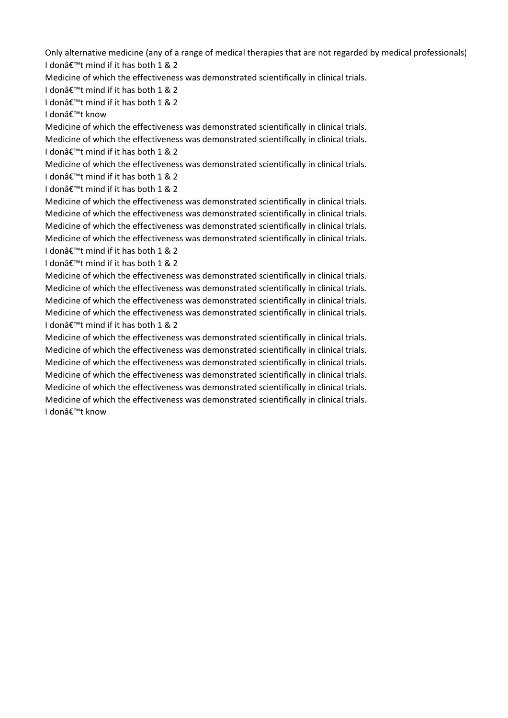Only alternative medicine (any of a range of medical therapies that are not regarded by medical professionals) I donâ€<sup>™</sup>t mind if it has both 1 & 2

Medicine of which the effectiveness was demonstrated scientifically in clinical trials.

I don $'t$  mind if it has both 1 & 2

I donâ€<sup>™</sup>t mind if it has both 1 & 2

I donâ€<sup>™</sup>t know

Medicine of which the effectiveness was demonstrated scientifically in clinical trials. Medicine of which the effectiveness was demonstrated scientifically in clinical trials. I donâ€<sup>™</sup>t mind if it has both 1 & 2

Medicine of which the effectiveness was demonstrated scientifically in clinical trials. I donâ€<sup>™</sup>t mind if it has both 1 & 2

I donâ€<sup>™</sup>t mind if it has both 1 & 2

Medicine of which the effectiveness was demonstrated scientifically in clinical trials. Medicine of which the effectiveness was demonstrated scientifically in clinical trials. Medicine of which the effectiveness was demonstrated scientifically in clinical trials. Medicine of which the effectiveness was demonstrated scientifically in clinical trials. I donâ€<sup>™</sup>t mind if it has both 1 & 2

I donâ€<sup>™</sup>t mind if it has both 1 & 2

Medicine of which the effectiveness was demonstrated scientifically in clinical trials. Medicine of which the effectiveness was demonstrated scientifically in clinical trials. Medicine of which the effectiveness was demonstrated scientifically in clinical trials. Medicine of which the effectiveness was demonstrated scientifically in clinical trials. I donâ€<sup>™</sup>t mind if it has both 1 & 2

Medicine of which the effectiveness was demonstrated scientifically in clinical trials. Medicine of which the effectiveness was demonstrated scientifically in clinical trials. Medicine of which the effectiveness was demonstrated scientifically in clinical trials. Medicine of which the effectiveness was demonstrated scientifically in clinical trials. Medicine of which the effectiveness was demonstrated scientifically in clinical trials. Medicine of which the effectiveness was demonstrated scientifically in clinical trials. I donâ€<sup>™</sup>t know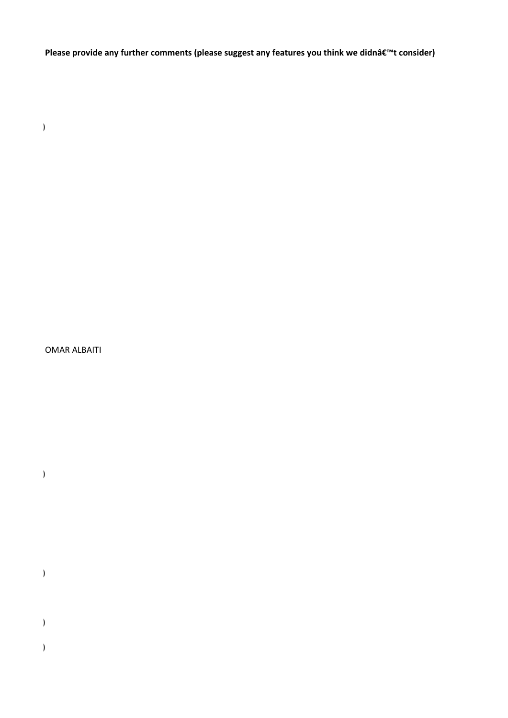Please provide any further comments (please suggest any features you think we didnâ€<sup>™</sup>t consider)

(b) (b) (b) (b)

OMAR ALBAITI

(b) (b) (b) (b)

(b) (b) (b) (b)

(b) (b) (b) (b)

(b) (b) (b) (b)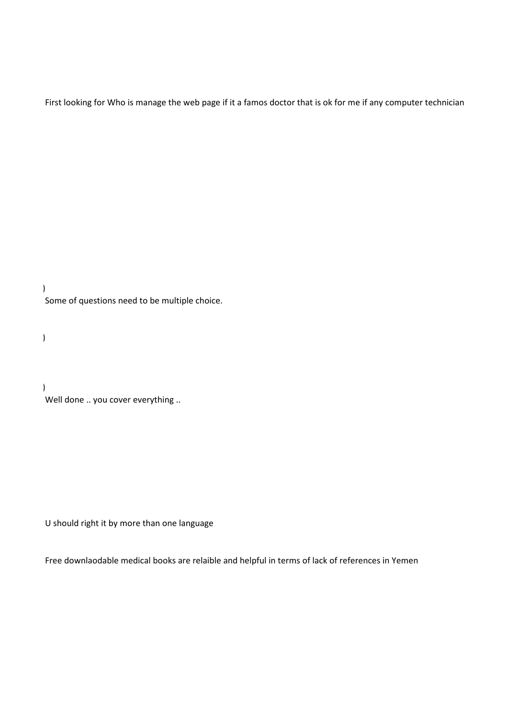First looking for Who is manage the web page if it a famos doctor that is ok for me if any computer technician

(b) (b) (b) (b) Some of questions need to be multiple choice.

(b) (b) (b) (b)

(b) (b) (b) (b) Well done .. you cover everything ..

U should right it by more than one language

Free downlaodable medical books are relaible and helpful in terms of lack of references in Yemen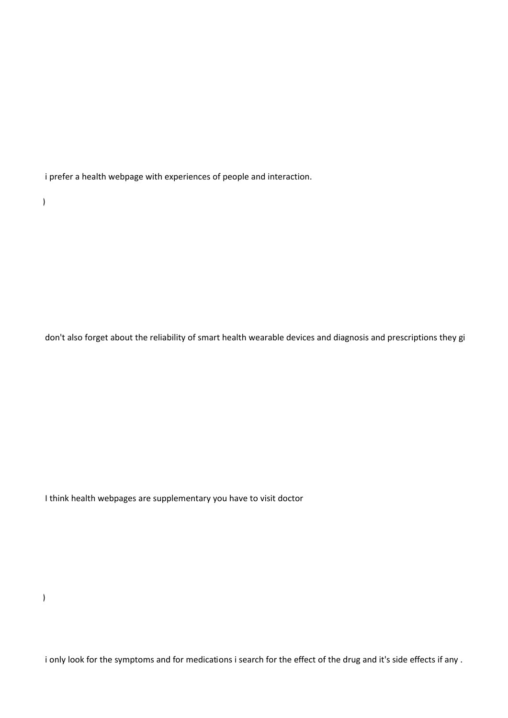i prefer a health webpage with experiences of people and interaction.

(b) (b) (b) (b)

don't also forget about the reliability of smart health wearable devices and diagnosis and prescriptions they gi

I think health webpages are supplementary you have to visit doctor

(b) (b) (b) (b)

i only look for the symptoms and for medications i search for the effect of the drug and it's side effects if any .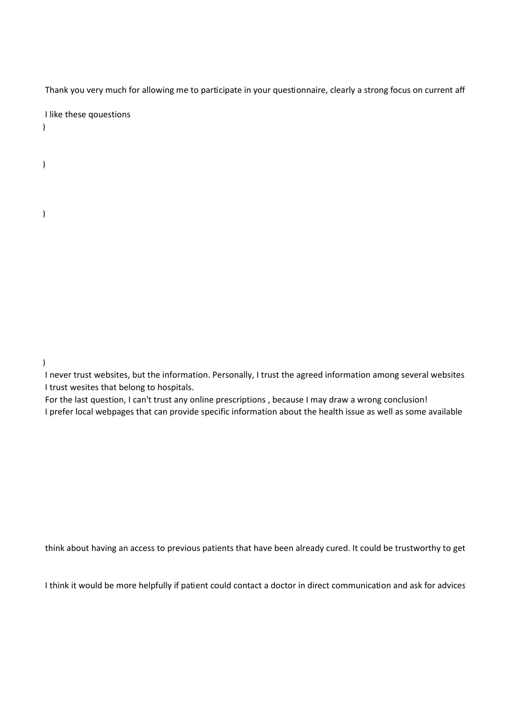Thank you very much for allowing me to participate in your questionnaire, clearly a strong focus on current aff

I like these qouestions

(b) (b) (b) (b)

(b) (b) (b) (b)

(b) (b) (b) (b)

(b) (b) (b) (b)

I never trust websites, but the information. Personally, I trust the agreed information among several websites I trust wesites that belong to hospitals.

For the last question, I can't trust any online prescriptions , because I may draw a wrong conclusion! I prefer local webpages that can provide specific information about the health issue as well as some available

think about having an access to previous patients that have been already cured. It could be trustworthy to get

I think it would be more helpfully if patient could contact a doctor in direct communication and ask for advices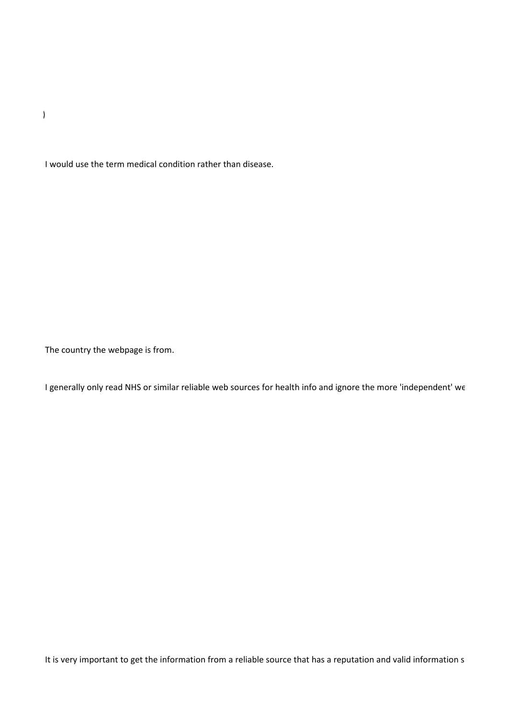(b) (b) (b) (b)

I would use the term medical condition rather than disease.

The country the webpage is from.

I generally only read NHS or similar reliable web sources for health info and ignore the more 'independent' we

It is very important to get the information from a reliable source that has a reputation and valid information s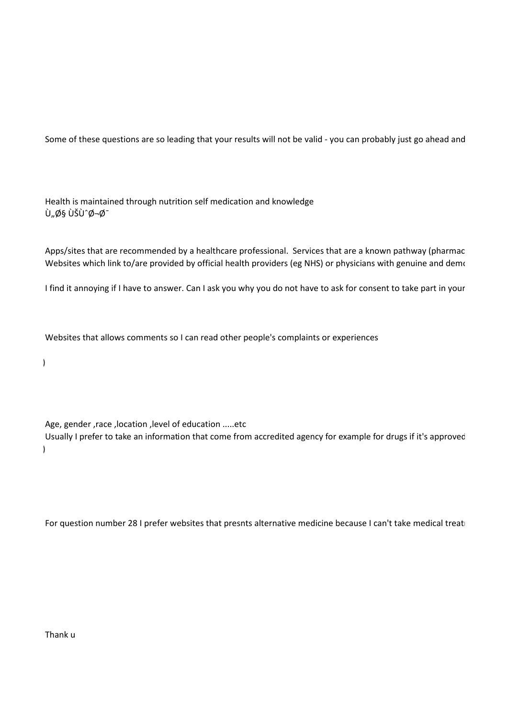Some of these questions are so leading that your results will not be valid - you can probably just go ahead and

Health is maintained through nutrition self medication and knowledge Ù"ا ÙŠÙ^جØ<sup>-</sup>

Apps/sites that are recommended by a healthcare professional. Services that are a known pathway (pharmac Websites which link to/are provided by official health providers (eg NHS) or physicians with genuine and demo

I find it annoying if I have to answer. Can I ask you why you do not have to ask for consent to take part in your

Websites that allows comments so I can read other people's complaints or experiences

(b) (b) (b) (b)

Age, gender ,race ,location ,level of education .....etc

Usually I prefer to take an information that come from accredited agency for example for drugs if it's approved (b) (b) (b) (b)

For question number 28 I prefer websites that presnts alternative medicine because I can't take medical treati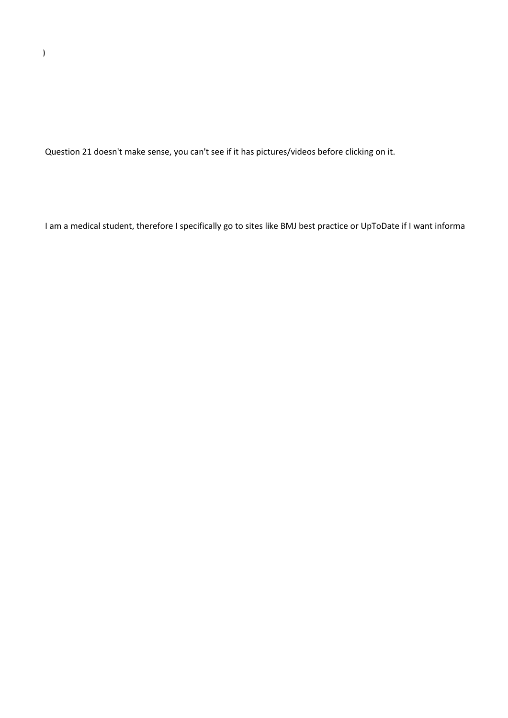Question 21 doesn't make sense, you can't see if it has pictures/videos before clicking on it.

I am a medical student, therefore I specifically go to sites like BMJ best practice or UpToDate if I want informa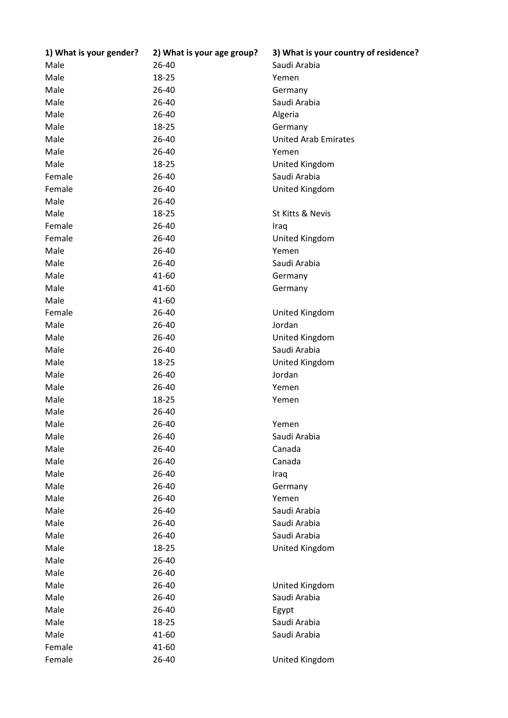| 1) What is your gender? | 2) What is your age group? | 3) What is your country of residence? |
|-------------------------|----------------------------|---------------------------------------|
| Male                    | 26-40                      | Saudi Arabia                          |
| Male                    | 18-25                      | Yemen                                 |
| Male                    | 26-40                      | Germany                               |
| Male                    | 26-40                      | Saudi Arabia                          |
| Male                    | 26-40                      | Algeria                               |
| Male                    | 18-25                      | Germany                               |
| Male                    | 26-40                      | <b>United Arab Emirates</b>           |
| Male                    | 26-40                      | Yemen                                 |
| Male                    | 18-25                      | United Kingdom                        |
| Female                  | 26-40                      | Saudi Arabia                          |
| Female                  | 26-40                      | United Kingdom                        |
| Male                    | 26-40                      |                                       |
| Male                    | 18-25                      | St Kitts & Nevis                      |
| Female                  | 26-40                      | Iraq                                  |
| Female                  | 26-40                      | United Kingdom                        |
| Male                    | 26-40                      | Yemen                                 |
| Male                    | 26-40                      | Saudi Arabia                          |
| Male                    | 41-60                      | Germany                               |
| Male                    | 41-60                      | Germany                               |
| Male                    | 41-60                      |                                       |
| Female                  | 26-40                      | United Kingdom                        |
| Male                    | 26-40                      | Jordan                                |
| Male                    | 26-40                      | United Kingdom                        |
| Male                    | 26-40                      | Saudi Arabia                          |
| Male                    | 18-25                      | United Kingdom                        |
| Male                    | 26-40                      | Jordan                                |
| Male                    | 26-40                      | Yemen                                 |
| Male                    | 18-25                      | Yemen                                 |
| Male                    | 26-40                      |                                       |
| Male                    | 26-40                      | Yemen                                 |
| Male                    | 26-40                      | Saudi Arabia                          |
| Male                    | 26-40                      | Canada                                |
| Male                    | 26-40                      | Canada                                |
| Male                    | 26-40                      | Iraq                                  |
| Male                    | 26-40                      | Germany                               |
| Male                    | 26-40                      | Yemen                                 |
| Male                    | 26-40                      | Saudi Arabia                          |
| Male                    | 26-40                      | Saudi Arabia                          |
| Male                    | 26-40                      | Saudi Arabia                          |
| Male                    | 18-25                      | United Kingdom                        |
| Male                    | 26-40                      |                                       |
| Male                    | 26-40                      |                                       |
| Male                    | 26-40                      | United Kingdom                        |
| Male                    | 26-40                      | Saudi Arabia                          |
| Male                    | 26-40                      | Egypt                                 |
| Male                    | 18-25                      | Saudi Arabia                          |
| Male                    | 41-60                      | Saudi Arabia                          |
| Female                  | 41-60                      |                                       |
| Female                  | 26-40                      | United Kingdom                        |
|                         |                            |                                       |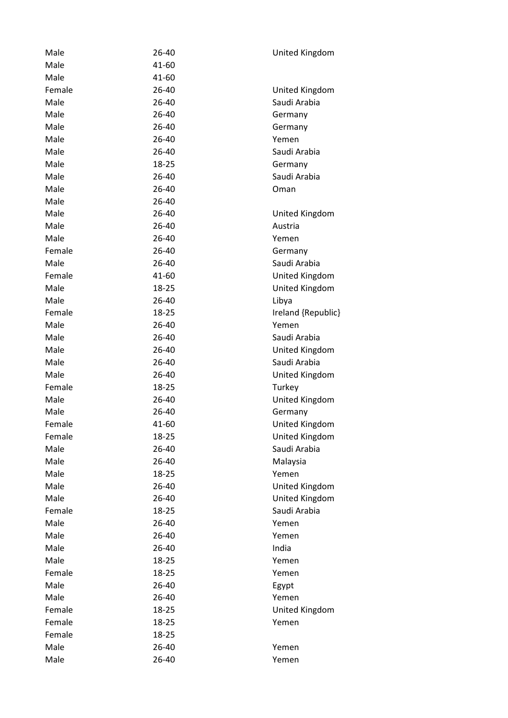| Male   | 26-40 | United Kingdom     |
|--------|-------|--------------------|
| Male   | 41-60 |                    |
| Male   | 41-60 |                    |
| Female | 26-40 | United Kingdom     |
| Male   | 26-40 | Saudi Arabia       |
| Male   | 26-40 | Germany            |
| Male   | 26-40 | Germany            |
| Male   | 26-40 | Yemen              |
| Male   | 26-40 | Saudi Arabia       |
| Male   | 18-25 | Germany            |
| Male   | 26-40 | Saudi Arabia       |
| Male   | 26-40 | Oman               |
| Male   | 26-40 |                    |
| Male   | 26-40 | United Kingdom     |
| Male   | 26-40 | Austria            |
| Male   | 26-40 | Yemen              |
| Female | 26-40 | Germany            |
| Male   | 26-40 | Saudi Arabia       |
| Female | 41-60 | United Kingdom     |
| Male   | 18-25 | United Kingdom     |
| Male   | 26-40 | Libya              |
| Female | 18-25 | Ireland {Republic} |
| Male   | 26-40 | Yemen              |
| Male   | 26-40 | Saudi Arabia       |
| Male   | 26-40 |                    |
|        |       | United Kingdom     |
| Male   | 26-40 | Saudi Arabia       |
| Male   | 26-40 | United Kingdom     |
| Female | 18-25 | Turkey             |
| Male   | 26-40 | United Kingdom     |
| Male   | 26-40 | Germany            |
| Female | 41-60 | United Kingdom     |
| Female | 18-25 | United Kingdom     |
| Male   | 26-40 | Saudi Arabia       |
| Male   | 26-40 | Malaysia           |
| Male   | 18-25 | Yemen              |
| Male   | 26-40 | United Kingdom     |
| Male   | 26-40 | United Kingdom     |
| Female | 18-25 | Saudi Arabia       |
| Male   | 26-40 | Yemen              |
| Male   | 26-40 | Yemen              |
| Male   | 26-40 | India              |
| Male   | 18-25 | Yemen              |
| Female | 18-25 | Yemen              |
| Male   | 26-40 | Egypt              |
| Male   | 26-40 | Yemen              |
| Female | 18-25 | United Kingdom     |
| Female | 18-25 | Yemen              |
| Female | 18-25 |                    |
| Male   | 26-40 | Yemen              |
| Male   | 26-40 | Yemen              |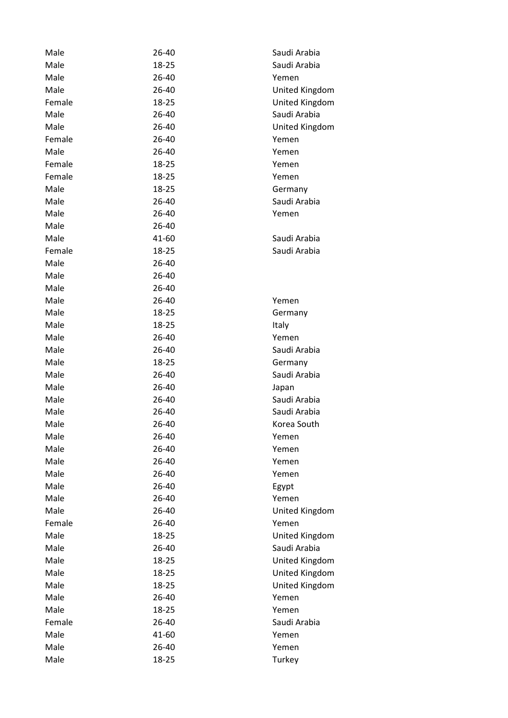| Male   | 26-40 | Saudi Arabia   |
|--------|-------|----------------|
| Male   | 18-25 | Saudi Arabia   |
| Male   | 26-40 | Yemen          |
| Male   | 26-40 | United Kingdom |
| Female | 18-25 | United Kingdom |
| Male   | 26-40 | Saudi Arabia   |
| Male   | 26-40 | United Kingdom |
| Female | 26-40 | Yemen          |
| Male   | 26-40 | Yemen          |
| Female | 18-25 | Yemen          |
| Female | 18-25 | Yemen          |
| Male   | 18-25 | Germany        |
| Male   | 26-40 | Saudi Arabia   |
| Male   | 26-40 | Yemen          |
| Male   | 26-40 |                |
| Male   | 41-60 | Saudi Arabia   |
| Female | 18-25 | Saudi Arabia   |
| Male   | 26-40 |                |
| Male   | 26-40 |                |
| Male   | 26-40 |                |
| Male   | 26-40 | Yemen          |
| Male   | 18-25 | Germany        |
| Male   | 18-25 | Italy          |
| Male   | 26-40 | Yemen          |
| Male   | 26-40 | Saudi Arabia   |
| Male   | 18-25 | Germany        |
| Male   | 26-40 | Saudi Arabia   |
| Male   | 26-40 | Japan          |
| Male   | 26-40 | Saudi Arabia   |
| Male   | 26-40 | Saudi Arabia   |
| Male   | 26-40 | Korea South    |
| Male   | 26-40 | Yemen          |
| Male   | 26-40 | Yemen          |
| Male   | 26-40 | Yemen          |
| Male   | 26-40 | Yemen          |
| Male   | 26-40 | Egypt          |
| Male   | 26-40 | Yemen          |
| Male   | 26-40 | United Kingdom |
| Female | 26-40 | Yemen          |
| Male   | 18-25 | United Kingdom |
| Male   | 26-40 | Saudi Arabia   |
| Male   | 18-25 | United Kingdom |
| Male   | 18-25 | United Kingdom |
| Male   | 18-25 | United Kingdom |
| Male   | 26-40 | Yemen          |
| Male   | 18-25 | Yemen          |
| Female | 26-40 | Saudi Arabia   |
| Male   | 41-60 | Yemen          |
| Male   | 26-40 | Yemen          |
| Male   | 18-25 | Turkey         |
|        |       |                |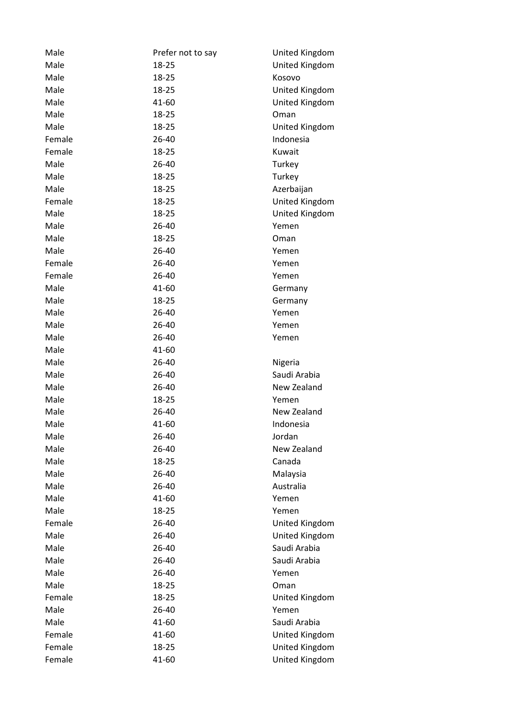| Male   | Prefer not to say | United Kingdom |
|--------|-------------------|----------------|
| Male   | 18-25             | United Kingdom |
| Male   | 18-25             | Kosovo         |
| Male   | 18-25             | United Kingdom |
| Male   | 41-60             | United Kingdom |
| Male   | 18-25             | Oman           |
| Male   | 18-25             | United Kingdom |
| Female | 26-40             | Indonesia      |
| Female | 18-25             | Kuwait         |
| Male   | 26-40             | Turkey         |
| Male   | 18-25             | Turkey         |
| Male   | 18-25             | Azerbaijan     |
| Female | 18-25             | United Kingdom |
| Male   | 18-25             | United Kingdom |
| Male   | 26-40             | Yemen          |
| Male   | 18-25             | Oman           |
| Male   | 26-40             | Yemen          |
| Female | 26-40             | Yemen          |
| Female | 26-40             | Yemen          |
| Male   | 41-60             | Germany        |
| Male   | 18-25             | Germany        |
| Male   | 26-40             | Yemen          |
| Male   | 26-40             | Yemen          |
| Male   | 26-40             | Yemen          |
| Male   | 41-60             |                |
| Male   | 26-40             | Nigeria        |
| Male   | 26-40             | Saudi Arabia   |
| Male   | 26-40             | New Zealand    |
| Male   | 18-25             | Yemen          |
| Male   | 26-40             | New Zealand    |
| Male   | 41-60             | Indonesia      |
| Male   | 26-40             | Jordan         |
| Male   | 26-40             | New Zealand    |
| Male   | 18-25             | Canada         |
| Male   | 26-40             | Malaysia       |
| Male   | 26-40             | Australia      |
| Male   | 41-60             | Yemen          |
| Male   | 18-25             | Yemen          |
| Female | 26-40             | United Kingdom |
| Male   | 26-40             | United Kingdom |
| Male   | 26-40             | Saudi Arabia   |
| Male   | 26-40             | Saudi Arabia   |
| Male   | 26-40             | Yemen          |
| Male   |                   |                |
| Female | 18-25             | Oman           |
|        | 18-25             | United Kingdom |
| Male   | 26-40             | Yemen          |
| Male   | 41-60             | Saudi Arabia   |
| Female | 41-60             | United Kingdom |
| Female | 18-25             | United Kingdom |
| Female | 41-60             | United Kingdom |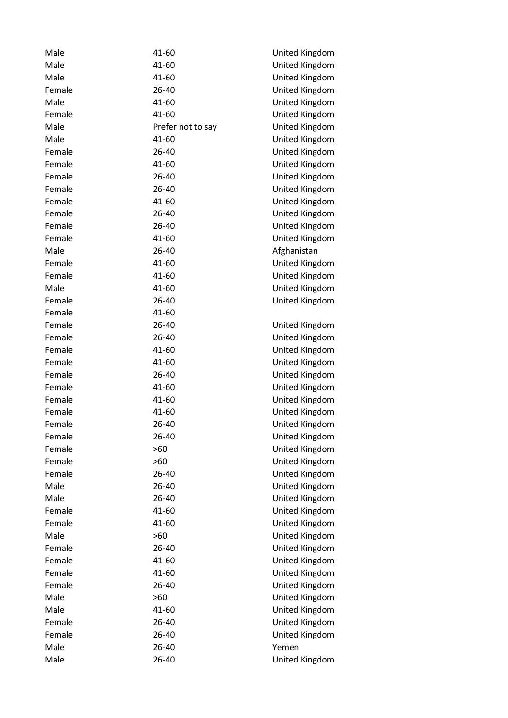| Male   | 41-60             | United Kingdom |
|--------|-------------------|----------------|
| Male   | 41-60             | United Kingdom |
| Male   | 41-60             | United Kingdom |
| Female | 26-40             | United Kingdom |
| Male   | 41-60             | United Kingdom |
| Female | 41-60             | United Kingdom |
| Male   | Prefer not to say | United Kingdom |
| Male   | 41-60             | United Kingdom |
| Female | 26-40             | United Kingdom |
| Female | 41-60             | United Kingdom |
| Female | 26-40             | United Kingdom |
| Female | 26-40             | United Kingdom |
| Female | 41-60             | United Kingdom |
| Female | 26-40             | United Kingdom |
| Female | 26-40             | United Kingdom |
| Female | 41-60             | United Kingdom |
| Male   | 26-40             | Afghanistan    |
| Female | 41-60             | United Kingdom |
| Female | 41-60             | United Kingdom |
| Male   | 41-60             | United Kingdom |
| Female | 26-40             | United Kingdom |
| Female | 41-60             |                |
| Female | 26-40             | United Kingdom |
| Female | 26-40             | United Kingdom |
| Female | 41-60             | United Kingdom |
| Female | 41-60             | United Kingdom |
| Female | 26-40             | United Kingdom |
| Female | 41-60             | United Kingdom |
| Female | 41-60             | United Kingdom |
| Female | 41-60             | United Kingdom |
| Female | 26-40             | United Kingdom |
| Female | 26-40             | United Kingdom |
| Female | $>60$             | United Kingdom |
| Female | >60               | United Kingdom |
| Female | 26-40             | United Kingdom |
| Male   | 26-40             | United Kingdom |
| Male   | 26-40             | United Kingdom |
| Female | 41-60             | United Kingdom |
| Female | 41-60             | United Kingdom |
| Male   | $>60$             | United Kingdom |
| Female | 26-40             | United Kingdom |
| Female | 41-60             | United Kingdom |
| Female | 41-60             | United Kingdom |
| Female | 26-40             | United Kingdom |
| Male   | >60               | United Kingdom |
| Male   | 41-60             | United Kingdom |
| Female | 26-40             | United Kingdom |
| Female | 26-40             | United Kingdom |
| Male   | 26-40             | Yemen          |
| Male   | 26-40             | United Kingdom |
|        |                   |                |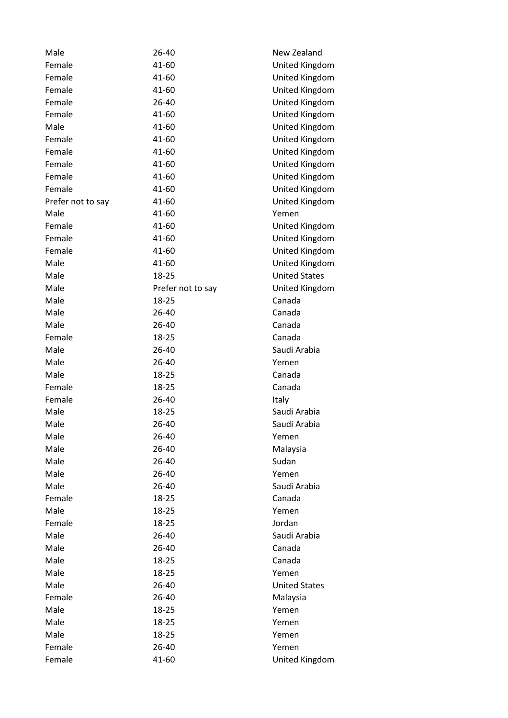| Male              | 26-40             | New Zealand          |
|-------------------|-------------------|----------------------|
| Female            | 41-60             | United Kingdom       |
| Female            | 41-60             | United Kingdom       |
| Female            | 41-60             | United Kingdom       |
| Female            | 26-40             | United Kingdom       |
| Female            | 41-60             | United Kingdom       |
| Male              | 41-60             | United Kingdom       |
| Female            | 41-60             | United Kingdom       |
| Female            | 41-60             | United Kingdom       |
| Female            | 41-60             | United Kingdom       |
| Female            | 41-60             | United Kingdom       |
| Female            | 41-60             | United Kingdom       |
| Prefer not to say | 41-60             | United Kingdom       |
| Male              | 41-60             | Yemen                |
| Female            | 41-60             | United Kingdom       |
| Female            | 41-60             | United Kingdom       |
| Female            | 41-60             | United Kingdom       |
| Male              | 41-60             | United Kingdom       |
| Male              | 18-25             | <b>United States</b> |
| Male              | Prefer not to say | United Kingdom       |
| Male              | 18-25             | Canada               |
| Male              | 26-40             | Canada               |
| Male              | 26-40             | Canada               |
| Female            | 18-25             | Canada               |
| Male              | 26-40             | Saudi Arabia         |
| Male              | 26-40             | Yemen                |
| Male              | 18-25             | Canada               |
| Female            | 18-25             | Canada               |
| Female            | 26-40             | Italy                |
| Male              | 18-25             | Saudi Arabia         |
| Male              | 26-40             | Saudi Arabia         |
| Male              | 26-40             | Yemen                |
| Male              | 26-40             | Malaysia             |
| Male              | 26-40             | Sudan                |
| Male              | 26-40             | Yemen                |
| Male              | 26-40             | Saudi Arabia         |
| Female            | 18-25             | Canada               |
| Male              | 18-25             | Yemen                |
| Female            | 18-25             | Jordan               |
| Male              | 26-40             | Saudi Arabia         |
| Male              | 26-40             | Canada               |
| Male              | 18-25             | Canada               |
| Male              | 18-25             | Yemen                |
| Male              | 26-40             | <b>United States</b> |
| Female            | 26-40             | Malaysia             |
| Male              | 18-25             | Yemen                |
| Male              | 18-25             | Yemen                |
| Male              | 18-25             | Yemen                |
| Female            | 26-40             | Yemen                |
| Female            | 41-60             | United Kingdom       |
|                   |                   |                      |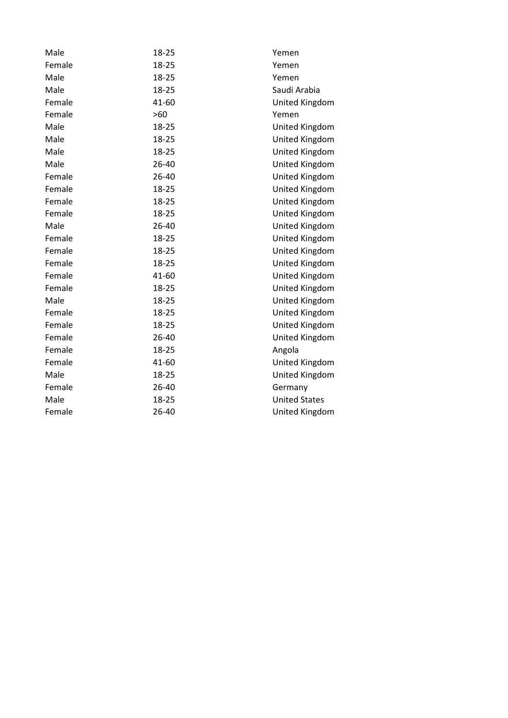| Male   | 18-25 | Yemen                |
|--------|-------|----------------------|
| Female | 18-25 | Yemen                |
| Male   | 18-25 | Yemen                |
| Male   | 18-25 | Saudi Arabia         |
| Female | 41-60 | United Kingdom       |
| Female | >60   | Yemen                |
| Male   | 18-25 | United Kingdom       |
| Male   | 18-25 | United Kingdom       |
| Male   | 18-25 | United Kingdom       |
| Male   | 26-40 | United Kingdom       |
| Female | 26-40 | United Kingdom       |
| Female | 18-25 | United Kingdom       |
| Female | 18-25 | United Kingdom       |
| Female | 18-25 | United Kingdom       |
| Male   | 26-40 | United Kingdom       |
| Female | 18-25 | United Kingdom       |
| Female | 18-25 | United Kingdom       |
| Female | 18-25 | United Kingdom       |
| Female | 41-60 | United Kingdom       |
| Female | 18-25 | United Kingdom       |
| Male   | 18-25 | United Kingdom       |
| Female | 18-25 | United Kingdom       |
| Female | 18-25 | United Kingdom       |
| Female | 26-40 | United Kingdom       |
| Female | 18-25 | Angola               |
| Female | 41-60 | United Kingdom       |
| Male   | 18-25 | United Kingdom       |
| Female | 26-40 | Germany              |
| Male   | 18-25 | <b>United States</b> |
| Female | 26-40 | United Kingdom       |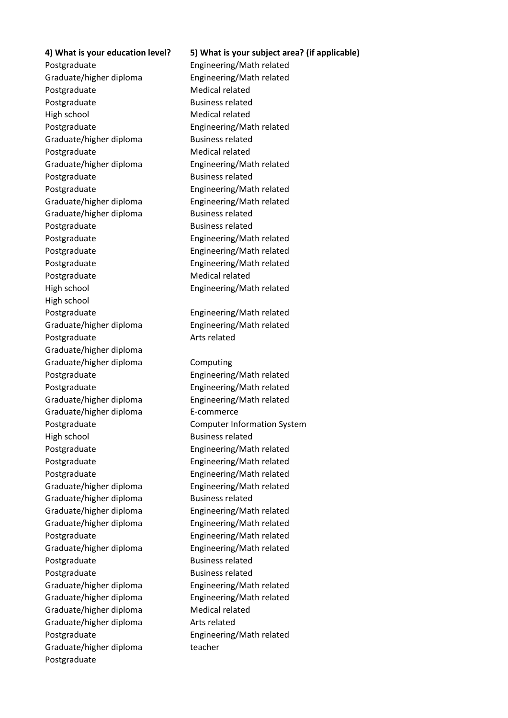## **4) What is your education level? 5) What is your subject area? (if applicable)**

Postgraduate Engineering/Math related Graduate/higher diploma Engineering/Math related Postgraduate Medical related Postgraduate Business related High school Medical related Postgraduate Engineering/Math related Graduate/higher diploma<br>
Business related Postgraduate Medical related Graduate/higher diploma Engineering/Math related Postgraduate Business related Postgraduate Engineering/Math related Graduate/higher diploma Engineering/Math related Graduate/higher diploma<br>
Business related Postgraduate Business related Postgraduate Engineering/Math related Postgraduate Engineering/Math related Postgraduate **Engineering/Math related** Postgraduate Medical related High school Engineering/Math related High school Postgraduate Engineering/Math related Graduate/higher diploma Engineering/Math related Postgraduate Arts related Graduate/higher diploma Graduate/higher diploma Computing Postgraduate Engineering/Math related Postgraduate Engineering/Math related Graduate/higher diploma Engineering/Math related Graduate/higher diploma E-commerce High school Business related Postgraduate Engineering/Math related Postgraduate Engineering/Math related Postgraduate Engineering/Math related Graduate/higher diploma Engineering/Math related Graduate/higher diploma<br>
Business related Graduate/higher diploma Engineering/Math related Graduate/higher diploma Engineering/Math related Postgraduate Engineering/Math related Graduate/higher diploma Engineering/Math related Postgraduate Business related Postgraduate Business related Graduate/higher diploma Engineering/Math related Graduate/higher diploma Engineering/Math related Graduate/higher diploma Medical related Graduate/higher diploma Arts related Postgraduate Engineering/Math related Graduate/higher diploma teacher Postgraduate

Postgraduate **Computer Information System**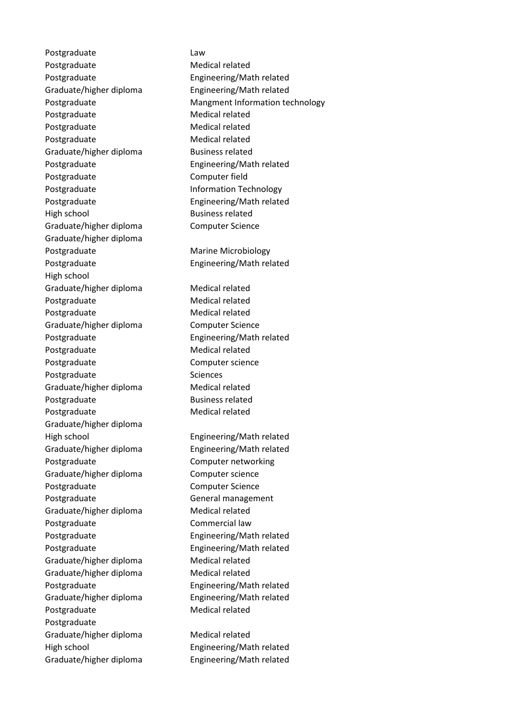Postgraduate Law Postgraduate Medical related Postgraduate Engineering/Math related Graduate/higher diploma Engineering/Math related Postgraduate Medical related Postgraduate Medical related Postgraduate Medical related Graduate/higher diploma<br>
Business related Postgraduate Engineering/Math related Postgraduate Computer field Postgraduate **Information Technology** Postgraduate Engineering/Math related High school and Business related Graduate/higher diploma Computer Science Graduate/higher diploma Postgraduate Marine Microbiology Postgraduate Engineering/Math related High school Graduate/higher diploma<br>
Medical related Postgraduate Medical related Postgraduate Medical related Graduate/higher diploma Computer Science Postgraduate Engineering/Math related Postgraduate Medical related Postgraduate **Computer science** Postgraduate Sciences Graduate/higher diploma Medical related Postgraduate Business related Postgraduate Medical related Graduate/higher diploma High school Engineering/Math related Graduate/higher diploma Engineering/Math related Postgraduate **Computer networking** Graduate/higher diploma Computer science Postgraduate **Computer Science** Postgraduate General management Graduate/higher diploma Medical related Postgraduate **Commercial** law Postgraduate Engineering/Math related Postgraduate Engineering/Math related Graduate/higher diploma Medical related Graduate/higher diploma<br>
Medical related Postgraduate Engineering/Math related Graduate/higher diploma Engineering/Math related Postgraduate Medical related Postgraduate Graduate/higher diploma Medical related High school Engineering/Math related Graduate/higher diploma Engineering/Math related

Postgraduate Mangment Information technology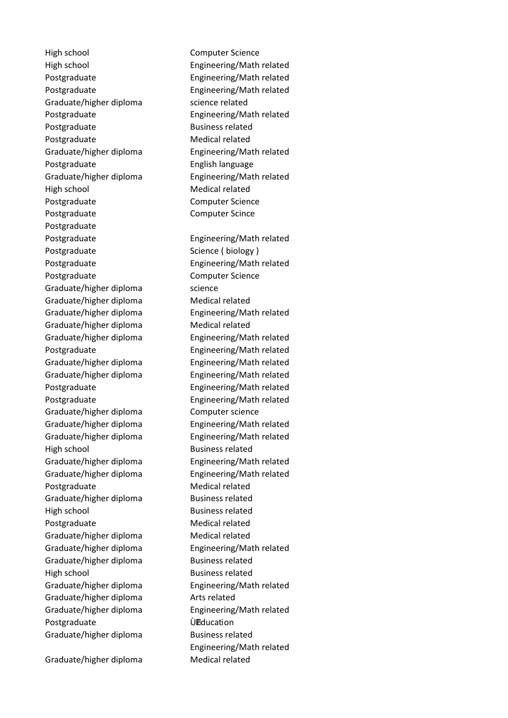High school Computer Science High school Engineering/Math related Postgraduate Engineering/Math related Postgraduate Engineering/Math related Graduate/higher diploma science related Postgraduate Engineering/Math related Postgraduate Business related Postgraduate Medical related Graduate/higher diploma Engineering/Math related Postgraduate English language Graduate/higher diploma Engineering/Math related High school Medical related Postgraduate **Computer Science** Postgraduate **Computer Scince** Postgraduate Postgraduate Engineering/Math related Postgraduate Science ( biology ) Postgraduate Engineering/Math related Postgraduate **Computer Science** Graduate/higher diploma science Graduate/higher diploma Medical related Graduate/higher diploma Engineering/Math related Graduate/higher diploma Medical related Graduate/higher diploma Engineering/Math related Postgraduate Engineering/Math related Graduate/higher diploma Engineering/Math related Graduate/higher diploma Engineering/Math related Postgraduate Engineering/Math related Postgraduate Engineering/Math related Graduate/higher diploma Computer science Graduate/higher diploma Engineering/Math related Graduate/higher diploma Engineering/Math related High school and Business related Graduate/higher diploma Engineering/Math related Graduate/higher diploma Engineering/Math related Postgraduate Medical related Graduate/higher diploma<br>
Business related High school Business related Postgraduate Medical related Graduate/higher diploma Medical related Graduate/higher diploma Engineering/Math related Graduate/higher diploma<br>
Business related High school and Business related Graduate/higher diploma Engineering/Math related Graduate/higher diploma Arts related Graduate/higher diploma Engineering/Math related Postgraduate 
and Deducation Graduate/higher diploma<br>
Business related

Graduate/higher diploma<br>
Medical related

Engineering/Math related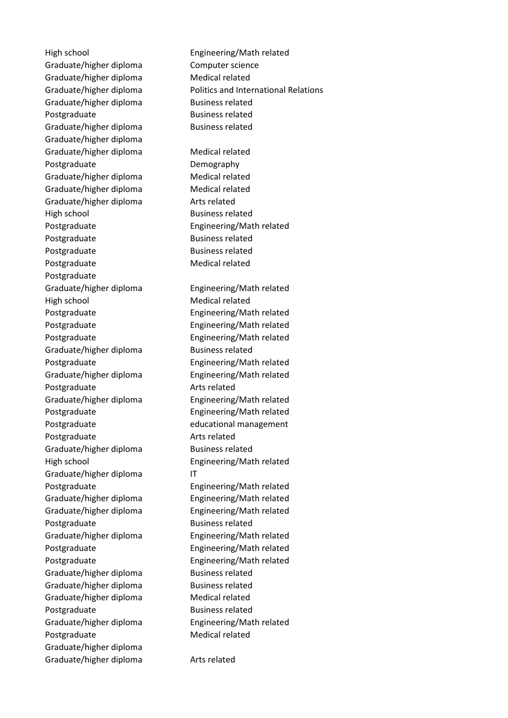Graduate/higher diploma Computer science Graduate/higher diploma Medical related Graduate/higher diploma Business related Postgraduate Business related Graduate/higher diploma Business related Graduate/higher diploma Graduate/higher diploma Medical related Postgraduate Demography Graduate/higher diploma Medical related Graduate/higher diploma Medical related Graduate/higher diploma Arts related High school and Business related Postgraduate Engineering/Math related Postgraduate Business related Postgraduate Business related Postgraduate Medical related Postgraduate Graduate/higher diploma Engineering/Math related High school Medical related Postgraduate Engineering/Math related Postgraduate Engineering/Math related Postgraduate Engineering/Math related Graduate/higher diploma<br>
Business related Postgraduate Engineering/Math related Graduate/higher diploma Engineering/Math related Postgraduate Arts related Graduate/higher diploma Engineering/Math related Postgraduate Engineering/Math related Postgraduate educational management Postgraduate Arts related Graduate/higher diploma<br>
Business related High school Engineering/Math related Graduate/higher diploma IT Postgraduate Engineering/Math related Graduate/higher diploma Engineering/Math related Graduate/higher diploma Engineering/Math related Postgraduate Business related Graduate/higher diploma Engineering/Math related Postgraduate Engineering/Math related Postgraduate Engineering/Math related Graduate/higher diploma<br>
Business related Graduate/higher diploma<br>
Business related Graduate/higher diploma Medical related Postgraduate Business related Graduate/higher diploma Engineering/Math related Postgraduate Medical related Graduate/higher diploma Graduate/higher diploma Arts related

High school Engineering/Math related Graduate/higher diploma Politics and International Relations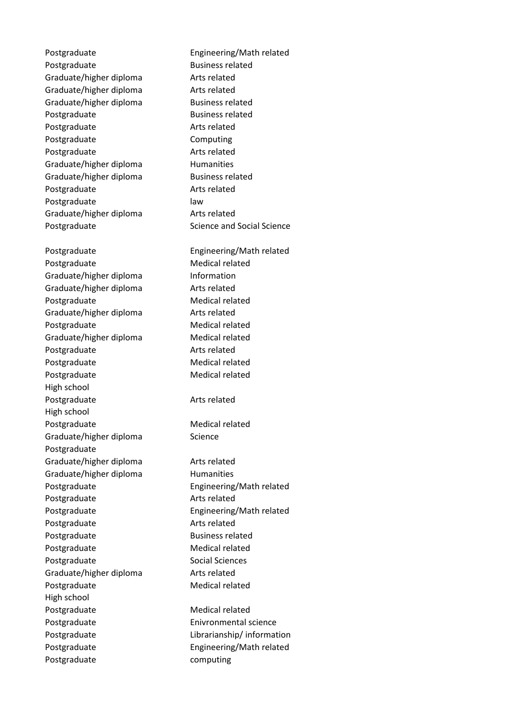Postgraduate Engineering/Math related Postgraduate Business related Graduate/higher diploma Arts related Graduate/higher diploma Arts related Graduate/higher diploma Business related Postgraduate Business related Postgraduate **Arts** related Postgraduate Computing Postgraduate Arts related Graduate/higher diploma<br>
Humanities Graduate/higher diploma<br>
Business related Postgraduate Arts related Postgraduate law Graduate/higher diploma Arts related Postgraduate Science and Social Science Postgraduate Engineering/Math related Postgraduate Medical related Graduate/higher diploma Information Graduate/higher diploma Arts related Postgraduate Medical related Graduate/higher diploma Arts related Postgraduate Medical related Graduate/higher diploma Medical related Postgraduate Arts related Postgraduate Medical related Postgraduate Medical related High school Postgraduate Arts related High school Postgraduate Medical related Graduate/higher diploma Science Postgraduate Graduate/higher diploma Arts related Graduate/higher diploma Humanities Postgraduate Engineering/Math related Postgraduate **Arts** related Postgraduate **Engineering/Math related** Postgraduate Arts related Postgraduate Business related Postgraduate Medical related Postgraduate Social Sciences Graduate/higher diploma Arts related Postgraduate Medical related High school Postgraduate Medical related Postgraduate **Enivronmental science** Postgraduate **Librarianship/** information Postgraduate **Engineering/Math related** Postgraduate computing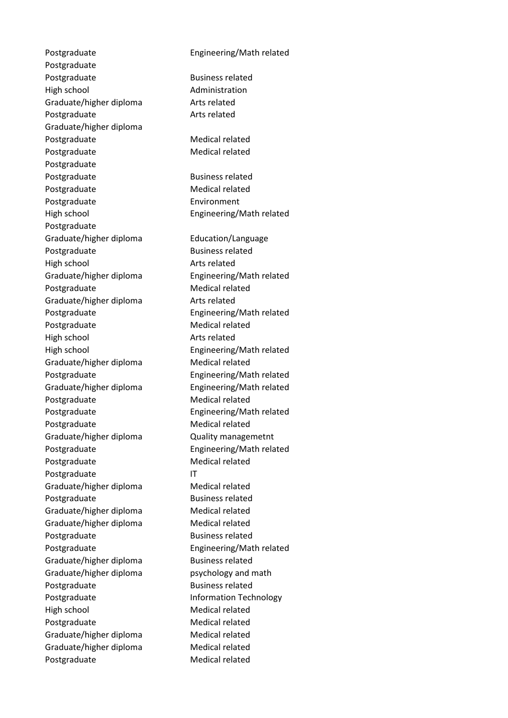Postgraduate Engineering/Math related Postgraduate Postgraduate Business related High school and Administration Graduate/higher diploma Arts related Postgraduate Arts related Graduate/higher diploma Postgraduate Medical related Postgraduate Medical related Postgraduate Postgraduate Business related Postgraduate Medical related Postgraduate **Environment** High school Engineering/Math related Postgraduate Graduate/higher diploma Education/Language Postgraduate Business related High school and Arts related Graduate/higher diploma Engineering/Math related Postgraduate Medical related Graduate/higher diploma Arts related Postgraduate Engineering/Math related Postgraduate Medical related High school and Arts related High school Engineering/Math related Graduate/higher diploma Medical related Postgraduate Engineering/Math related Graduate/higher diploma Engineering/Math related Postgraduate Medical related Postgraduate Engineering/Math related Postgraduate Medical related Graduate/higher diploma Quality managemetnt Postgraduate Engineering/Math related Postgraduate Medical related Postgraduate IT Graduate/higher diploma Medical related Postgraduate Business related Graduate/higher diploma<br>
Medical related Graduate/higher diploma<br>
Medical related Postgraduate Business related Postgraduate Engineering/Math related Graduate/higher diploma<br>
Business related Graduate/higher diploma psychology and math Postgraduate Business related Postgraduate **Information Technology** High school Medical related Postgraduate Medical related Graduate/higher diploma Medical related Graduate/higher diploma Medical related Postgraduate Medical related